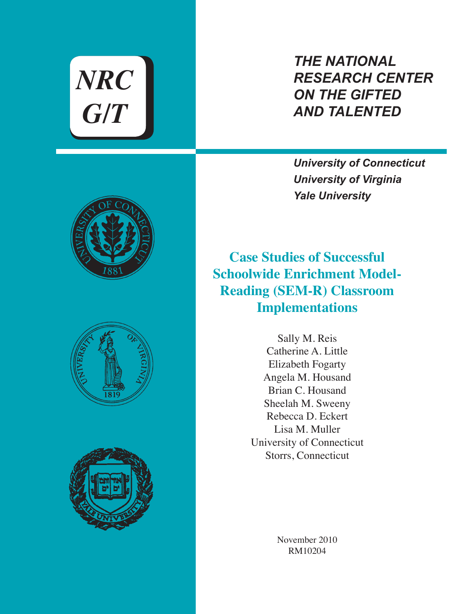*NRC G/T*

# *THE NATIONAL RESEARCH CENTER ON THE GIFTED AND TALENTED*

*University of Connecticut University of Virginia Yale University*

**Case Studies of Successful Schoolwide Enrichment Model-Reading (SEM-R) Classroom Implementations**

> Sally M. Reis Catherine A. Little Elizabeth Fogarty Angela M. Housand Brian C. Housand Sheelah M. Sweeny Rebecca D. Eckert Lisa M. Muller University of Connecticut Storrs, Connecticut

> > November 2010 RM10204





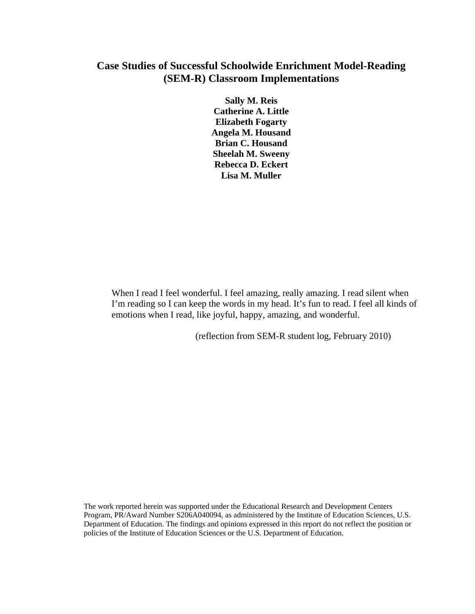### **Case Studies of Successful Schoolwide Enrichment Model-Reading (SEM-R) Classroom Implementations**

**Sally M. Reis Catherine A. Little Elizabeth Fogarty Angela M. Housand Brian C. Housand Sheelah M. Sweeny Rebecca D. Eckert Lisa M. Muller** 

When I read I feel wonderful. I feel amazing, really amazing. I read silent when I'm reading so I can keep the words in my head. It's fun to read. I feel all kinds of emotions when I read, like joyful, happy, amazing, and wonderful.

(reflection from SEM-R student log, February 2010)

The work reported herein was supported under the Educational Research and Development Centers Program, PR/Award Number S206A040094, as administered by the Institute of Education Sciences, U.S. Department of Education. The findings and opinions expressed in this report do not reflect the position or policies of the Institute of Education Sciences or the U.S. Department of Education.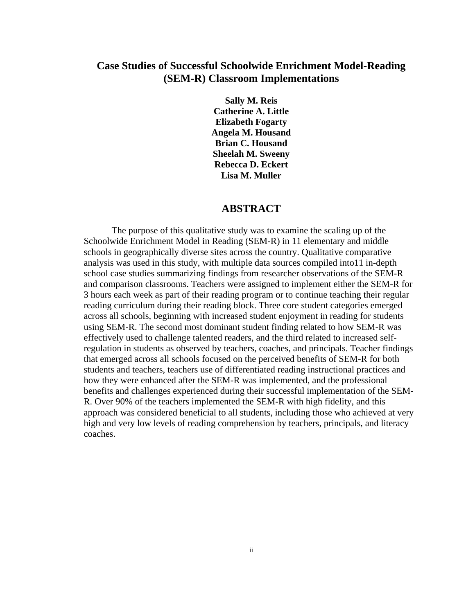### **Case Studies of Successful Schoolwide Enrichment Model-Reading (SEM-R) Classroom Implementations**

**Sally M. Reis Catherine A. Little Elizabeth Fogarty Angela M. Housand Brian C. Housand Sheelah M. Sweeny Rebecca D. Eckert Lisa M. Muller** 

#### **ABSTRACT**

The purpose of this qualitative study was to examine the scaling up of the Schoolwide Enrichment Model in Reading (SEM-R) in 11 elementary and middle schools in geographically diverse sites across the country. Qualitative comparative analysis was used in this study, with multiple data sources compiled into11 in-depth school case studies summarizing findings from researcher observations of the SEM-R and comparison classrooms. Teachers were assigned to implement either the SEM-R for 3 hours each week as part of their reading program or to continue teaching their regular reading curriculum during their reading block. Three core student categories emerged across all schools, beginning with increased student enjoyment in reading for students using SEM-R. The second most dominant student finding related to how SEM-R was effectively used to challenge talented readers, and the third related to increased selfregulation in students as observed by teachers, coaches, and principals. Teacher findings that emerged across all schools focused on the perceived benefits of SEM-R for both students and teachers, teachers use of differentiated reading instructional practices and how they were enhanced after the SEM-R was implemented, and the professional benefits and challenges experienced during their successful implementation of the SEM-R. Over 90% of the teachers implemented the SEM-R with high fidelity, and this approach was considered beneficial to all students, including those who achieved at very high and very low levels of reading comprehension by teachers, principals, and literacy coaches.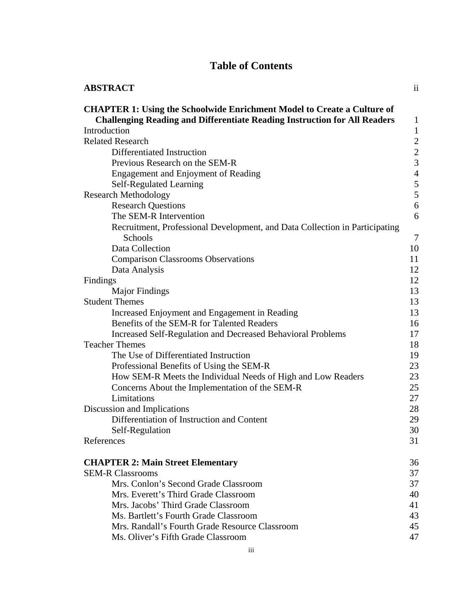### **Table of Contents**

| <b>ABSTRACT</b>                                                                                                                                                    | $\overline{11}$ |
|--------------------------------------------------------------------------------------------------------------------------------------------------------------------|-----------------|
| <b>CHAPTER 1: Using the Schoolwide Enrichment Model to Create a Culture of</b><br><b>Challenging Reading and Differentiate Reading Instruction for All Readers</b> | $\mathbf{1}$    |
| Introduction                                                                                                                                                       | $\mathbf{1}$    |
| <b>Related Research</b>                                                                                                                                            | $\overline{2}$  |
| Differentiated Instruction                                                                                                                                         | $\overline{c}$  |
| Previous Research on the SEM-R                                                                                                                                     | $\overline{3}$  |
| Engagement and Enjoyment of Reading                                                                                                                                | $\frac{1}{4}$   |
| Self-Regulated Learning                                                                                                                                            | 5               |
| <b>Research Methodology</b>                                                                                                                                        | 5               |
| <b>Research Questions</b>                                                                                                                                          | 6               |
| The SEM-R Intervention                                                                                                                                             | 6               |
| Recruitment, Professional Development, and Data Collection in Participating<br>Schools                                                                             | $\tau$          |
| Data Collection                                                                                                                                                    | 10              |
| <b>Comparison Classrooms Observations</b>                                                                                                                          | 11              |
| Data Analysis                                                                                                                                                      | 12              |
| Findings                                                                                                                                                           | 12              |
| <b>Major Findings</b>                                                                                                                                              | 13              |
| <b>Student Themes</b>                                                                                                                                              | 13              |
| Increased Enjoyment and Engagement in Reading                                                                                                                      | 13              |
| Benefits of the SEM-R for Talented Readers                                                                                                                         | 16              |
| <b>Increased Self-Regulation and Decreased Behavioral Problems</b>                                                                                                 | 17              |
| <b>Teacher Themes</b>                                                                                                                                              | 18              |
| The Use of Differentiated Instruction                                                                                                                              | 19              |
| Professional Benefits of Using the SEM-R                                                                                                                           | 23              |
| How SEM-R Meets the Individual Needs of High and Low Readers                                                                                                       | 23              |
| Concerns About the Implementation of the SEM-R                                                                                                                     | 25              |
| Limitations                                                                                                                                                        | 27              |
| Discussion and Implications                                                                                                                                        | 28              |
| Differentiation of Instruction and Content                                                                                                                         | 29              |
| Self-Regulation                                                                                                                                                    | 30              |
| References                                                                                                                                                         | 31              |
| <b>CHAPTER 2: Main Street Elementary</b>                                                                                                                           | 36              |
| <b>SEM-R Classrooms</b>                                                                                                                                            | 37              |
| Mrs. Conlon's Second Grade Classroom                                                                                                                               | 37              |
| Mrs. Everett's Third Grade Classroom                                                                                                                               | 40              |
| Mrs. Jacobs' Third Grade Classroom                                                                                                                                 | 41              |
| Ms. Bartlett's Fourth Grade Classroom                                                                                                                              | 43              |
| Mrs. Randall's Fourth Grade Resource Classroom                                                                                                                     | 45              |
| Ms. Oliver's Fifth Grade Classroom                                                                                                                                 | 47              |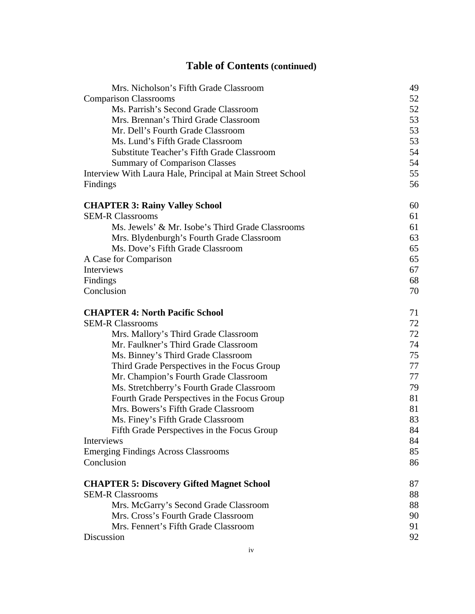## **Table of Contents (continued)**

| Mrs. Nicholson's Fifth Grade Classroom                     | 49 |
|------------------------------------------------------------|----|
| <b>Comparison Classrooms</b>                               | 52 |
| Ms. Parrish's Second Grade Classroom                       | 52 |
| Mrs. Brennan's Third Grade Classroom                       | 53 |
| Mr. Dell's Fourth Grade Classroom                          | 53 |
| Ms. Lund's Fifth Grade Classroom                           | 53 |
| <b>Substitute Teacher's Fifth Grade Classroom</b>          | 54 |
| <b>Summary of Comparison Classes</b>                       | 54 |
| Interview With Laura Hale, Principal at Main Street School | 55 |
| Findings                                                   | 56 |
| <b>CHAPTER 3: Rainy Valley School</b>                      | 60 |
| <b>SEM-R Classrooms</b>                                    | 61 |
| Ms. Jewels' & Mr. Isobe's Third Grade Classrooms           | 61 |
| Mrs. Blydenburgh's Fourth Grade Classroom                  | 63 |
| Ms. Dove's Fifth Grade Classroom                           | 65 |
| A Case for Comparison                                      | 65 |
| Interviews                                                 | 67 |
| Findings                                                   | 68 |
| Conclusion                                                 | 70 |
| <b>CHAPTER 4: North Pacific School</b>                     | 71 |
| <b>SEM-R Classrooms</b>                                    | 72 |
| Mrs. Mallory's Third Grade Classroom                       | 72 |
| Mr. Faulkner's Third Grade Classroom                       | 74 |
| Ms. Binney's Third Grade Classroom                         | 75 |
| Third Grade Perspectives in the Focus Group                | 77 |
| Mr. Champion's Fourth Grade Classroom                      | 77 |
| Ms. Stretchberry's Fourth Grade Classroom                  | 79 |
| Fourth Grade Perspectives in the Focus Group               | 81 |
| Mrs. Bowers's Fifth Grade Classroom                        | 81 |
| Ms. Finey's Fifth Grade Classroom                          | 83 |
| Fifth Grade Perspectives in the Focus Group                | 84 |
| Interviews                                                 | 84 |
| <b>Emerging Findings Across Classrooms</b>                 | 85 |
| Conclusion                                                 | 86 |
| <b>CHAPTER 5: Discovery Gifted Magnet School</b>           | 87 |
| <b>SEM-R Classrooms</b>                                    | 88 |
| Mrs. McGarry's Second Grade Classroom                      | 88 |
| Mrs. Cross's Fourth Grade Classroom                        | 90 |
| Mrs. Fennert's Fifth Grade Classroom                       | 91 |
| Discussion                                                 | 92 |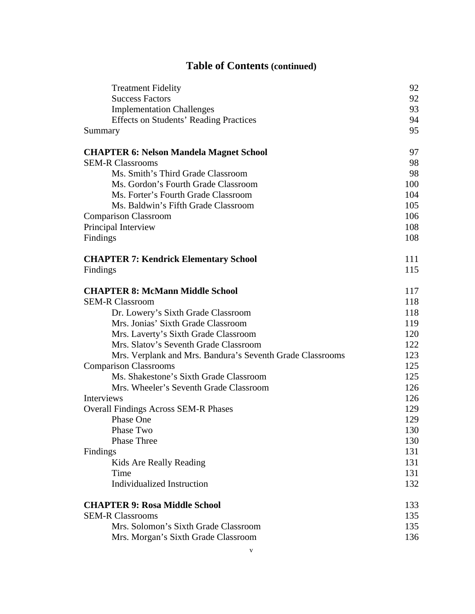## **Table of Contents (continued)**

| <b>Treatment Fidelity</b>                                 | 92  |
|-----------------------------------------------------------|-----|
| <b>Success Factors</b>                                    | 92  |
| <b>Implementation Challenges</b>                          | 93  |
| <b>Effects on Students' Reading Practices</b>             | 94  |
| Summary                                                   | 95  |
| <b>CHAPTER 6: Nelson Mandela Magnet School</b>            | 97  |
| <b>SEM-R Classrooms</b>                                   | 98  |
| Ms. Smith's Third Grade Classroom                         | 98  |
| Ms. Gordon's Fourth Grade Classroom                       | 100 |
| Ms. Forter's Fourth Grade Classroom                       | 104 |
| Ms. Baldwin's Fifth Grade Classroom                       | 105 |
| <b>Comparison Classroom</b>                               | 106 |
| Principal Interview                                       | 108 |
| Findings                                                  | 108 |
| <b>CHAPTER 7: Kendrick Elementary School</b>              | 111 |
| Findings                                                  | 115 |
| <b>CHAPTER 8: McMann Middle School</b>                    | 117 |
| <b>SEM-R Classroom</b>                                    | 118 |
| Dr. Lowery's Sixth Grade Classroom                        | 118 |
| Mrs. Jonias' Sixth Grade Classroom                        | 119 |
| Mrs. Laverty's Sixth Grade Classroom                      | 120 |
| Mrs. Slatov's Seventh Grade Classroom                     | 122 |
| Mrs. Verplank and Mrs. Bandura's Seventh Grade Classrooms | 123 |
| <b>Comparison Classrooms</b>                              | 125 |
| Ms. Shakestone's Sixth Grade Classroom                    | 125 |
| Mrs. Wheeler's Seventh Grade Classroom                    | 126 |
| Interviews                                                | 126 |
| <b>Overall Findings Across SEM-R Phases</b>               | 129 |
| Phase One                                                 | 129 |
| Phase Two                                                 | 130 |
| <b>Phase Three</b>                                        | 130 |
| Findings                                                  | 131 |
| Kids Are Really Reading                                   | 131 |
| Time                                                      | 131 |
| <b>Individualized Instruction</b>                         | 132 |
| <b>CHAPTER 9: Rosa Middle School</b>                      | 133 |
| <b>SEM-R Classrooms</b>                                   | 135 |
| Mrs. Solomon's Sixth Grade Classroom                      | 135 |
| Mrs. Morgan's Sixth Grade Classroom                       | 136 |
|                                                           |     |

v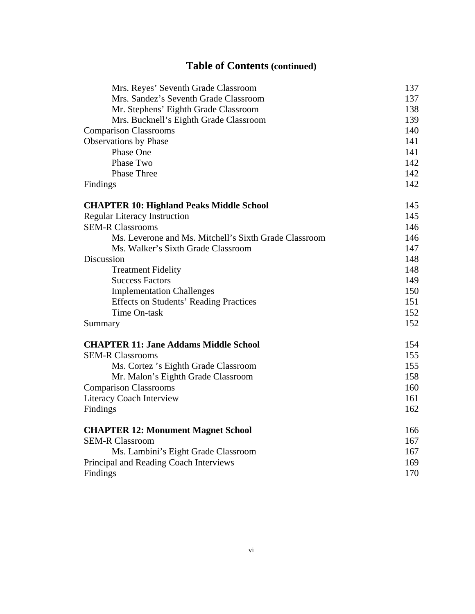## **Table of Contents (continued)**

| Mrs. Reyes' Seventh Grade Classroom                   | 137 |
|-------------------------------------------------------|-----|
| Mrs. Sandez's Seventh Grade Classroom                 | 137 |
| Mr. Stephens' Eighth Grade Classroom                  | 138 |
| Mrs. Bucknell's Eighth Grade Classroom                | 139 |
| <b>Comparison Classrooms</b>                          | 140 |
| <b>Observations by Phase</b>                          | 141 |
| Phase One                                             | 141 |
| Phase Two                                             | 142 |
| Phase Three                                           | 142 |
| Findings                                              | 142 |
| <b>CHAPTER 10: Highland Peaks Middle School</b>       | 145 |
| <b>Regular Literacy Instruction</b>                   | 145 |
| <b>SEM-R Classrooms</b>                               | 146 |
| Ms. Leverone and Ms. Mitchell's Sixth Grade Classroom | 146 |
| Ms. Walker's Sixth Grade Classroom                    | 147 |
| Discussion                                            | 148 |
| <b>Treatment Fidelity</b>                             | 148 |
| <b>Success Factors</b>                                | 149 |
| <b>Implementation Challenges</b>                      | 150 |
| <b>Effects on Students' Reading Practices</b>         | 151 |
| Time On-task                                          | 152 |
| Summary                                               | 152 |
| <b>CHAPTER 11: Jane Addams Middle School</b>          | 154 |
| <b>SEM-R Classrooms</b>                               | 155 |
| Ms. Cortez 's Eighth Grade Classroom                  | 155 |
| Mr. Malon's Eighth Grade Classroom                    | 158 |
| <b>Comparison Classrooms</b>                          | 160 |
| <b>Literacy Coach Interview</b>                       | 161 |
| Findings                                              | 162 |
| <b>CHAPTER 12: Monument Magnet School</b>             | 166 |
| <b>SEM-R Classroom</b>                                | 167 |
| Ms. Lambini's Eight Grade Classroom                   | 167 |
| Principal and Reading Coach Interviews                | 169 |
| Findings                                              | 170 |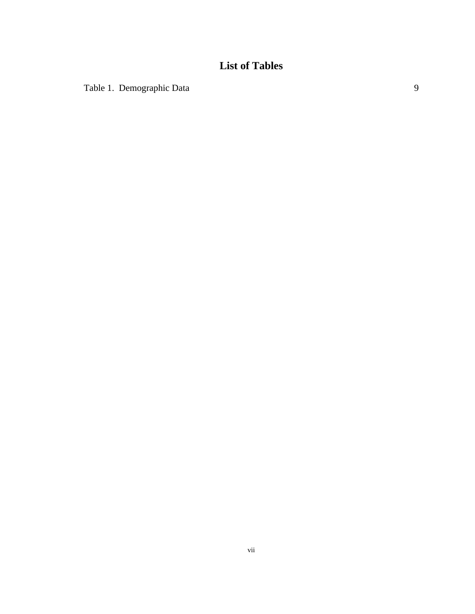## **List of Tables**

Table 1. Demographic Data 9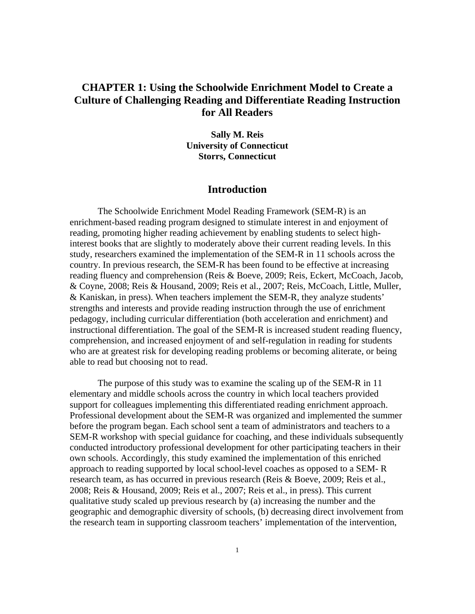### **CHAPTER 1: Using the Schoolwide Enrichment Model to Create a Culture of Challenging Reading and Differentiate Reading Instruction for All Readers**

**Sally M. Reis University of Connecticut Storrs, Connecticut** 

#### **Introduction**

The Schoolwide Enrichment Model Reading Framework (SEM-R) is an enrichment-based reading program designed to stimulate interest in and enjoyment of reading, promoting higher reading achievement by enabling students to select highinterest books that are slightly to moderately above their current reading levels. In this study, researchers examined the implementation of the SEM-R in 11 schools across the country. In previous research, the SEM-R has been found to be effective at increasing reading fluency and comprehension (Reis & Boeve, 2009; Reis, Eckert, McCoach, Jacob, & Coyne, 2008; Reis & Housand, 2009; Reis et al., 2007; Reis, McCoach, Little, Muller, & Kaniskan, in press). When teachers implement the SEM-R, they analyze students' strengths and interests and provide reading instruction through the use of enrichment pedagogy, including curricular differentiation (both acceleration and enrichment) and instructional differentiation. The goal of the SEM-R is increased student reading fluency, comprehension, and increased enjoyment of and self-regulation in reading for students who are at greatest risk for developing reading problems or becoming aliterate, or being able to read but choosing not to read.

The purpose of this study was to examine the scaling up of the SEM-R in 11 elementary and middle schools across the country in which local teachers provided support for colleagues implementing this differentiated reading enrichment approach. Professional development about the SEM-R was organized and implemented the summer before the program began. Each school sent a team of administrators and teachers to a SEM-R workshop with special guidance for coaching, and these individuals subsequently conducted introductory professional development for other participating teachers in their own schools. Accordingly, this study examined the implementation of this enriched approach to reading supported by local school-level coaches as opposed to a SEM- R research team, as has occurred in previous research (Reis & Boeve, 2009; Reis et al., 2008; Reis & Housand, 2009; Reis et al., 2007; Reis et al., in press). This current qualitative study scaled up previous research by (a) increasing the number and the geographic and demographic diversity of schools, (b) decreasing direct involvement from the research team in supporting classroom teachers' implementation of the intervention,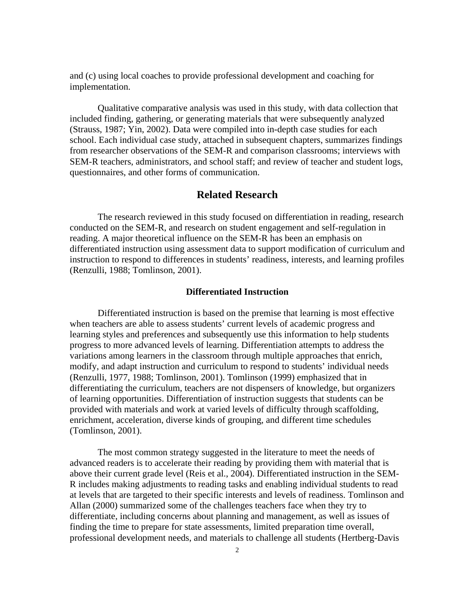and (c) using local coaches to provide professional development and coaching for implementation.

Qualitative comparative analysis was used in this study, with data collection that included finding, gathering, or generating materials that were subsequently analyzed (Strauss, 1987; Yin, 2002). Data were compiled into in-depth case studies for each school. Each individual case study, attached in subsequent chapters, summarizes findings from researcher observations of the SEM-R and comparison classrooms; interviews with SEM-R teachers, administrators, and school staff; and review of teacher and student logs, questionnaires, and other forms of communication.

#### **Related Research**

The research reviewed in this study focused on differentiation in reading, research conducted on the SEM-R, and research on student engagement and self-regulation in reading. A major theoretical influence on the SEM-R has been an emphasis on differentiated instruction using assessment data to support modification of curriculum and instruction to respond to differences in students' readiness, interests, and learning profiles (Renzulli, 1988; Tomlinson, 2001).

#### **Differentiated Instruction**

Differentiated instruction is based on the premise that learning is most effective when teachers are able to assess students' current levels of academic progress and learning styles and preferences and subsequently use this information to help students progress to more advanced levels of learning. Differentiation attempts to address the variations among learners in the classroom through multiple approaches that enrich, modify, and adapt instruction and curriculum to respond to students' individual needs (Renzulli, 1977, 1988; Tomlinson, 2001). Tomlinson (1999) emphasized that in differentiating the curriculum, teachers are not dispensers of knowledge, but organizers of learning opportunities. Differentiation of instruction suggests that students can be provided with materials and work at varied levels of difficulty through scaffolding, enrichment, acceleration, diverse kinds of grouping, and different time schedules (Tomlinson, 2001).

The most common strategy suggested in the literature to meet the needs of advanced readers is to accelerate their reading by providing them with material that is above their current grade level (Reis et al., 2004). Differentiated instruction in the SEM-R includes making adjustments to reading tasks and enabling individual students to read at levels that are targeted to their specific interests and levels of readiness. Tomlinson and Allan (2000) summarized some of the challenges teachers face when they try to differentiate, including concerns about planning and management, as well as issues of finding the time to prepare for state assessments, limited preparation time overall, professional development needs, and materials to challenge all students (Hertberg-Davis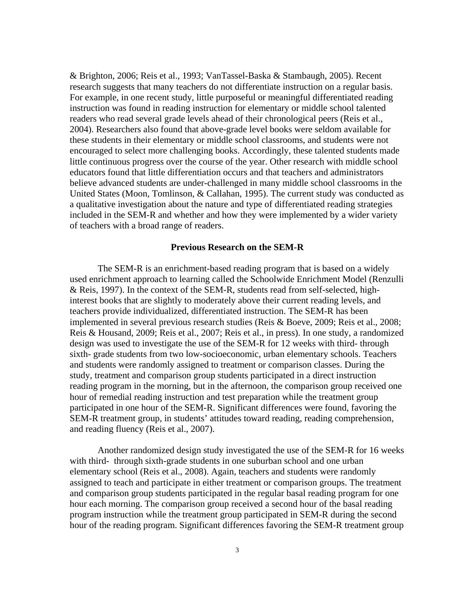& Brighton, 2006; Reis et al., 1993; VanTassel-Baska & Stambaugh, 2005). Recent research suggests that many teachers do not differentiate instruction on a regular basis. For example, in one recent study, little purposeful or meaningful differentiated reading instruction was found in reading instruction for elementary or middle school talented readers who read several grade levels ahead of their chronological peers (Reis et al., 2004). Researchers also found that above-grade level books were seldom available for these students in their elementary or middle school classrooms, and students were not encouraged to select more challenging books. Accordingly, these talented students made little continuous progress over the course of the year. Other research with middle school educators found that little differentiation occurs and that teachers and administrators believe advanced students are under-challenged in many middle school classrooms in the United States (Moon, Tomlinson, & Callahan, 1995). The current study was conducted as a qualitative investigation about the nature and type of differentiated reading strategies included in the SEM-R and whether and how they were implemented by a wider variety of teachers with a broad range of readers.

#### **Previous Research on the SEM-R**

The SEM-R is an enrichment-based reading program that is based on a widely used enrichment approach to learning called the Schoolwide Enrichment Model (Renzulli & Reis, 1997). In the context of the SEM-R, students read from self-selected, highinterest books that are slightly to moderately above their current reading levels, and teachers provide individualized, differentiated instruction. The SEM-R has been implemented in several previous research studies (Reis & Boeve, 2009; Reis et al., 2008; Reis & Housand, 2009; Reis et al., 2007; Reis et al., in press). In one study, a randomized design was used to investigate the use of the SEM-R for 12 weeks with third- through sixth- grade students from two low-socioeconomic, urban elementary schools. Teachers and students were randomly assigned to treatment or comparison classes. During the study, treatment and comparison group students participated in a direct instruction reading program in the morning, but in the afternoon, the comparison group received one hour of remedial reading instruction and test preparation while the treatment group participated in one hour of the SEM-R. Significant differences were found, favoring the SEM-R treatment group, in students' attitudes toward reading, reading comprehension, and reading fluency (Reis et al., 2007).

Another randomized design study investigated the use of the SEM-R for 16 weeks with third- through sixth-grade students in one suburban school and one urban elementary school (Reis et al., 2008). Again, teachers and students were randomly assigned to teach and participate in either treatment or comparison groups. The treatment and comparison group students participated in the regular basal reading program for one hour each morning. The comparison group received a second hour of the basal reading program instruction while the treatment group participated in SEM-R during the second hour of the reading program. Significant differences favoring the SEM-R treatment group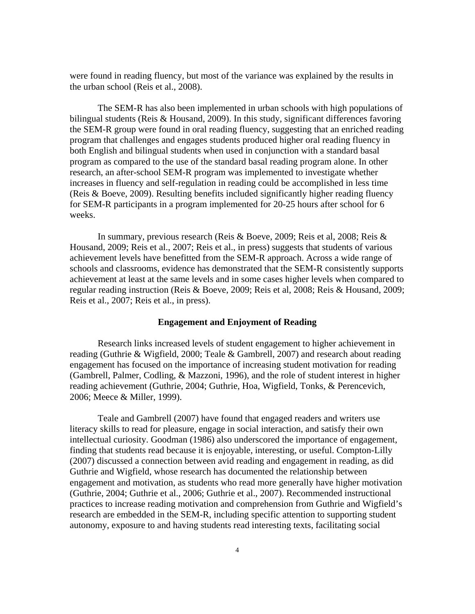were found in reading fluency, but most of the variance was explained by the results in the urban school (Reis et al., 2008).

The SEM-R has also been implemented in urban schools with high populations of bilingual students (Reis & Housand, 2009). In this study, significant differences favoring the SEM-R group were found in oral reading fluency, suggesting that an enriched reading program that challenges and engages students produced higher oral reading fluency in both English and bilingual students when used in conjunction with a standard basal program as compared to the use of the standard basal reading program alone. In other research, an after-school SEM-R program was implemented to investigate whether increases in fluency and self-regulation in reading could be accomplished in less time (Reis & Boeve, 2009). Resulting benefits included significantly higher reading fluency for SEM-R participants in a program implemented for 20-25 hours after school for 6 weeks.

In summary, previous research (Reis & Boeve, 2009; Reis et al, 2008; Reis & Housand, 2009; Reis et al., 2007; Reis et al., in press) suggests that students of various achievement levels have benefitted from the SEM-R approach. Across a wide range of schools and classrooms, evidence has demonstrated that the SEM-R consistently supports achievement at least at the same levels and in some cases higher levels when compared to regular reading instruction (Reis & Boeve, 2009; Reis et al, 2008; Reis & Housand, 2009; Reis et al., 2007; Reis et al., in press).

#### **Engagement and Enjoyment of Reading**

Research links increased levels of student engagement to higher achievement in reading (Guthrie & Wigfield, 2000; Teale & Gambrell, 2007) and research about reading engagement has focused on the importance of increasing student motivation for reading (Gambrell, Palmer, Codling, & Mazzoni, 1996), and the role of student interest in higher reading achievement (Guthrie, 2004; Guthrie, Hoa, Wigfield, Tonks, & Perencevich, 2006; Meece & Miller, 1999).

Teale and Gambrell (2007) have found that engaged readers and writers use literacy skills to read for pleasure, engage in social interaction, and satisfy their own intellectual curiosity. Goodman (1986) also underscored the importance of engagement, finding that students read because it is enjoyable, interesting, or useful. Compton-Lilly (2007) discussed a connection between avid reading and engagement in reading, as did Guthrie and Wigfield, whose research has documented the relationship between engagement and motivation, as students who read more generally have higher motivation (Guthrie, 2004; Guthrie et al., 2006; Guthrie et al., 2007). Recommended instructional practices to increase reading motivation and comprehension from Guthrie and Wigfield's research are embedded in the SEM-R, including specific attention to supporting student autonomy, exposure to and having students read interesting texts, facilitating social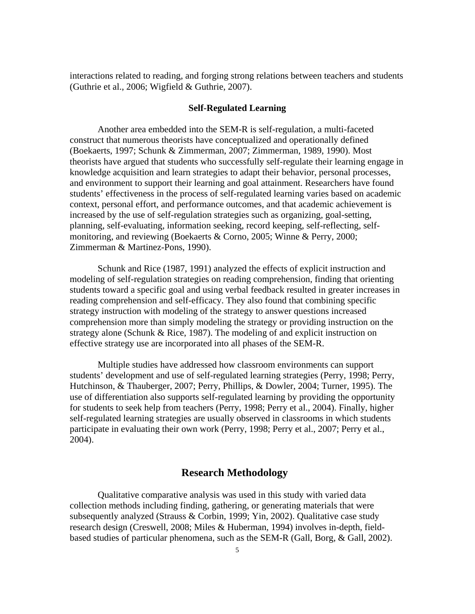interactions related to reading, and forging strong relations between teachers and students (Guthrie et al., 2006; Wigfield & Guthrie, 2007).

#### **Self-Regulated Learning**

Another area embedded into the SEM-R is self-regulation, a multi-faceted construct that numerous theorists have conceptualized and operationally defined (Boekaerts, 1997; Schunk & Zimmerman, 2007; Zimmerman, 1989, 1990). Most theorists have argued that students who successfully self-regulate their learning engage in knowledge acquisition and learn strategies to adapt their behavior, personal processes, and environment to support their learning and goal attainment. Researchers have found students' effectiveness in the process of self-regulated learning varies based on academic context, personal effort, and performance outcomes, and that academic achievement is increased by the use of self-regulation strategies such as organizing, goal-setting, planning, self-evaluating, information seeking, record keeping, self-reflecting, selfmonitoring, and reviewing (Boekaerts & Corno, 2005; Winne & Perry, 2000; Zimmerman & Martinez-Pons, 1990).

Schunk and Rice (1987, 1991) analyzed the effects of explicit instruction and modeling of self-regulation strategies on reading comprehension, finding that orienting students toward a specific goal and using verbal feedback resulted in greater increases in reading comprehension and self-efficacy. They also found that combining specific strategy instruction with modeling of the strategy to answer questions increased comprehension more than simply modeling the strategy or providing instruction on the strategy alone (Schunk & Rice, 1987). The modeling of and explicit instruction on effective strategy use are incorporated into all phases of the SEM-R.

Multiple studies have addressed how classroom environments can support students' development and use of self-regulated learning strategies (Perry, 1998; Perry, Hutchinson, & Thauberger, 2007; Perry, Phillips, & Dowler, 2004; Turner, 1995). The use of differentiation also supports self-regulated learning by providing the opportunity for students to seek help from teachers (Perry, 1998; Perry et al., 2004). Finally, higher self-regulated learning strategies are usually observed in classrooms in which students participate in evaluating their own work (Perry, 1998; Perry et al., 2007; Perry et al., 2004).

#### **Research Methodology**

Qualitative comparative analysis was used in this study with varied data collection methods including finding, gathering, or generating materials that were subsequently analyzed (Strauss & Corbin, 1999; Yin, 2002). Qualitative case study research design (Creswell, 2008; Miles & Huberman, 1994) involves in-depth, fieldbased studies of particular phenomena, such as the SEM-R (Gall, Borg, & Gall, 2002).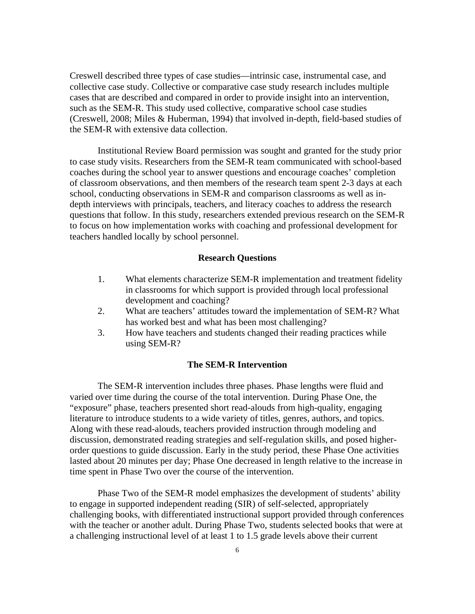Creswell described three types of case studies—intrinsic case, instrumental case, and collective case study. Collective or comparative case study research includes multiple cases that are described and compared in order to provide insight into an intervention, such as the SEM-R. This study used collective, comparative school case studies (Creswell, 2008; Miles & Huberman, 1994) that involved in-depth, field-based studies of the SEM-R with extensive data collection.

Institutional Review Board permission was sought and granted for the study prior to case study visits. Researchers from the SEM-R team communicated with school-based coaches during the school year to answer questions and encourage coaches' completion of classroom observations, and then members of the research team spent 2-3 days at each school, conducting observations in SEM-R and comparison classrooms as well as indepth interviews with principals, teachers, and literacy coaches to address the research questions that follow. In this study, researchers extended previous research on the SEM-R to focus on how implementation works with coaching and professional development for teachers handled locally by school personnel.

#### **Research Questions**

- 1. What elements characterize SEM-R implementation and treatment fidelity in classrooms for which support is provided through local professional development and coaching?
- 2. What are teachers' attitudes toward the implementation of SEM-R? What has worked best and what has been most challenging?
- 3. How have teachers and students changed their reading practices while using SEM-R?

#### **The SEM-R Intervention**

The SEM-R intervention includes three phases. Phase lengths were fluid and varied over time during the course of the total intervention. During Phase One, the "exposure" phase, teachers presented short read-alouds from high-quality, engaging literature to introduce students to a wide variety of titles, genres, authors, and topics. Along with these read-alouds, teachers provided instruction through modeling and discussion, demonstrated reading strategies and self-regulation skills, and posed higherorder questions to guide discussion. Early in the study period, these Phase One activities lasted about 20 minutes per day; Phase One decreased in length relative to the increase in time spent in Phase Two over the course of the intervention.

Phase Two of the SEM-R model emphasizes the development of students' ability to engage in supported independent reading (SIR) of self-selected, appropriately challenging books, with differentiated instructional support provided through conferences with the teacher or another adult. During Phase Two, students selected books that were at a challenging instructional level of at least 1 to 1.5 grade levels above their current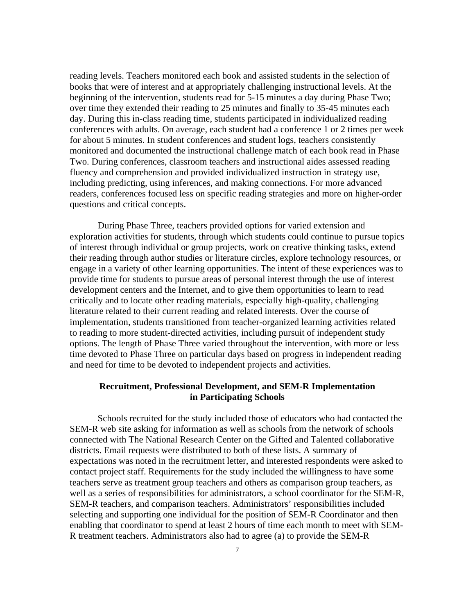reading levels. Teachers monitored each book and assisted students in the selection of books that were of interest and at appropriately challenging instructional levels. At the beginning of the intervention, students read for 5-15 minutes a day during Phase Two; over time they extended their reading to 25 minutes and finally to 35-45 minutes each day. During this in-class reading time, students participated in individualized reading conferences with adults. On average, each student had a conference 1 or 2 times per week for about 5 minutes. In student conferences and student logs, teachers consistently monitored and documented the instructional challenge match of each book read in Phase Two. During conferences, classroom teachers and instructional aides assessed reading fluency and comprehension and provided individualized instruction in strategy use, including predicting, using inferences, and making connections. For more advanced readers, conferences focused less on specific reading strategies and more on higher-order questions and critical concepts.

During Phase Three, teachers provided options for varied extension and exploration activities for students, through which students could continue to pursue topics of interest through individual or group projects, work on creative thinking tasks, extend their reading through author studies or literature circles, explore technology resources, or engage in a variety of other learning opportunities. The intent of these experiences was to provide time for students to pursue areas of personal interest through the use of interest development centers and the Internet, and to give them opportunities to learn to read critically and to locate other reading materials, especially high-quality, challenging literature related to their current reading and related interests. Over the course of implementation, students transitioned from teacher-organized learning activities related to reading to more student-directed activities, including pursuit of independent study options. The length of Phase Three varied throughout the intervention, with more or less time devoted to Phase Three on particular days based on progress in independent reading and need for time to be devoted to independent projects and activities.

#### **Recruitment, Professional Development, and SEM-R Implementation in Participating Schools**

Schools recruited for the study included those of educators who had contacted the SEM-R web site asking for information as well as schools from the network of schools connected with The National Research Center on the Gifted and Talented collaborative districts. Email requests were distributed to both of these lists. A summary of expectations was noted in the recruitment letter, and interested respondents were asked to contact project staff. Requirements for the study included the willingness to have some teachers serve as treatment group teachers and others as comparison group teachers, as well as a series of responsibilities for administrators, a school coordinator for the SEM-R, SEM-R teachers, and comparison teachers. Administrators' responsibilities included selecting and supporting one individual for the position of SEM-R Coordinator and then enabling that coordinator to spend at least 2 hours of time each month to meet with SEM-R treatment teachers. Administrators also had to agree (a) to provide the SEM-R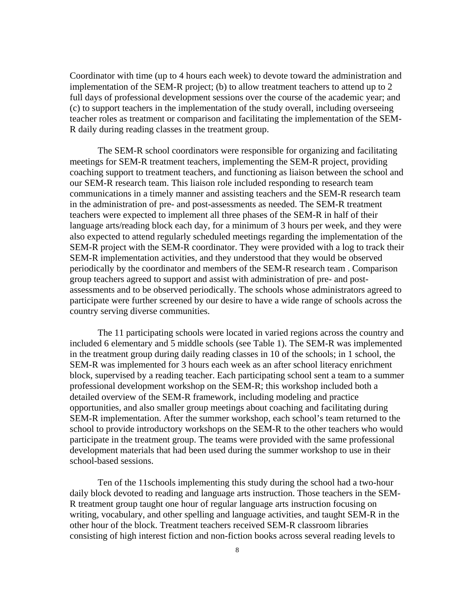Coordinator with time (up to 4 hours each week) to devote toward the administration and implementation of the SEM-R project; (b) to allow treatment teachers to attend up to 2 full days of professional development sessions over the course of the academic year; and (c) to support teachers in the implementation of the study overall, including overseeing teacher roles as treatment or comparison and facilitating the implementation of the SEM-R daily during reading classes in the treatment group.

The SEM-R school coordinators were responsible for organizing and facilitating meetings for SEM-R treatment teachers, implementing the SEM-R project, providing coaching support to treatment teachers, and functioning as liaison between the school and our SEM-R research team. This liaison role included responding to research team communications in a timely manner and assisting teachers and the SEM-R research team in the administration of pre- and post-assessments as needed. The SEM-R treatment teachers were expected to implement all three phases of the SEM-R in half of their language arts/reading block each day, for a minimum of 3 hours per week, and they were also expected to attend regularly scheduled meetings regarding the implementation of the SEM-R project with the SEM-R coordinator. They were provided with a log to track their SEM-R implementation activities, and they understood that they would be observed periodically by the coordinator and members of the SEM-R research team . Comparison group teachers agreed to support and assist with administration of pre- and postassessments and to be observed periodically. The schools whose administrators agreed to participate were further screened by our desire to have a wide range of schools across the country serving diverse communities.

The 11 participating schools were located in varied regions across the country and included 6 elementary and 5 middle schools (see Table 1). The SEM-R was implemented in the treatment group during daily reading classes in 10 of the schools; in 1 school, the SEM-R was implemented for 3 hours each week as an after school literacy enrichment block, supervised by a reading teacher. Each participating school sent a team to a summer professional development workshop on the SEM-R; this workshop included both a detailed overview of the SEM-R framework, including modeling and practice opportunities, and also smaller group meetings about coaching and facilitating during SEM-R implementation. After the summer workshop, each school's team returned to the school to provide introductory workshops on the SEM-R to the other teachers who would participate in the treatment group. The teams were provided with the same professional development materials that had been used during the summer workshop to use in their school-based sessions.

Ten of the 11schools implementing this study during the school had a two-hour daily block devoted to reading and language arts instruction. Those teachers in the SEM-R treatment group taught one hour of regular language arts instruction focusing on writing, vocabulary, and other spelling and language activities, and taught SEM-R in the other hour of the block. Treatment teachers received SEM-R classroom libraries consisting of high interest fiction and non-fiction books across several reading levels to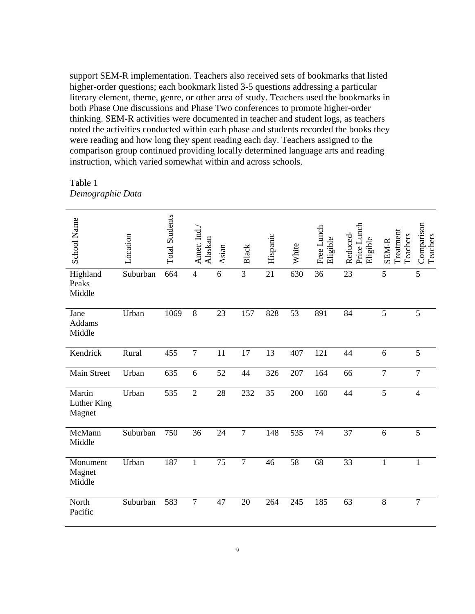support SEM-R implementation. Teachers also received sets of bookmarks that listed higher-order questions; each bookmark listed 3-5 questions addressing a particular literary element, theme, genre, or other area of study. Teachers used the bookmarks in both Phase One discussions and Phase Two conferences to promote higher-order thinking. SEM-R activities were documented in teacher and student logs, as teachers noted the activities conducted within each phase and students recorded the books they were reading and how long they spent reading each day. Teachers assigned to the comparison group continued providing locally determined language arts and reading instruction, which varied somewhat within and across schools.

Table 1 *Demographic Data* 

| <b>School Name</b>              | Location | <b>Total Students</b> | Amer. Ind.<br>Alaskan | Asian | Black           | Hispanic | White | Free Lunch<br>Eligible | Price Lunch<br>Reduced-<br>Eligible | Treatment<br>Teachers<br>SEM-R | Comparison<br>Teachers |
|---------------------------------|----------|-----------------------|-----------------------|-------|-----------------|----------|-------|------------------------|-------------------------------------|--------------------------------|------------------------|
| Highland<br>Peaks<br>Middle     | Suburban | 664                   | $\overline{4}$        | 6     | 3               | 21       | 630   | 36                     | 23                                  | 5                              | 5                      |
| Jane<br>Addams<br>Middle        | Urban    | 1069                  | 8                     | 23    | 157             | 828      | 53    | 891                    | 84                                  | 5                              | 5                      |
| Kendrick                        | Rural    | 455                   | $\overline{7}$        | 11    | $\overline{17}$ | 13       | 407   | 121                    | 44                                  | 6                              | $\overline{5}$         |
| Main Street                     | Urban    | 635                   | 6                     | 52    | 44              | 326      | 207   | 164                    | 66                                  | $\overline{7}$                 | $\overline{7}$         |
| Martin<br>Luther King<br>Magnet | Urban    | 535                   | $\overline{2}$        | 28    | 232             | 35       | 200   | 160                    | 44                                  | 5                              | $\overline{4}$         |
| McMann<br>Middle                | Suburban | 750                   | 36                    | 24    | $\tau$          | 148      | 535   | 74                     | 37                                  | 6                              | 5                      |
| Monument<br>Magnet<br>Middle    | Urban    | 187                   | $\mathbf{1}$          | 75    | $\tau$          | 46       | 58    | 68                     | 33                                  | $\mathbf{1}$                   | 1                      |
| North<br>Pacific                | Suburban | 583                   | $\overline{7}$        | 47    | 20              | 264      | 245   | 185                    | 63                                  | $8\,$                          | $\overline{7}$         |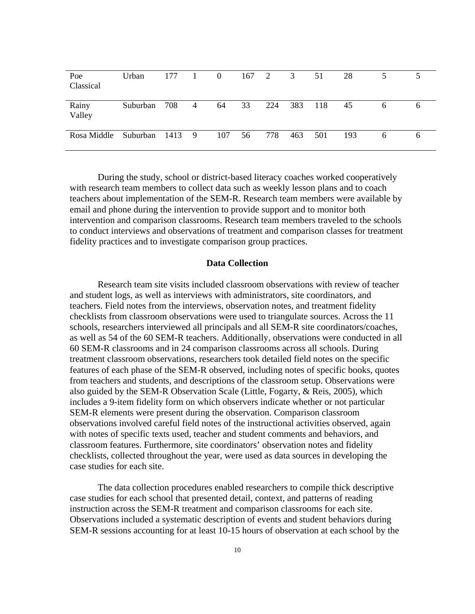| Poe<br>Classical | Urban           | 177 | $\blacksquare$ | $\overline{0}$ | $167 \quad 2$ |     | 3   | 51  | 28  |   |  |
|------------------|-----------------|-----|----------------|----------------|---------------|-----|-----|-----|-----|---|--|
| Rainy<br>Valley  | Suburban        | 708 | 4              | 64             | 33            | 224 | 383 | 118 | 45  | 6 |  |
| Rosa Middle      | Suburban 1413 9 |     |                | 107            | 56            | 778 | 463 | 501 | 193 | 6 |  |

During the study, school or district-based literacy coaches worked cooperatively with research team members to collect data such as weekly lesson plans and to coach teachers about implementation of the SEM-R. Research team members were available by email and phone during the intervention to provide support and to monitor both intervention and comparison classrooms. Research team members traveled to the schools to conduct interviews and observations of treatment and comparison classes for treatment fidelity practices and to investigate comparison group practices.

#### **Data Collection**

Research team site visits included classroom observations with review of teacher and student logs, as well as interviews with administrators, site coordinators, and teachers. Field notes from the interviews, observation notes, and treatment fidelity checklists from classroom observations were used to triangulate sources. Across the 11 schools, researchers interviewed all principals and all SEM-R site coordinators/coaches, as well as 54 of the 60 SEM-R teachers. Additionally, observations were conducted in all 60 SEM-R classrooms and in 24 comparison classrooms across all schools. During treatment classroom observations, researchers took detailed field notes on the specific features of each phase of the SEM-R observed, including notes of specific books, quotes from teachers and students, and descriptions of the classroom setup. Observations were also guided by the SEM-R Observation Scale (Little, Fogarty, & Reis, 2005), which includes a 9-item fidelity form on which observers indicate whether or not particular SEM-R elements were present during the observation. Comparison classroom observations involved careful field notes of the instructional activities observed, again with notes of specific texts used, teacher and student comments and behaviors, and classroom features. Furthermore, site coordinators' observation notes and fidelity checklists, collected throughout the year, were used as data sources in developing the case studies for each site.

The data collection procedures enabled researchers to compile thick descriptive case studies for each school that presented detail, context, and patterns of reading instruction across the SEM-R treatment and comparison classrooms for each site. Observations included a systematic description of events and student behaviors during SEM-R sessions accounting for at least 10-15 hours of observation at each school by the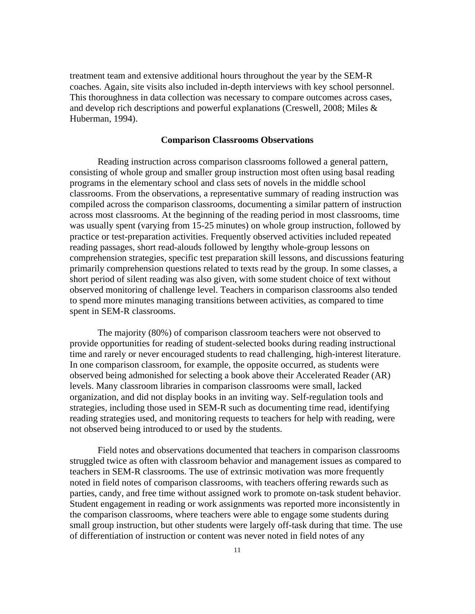treatment team and extensive additional hours throughout the year by the SEM-R coaches. Again, site visits also included in-depth interviews with key school personnel. This thoroughness in data collection was necessary to compare outcomes across cases, and develop rich descriptions and powerful explanations (Creswell, 2008; Miles & Huberman, 1994).

#### **Comparison Classrooms Observations**

Reading instruction across comparison classrooms followed a general pattern, consisting of whole group and smaller group instruction most often using basal reading programs in the elementary school and class sets of novels in the middle school classrooms. From the observations, a representative summary of reading instruction was compiled across the comparison classrooms, documenting a similar pattern of instruction across most classrooms. At the beginning of the reading period in most classrooms, time was usually spent (varying from 15-25 minutes) on whole group instruction, followed by practice or test-preparation activities. Frequently observed activities included repeated reading passages, short read-alouds followed by lengthy whole-group lessons on comprehension strategies, specific test preparation skill lessons, and discussions featuring primarily comprehension questions related to texts read by the group. In some classes, a short period of silent reading was also given, with some student choice of text without observed monitoring of challenge level. Teachers in comparison classrooms also tended to spend more minutes managing transitions between activities, as compared to time spent in SEM-R classrooms.

The majority (80%) of comparison classroom teachers were not observed to provide opportunities for reading of student-selected books during reading instructional time and rarely or never encouraged students to read challenging, high-interest literature. In one comparison classroom, for example, the opposite occurred, as students were observed being admonished for selecting a book above their Accelerated Reader (AR) levels. Many classroom libraries in comparison classrooms were small, lacked organization, and did not display books in an inviting way. Self-regulation tools and strategies, including those used in SEM-R such as documenting time read, identifying reading strategies used, and monitoring requests to teachers for help with reading, were not observed being introduced to or used by the students.

Field notes and observations documented that teachers in comparison classrooms struggled twice as often with classroom behavior and management issues as compared to teachers in SEM-R classrooms. The use of extrinsic motivation was more frequently noted in field notes of comparison classrooms, with teachers offering rewards such as parties, candy, and free time without assigned work to promote on-task student behavior. Student engagement in reading or work assignments was reported more inconsistently in the comparison classrooms, where teachers were able to engage some students during small group instruction, but other students were largely off-task during that time. The use of differentiation of instruction or content was never noted in field notes of any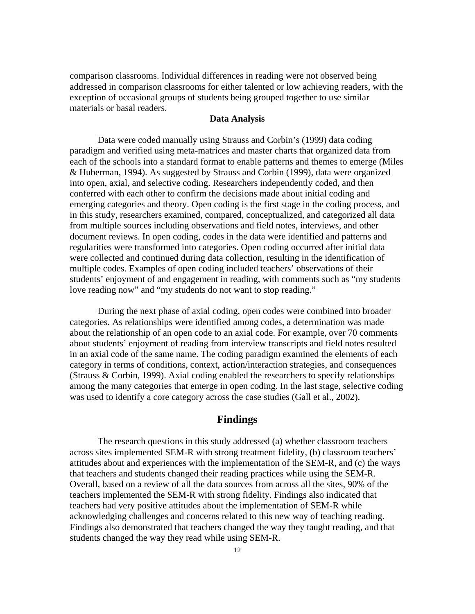comparison classrooms. Individual differences in reading were not observed being addressed in comparison classrooms for either talented or low achieving readers, with the exception of occasional groups of students being grouped together to use similar materials or basal readers.

#### **Data Analysis**

Data were coded manually using Strauss and Corbin's (1999) data coding paradigm and verified using meta-matrices and master charts that organized data from each of the schools into a standard format to enable patterns and themes to emerge (Miles & Huberman, 1994). As suggested by Strauss and Corbin (1999), data were organized into open, axial, and selective coding. Researchers independently coded, and then conferred with each other to confirm the decisions made about initial coding and emerging categories and theory. Open coding is the first stage in the coding process, and in this study, researchers examined, compared, conceptualized, and categorized all data from multiple sources including observations and field notes, interviews, and other document reviews. In open coding, codes in the data were identified and patterns and regularities were transformed into categories. Open coding occurred after initial data were collected and continued during data collection, resulting in the identification of multiple codes. Examples of open coding included teachers' observations of their students' enjoyment of and engagement in reading, with comments such as "my students love reading now" and "my students do not want to stop reading."

During the next phase of axial coding, open codes were combined into broader categories. As relationships were identified among codes, a determination was made about the relationship of an open code to an axial code. For example, over 70 comments about students' enjoyment of reading from interview transcripts and field notes resulted in an axial code of the same name. The coding paradigm examined the elements of each category in terms of conditions, context, action/interaction strategies, and consequences (Strauss & Corbin, 1999). Axial coding enabled the researchers to specify relationships among the many categories that emerge in open coding. In the last stage, selective coding was used to identify a core category across the case studies (Gall et al., 2002).

#### **Findings**

The research questions in this study addressed (a) whether classroom teachers across sites implemented SEM-R with strong treatment fidelity, (b) classroom teachers' attitudes about and experiences with the implementation of the SEM-R, and (c) the ways that teachers and students changed their reading practices while using the SEM-R. Overall, based on a review of all the data sources from across all the sites, 90% of the teachers implemented the SEM-R with strong fidelity. Findings also indicated that teachers had very positive attitudes about the implementation of SEM-R while acknowledging challenges and concerns related to this new way of teaching reading. Findings also demonstrated that teachers changed the way they taught reading, and that students changed the way they read while using SEM-R.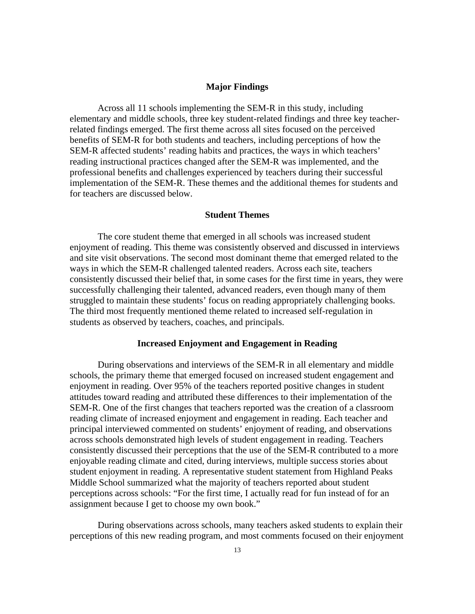#### **Major Findings**

Across all 11 schools implementing the SEM-R in this study, including elementary and middle schools, three key student-related findings and three key teacherrelated findings emerged. The first theme across all sites focused on the perceived benefits of SEM-R for both students and teachers, including perceptions of how the SEM-R affected students' reading habits and practices, the ways in which teachers' reading instructional practices changed after the SEM-R was implemented, and the professional benefits and challenges experienced by teachers during their successful implementation of the SEM-R. These themes and the additional themes for students and for teachers are discussed below.

#### **Student Themes**

The core student theme that emerged in all schools was increased student enjoyment of reading. This theme was consistently observed and discussed in interviews and site visit observations. The second most dominant theme that emerged related to the ways in which the SEM-R challenged talented readers. Across each site, teachers consistently discussed their belief that, in some cases for the first time in years, they were successfully challenging their talented, advanced readers, even though many of them struggled to maintain these students' focus on reading appropriately challenging books. The third most frequently mentioned theme related to increased self-regulation in students as observed by teachers, coaches, and principals.

#### **Increased Enjoyment and Engagement in Reading**

During observations and interviews of the SEM-R in all elementary and middle schools, the primary theme that emerged focused on increased student engagement and enjoyment in reading. Over 95% of the teachers reported positive changes in student attitudes toward reading and attributed these differences to their implementation of the SEM-R. One of the first changes that teachers reported was the creation of a classroom reading climate of increased enjoyment and engagement in reading. Each teacher and principal interviewed commented on students' enjoyment of reading, and observations across schools demonstrated high levels of student engagement in reading. Teachers consistently discussed their perceptions that the use of the SEM-R contributed to a more enjoyable reading climate and cited, during interviews, multiple success stories about student enjoyment in reading. A representative student statement from Highland Peaks Middle School summarized what the majority of teachers reported about student perceptions across schools: "For the first time, I actually read for fun instead of for an assignment because I get to choose my own book."

During observations across schools, many teachers asked students to explain their perceptions of this new reading program, and most comments focused on their enjoyment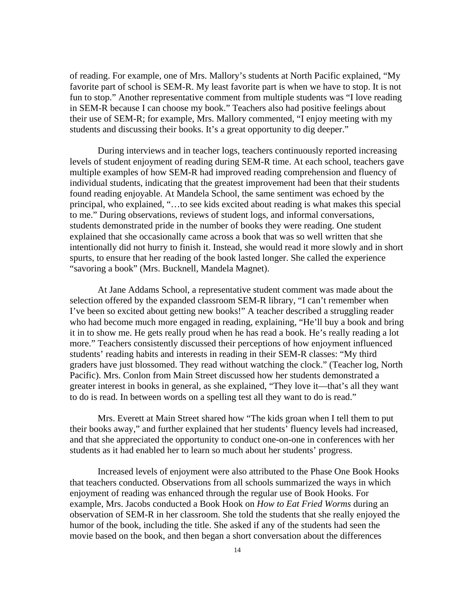of reading. For example, one of Mrs. Mallory's students at North Pacific explained, "My favorite part of school is SEM-R. My least favorite part is when we have to stop. It is not fun to stop." Another representative comment from multiple students was "I love reading in SEM-R because I can choose my book." Teachers also had positive feelings about their use of SEM-R; for example, Mrs. Mallory commented, "I enjoy meeting with my students and discussing their books. It's a great opportunity to dig deeper."

During interviews and in teacher logs, teachers continuously reported increasing levels of student enjoyment of reading during SEM-R time. At each school, teachers gave multiple examples of how SEM-R had improved reading comprehension and fluency of individual students, indicating that the greatest improvement had been that their students found reading enjoyable. At Mandela School, the same sentiment was echoed by the principal, who explained, "…to see kids excited about reading is what makes this special to me." During observations, reviews of student logs, and informal conversations, students demonstrated pride in the number of books they were reading. One student explained that she occasionally came across a book that was so well written that she intentionally did not hurry to finish it. Instead, she would read it more slowly and in short spurts, to ensure that her reading of the book lasted longer. She called the experience "savoring a book" (Mrs. Bucknell, Mandela Magnet).

At Jane Addams School, a representative student comment was made about the selection offered by the expanded classroom SEM-R library, "I can't remember when I've been so excited about getting new books!" A teacher described a struggling reader who had become much more engaged in reading, explaining, "He'll buy a book and bring it in to show me. He gets really proud when he has read a book. He's really reading a lot more." Teachers consistently discussed their perceptions of how enjoyment influenced students' reading habits and interests in reading in their SEM-R classes: "My third graders have just blossomed. They read without watching the clock." (Teacher log, North Pacific). Mrs. Conlon from Main Street discussed how her students demonstrated a greater interest in books in general, as she explained, "They love it—that's all they want to do is read. In between words on a spelling test all they want to do is read."

Mrs. Everett at Main Street shared how "The kids groan when I tell them to put their books away," and further explained that her students' fluency levels had increased, and that she appreciated the opportunity to conduct one-on-one in conferences with her students as it had enabled her to learn so much about her students' progress.

Increased levels of enjoyment were also attributed to the Phase One Book Hooks that teachers conducted. Observations from all schools summarized the ways in which enjoyment of reading was enhanced through the regular use of Book Hooks. For example, Mrs. Jacobs conducted a Book Hook on *How to Eat Fried Worms* during an observation of SEM-R in her classroom. She told the students that she really enjoyed the humor of the book, including the title. She asked if any of the students had seen the movie based on the book, and then began a short conversation about the differences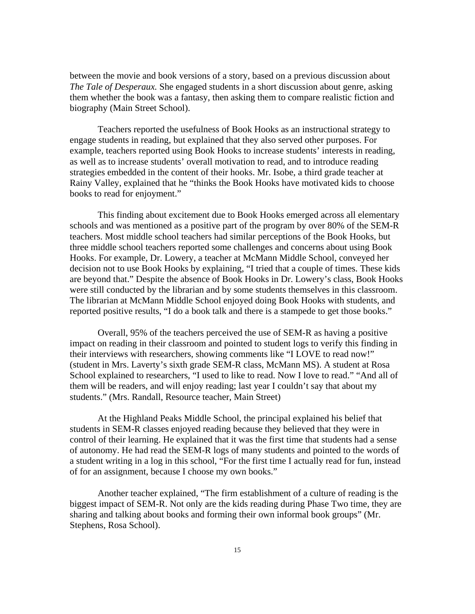between the movie and book versions of a story, based on a previous discussion about *The Tale of Desperaux.* She engaged students in a short discussion about genre, asking them whether the book was a fantasy, then asking them to compare realistic fiction and biography (Main Street School).

Teachers reported the usefulness of Book Hooks as an instructional strategy to engage students in reading, but explained that they also served other purposes. For example, teachers reported using Book Hooks to increase students' interests in reading, as well as to increase students' overall motivation to read, and to introduce reading strategies embedded in the content of their hooks. Mr. Isobe, a third grade teacher at Rainy Valley, explained that he "thinks the Book Hooks have motivated kids to choose books to read for enjoyment."

This finding about excitement due to Book Hooks emerged across all elementary schools and was mentioned as a positive part of the program by over 80% of the SEM-R teachers. Most middle school teachers had similar perceptions of the Book Hooks, but three middle school teachers reported some challenges and concerns about using Book Hooks. For example, Dr. Lowery, a teacher at McMann Middle School, conveyed her decision not to use Book Hooks by explaining, "I tried that a couple of times. These kids are beyond that." Despite the absence of Book Hooks in Dr. Lowery's class, Book Hooks were still conducted by the librarian and by some students themselves in this classroom. The librarian at McMann Middle School enjoyed doing Book Hooks with students, and reported positive results, "I do a book talk and there is a stampede to get those books."

Overall, 95% of the teachers perceived the use of SEM-R as having a positive impact on reading in their classroom and pointed to student logs to verify this finding in their interviews with researchers, showing comments like "I LOVE to read now!" (student in Mrs. Laverty's sixth grade SEM-R class, McMann MS). A student at Rosa School explained to researchers, "I used to like to read. Now I love to read." "And all of them will be readers, and will enjoy reading; last year I couldn't say that about my students." (Mrs. Randall, Resource teacher, Main Street)

At the Highland Peaks Middle School, the principal explained his belief that students in SEM-R classes enjoyed reading because they believed that they were in control of their learning. He explained that it was the first time that students had a sense of autonomy. He had read the SEM-R logs of many students and pointed to the words of a student writing in a log in this school, "For the first time I actually read for fun, instead of for an assignment, because I choose my own books."

Another teacher explained, "The firm establishment of a culture of reading is the biggest impact of SEM-R. Not only are the kids reading during Phase Two time, they are sharing and talking about books and forming their own informal book groups" (Mr. Stephens, Rosa School).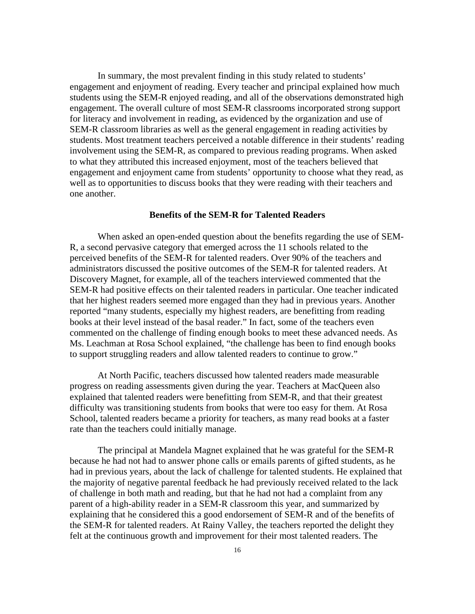In summary, the most prevalent finding in this study related to students' engagement and enjoyment of reading. Every teacher and principal explained how much students using the SEM-R enjoyed reading, and all of the observations demonstrated high engagement. The overall culture of most SEM-R classrooms incorporated strong support for literacy and involvement in reading, as evidenced by the organization and use of SEM-R classroom libraries as well as the general engagement in reading activities by students. Most treatment teachers perceived a notable difference in their students' reading involvement using the SEM-R, as compared to previous reading programs. When asked to what they attributed this increased enjoyment, most of the teachers believed that engagement and enjoyment came from students' opportunity to choose what they read, as well as to opportunities to discuss books that they were reading with their teachers and one another.

#### **Benefits of the SEM-R for Talented Readers**

When asked an open-ended question about the benefits regarding the use of SEM-R, a second pervasive category that emerged across the 11 schools related to the perceived benefits of the SEM-R for talented readers. Over 90% of the teachers and administrators discussed the positive outcomes of the SEM-R for talented readers. At Discovery Magnet, for example, all of the teachers interviewed commented that the SEM-R had positive effects on their talented readers in particular. One teacher indicated that her highest readers seemed more engaged than they had in previous years. Another reported "many students, especially my highest readers, are benefitting from reading books at their level instead of the basal reader." In fact, some of the teachers even commented on the challenge of finding enough books to meet these advanced needs. As Ms. Leachman at Rosa School explained, "the challenge has been to find enough books to support struggling readers and allow talented readers to continue to grow."

At North Pacific, teachers discussed how talented readers made measurable progress on reading assessments given during the year. Teachers at MacQueen also explained that talented readers were benefitting from SEM-R, and that their greatest difficulty was transitioning students from books that were too easy for them. At Rosa School, talented readers became a priority for teachers, as many read books at a faster rate than the teachers could initially manage.

The principal at Mandela Magnet explained that he was grateful for the SEM-R because he had not had to answer phone calls or emails parents of gifted students, as he had in previous years, about the lack of challenge for talented students. He explained that the majority of negative parental feedback he had previously received related to the lack of challenge in both math and reading, but that he had not had a complaint from any parent of a high-ability reader in a SEM-R classroom this year, and summarized by explaining that he considered this a good endorsement of SEM-R and of the benefits of the SEM-R for talented readers. At Rainy Valley, the teachers reported the delight they felt at the continuous growth and improvement for their most talented readers. The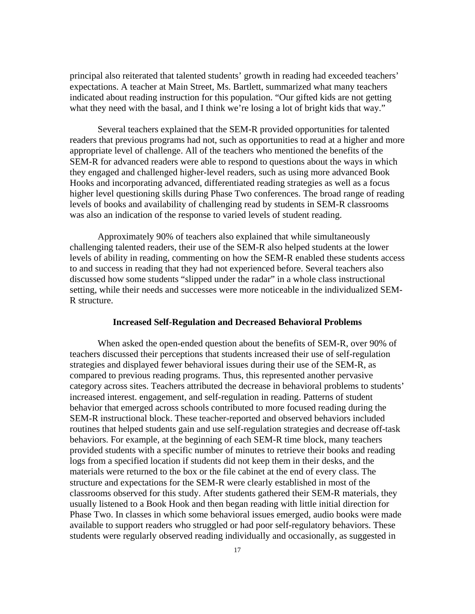principal also reiterated that talented students' growth in reading had exceeded teachers' expectations. A teacher at Main Street, Ms. Bartlett, summarized what many teachers indicated about reading instruction for this population. "Our gifted kids are not getting what they need with the basal, and I think we're losing a lot of bright kids that way."

Several teachers explained that the SEM-R provided opportunities for talented readers that previous programs had not, such as opportunities to read at a higher and more appropriate level of challenge. All of the teachers who mentioned the benefits of the SEM-R for advanced readers were able to respond to questions about the ways in which they engaged and challenged higher-level readers, such as using more advanced Book Hooks and incorporating advanced, differentiated reading strategies as well as a focus higher level questioning skills during Phase Two conferences. The broad range of reading levels of books and availability of challenging read by students in SEM-R classrooms was also an indication of the response to varied levels of student reading.

Approximately 90% of teachers also explained that while simultaneously challenging talented readers, their use of the SEM-R also helped students at the lower levels of ability in reading, commenting on how the SEM-R enabled these students access to and success in reading that they had not experienced before. Several teachers also discussed how some students "slipped under the radar" in a whole class instructional setting, while their needs and successes were more noticeable in the individualized SEM-R structure.

#### **Increased Self-Regulation and Decreased Behavioral Problems**

When asked the open-ended question about the benefits of SEM-R, over 90% of teachers discussed their perceptions that students increased their use of self-regulation strategies and displayed fewer behavioral issues during their use of the SEM-R, as compared to previous reading programs. Thus, this represented another pervasive category across sites. Teachers attributed the decrease in behavioral problems to students' increased interest. engagement, and self-regulation in reading. Patterns of student behavior that emerged across schools contributed to more focused reading during the SEM-R instructional block. These teacher-reported and observed behaviors included routines that helped students gain and use self-regulation strategies and decrease off-task behaviors. For example, at the beginning of each SEM-R time block, many teachers provided students with a specific number of minutes to retrieve their books and reading logs from a specified location if students did not keep them in their desks, and the materials were returned to the box or the file cabinet at the end of every class. The structure and expectations for the SEM-R were clearly established in most of the classrooms observed for this study. After students gathered their SEM-R materials, they usually listened to a Book Hook and then began reading with little initial direction for Phase Two. In classes in which some behavioral issues emerged, audio books were made available to support readers who struggled or had poor self-regulatory behaviors. These students were regularly observed reading individually and occasionally, as suggested in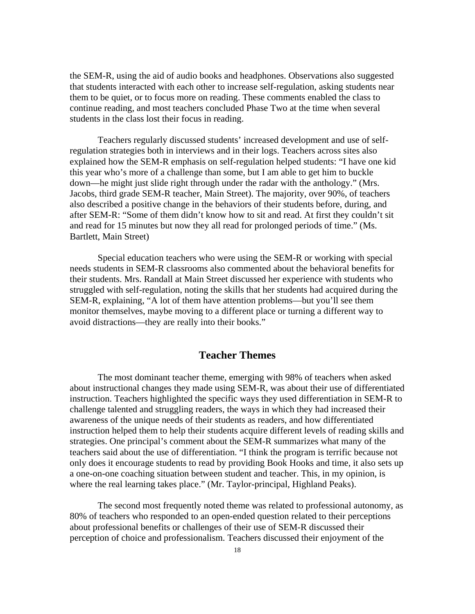the SEM-R, using the aid of audio books and headphones. Observations also suggested that students interacted with each other to increase self-regulation, asking students near them to be quiet, or to focus more on reading. These comments enabled the class to continue reading, and most teachers concluded Phase Two at the time when several students in the class lost their focus in reading.

Teachers regularly discussed students' increased development and use of selfregulation strategies both in interviews and in their logs. Teachers across sites also explained how the SEM-R emphasis on self-regulation helped students: "I have one kid this year who's more of a challenge than some, but I am able to get him to buckle down—he might just slide right through under the radar with the anthology." (Mrs. Jacobs, third grade SEM-R teacher, Main Street). The majority, over 90%, of teachers also described a positive change in the behaviors of their students before, during, and after SEM-R: "Some of them didn't know how to sit and read. At first they couldn't sit and read for 15 minutes but now they all read for prolonged periods of time." (Ms. Bartlett, Main Street)

Special education teachers who were using the SEM-R or working with special needs students in SEM-R classrooms also commented about the behavioral benefits for their students. Mrs. Randall at Main Street discussed her experience with students who struggled with self-regulation, noting the skills that her students had acquired during the SEM-R, explaining, "A lot of them have attention problems—but you'll see them monitor themselves, maybe moving to a different place or turning a different way to avoid distractions—they are really into their books."

#### **Teacher Themes**

The most dominant teacher theme, emerging with 98% of teachers when asked about instructional changes they made using SEM-R, was about their use of differentiated instruction. Teachers highlighted the specific ways they used differentiation in SEM-R to challenge talented and struggling readers, the ways in which they had increased their awareness of the unique needs of their students as readers, and how differentiated instruction helped them to help their students acquire different levels of reading skills and strategies. One principal's comment about the SEM-R summarizes what many of the teachers said about the use of differentiation. "I think the program is terrific because not only does it encourage students to read by providing Book Hooks and time, it also sets up a one-on-one coaching situation between student and teacher. This, in my opinion, is where the real learning takes place." (Mr. Taylor-principal, Highland Peaks).

The second most frequently noted theme was related to professional autonomy, as 80% of teachers who responded to an open-ended question related to their perceptions about professional benefits or challenges of their use of SEM-R discussed their perception of choice and professionalism. Teachers discussed their enjoyment of the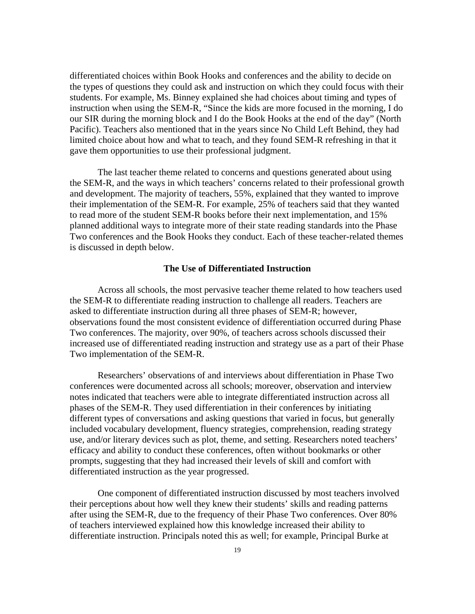differentiated choices within Book Hooks and conferences and the ability to decide on the types of questions they could ask and instruction on which they could focus with their students. For example, Ms. Binney explained she had choices about timing and types of instruction when using the SEM-R, "Since the kids are more focused in the morning, I do our SIR during the morning block and I do the Book Hooks at the end of the day" (North Pacific). Teachers also mentioned that in the years since No Child Left Behind, they had limited choice about how and what to teach, and they found SEM-R refreshing in that it gave them opportunities to use their professional judgment.

The last teacher theme related to concerns and questions generated about using the SEM-R, and the ways in which teachers' concerns related to their professional growth and development. The majority of teachers, 55%, explained that they wanted to improve their implementation of the SEM-R. For example, 25% of teachers said that they wanted to read more of the student SEM-R books before their next implementation, and 15% planned additional ways to integrate more of their state reading standards into the Phase Two conferences and the Book Hooks they conduct. Each of these teacher-related themes is discussed in depth below.

#### **The Use of Differentiated Instruction**

Across all schools, the most pervasive teacher theme related to how teachers used the SEM-R to differentiate reading instruction to challenge all readers. Teachers are asked to differentiate instruction during all three phases of SEM-R; however, observations found the most consistent evidence of differentiation occurred during Phase Two conferences. The majority, over 90%, of teachers across schools discussed their increased use of differentiated reading instruction and strategy use as a part of their Phase Two implementation of the SEM-R.

Researchers' observations of and interviews about differentiation in Phase Two conferences were documented across all schools; moreover, observation and interview notes indicated that teachers were able to integrate differentiated instruction across all phases of the SEM-R. They used differentiation in their conferences by initiating different types of conversations and asking questions that varied in focus, but generally included vocabulary development, fluency strategies, comprehension, reading strategy use, and/or literary devices such as plot, theme, and setting. Researchers noted teachers' efficacy and ability to conduct these conferences, often without bookmarks or other prompts, suggesting that they had increased their levels of skill and comfort with differentiated instruction as the year progressed.

One component of differentiated instruction discussed by most teachers involved their perceptions about how well they knew their students' skills and reading patterns after using the SEM-R, due to the frequency of their Phase Two conferences. Over 80% of teachers interviewed explained how this knowledge increased their ability to differentiate instruction. Principals noted this as well; for example, Principal Burke at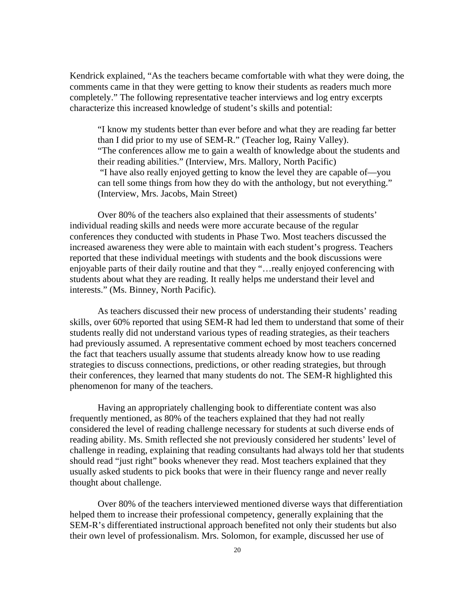Kendrick explained, "As the teachers became comfortable with what they were doing, the comments came in that they were getting to know their students as readers much more completely." The following representative teacher interviews and log entry excerpts characterize this increased knowledge of student's skills and potential:

"I know my students better than ever before and what they are reading far better than I did prior to my use of SEM-R." (Teacher log, Rainy Valley). "The conferences allow me to gain a wealth of knowledge about the students and their reading abilities." (Interview, Mrs. Mallory, North Pacific) "I have also really enjoyed getting to know the level they are capable of—you can tell some things from how they do with the anthology, but not everything." (Interview, Mrs. Jacobs, Main Street)

Over 80% of the teachers also explained that their assessments of students' individual reading skills and needs were more accurate because of the regular conferences they conducted with students in Phase Two. Most teachers discussed the increased awareness they were able to maintain with each student's progress. Teachers reported that these individual meetings with students and the book discussions were enjoyable parts of their daily routine and that they "…really enjoyed conferencing with students about what they are reading. It really helps me understand their level and interests." (Ms. Binney, North Pacific).

As teachers discussed their new process of understanding their students' reading skills, over 60% reported that using SEM-R had led them to understand that some of their students really did not understand various types of reading strategies, as their teachers had previously assumed. A representative comment echoed by most teachers concerned the fact that teachers usually assume that students already know how to use reading strategies to discuss connections, predictions, or other reading strategies, but through their conferences, they learned that many students do not. The SEM-R highlighted this phenomenon for many of the teachers.

Having an appropriately challenging book to differentiate content was also frequently mentioned, as 80% of the teachers explained that they had not really considered the level of reading challenge necessary for students at such diverse ends of reading ability. Ms. Smith reflected she not previously considered her students' level of challenge in reading, explaining that reading consultants had always told her that students should read "just right" books whenever they read. Most teachers explained that they usually asked students to pick books that were in their fluency range and never really thought about challenge.

Over 80% of the teachers interviewed mentioned diverse ways that differentiation helped them to increase their professional competency, generally explaining that the SEM-R's differentiated instructional approach benefited not only their students but also their own level of professionalism. Mrs. Solomon, for example, discussed her use of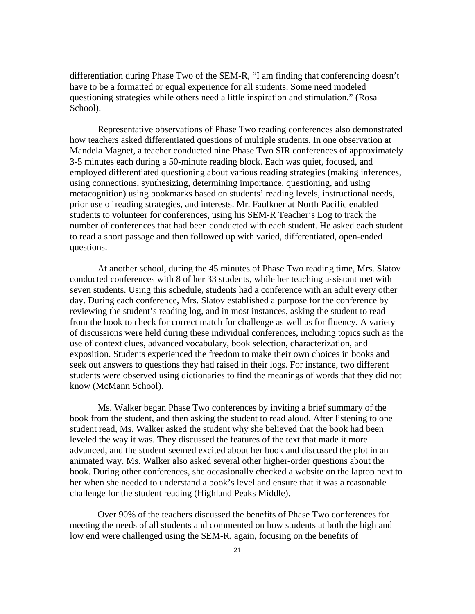differentiation during Phase Two of the SEM-R, "I am finding that conferencing doesn't have to be a formatted or equal experience for all students. Some need modeled questioning strategies while others need a little inspiration and stimulation." (Rosa School).

Representative observations of Phase Two reading conferences also demonstrated how teachers asked differentiated questions of multiple students. In one observation at Mandela Magnet, a teacher conducted nine Phase Two SIR conferences of approximately 3-5 minutes each during a 50-minute reading block. Each was quiet, focused, and employed differentiated questioning about various reading strategies (making inferences, using connections, synthesizing, determining importance, questioning, and using metacognition) using bookmarks based on students' reading levels, instructional needs, prior use of reading strategies, and interests. Mr. Faulkner at North Pacific enabled students to volunteer for conferences, using his SEM-R Teacher's Log to track the number of conferences that had been conducted with each student. He asked each student to read a short passage and then followed up with varied, differentiated, open-ended questions.

At another school, during the 45 minutes of Phase Two reading time, Mrs. Slatov conducted conferences with 8 of her 33 students, while her teaching assistant met with seven students. Using this schedule, students had a conference with an adult every other day. During each conference, Mrs. Slatov established a purpose for the conference by reviewing the student's reading log, and in most instances, asking the student to read from the book to check for correct match for challenge as well as for fluency. A variety of discussions were held during these individual conferences, including topics such as the use of context clues, advanced vocabulary, book selection, characterization, and exposition. Students experienced the freedom to make their own choices in books and seek out answers to questions they had raised in their logs. For instance, two different students were observed using dictionaries to find the meanings of words that they did not know (McMann School).

Ms. Walker began Phase Two conferences by inviting a brief summary of the book from the student, and then asking the student to read aloud. After listening to one student read, Ms. Walker asked the student why she believed that the book had been leveled the way it was. They discussed the features of the text that made it more advanced, and the student seemed excited about her book and discussed the plot in an animated way. Ms. Walker also asked several other higher-order questions about the book. During other conferences, she occasionally checked a website on the laptop next to her when she needed to understand a book's level and ensure that it was a reasonable challenge for the student reading (Highland Peaks Middle).

Over 90% of the teachers discussed the benefits of Phase Two conferences for meeting the needs of all students and commented on how students at both the high and low end were challenged using the SEM-R, again, focusing on the benefits of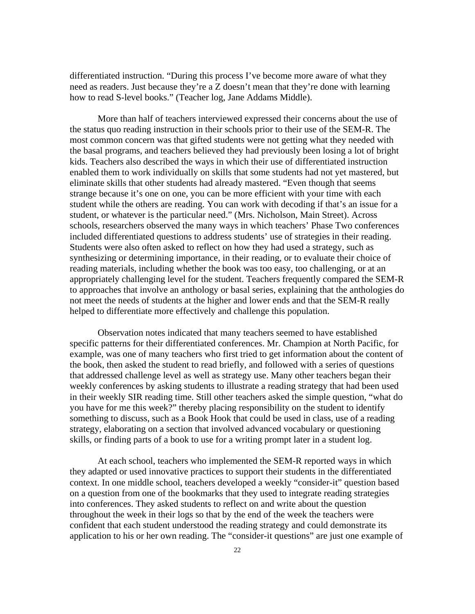differentiated instruction. "During this process I've become more aware of what they need as readers. Just because they're a Z doesn't mean that they're done with learning how to read S-level books." (Teacher log, Jane Addams Middle).

More than half of teachers interviewed expressed their concerns about the use of the status quo reading instruction in their schools prior to their use of the SEM-R. The most common concern was that gifted students were not getting what they needed with the basal programs, and teachers believed they had previously been losing a lot of bright kids. Teachers also described the ways in which their use of differentiated instruction enabled them to work individually on skills that some students had not yet mastered, but eliminate skills that other students had already mastered. "Even though that seems strange because it's one on one, you can be more efficient with your time with each student while the others are reading. You can work with decoding if that's an issue for a student, or whatever is the particular need." (Mrs. Nicholson, Main Street). Across schools, researchers observed the many ways in which teachers' Phase Two conferences included differentiated questions to address students' use of strategies in their reading. Students were also often asked to reflect on how they had used a strategy, such as synthesizing or determining importance, in their reading, or to evaluate their choice of reading materials, including whether the book was too easy, too challenging, or at an appropriately challenging level for the student. Teachers frequently compared the SEM-R to approaches that involve an anthology or basal series, explaining that the anthologies do not meet the needs of students at the higher and lower ends and that the SEM-R really helped to differentiate more effectively and challenge this population.

Observation notes indicated that many teachers seemed to have established specific patterns for their differentiated conferences. Mr. Champion at North Pacific, for example, was one of many teachers who first tried to get information about the content of the book, then asked the student to read briefly, and followed with a series of questions that addressed challenge level as well as strategy use. Many other teachers began their weekly conferences by asking students to illustrate a reading strategy that had been used in their weekly SIR reading time. Still other teachers asked the simple question, "what do you have for me this week?" thereby placing responsibility on the student to identify something to discuss, such as a Book Hook that could be used in class, use of a reading strategy, elaborating on a section that involved advanced vocabulary or questioning skills, or finding parts of a book to use for a writing prompt later in a student log.

At each school, teachers who implemented the SEM-R reported ways in which they adapted or used innovative practices to support their students in the differentiated context. In one middle school, teachers developed a weekly "consider-it" question based on a question from one of the bookmarks that they used to integrate reading strategies into conferences. They asked students to reflect on and write about the question throughout the week in their logs so that by the end of the week the teachers were confident that each student understood the reading strategy and could demonstrate its application to his or her own reading. The "consider-it questions" are just one example of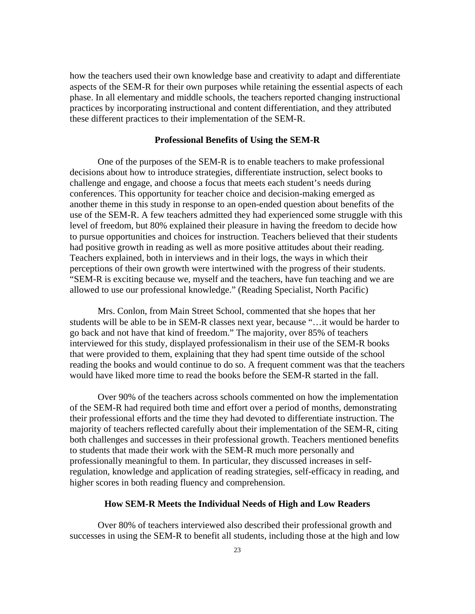how the teachers used their own knowledge base and creativity to adapt and differentiate aspects of the SEM-R for their own purposes while retaining the essential aspects of each phase. In all elementary and middle schools, the teachers reported changing instructional practices by incorporating instructional and content differentiation, and they attributed these different practices to their implementation of the SEM-R.

#### **Professional Benefits of Using the SEM-R**

One of the purposes of the SEM-R is to enable teachers to make professional decisions about how to introduce strategies, differentiate instruction, select books to challenge and engage, and choose a focus that meets each student's needs during conferences. This opportunity for teacher choice and decision-making emerged as another theme in this study in response to an open-ended question about benefits of the use of the SEM-R. A few teachers admitted they had experienced some struggle with this level of freedom, but 80% explained their pleasure in having the freedom to decide how to pursue opportunities and choices for instruction. Teachers believed that their students had positive growth in reading as well as more positive attitudes about their reading. Teachers explained, both in interviews and in their logs, the ways in which their perceptions of their own growth were intertwined with the progress of their students. "SEM-R is exciting because we, myself and the teachers, have fun teaching and we are allowed to use our professional knowledge." (Reading Specialist, North Pacific)

Mrs. Conlon, from Main Street School, commented that she hopes that her students will be able to be in SEM-R classes next year, because "…it would be harder to go back and not have that kind of freedom." The majority, over 85% of teachers interviewed for this study, displayed professionalism in their use of the SEM-R books that were provided to them, explaining that they had spent time outside of the school reading the books and would continue to do so. A frequent comment was that the teachers would have liked more time to read the books before the SEM-R started in the fall.

Over 90% of the teachers across schools commented on how the implementation of the SEM-R had required both time and effort over a period of months, demonstrating their professional efforts and the time they had devoted to differentiate instruction. The majority of teachers reflected carefully about their implementation of the SEM-R, citing both challenges and successes in their professional growth. Teachers mentioned benefits to students that made their work with the SEM-R much more personally and professionally meaningful to them. In particular, they discussed increases in selfregulation, knowledge and application of reading strategies, self-efficacy in reading, and higher scores in both reading fluency and comprehension.

#### **How SEM-R Meets the Individual Needs of High and Low Readers**

Over 80% of teachers interviewed also described their professional growth and successes in using the SEM-R to benefit all students, including those at the high and low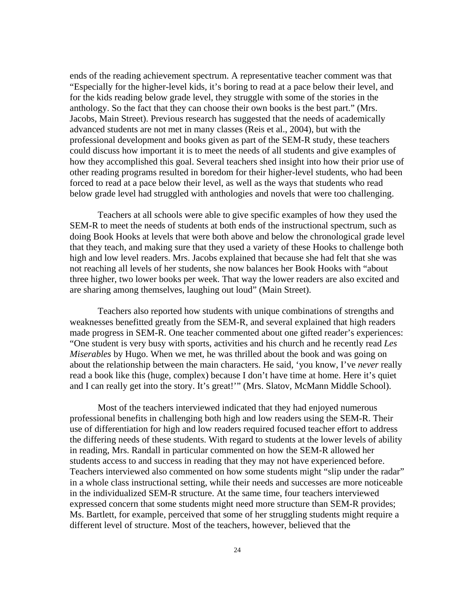ends of the reading achievement spectrum. A representative teacher comment was that "Especially for the higher-level kids, it's boring to read at a pace below their level, and for the kids reading below grade level, they struggle with some of the stories in the anthology. So the fact that they can choose their own books is the best part." (Mrs. Jacobs, Main Street). Previous research has suggested that the needs of academically advanced students are not met in many classes (Reis et al., 2004), but with the professional development and books given as part of the SEM-R study, these teachers could discuss how important it is to meet the needs of all students and give examples of how they accomplished this goal. Several teachers shed insight into how their prior use of other reading programs resulted in boredom for their higher-level students, who had been forced to read at a pace below their level, as well as the ways that students who read below grade level had struggled with anthologies and novels that were too challenging.

Teachers at all schools were able to give specific examples of how they used the SEM-R to meet the needs of students at both ends of the instructional spectrum, such as doing Book Hooks at levels that were both above and below the chronological grade level that they teach, and making sure that they used a variety of these Hooks to challenge both high and low level readers. Mrs. Jacobs explained that because she had felt that she was not reaching all levels of her students, she now balances her Book Hooks with "about three higher, two lower books per week. That way the lower readers are also excited and are sharing among themselves, laughing out loud" (Main Street).

Teachers also reported how students with unique combinations of strengths and weaknesses benefitted greatly from the SEM-R, and several explained that high readers made progress in SEM-R. One teacher commented about one gifted reader's experiences: "One student is very busy with sports, activities and his church and he recently read *Les Miserables* by Hugo. When we met, he was thrilled about the book and was going on about the relationship between the main characters. He said, 'you know, I've *never* really read a book like this (huge, complex) because I don't have time at home. Here it's quiet and I can really get into the story. It's great!'" (Mrs. Slatov, McMann Middle School).

Most of the teachers interviewed indicated that they had enjoyed numerous professional benefits in challenging both high and low readers using the SEM-R. Their use of differentiation for high and low readers required focused teacher effort to address the differing needs of these students. With regard to students at the lower levels of ability in reading, Mrs. Randall in particular commented on how the SEM-R allowed her students access to and success in reading that they may not have experienced before. Teachers interviewed also commented on how some students might "slip under the radar" in a whole class instructional setting, while their needs and successes are more noticeable in the individualized SEM-R structure. At the same time, four teachers interviewed expressed concern that some students might need more structure than SEM-R provides; Ms. Bartlett, for example, perceived that some of her struggling students might require a different level of structure. Most of the teachers, however, believed that the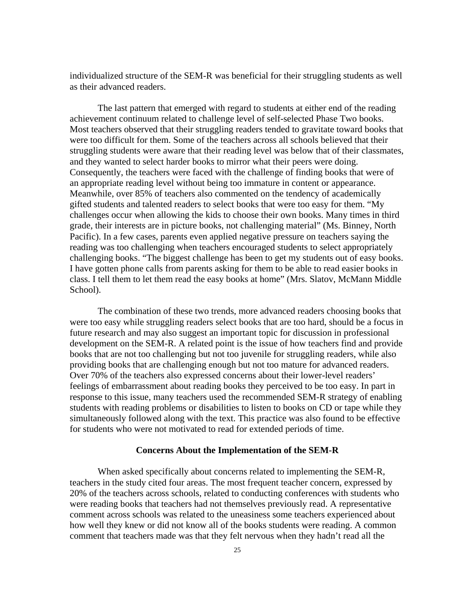individualized structure of the SEM-R was beneficial for their struggling students as well as their advanced readers.

The last pattern that emerged with regard to students at either end of the reading achievement continuum related to challenge level of self-selected Phase Two books. Most teachers observed that their struggling readers tended to gravitate toward books that were too difficult for them. Some of the teachers across all schools believed that their struggling students were aware that their reading level was below that of their classmates, and they wanted to select harder books to mirror what their peers were doing. Consequently, the teachers were faced with the challenge of finding books that were of an appropriate reading level without being too immature in content or appearance. Meanwhile, over 85% of teachers also commented on the tendency of academically gifted students and talented readers to select books that were too easy for them. "My challenges occur when allowing the kids to choose their own books. Many times in third grade, their interests are in picture books, not challenging material" (Ms. Binney, North Pacific). In a few cases, parents even applied negative pressure on teachers saying the reading was too challenging when teachers encouraged students to select appropriately challenging books. "The biggest challenge has been to get my students out of easy books. I have gotten phone calls from parents asking for them to be able to read easier books in class. I tell them to let them read the easy books at home" (Mrs. Slatov, McMann Middle School).

The combination of these two trends, more advanced readers choosing books that were too easy while struggling readers select books that are too hard, should be a focus in future research and may also suggest an important topic for discussion in professional development on the SEM-R. A related point is the issue of how teachers find and provide books that are not too challenging but not too juvenile for struggling readers, while also providing books that are challenging enough but not too mature for advanced readers. Over 70% of the teachers also expressed concerns about their lower-level readers' feelings of embarrassment about reading books they perceived to be too easy. In part in response to this issue, many teachers used the recommended SEM-R strategy of enabling students with reading problems or disabilities to listen to books on CD or tape while they simultaneously followed along with the text. This practice was also found to be effective for students who were not motivated to read for extended periods of time.

#### **Concerns About the Implementation of the SEM-R**

When asked specifically about concerns related to implementing the SEM-R, teachers in the study cited four areas. The most frequent teacher concern, expressed by 20% of the teachers across schools, related to conducting conferences with students who were reading books that teachers had not themselves previously read. A representative comment across schools was related to the uneasiness some teachers experienced about how well they knew or did not know all of the books students were reading. A common comment that teachers made was that they felt nervous when they hadn't read all the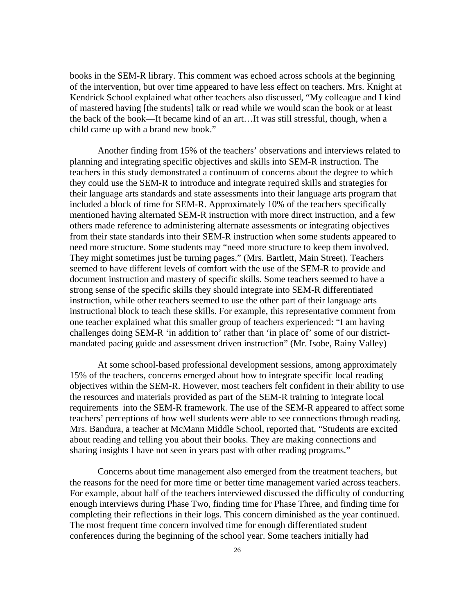books in the SEM-R library. This comment was echoed across schools at the beginning of the intervention, but over time appeared to have less effect on teachers. Mrs. Knight at Kendrick School explained what other teachers also discussed, "My colleague and I kind of mastered having [the students] talk or read while we would scan the book or at least the back of the book—It became kind of an art…It was still stressful, though, when a child came up with a brand new book."

Another finding from 15% of the teachers' observations and interviews related to planning and integrating specific objectives and skills into SEM-R instruction. The teachers in this study demonstrated a continuum of concerns about the degree to which they could use the SEM-R to introduce and integrate required skills and strategies for their language arts standards and state assessments into their language arts program that included a block of time for SEM-R. Approximately 10% of the teachers specifically mentioned having alternated SEM-R instruction with more direct instruction, and a few others made reference to administering alternate assessments or integrating objectives from their state standards into their SEM-R instruction when some students appeared to need more structure. Some students may "need more structure to keep them involved. They might sometimes just be turning pages." (Mrs. Bartlett, Main Street). Teachers seemed to have different levels of comfort with the use of the SEM-R to provide and document instruction and mastery of specific skills. Some teachers seemed to have a strong sense of the specific skills they should integrate into SEM-R differentiated instruction, while other teachers seemed to use the other part of their language arts instructional block to teach these skills. For example, this representative comment from one teacher explained what this smaller group of teachers experienced: "I am having challenges doing SEM-R 'in addition to' rather than 'in place of' some of our districtmandated pacing guide and assessment driven instruction" (Mr. Isobe, Rainy Valley)

At some school-based professional development sessions, among approximately 15% of the teachers, concerns emerged about how to integrate specific local reading objectives within the SEM-R. However, most teachers felt confident in their ability to use the resources and materials provided as part of the SEM-R training to integrate local requirements into the SEM-R framework. The use of the SEM-R appeared to affect some teachers' perceptions of how well students were able to see connections through reading. Mrs. Bandura, a teacher at McMann Middle School, reported that, "Students are excited about reading and telling you about their books. They are making connections and sharing insights I have not seen in years past with other reading programs."

Concerns about time management also emerged from the treatment teachers, but the reasons for the need for more time or better time management varied across teachers. For example, about half of the teachers interviewed discussed the difficulty of conducting enough interviews during Phase Two, finding time for Phase Three, and finding time for completing their reflections in their logs. This concern diminished as the year continued. The most frequent time concern involved time for enough differentiated student conferences during the beginning of the school year. Some teachers initially had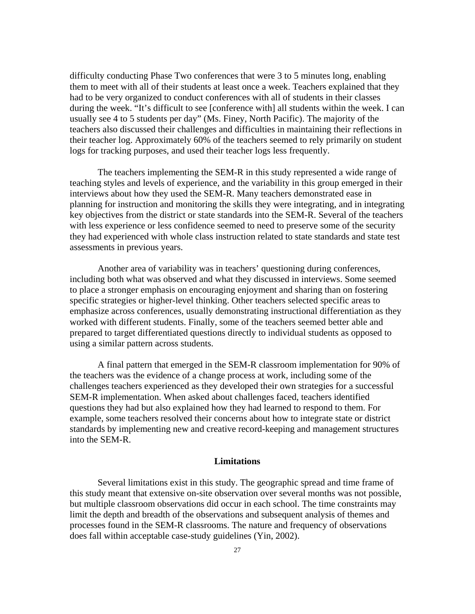difficulty conducting Phase Two conferences that were 3 to 5 minutes long, enabling them to meet with all of their students at least once a week. Teachers explained that they had to be very organized to conduct conferences with all of students in their classes during the week. "It's difficult to see [conference with] all students within the week. I can usually see 4 to 5 students per day" (Ms. Finey, North Pacific). The majority of the teachers also discussed their challenges and difficulties in maintaining their reflections in their teacher log. Approximately 60% of the teachers seemed to rely primarily on student logs for tracking purposes, and used their teacher logs less frequently.

The teachers implementing the SEM-R in this study represented a wide range of teaching styles and levels of experience, and the variability in this group emerged in their interviews about how they used the SEM-R. Many teachers demonstrated ease in planning for instruction and monitoring the skills they were integrating, and in integrating key objectives from the district or state standards into the SEM-R. Several of the teachers with less experience or less confidence seemed to need to preserve some of the security they had experienced with whole class instruction related to state standards and state test assessments in previous years.

Another area of variability was in teachers' questioning during conferences, including both what was observed and what they discussed in interviews. Some seemed to place a stronger emphasis on encouraging enjoyment and sharing than on fostering specific strategies or higher-level thinking. Other teachers selected specific areas to emphasize across conferences, usually demonstrating instructional differentiation as they worked with different students. Finally, some of the teachers seemed better able and prepared to target differentiated questions directly to individual students as opposed to using a similar pattern across students.

A final pattern that emerged in the SEM-R classroom implementation for 90% of the teachers was the evidence of a change process at work, including some of the challenges teachers experienced as they developed their own strategies for a successful SEM-R implementation. When asked about challenges faced, teachers identified questions they had but also explained how they had learned to respond to them. For example, some teachers resolved their concerns about how to integrate state or district standards by implementing new and creative record-keeping and management structures into the SEM-R.

#### **Limitations**

Several limitations exist in this study. The geographic spread and time frame of this study meant that extensive on-site observation over several months was not possible, but multiple classroom observations did occur in each school. The time constraints may limit the depth and breadth of the observations and subsequent analysis of themes and processes found in the SEM-R classrooms. The nature and frequency of observations does fall within acceptable case-study guidelines (Yin, 2002).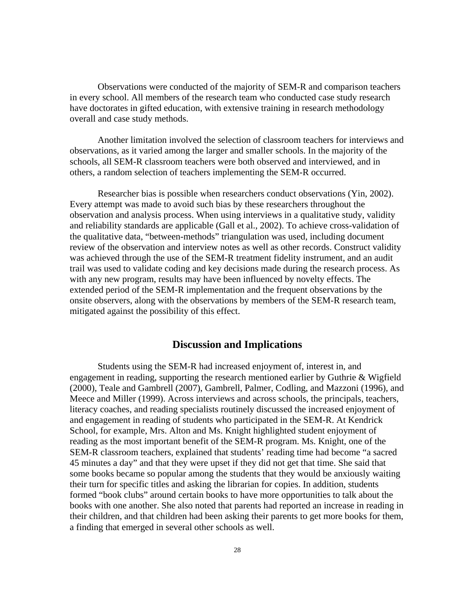Observations were conducted of the majority of SEM-R and comparison teachers in every school. All members of the research team who conducted case study research have doctorates in gifted education, with extensive training in research methodology overall and case study methods.

Another limitation involved the selection of classroom teachers for interviews and observations, as it varied among the larger and smaller schools. In the majority of the schools, all SEM-R classroom teachers were both observed and interviewed, and in others, a random selection of teachers implementing the SEM-R occurred.

Researcher bias is possible when researchers conduct observations (Yin, 2002). Every attempt was made to avoid such bias by these researchers throughout the observation and analysis process. When using interviews in a qualitative study, validity and reliability standards are applicable (Gall et al., 2002). To achieve cross-validation of the qualitative data, "between-methods" triangulation was used, including document review of the observation and interview notes as well as other records. Construct validity was achieved through the use of the SEM-R treatment fidelity instrument, and an audit trail was used to validate coding and key decisions made during the research process. As with any new program, results may have been influenced by novelty effects. The extended period of the SEM-R implementation and the frequent observations by the onsite observers, along with the observations by members of the SEM-R research team, mitigated against the possibility of this effect.

## **Discussion and Implications**

Students using the SEM-R had increased enjoyment of, interest in, and engagement in reading, supporting the research mentioned earlier by Guthrie & Wigfield (2000), Teale and Gambrell (2007), Gambrell, Palmer, Codling, and Mazzoni (1996), and Meece and Miller (1999). Across interviews and across schools, the principals, teachers, literacy coaches, and reading specialists routinely discussed the increased enjoyment of and engagement in reading of students who participated in the SEM-R. At Kendrick School, for example, Mrs. Alton and Ms. Knight highlighted student enjoyment of reading as the most important benefit of the SEM-R program. Ms. Knight, one of the SEM-R classroom teachers, explained that students' reading time had become "a sacred 45 minutes a day" and that they were upset if they did not get that time. She said that some books became so popular among the students that they would be anxiously waiting their turn for specific titles and asking the librarian for copies. In addition, students formed "book clubs" around certain books to have more opportunities to talk about the books with one another. She also noted that parents had reported an increase in reading in their children, and that children had been asking their parents to get more books for them, a finding that emerged in several other schools as well.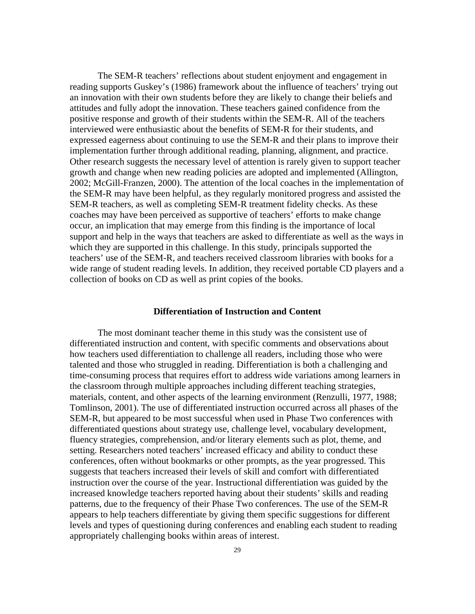The SEM-R teachers' reflections about student enjoyment and engagement in reading supports Guskey's (1986) framework about the influence of teachers' trying out an innovation with their own students before they are likely to change their beliefs and attitudes and fully adopt the innovation. These teachers gained confidence from the positive response and growth of their students within the SEM-R. All of the teachers interviewed were enthusiastic about the benefits of SEM-R for their students, and expressed eagerness about continuing to use the SEM-R and their plans to improve their implementation further through additional reading, planning, alignment, and practice. Other research suggests the necessary level of attention is rarely given to support teacher growth and change when new reading policies are adopted and implemented (Allington, 2002; McGill-Franzen, 2000). The attention of the local coaches in the implementation of the SEM-R may have been helpful, as they regularly monitored progress and assisted the SEM-R teachers, as well as completing SEM-R treatment fidelity checks. As these coaches may have been perceived as supportive of teachers' efforts to make change occur, an implication that may emerge from this finding is the importance of local support and help in the ways that teachers are asked to differentiate as well as the ways in which they are supported in this challenge. In this study, principals supported the teachers' use of the SEM-R, and teachers received classroom libraries with books for a wide range of student reading levels. In addition, they received portable CD players and a collection of books on CD as well as print copies of the books.

#### **Differentiation of Instruction and Content**

The most dominant teacher theme in this study was the consistent use of differentiated instruction and content, with specific comments and observations about how teachers used differentiation to challenge all readers, including those who were talented and those who struggled in reading. Differentiation is both a challenging and time-consuming process that requires effort to address wide variations among learners in the classroom through multiple approaches including different teaching strategies, materials, content, and other aspects of the learning environment (Renzulli, 1977, 1988; Tomlinson, 2001). The use of differentiated instruction occurred across all phases of the SEM-R, but appeared to be most successful when used in Phase Two conferences with differentiated questions about strategy use, challenge level, vocabulary development, fluency strategies, comprehension, and/or literary elements such as plot, theme, and setting. Researchers noted teachers' increased efficacy and ability to conduct these conferences, often without bookmarks or other prompts, as the year progressed. This suggests that teachers increased their levels of skill and comfort with differentiated instruction over the course of the year. Instructional differentiation was guided by the increased knowledge teachers reported having about their students' skills and reading patterns, due to the frequency of their Phase Two conferences. The use of the SEM-R appears to help teachers differentiate by giving them specific suggestions for different levels and types of questioning during conferences and enabling each student to reading appropriately challenging books within areas of interest.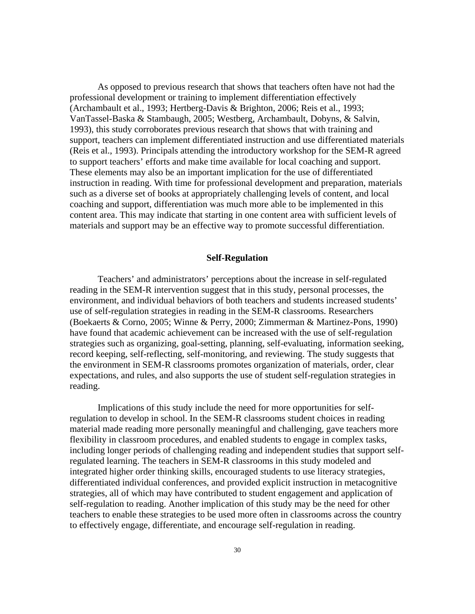As opposed to previous research that shows that teachers often have not had the professional development or training to implement differentiation effectively (Archambault et al., 1993; Hertberg-Davis & Brighton, 2006; Reis et al., 1993; VanTassel-Baska & Stambaugh, 2005; Westberg, Archambault, Dobyns, & Salvin, 1993), this study corroborates previous research that shows that with training and support, teachers can implement differentiated instruction and use differentiated materials (Reis et al., 1993). Principals attending the introductory workshop for the SEM-R agreed to support teachers' efforts and make time available for local coaching and support. These elements may also be an important implication for the use of differentiated instruction in reading. With time for professional development and preparation, materials such as a diverse set of books at appropriately challenging levels of content, and local coaching and support, differentiation was much more able to be implemented in this content area. This may indicate that starting in one content area with sufficient levels of materials and support may be an effective way to promote successful differentiation.

#### **Self-Regulation**

Teachers' and administrators' perceptions about the increase in self-regulated reading in the SEM-R intervention suggest that in this study, personal processes, the environment, and individual behaviors of both teachers and students increased students' use of self-regulation strategies in reading in the SEM-R classrooms. Researchers (Boekaerts & Corno, 2005; Winne & Perry, 2000; Zimmerman & Martinez-Pons, 1990) have found that academic achievement can be increased with the use of self-regulation strategies such as organizing, goal-setting, planning, self-evaluating, information seeking, record keeping, self-reflecting, self-monitoring, and reviewing. The study suggests that the environment in SEM-R classrooms promotes organization of materials, order, clear expectations, and rules, and also supports the use of student self-regulation strategies in reading.

Implications of this study include the need for more opportunities for selfregulation to develop in school. In the SEM-R classrooms student choices in reading material made reading more personally meaningful and challenging, gave teachers more flexibility in classroom procedures, and enabled students to engage in complex tasks, including longer periods of challenging reading and independent studies that support selfregulated learning. The teachers in SEM-R classrooms in this study modeled and integrated higher order thinking skills, encouraged students to use literacy strategies, differentiated individual conferences, and provided explicit instruction in metacognitive strategies, all of which may have contributed to student engagement and application of self-regulation to reading. Another implication of this study may be the need for other teachers to enable these strategies to be used more often in classrooms across the country to effectively engage, differentiate, and encourage self-regulation in reading.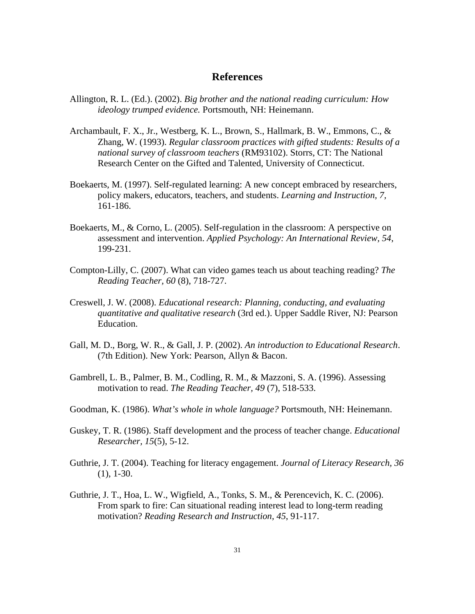## **References**

- Allington, R. L. (Ed.). (2002). *Big brother and the national reading curriculum: How ideology trumped evidence.* Portsmouth, NH: Heinemann.
- Archambault, F. X., Jr., Westberg, K. L., Brown, S., Hallmark, B. W., Emmons, C., & Zhang, W. (1993). *Regular classroom practices with gifted students: Results of a national survey of classroom teachers* (RM93102). Storrs, CT: The National Research Center on the Gifted and Talented, University of Connecticut.
- Boekaerts, M. (1997). Self-regulated learning: A new concept embraced by researchers, policy makers, educators, teachers, and students. *Learning and Instruction, 7,* 161-186.
- Boekaerts, M., & Corno, L. (2005). Self-regulation in the classroom: A perspective on assessment and intervention. *Applied Psychology: An International Review, 54*, 199-231.
- Compton-Lilly, C. (2007). What can video games teach us about teaching reading? *The Reading Teacher, 60* (8), 718-727.
- Creswell, J. W. (2008). *Educational research: Planning, conducting, and evaluating quantitative and qualitative research* (3rd ed.). Upper Saddle River, NJ: Pearson Education.
- Gall, M. D., Borg, W. R., & Gall, J. P. (2002). *An introduction to Educational Research*. (7th Edition). New York: Pearson, Allyn & Bacon.
- Gambrell, L. B., Palmer, B. M., Codling, R. M., & Mazzoni, S. A. (1996). Assessing motivation to read. *The Reading Teacher, 49* (7), 518-533.
- Goodman, K. (1986). *What's whole in whole language?* Portsmouth, NH: Heinemann.
- Guskey, T. R. (1986). Staff development and the process of teacher change. *Educational Researcher, 15*(5), 5-12.
- Guthrie, J. T. (2004). Teaching for literacy engagement. *Journal of Literacy Research, 36*  (1), 1-30.
- Guthrie, J. T., Hoa, L. W., Wigfield, A., Tonks, S. M., & Perencevich, K. C. (2006). From spark to fire: Can situational reading interest lead to long-term reading motivation? *Reading Research and Instruction, 45*, 91-117.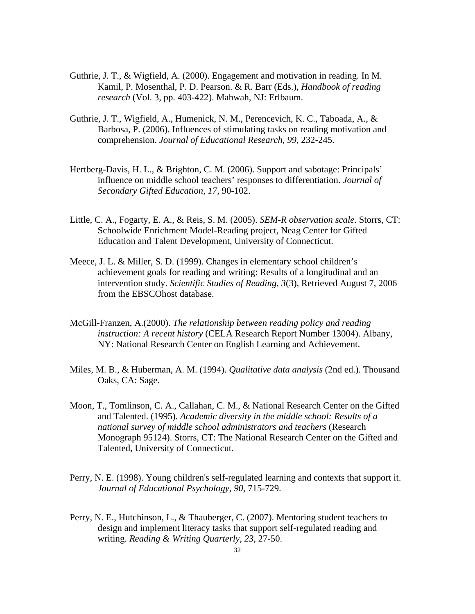- Guthrie, J. T., & Wigfield, A. (2000). Engagement and motivation in reading. In M. Kamil, P. Mosenthal, P. D. Pearson. & R. Barr (Eds.), *Handbook of reading research* (Vol. 3, pp. 403-422). Mahwah, NJ: Erlbaum.
- Guthrie, J. T., Wigfield, A., Humenick, N. M., Perencevich, K. C., Taboada, A., & Barbosa, P. (2006). Influences of stimulating tasks on reading motivation and comprehension. *Journal of Educational Research, 99,* 232-245.
- Hertberg-Davis, H. L., & Brighton, C. M. (2006). Support and sabotage: Principals' influence on middle school teachers' responses to differentiation. *Journal of Secondary Gifted Education, 17,* 90-102.
- Little, C. A., Fogarty, E. A., & Reis, S. M. (2005). *SEM-R observation scale*. Storrs, CT: Schoolwide Enrichment Model-Reading project, Neag Center for Gifted Education and Talent Development, University of Connecticut.
- Meece, J. L. & Miller, S. D. (1999). Changes in elementary school children's achievement goals for reading and writing: Results of a longitudinal and an intervention study. *Scientific Studies of Reading, 3*(3), Retrieved August 7, 2006 from the EBSCOhost database.
- McGill-Franzen, A.(2000). *The relationship between reading policy and reading instruction: A recent history* (CELA Research Report Number 13004). Albany, NY: National Research Center on English Learning and Achievement.
- Miles, M. B., & Huberman, A. M. (1994). *Qualitative data analysis* (2nd ed.). Thousand Oaks, CA: Sage.
- Moon, T., Tomlinson, C. A., Callahan, C. M., & National Research Center on the Gifted and Talented. (1995). *Academic diversity in the middle school: Results of a national survey of middle school administrators and teachers* (Research Monograph 95124). Storrs, CT: The National Research Center on the Gifted and Talented, University of Connecticut.
- Perry, N. E. (1998). Young children's self-regulated learning and contexts that support it. *Journal of Educational Psychology, 90*, 715-729.
- Perry, N. E., Hutchinson, L., & Thauberger, C. (2007). Mentoring student teachers to design and implement literacy tasks that support self-regulated reading and writing. *Reading & Writing Quarterly, 23*, 27-50.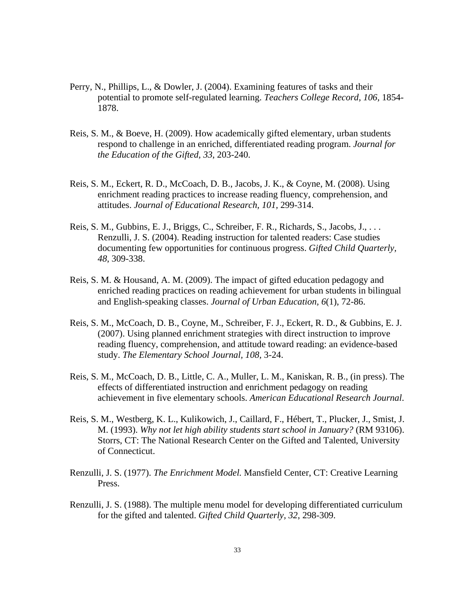- Perry, N., Phillips, L., & Dowler, J. (2004). Examining features of tasks and their potential to promote self-regulated learning. *Teachers College Record, 106,* 1854- 1878.
- Reis, S. M., & Boeve, H. (2009). How academically gifted elementary, urban students respond to challenge in an enriched, differentiated reading program. *Journal for the Education of the Gifted, 33*, 203-240.
- Reis, S. M., Eckert, R. D., McCoach, D. B., Jacobs, J. K., & Coyne, M. (2008). Using enrichment reading practices to increase reading fluency, comprehension, and attitudes. *Journal of Educational Research, 101,* 299-314.
- Reis, S. M., Gubbins, E. J., Briggs, C., Schreiber, F. R., Richards, S., Jacobs, J., . . . Renzulli, J. S. (2004). Reading instruction for talented readers: Case studies documenting few opportunities for continuous progress. *Gifted Child Quarterly, 48*, 309-338.
- Reis, S. M. & Housand, A. M. (2009). The impact of gifted education pedagogy and enriched reading practices on reading achievement for urban students in bilingual and English-speaking classes. *Journal of Urban Education, 6*(1), 72-86.
- Reis, S. M., McCoach, D. B., Coyne, M., Schreiber, F. J., Eckert, R. D., & Gubbins, E. J. (2007). Using planned enrichment strategies with direct instruction to improve reading fluency, comprehension, and attitude toward reading: an evidence-based study. *The Elementary School Journal, 108,* 3-24.
- Reis, S. M., McCoach, D. B., Little, C. A., Muller, L. M., Kaniskan, R. B., (in press). The effects of differentiated instruction and enrichment pedagogy on reading achievement in five elementary schools. *American Educational Research Journal*.
- Reis, S. M., Westberg, K. L., Kulikowich, J., Caillard, F., Hébert, T., Plucker, J., Smist, J. M. (1993). *Why not let high ability students start school in January?* (RM 93106). Storrs, CT: The National Research Center on the Gifted and Talented, University of Connecticut.
- Renzulli, J. S. (1977). *The Enrichment Model.* Mansfield Center, CT: Creative Learning Press.
- Renzulli, J. S. (1988). The multiple menu model for developing differentiated curriculum for the gifted and talented. *Gifted Child Quarterly, 32*, 298-309.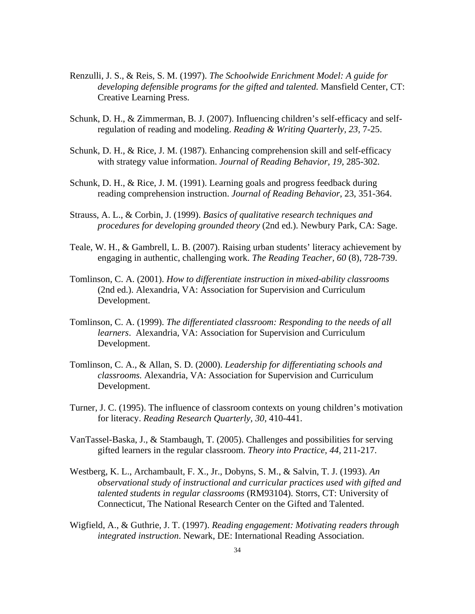- Renzulli, J. S., & Reis, S. M. (1997). *The Schoolwide Enrichment Model: A guide for developing defensible programs for the gifted and talented.* Mansfield Center, CT: Creative Learning Press.
- Schunk, D. H., & Zimmerman, B. J. (2007). Influencing children's self-efficacy and selfregulation of reading and modeling. *Reading & Writing Quarterly, 23,* 7-25.
- Schunk, D. H., & Rice, J. M. (1987). Enhancing comprehension skill and self-efficacy with strategy value information. *Journal of Reading Behavior, 19,* 285-302.
- Schunk, D. H., & Rice, J. M. (1991). Learning goals and progress feedback during reading comprehension instruction. *Journal of Reading Behavior*, 23, 351-364.
- Strauss, A. L., & Corbin, J. (1999). *Basics of qualitative research techniques and procedures for developing grounded theory* (2nd ed.). Newbury Park, CA: Sage.
- Teale, W. H., & Gambrell, L. B. (2007). Raising urban students' literacy achievement by engaging in authentic, challenging work. *The Reading Teacher, 60* (8), 728-739.
- Tomlinson, C. A. (2001). *How to differentiate instruction in mixed-ability classrooms*  (2nd ed.). Alexandria, VA: Association for Supervision and Curriculum Development.
- Tomlinson, C. A. (1999). *The differentiated classroom: Responding to the needs of all learners*. Alexandria, VA: Association for Supervision and Curriculum Development.
- Tomlinson, C. A., & Allan, S. D. (2000). *Leadership for differentiating schools and classrooms.* Alexandria, VA: Association for Supervision and Curriculum Development.
- Turner, J. C. (1995). The influence of classroom contexts on young children's motivation for literacy. *Reading Research Quarterly, 30,* 410-441.
- VanTassel-Baska, J., & Stambaugh, T. (2005). Challenges and possibilities for serving gifted learners in the regular classroom. *Theory into Practice, 44,* 211-217.
- Westberg, K. L., Archambault, F. X., Jr., Dobyns, S. M., & Salvin, T. J. (1993). *An observational study of instructional and curricular practices used with gifted and talented students in regular classrooms* (RM93104). Storrs, CT: University of Connecticut, The National Research Center on the Gifted and Talented.
- Wigfield, A., & Guthrie, J. T. (1997). *Reading engagement: Motivating readers through integrated instruction*. Newark, DE: International Reading Association.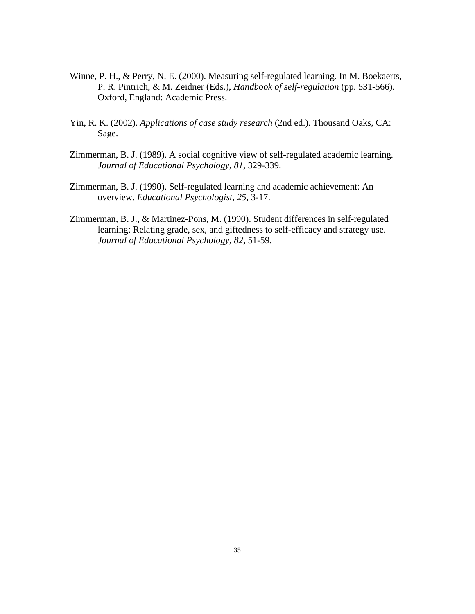- Winne, P. H., & Perry, N. E. (2000). Measuring self-regulated learning. In M. Boekaerts, P. R. Pintrich, & M. Zeidner (Eds.), *Handbook of self-regulation* (pp. 531-566). Oxford, England: Academic Press.
- Yin, R. K. (2002). *Applications of case study research* (2nd ed.). Thousand Oaks, CA: Sage.
- Zimmerman, B. J. (1989). A social cognitive view of self-regulated academic learning*. Journal of Educational Psychology, 81*, 329-339.
- Zimmerman, B. J. (1990). Self-regulated learning and academic achievement: An overview. *Educational Psychologist, 25*, 3-17.
- Zimmerman, B. J., & Martinez-Pons, M. (1990). Student differences in self-regulated learning: Relating grade, sex, and giftedness to self-efficacy and strategy use. *Journal of Educational Psychology, 82,* 51-59.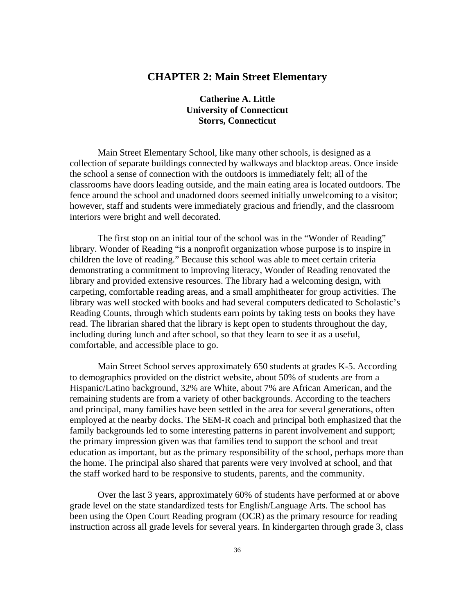# **CHAPTER 2: Main Street Elementary**

## **Catherine A. Little University of Connecticut Storrs, Connecticut**

Main Street Elementary School, like many other schools, is designed as a collection of separate buildings connected by walkways and blacktop areas. Once inside the school a sense of connection with the outdoors is immediately felt; all of the classrooms have doors leading outside, and the main eating area is located outdoors. The fence around the school and unadorned doors seemed initially unwelcoming to a visitor; however, staff and students were immediately gracious and friendly, and the classroom interiors were bright and well decorated.

The first stop on an initial tour of the school was in the "Wonder of Reading" library. Wonder of Reading "is a nonprofit organization whose purpose is to inspire in children the love of reading." Because this school was able to meet certain criteria demonstrating a commitment to improving literacy, Wonder of Reading renovated the library and provided extensive resources. The library had a welcoming design, with carpeting, comfortable reading areas, and a small amphitheater for group activities. The library was well stocked with books and had several computers dedicated to Scholastic's Reading Counts, through which students earn points by taking tests on books they have read. The librarian shared that the library is kept open to students throughout the day, including during lunch and after school, so that they learn to see it as a useful, comfortable, and accessible place to go.

Main Street School serves approximately 650 students at grades K-5. According to demographics provided on the district website, about 50% of students are from a Hispanic/Latino background, 32% are White, about 7% are African American, and the remaining students are from a variety of other backgrounds. According to the teachers and principal, many families have been settled in the area for several generations, often employed at the nearby docks. The SEM-R coach and principal both emphasized that the family backgrounds led to some interesting patterns in parent involvement and support; the primary impression given was that families tend to support the school and treat education as important, but as the primary responsibility of the school, perhaps more than the home. The principal also shared that parents were very involved at school, and that the staff worked hard to be responsive to students, parents, and the community.

Over the last 3 years, approximately 60% of students have performed at or above grade level on the state standardized tests for English/Language Arts. The school has been using the Open Court Reading program (OCR) as the primary resource for reading instruction across all grade levels for several years. In kindergarten through grade 3, class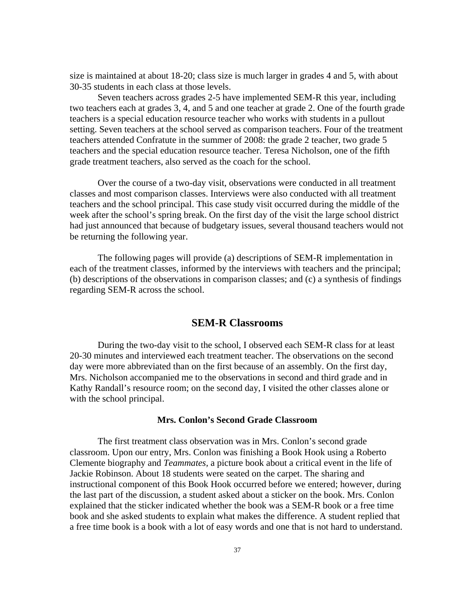size is maintained at about 18-20; class size is much larger in grades 4 and 5, with about 30-35 students in each class at those levels.

Seven teachers across grades 2-5 have implemented SEM-R this year, including two teachers each at grades 3, 4, and 5 and one teacher at grade 2. One of the fourth grade teachers is a special education resource teacher who works with students in a pullout setting. Seven teachers at the school served as comparison teachers. Four of the treatment teachers attended Confratute in the summer of 2008: the grade 2 teacher, two grade 5 teachers and the special education resource teacher. Teresa Nicholson, one of the fifth grade treatment teachers, also served as the coach for the school.

Over the course of a two-day visit, observations were conducted in all treatment classes and most comparison classes. Interviews were also conducted with all treatment teachers and the school principal. This case study visit occurred during the middle of the week after the school's spring break. On the first day of the visit the large school district had just announced that because of budgetary issues, several thousand teachers would not be returning the following year.

The following pages will provide (a) descriptions of SEM-R implementation in each of the treatment classes, informed by the interviews with teachers and the principal; (b) descriptions of the observations in comparison classes; and (c) a synthesis of findings regarding SEM-R across the school.

# **SEM-R Classrooms**

During the two-day visit to the school, I observed each SEM-R class for at least 20-30 minutes and interviewed each treatment teacher. The observations on the second day were more abbreviated than on the first because of an assembly. On the first day, Mrs. Nicholson accompanied me to the observations in second and third grade and in Kathy Randall's resource room; on the second day, I visited the other classes alone or with the school principal.

#### **Mrs. Conlon's Second Grade Classroom**

The first treatment class observation was in Mrs. Conlon's second grade classroom. Upon our entry, Mrs. Conlon was finishing a Book Hook using a Roberto Clemente biography and *Teammates,* a picture book about a critical event in the life of Jackie Robinson. About 18 students were seated on the carpet. The sharing and instructional component of this Book Hook occurred before we entered; however, during the last part of the discussion, a student asked about a sticker on the book. Mrs. Conlon explained that the sticker indicated whether the book was a SEM-R book or a free time book and she asked students to explain what makes the difference. A student replied that a free time book is a book with a lot of easy words and one that is not hard to understand.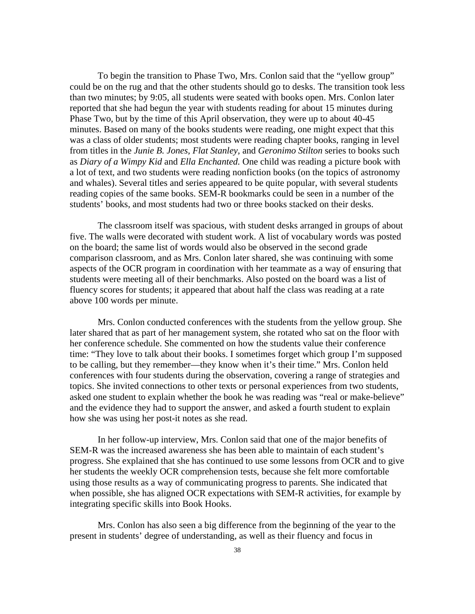To begin the transition to Phase Two, Mrs. Conlon said that the "yellow group" could be on the rug and that the other students should go to desks. The transition took less than two minutes; by 9:05, all students were seated with books open. Mrs. Conlon later reported that she had begun the year with students reading for about 15 minutes during Phase Two, but by the time of this April observation, they were up to about 40-45 minutes. Based on many of the books students were reading, one might expect that this was a class of older students; most students were reading chapter books, ranging in level from titles in the *Junie B. Jones, Flat Stanley,* and *Geronimo Stilton* series to books such as *Diary of a Wimpy Kid* and *Ella Enchanted.* One child was reading a picture book with a lot of text, and two students were reading nonfiction books (on the topics of astronomy and whales). Several titles and series appeared to be quite popular, with several students reading copies of the same books. SEM-R bookmarks could be seen in a number of the students' books, and most students had two or three books stacked on their desks.

The classroom itself was spacious, with student desks arranged in groups of about five. The walls were decorated with student work. A list of vocabulary words was posted on the board; the same list of words would also be observed in the second grade comparison classroom, and as Mrs. Conlon later shared, she was continuing with some aspects of the OCR program in coordination with her teammate as a way of ensuring that students were meeting all of their benchmarks. Also posted on the board was a list of fluency scores for students; it appeared that about half the class was reading at a rate above 100 words per minute.

Mrs. Conlon conducted conferences with the students from the yellow group. She later shared that as part of her management system, she rotated who sat on the floor with her conference schedule. She commented on how the students value their conference time: "They love to talk about their books. I sometimes forget which group I'm supposed to be calling, but they remember—they know when it's their time." Mrs. Conlon held conferences with four students during the observation, covering a range of strategies and topics. She invited connections to other texts or personal experiences from two students, asked one student to explain whether the book he was reading was "real or make-believe" and the evidence they had to support the answer, and asked a fourth student to explain how she was using her post-it notes as she read.

In her follow-up interview, Mrs. Conlon said that one of the major benefits of SEM-R was the increased awareness she has been able to maintain of each student's progress. She explained that she has continued to use some lessons from OCR and to give her students the weekly OCR comprehension tests, because she felt more comfortable using those results as a way of communicating progress to parents. She indicated that when possible, she has aligned OCR expectations with SEM-R activities, for example by integrating specific skills into Book Hooks.

Mrs. Conlon has also seen a big difference from the beginning of the year to the present in students' degree of understanding, as well as their fluency and focus in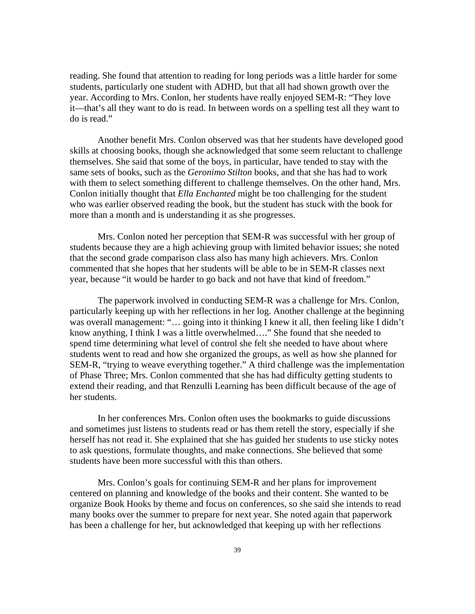reading. She found that attention to reading for long periods was a little harder for some students, particularly one student with ADHD, but that all had shown growth over the year. According to Mrs. Conlon, her students have really enjoyed SEM-R: "They love it—that's all they want to do is read. In between words on a spelling test all they want to do is read."

Another benefit Mrs. Conlon observed was that her students have developed good skills at choosing books, though she acknowledged that some seem reluctant to challenge themselves. She said that some of the boys, in particular, have tended to stay with the same sets of books, such as the *Geronimo Stilton* books, and that she has had to work with them to select something different to challenge themselves. On the other hand, Mrs. Conlon initially thought that *Ella Enchanted* might be too challenging for the student who was earlier observed reading the book, but the student has stuck with the book for more than a month and is understanding it as she progresses.

Mrs. Conlon noted her perception that SEM-R was successful with her group of students because they are a high achieving group with limited behavior issues; she noted that the second grade comparison class also has many high achievers. Mrs. Conlon commented that she hopes that her students will be able to be in SEM-R classes next year, because "it would be harder to go back and not have that kind of freedom."

The paperwork involved in conducting SEM-R was a challenge for Mrs. Conlon, particularly keeping up with her reflections in her log. Another challenge at the beginning was overall management: "... going into it thinking I knew it all, then feeling like I didn't know anything, I think I was a little overwhelmed…." She found that she needed to spend time determining what level of control she felt she needed to have about where students went to read and how she organized the groups, as well as how she planned for SEM-R, "trying to weave everything together." A third challenge was the implementation of Phase Three; Mrs. Conlon commented that she has had difficulty getting students to extend their reading, and that Renzulli Learning has been difficult because of the age of her students.

In her conferences Mrs. Conlon often uses the bookmarks to guide discussions and sometimes just listens to students read or has them retell the story, especially if she herself has not read it. She explained that she has guided her students to use sticky notes to ask questions, formulate thoughts, and make connections. She believed that some students have been more successful with this than others.

Mrs. Conlon's goals for continuing SEM-R and her plans for improvement centered on planning and knowledge of the books and their content. She wanted to be organize Book Hooks by theme and focus on conferences, so she said she intends to read many books over the summer to prepare for next year. She noted again that paperwork has been a challenge for her, but acknowledged that keeping up with her reflections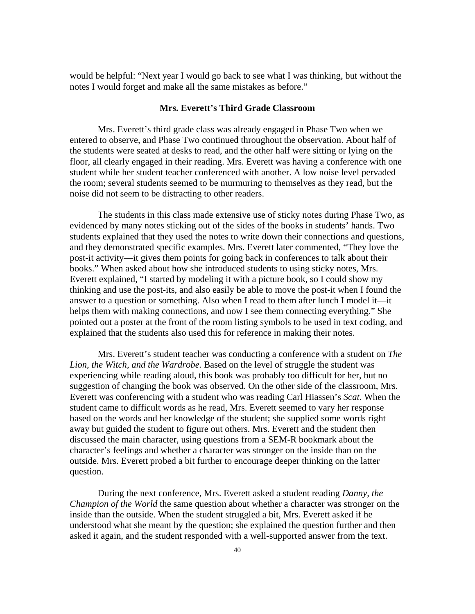would be helpful: "Next year I would go back to see what I was thinking, but without the notes I would forget and make all the same mistakes as before."

### **Mrs. Everett's Third Grade Classroom**

Mrs. Everett's third grade class was already engaged in Phase Two when we entered to observe, and Phase Two continued throughout the observation. About half of the students were seated at desks to read, and the other half were sitting or lying on the floor, all clearly engaged in their reading. Mrs. Everett was having a conference with one student while her student teacher conferenced with another. A low noise level pervaded the room; several students seemed to be murmuring to themselves as they read, but the noise did not seem to be distracting to other readers.

The students in this class made extensive use of sticky notes during Phase Two, as evidenced by many notes sticking out of the sides of the books in students' hands. Two students explained that they used the notes to write down their connections and questions, and they demonstrated specific examples. Mrs. Everett later commented, "They love the post-it activity—it gives them points for going back in conferences to talk about their books." When asked about how she introduced students to using sticky notes, Mrs. Everett explained, "I started by modeling it with a picture book, so I could show my thinking and use the post-its, and also easily be able to move the post-it when I found the answer to a question or something. Also when I read to them after lunch I model it—it helps them with making connections, and now I see them connecting everything." She pointed out a poster at the front of the room listing symbols to be used in text coding, and explained that the students also used this for reference in making their notes.

Mrs. Everett's student teacher was conducting a conference with a student on *The Lion, the Witch, and the Wardrobe.* Based on the level of struggle the student was experiencing while reading aloud, this book was probably too difficult for her, but no suggestion of changing the book was observed. On the other side of the classroom, Mrs. Everett was conferencing with a student who was reading Carl Hiassen's *Scat.* When the student came to difficult words as he read, Mrs. Everett seemed to vary her response based on the words and her knowledge of the student; she supplied some words right away but guided the student to figure out others. Mrs. Everett and the student then discussed the main character, using questions from a SEM-R bookmark about the character's feelings and whether a character was stronger on the inside than on the outside. Mrs. Everett probed a bit further to encourage deeper thinking on the latter question.

During the next conference, Mrs. Everett asked a student reading *Danny, the Champion of the World* the same question about whether a character was stronger on the inside than the outside. When the student struggled a bit, Mrs. Everett asked if he understood what she meant by the question; she explained the question further and then asked it again, and the student responded with a well-supported answer from the text.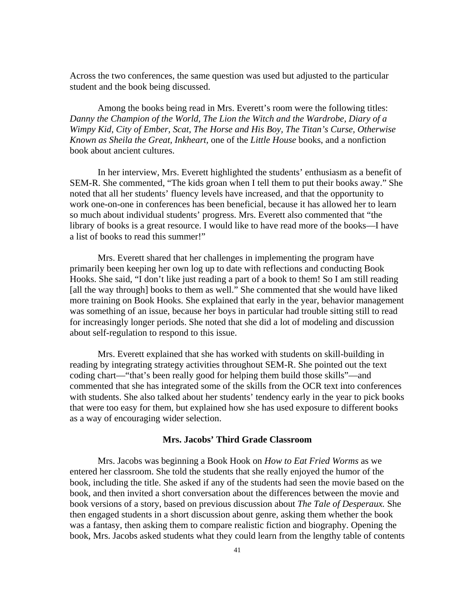Across the two conferences, the same question was used but adjusted to the particular student and the book being discussed.

Among the books being read in Mrs. Everett's room were the following titles: *Danny the Champion of the World, The Lion the Witch and the Wardrobe, Diary of a Wimpy Kid, City of Ember, Scat, The Horse and His Boy, The Titan's Curse, Otherwise Known as Sheila the Great, Inkheart,* one of the *Little House* books, and a nonfiction book about ancient cultures.

In her interview, Mrs. Everett highlighted the students' enthusiasm as a benefit of SEM-R. She commented, "The kids groan when I tell them to put their books away." She noted that all her students' fluency levels have increased, and that the opportunity to work one-on-one in conferences has been beneficial, because it has allowed her to learn so much about individual students' progress. Mrs. Everett also commented that "the library of books is a great resource. I would like to have read more of the books—I have a list of books to read this summer!"

Mrs. Everett shared that her challenges in implementing the program have primarily been keeping her own log up to date with reflections and conducting Book Hooks. She said, "I don't like just reading a part of a book to them! So I am still reading [all the way through] books to them as well." She commented that she would have liked more training on Book Hooks. She explained that early in the year, behavior management was something of an issue, because her boys in particular had trouble sitting still to read for increasingly longer periods. She noted that she did a lot of modeling and discussion about self-regulation to respond to this issue.

Mrs. Everett explained that she has worked with students on skill-building in reading by integrating strategy activities throughout SEM-R. She pointed out the text coding chart—"that's been really good for helping them build those skills"—and commented that she has integrated some of the skills from the OCR text into conferences with students. She also talked about her students' tendency early in the year to pick books that were too easy for them, but explained how she has used exposure to different books as a way of encouraging wider selection.

### **Mrs. Jacobs' Third Grade Classroom**

Mrs. Jacobs was beginning a Book Hook on *How to Eat Fried Worms* as we entered her classroom. She told the students that she really enjoyed the humor of the book, including the title. She asked if any of the students had seen the movie based on the book, and then invited a short conversation about the differences between the movie and book versions of a story, based on previous discussion about *The Tale of Desperaux.* She then engaged students in a short discussion about genre, asking them whether the book was a fantasy, then asking them to compare realistic fiction and biography. Opening the book, Mrs. Jacobs asked students what they could learn from the lengthy table of contents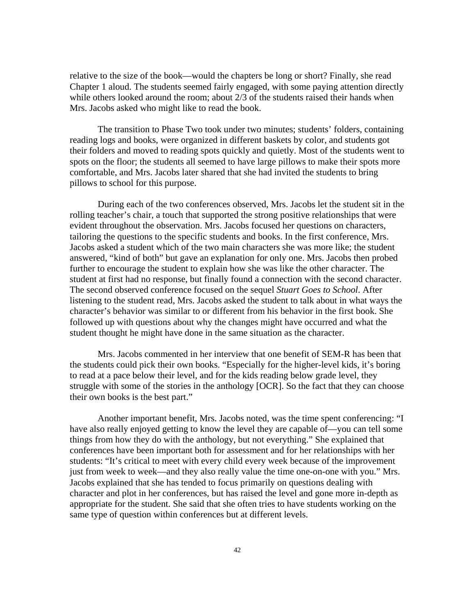relative to the size of the book—would the chapters be long or short? Finally, she read Chapter 1 aloud. The students seemed fairly engaged, with some paying attention directly while others looked around the room; about 2/3 of the students raised their hands when Mrs. Jacobs asked who might like to read the book.

The transition to Phase Two took under two minutes; students' folders, containing reading logs and books, were organized in different baskets by color, and students got their folders and moved to reading spots quickly and quietly. Most of the students went to spots on the floor; the students all seemed to have large pillows to make their spots more comfortable, and Mrs. Jacobs later shared that she had invited the students to bring pillows to school for this purpose.

During each of the two conferences observed, Mrs. Jacobs let the student sit in the rolling teacher's chair, a touch that supported the strong positive relationships that were evident throughout the observation. Mrs. Jacobs focused her questions on characters, tailoring the questions to the specific students and books. In the first conference, Mrs. Jacobs asked a student which of the two main characters she was more like; the student answered, "kind of both" but gave an explanation for only one. Mrs. Jacobs then probed further to encourage the student to explain how she was like the other character. The student at first had no response, but finally found a connection with the second character. The second observed conference focused on the sequel *Stuart Goes to School*. After listening to the student read, Mrs. Jacobs asked the student to talk about in what ways the character's behavior was similar to or different from his behavior in the first book. She followed up with questions about why the changes might have occurred and what the student thought he might have done in the same situation as the character.

Mrs. Jacobs commented in her interview that one benefit of SEM-R has been that the students could pick their own books. "Especially for the higher-level kids, it's boring to read at a pace below their level, and for the kids reading below grade level, they struggle with some of the stories in the anthology [OCR]. So the fact that they can choose their own books is the best part."

Another important benefit, Mrs. Jacobs noted, was the time spent conferencing: "I have also really enjoyed getting to know the level they are capable of—you can tell some things from how they do with the anthology, but not everything." She explained that conferences have been important both for assessment and for her relationships with her students: "It's critical to meet with every child every week because of the improvement just from week to week—and they also really value the time one-on-one with you." Mrs. Jacobs explained that she has tended to focus primarily on questions dealing with character and plot in her conferences, but has raised the level and gone more in-depth as appropriate for the student. She said that she often tries to have students working on the same type of question within conferences but at different levels.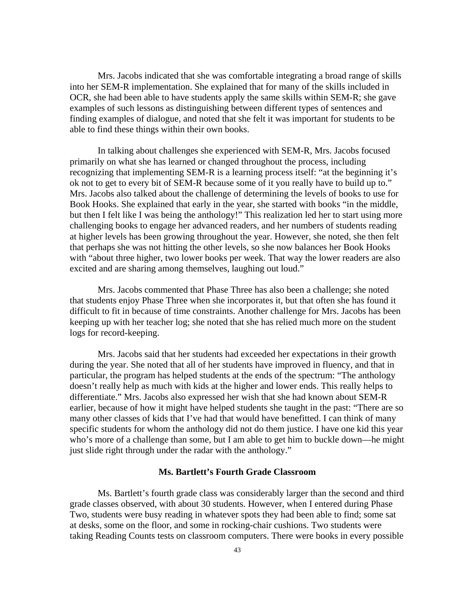Mrs. Jacobs indicated that she was comfortable integrating a broad range of skills into her SEM-R implementation. She explained that for many of the skills included in OCR, she had been able to have students apply the same skills within SEM-R; she gave examples of such lessons as distinguishing between different types of sentences and finding examples of dialogue, and noted that she felt it was important for students to be able to find these things within their own books.

In talking about challenges she experienced with SEM-R, Mrs. Jacobs focused primarily on what she has learned or changed throughout the process, including recognizing that implementing SEM-R is a learning process itself: "at the beginning it's ok not to get to every bit of SEM-R because some of it you really have to build up to." Mrs. Jacobs also talked about the challenge of determining the levels of books to use for Book Hooks. She explained that early in the year, she started with books "in the middle, but then I felt like I was being the anthology!" This realization led her to start using more challenging books to engage her advanced readers, and her numbers of students reading at higher levels has been growing throughout the year. However, she noted, she then felt that perhaps she was not hitting the other levels, so she now balances her Book Hooks with "about three higher, two lower books per week. That way the lower readers are also excited and are sharing among themselves, laughing out loud."

Mrs. Jacobs commented that Phase Three has also been a challenge; she noted that students enjoy Phase Three when she incorporates it, but that often she has found it difficult to fit in because of time constraints. Another challenge for Mrs. Jacobs has been keeping up with her teacher log; she noted that she has relied much more on the student logs for record-keeping.

Mrs. Jacobs said that her students had exceeded her expectations in their growth during the year. She noted that all of her students have improved in fluency, and that in particular, the program has helped students at the ends of the spectrum: "The anthology doesn't really help as much with kids at the higher and lower ends. This really helps to differentiate." Mrs. Jacobs also expressed her wish that she had known about SEM-R earlier, because of how it might have helped students she taught in the past: "There are so many other classes of kids that I've had that would have benefitted. I can think of many specific students for whom the anthology did not do them justice. I have one kid this year who's more of a challenge than some, but I am able to get him to buckle down—he might just slide right through under the radar with the anthology."

#### **Ms. Bartlett's Fourth Grade Classroom**

Ms. Bartlett's fourth grade class was considerably larger than the second and third grade classes observed, with about 30 students. However, when I entered during Phase Two, students were busy reading in whatever spots they had been able to find; some sat at desks, some on the floor, and some in rocking-chair cushions. Two students were taking Reading Counts tests on classroom computers. There were books in every possible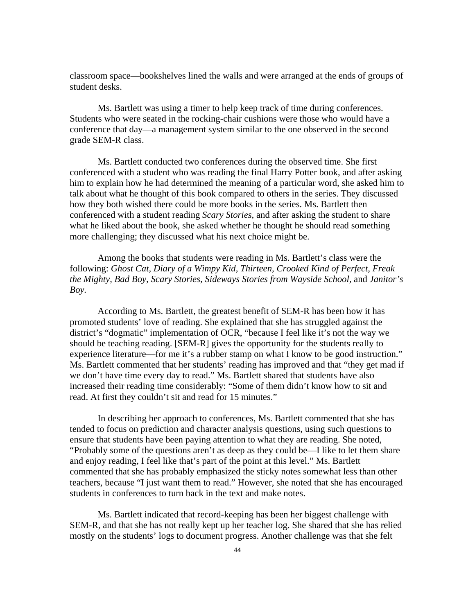classroom space—bookshelves lined the walls and were arranged at the ends of groups of student desks.

Ms. Bartlett was using a timer to help keep track of time during conferences. Students who were seated in the rocking-chair cushions were those who would have a conference that day—a management system similar to the one observed in the second grade SEM-R class.

Ms. Bartlett conducted two conferences during the observed time. She first conferenced with a student who was reading the final Harry Potter book, and after asking him to explain how he had determined the meaning of a particular word, she asked him to talk about what he thought of this book compared to others in the series. They discussed how they both wished there could be more books in the series. Ms. Bartlett then conferenced with a student reading *Scary Stories,* and after asking the student to share what he liked about the book, she asked whether he thought he should read something more challenging; they discussed what his next choice might be.

Among the books that students were reading in Ms. Bartlett's class were the following: *Ghost Cat, Diary of a Wimpy Kid, Thirteen, Crooked Kind of Perfect, Freak the Mighty, Bad Boy, Scary Stories, Sideways Stories from Wayside School,* and *Janitor's Boy.*

According to Ms. Bartlett, the greatest benefit of SEM-R has been how it has promoted students' love of reading. She explained that she has struggled against the district's "dogmatic" implementation of OCR, "because I feel like it's not the way we should be teaching reading. [SEM-R] gives the opportunity for the students really to experience literature—for me it's a rubber stamp on what I know to be good instruction." Ms. Bartlett commented that her students' reading has improved and that "they get mad if we don't have time every day to read." Ms. Bartlett shared that students have also increased their reading time considerably: "Some of them didn't know how to sit and read. At first they couldn't sit and read for 15 minutes."

In describing her approach to conferences, Ms. Bartlett commented that she has tended to focus on prediction and character analysis questions, using such questions to ensure that students have been paying attention to what they are reading. She noted, "Probably some of the questions aren't as deep as they could be—I like to let them share and enjoy reading, I feel like that's part of the point at this level." Ms. Bartlett commented that she has probably emphasized the sticky notes somewhat less than other teachers, because "I just want them to read." However, she noted that she has encouraged students in conferences to turn back in the text and make notes.

Ms. Bartlett indicated that record-keeping has been her biggest challenge with SEM-R, and that she has not really kept up her teacher log. She shared that she has relied mostly on the students' logs to document progress. Another challenge was that she felt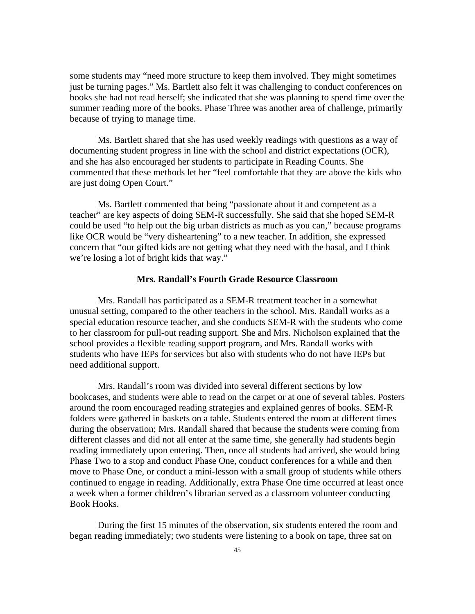some students may "need more structure to keep them involved. They might sometimes just be turning pages." Ms. Bartlett also felt it was challenging to conduct conferences on books she had not read herself; she indicated that she was planning to spend time over the summer reading more of the books. Phase Three was another area of challenge, primarily because of trying to manage time.

Ms. Bartlett shared that she has used weekly readings with questions as a way of documenting student progress in line with the school and district expectations (OCR), and she has also encouraged her students to participate in Reading Counts. She commented that these methods let her "feel comfortable that they are above the kids who are just doing Open Court."

Ms. Bartlett commented that being "passionate about it and competent as a teacher" are key aspects of doing SEM-R successfully. She said that she hoped SEM-R could be used "to help out the big urban districts as much as you can," because programs like OCR would be "very disheartening" to a new teacher. In addition, she expressed concern that "our gifted kids are not getting what they need with the basal, and I think we're losing a lot of bright kids that way."

#### **Mrs. Randall's Fourth Grade Resource Classroom**

Mrs. Randall has participated as a SEM-R treatment teacher in a somewhat unusual setting, compared to the other teachers in the school. Mrs. Randall works as a special education resource teacher, and she conducts SEM-R with the students who come to her classroom for pull-out reading support. She and Mrs. Nicholson explained that the school provides a flexible reading support program, and Mrs. Randall works with students who have IEPs for services but also with students who do not have IEPs but need additional support.

Mrs. Randall's room was divided into several different sections by low bookcases, and students were able to read on the carpet or at one of several tables. Posters around the room encouraged reading strategies and explained genres of books. SEM-R folders were gathered in baskets on a table. Students entered the room at different times during the observation; Mrs. Randall shared that because the students were coming from different classes and did not all enter at the same time, she generally had students begin reading immediately upon entering. Then, once all students had arrived, she would bring Phase Two to a stop and conduct Phase One, conduct conferences for a while and then move to Phase One, or conduct a mini-lesson with a small group of students while others continued to engage in reading. Additionally, extra Phase One time occurred at least once a week when a former children's librarian served as a classroom volunteer conducting Book Hooks.

During the first 15 minutes of the observation, six students entered the room and began reading immediately; two students were listening to a book on tape, three sat on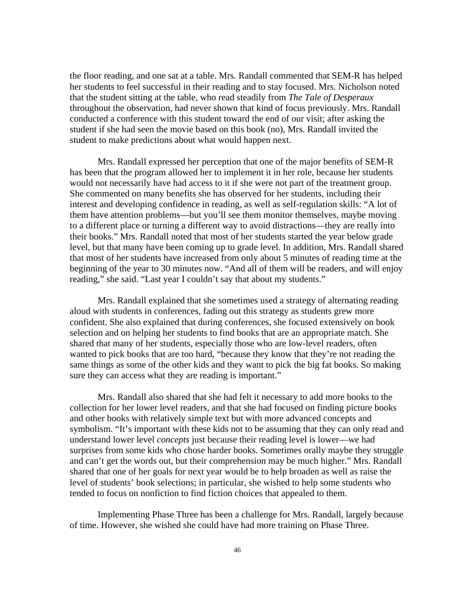the floor reading, and one sat at a table. Mrs. Randall commented that SEM-R has helped her students to feel successful in their reading and to stay focused. Mrs. Nicholson noted that the student sitting at the table, who read steadily from *The Tale of Desperaux*  throughout the observation, had never shown that kind of focus previously. Mrs. Randall conducted a conference with this student toward the end of our visit; after asking the student if she had seen the movie based on this book (no), Mrs. Randall invited the student to make predictions about what would happen next.

Mrs. Randall expressed her perception that one of the major benefits of SEM-R has been that the program allowed her to implement it in her role, because her students would not necessarily have had access to it if she were not part of the treatment group. She commented on many benefits she has observed for her students, including their interest and developing confidence in reading, as well as self-regulation skills: "A lot of them have attention problems—but you'll see them monitor themselves, maybe moving to a different place or turning a different way to avoid distractions—they are really into their books." Mrs. Randall noted that most of her students started the year below grade level, but that many have been coming up to grade level. In addition, Mrs. Randall shared that most of her students have increased from only about 5 minutes of reading time at the beginning of the year to 30 minutes now. "And all of them will be readers, and will enjoy reading," she said. "Last year I couldn't say that about my students."

Mrs. Randall explained that she sometimes used a strategy of alternating reading aloud with students in conferences, fading out this strategy as students grew more confident. She also explained that during conferences, she focused extensively on book selection and on helping her students to find books that are an appropriate match. She shared that many of her students, especially those who are low-level readers, often wanted to pick books that are too hard, "because they know that they're not reading the same things as some of the other kids and they want to pick the big fat books. So making sure they can access what they are reading is important."

Mrs. Randall also shared that she had felt it necessary to add more books to the collection for her lower level readers, and that she had focused on finding picture books and other books with relatively simple text but with more advanced concepts and symbolism. "It's important with these kids not to be assuming that they can only read and understand lower level *concepts* just because their reading level is lower—we had surprises from some kids who chose harder books. Sometimes orally maybe they struggle and can't get the words out, but their comprehension may be much higher." Mrs. Randall shared that one of her goals for next year would be to help broaden as well as raise the level of students' book selections; in particular, she wished to help some students who tended to focus on nonfiction to find fiction choices that appealed to them.

Implementing Phase Three has been a challenge for Mrs. Randall, largely because of time. However, she wished she could have had more training on Phase Three.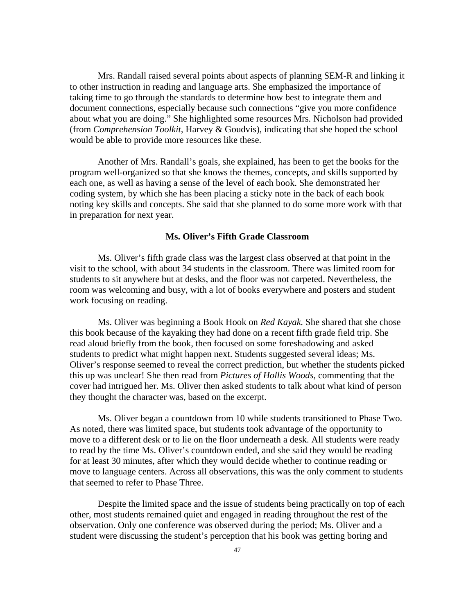Mrs. Randall raised several points about aspects of planning SEM-R and linking it to other instruction in reading and language arts. She emphasized the importance of taking time to go through the standards to determine how best to integrate them and document connections, especially because such connections "give you more confidence about what you are doing." She highlighted some resources Mrs. Nicholson had provided (from *Comprehension Toolkit,* Harvey & Goudvis), indicating that she hoped the school would be able to provide more resources like these.

Another of Mrs. Randall's goals, she explained, has been to get the books for the program well-organized so that she knows the themes, concepts, and skills supported by each one, as well as having a sense of the level of each book. She demonstrated her coding system, by which she has been placing a sticky note in the back of each book noting key skills and concepts. She said that she planned to do some more work with that in preparation for next year.

#### **Ms. Oliver's Fifth Grade Classroom**

Ms. Oliver's fifth grade class was the largest class observed at that point in the visit to the school, with about 34 students in the classroom. There was limited room for students to sit anywhere but at desks, and the floor was not carpeted. Nevertheless, the room was welcoming and busy, with a lot of books everywhere and posters and student work focusing on reading.

Ms. Oliver was beginning a Book Hook on *Red Kayak.* She shared that she chose this book because of the kayaking they had done on a recent fifth grade field trip. She read aloud briefly from the book, then focused on some foreshadowing and asked students to predict what might happen next. Students suggested several ideas; Ms. Oliver's response seemed to reveal the correct prediction, but whether the students picked this up was unclear! She then read from *Pictures of Hollis Woods,* commenting that the cover had intrigued her. Ms. Oliver then asked students to talk about what kind of person they thought the character was, based on the excerpt.

Ms. Oliver began a countdown from 10 while students transitioned to Phase Two. As noted, there was limited space, but students took advantage of the opportunity to move to a different desk or to lie on the floor underneath a desk. All students were ready to read by the time Ms. Oliver's countdown ended, and she said they would be reading for at least 30 minutes, after which they would decide whether to continue reading or move to language centers. Across all observations, this was the only comment to students that seemed to refer to Phase Three.

Despite the limited space and the issue of students being practically on top of each other, most students remained quiet and engaged in reading throughout the rest of the observation. Only one conference was observed during the period; Ms. Oliver and a student were discussing the student's perception that his book was getting boring and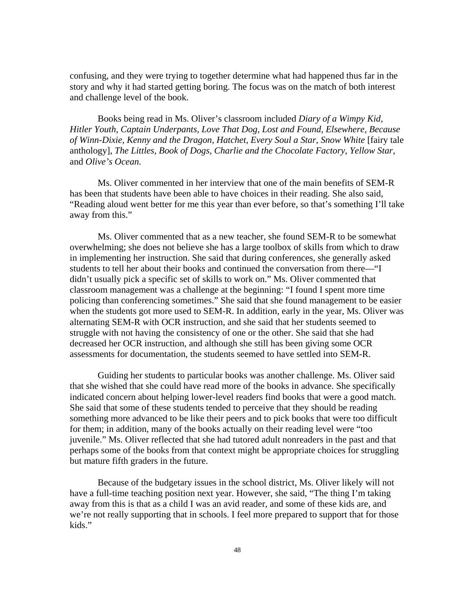confusing, and they were trying to together determine what had happened thus far in the story and why it had started getting boring. The focus was on the match of both interest and challenge level of the book.

Books being read in Ms. Oliver's classroom included *Diary of a Wimpy Kid, Hitler Youth, Captain Underpants, Love That Dog, Lost and Found, Elsewhere, Because*  of Winn-Dixie, Kenny and the Dragon, Hatchet, Every Soul a Star, Snow White [fairy tale anthology], *The Littles, Book of Dogs, Charlie and the Chocolate Factory, Yellow Star,*  and *Olive's Ocean.*

Ms. Oliver commented in her interview that one of the main benefits of SEM-R has been that students have been able to have choices in their reading. She also said, "Reading aloud went better for me this year than ever before, so that's something I'll take away from this."

Ms. Oliver commented that as a new teacher, she found SEM-R to be somewhat overwhelming; she does not believe she has a large toolbox of skills from which to draw in implementing her instruction. She said that during conferences, she generally asked students to tell her about their books and continued the conversation from there—"I didn't usually pick a specific set of skills to work on." Ms. Oliver commented that classroom management was a challenge at the beginning: "I found I spent more time policing than conferencing sometimes." She said that she found management to be easier when the students got more used to SEM-R. In addition, early in the year, Ms. Oliver was alternating SEM-R with OCR instruction, and she said that her students seemed to struggle with not having the consistency of one or the other. She said that she had decreased her OCR instruction, and although she still has been giving some OCR assessments for documentation, the students seemed to have settled into SEM-R.

Guiding her students to particular books was another challenge. Ms. Oliver said that she wished that she could have read more of the books in advance. She specifically indicated concern about helping lower-level readers find books that were a good match. She said that some of these students tended to perceive that they should be reading something more advanced to be like their peers and to pick books that were too difficult for them; in addition, many of the books actually on their reading level were "too juvenile." Ms. Oliver reflected that she had tutored adult nonreaders in the past and that perhaps some of the books from that context might be appropriate choices for struggling but mature fifth graders in the future.

Because of the budgetary issues in the school district, Ms. Oliver likely will not have a full-time teaching position next year. However, she said, "The thing I'm taking away from this is that as a child I was an avid reader, and some of these kids are, and we're not really supporting that in schools. I feel more prepared to support that for those kids."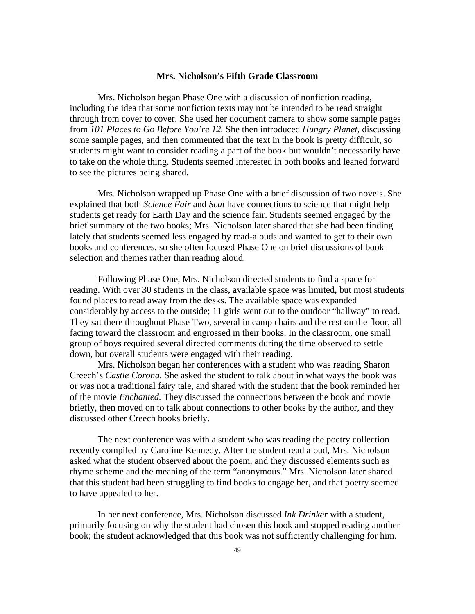#### **Mrs. Nicholson's Fifth Grade Classroom**

Mrs. Nicholson began Phase One with a discussion of nonfiction reading, including the idea that some nonfiction texts may not be intended to be read straight through from cover to cover. She used her document camera to show some sample pages from *101 Places to Go Before You're 12.* She then introduced *Hungry Planet,* discussing some sample pages, and then commented that the text in the book is pretty difficult, so students might want to consider reading a part of the book but wouldn't necessarily have to take on the whole thing. Students seemed interested in both books and leaned forward to see the pictures being shared.

Mrs. Nicholson wrapped up Phase One with a brief discussion of two novels. She explained that both *Science Fair* and *Scat* have connections to science that might help students get ready for Earth Day and the science fair. Students seemed engaged by the brief summary of the two books; Mrs. Nicholson later shared that she had been finding lately that students seemed less engaged by read-alouds and wanted to get to their own books and conferences, so she often focused Phase One on brief discussions of book selection and themes rather than reading aloud.

Following Phase One, Mrs. Nicholson directed students to find a space for reading. With over 30 students in the class, available space was limited, but most students found places to read away from the desks. The available space was expanded considerably by access to the outside; 11 girls went out to the outdoor "hallway" to read. They sat there throughout Phase Two, several in camp chairs and the rest on the floor, all facing toward the classroom and engrossed in their books. In the classroom, one small group of boys required several directed comments during the time observed to settle down, but overall students were engaged with their reading.

Mrs. Nicholson began her conferences with a student who was reading Sharon Creech's *Castle Corona.* She asked the student to talk about in what ways the book was or was not a traditional fairy tale, and shared with the student that the book reminded her of the movie *Enchanted.* They discussed the connections between the book and movie briefly, then moved on to talk about connections to other books by the author, and they discussed other Creech books briefly.

The next conference was with a student who was reading the poetry collection recently compiled by Caroline Kennedy. After the student read aloud, Mrs. Nicholson asked what the student observed about the poem, and they discussed elements such as rhyme scheme and the meaning of the term "anonymous." Mrs. Nicholson later shared that this student had been struggling to find books to engage her, and that poetry seemed to have appealed to her.

In her next conference, Mrs. Nicholson discussed *Ink Drinker* with a student, primarily focusing on why the student had chosen this book and stopped reading another book; the student acknowledged that this book was not sufficiently challenging for him.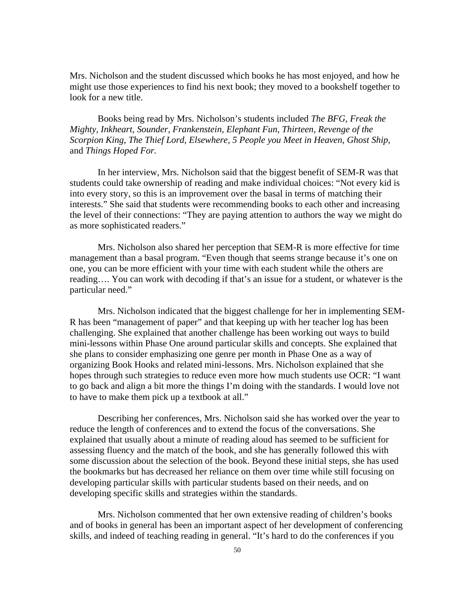Mrs. Nicholson and the student discussed which books he has most enjoyed, and how he might use those experiences to find his next book; they moved to a bookshelf together to look for a new title.

Books being read by Mrs. Nicholson's students included *The BFG, Freak the Mighty, Inkheart, Sounder, Frankenstein, Elephant Fun, Thirteen, Revenge of the Scorpion King, The Thief Lord, Elsewhere, 5 People you Meet in Heaven, Ghost Ship,*  and *Things Hoped For.*

In her interview, Mrs. Nicholson said that the biggest benefit of SEM-R was that students could take ownership of reading and make individual choices: "Not every kid is into every story, so this is an improvement over the basal in terms of matching their interests." She said that students were recommending books to each other and increasing the level of their connections: "They are paying attention to authors the way we might do as more sophisticated readers."

Mrs. Nicholson also shared her perception that SEM-R is more effective for time management than a basal program. "Even though that seems strange because it's one on one, you can be more efficient with your time with each student while the others are reading…. You can work with decoding if that's an issue for a student, or whatever is the particular need."

Mrs. Nicholson indicated that the biggest challenge for her in implementing SEM-R has been "management of paper" and that keeping up with her teacher log has been challenging. She explained that another challenge has been working out ways to build mini-lessons within Phase One around particular skills and concepts. She explained that she plans to consider emphasizing one genre per month in Phase One as a way of organizing Book Hooks and related mini-lessons. Mrs. Nicholson explained that she hopes through such strategies to reduce even more how much students use OCR: "I want to go back and align a bit more the things I'm doing with the standards. I would love not to have to make them pick up a textbook at all."

Describing her conferences, Mrs. Nicholson said she has worked over the year to reduce the length of conferences and to extend the focus of the conversations. She explained that usually about a minute of reading aloud has seemed to be sufficient for assessing fluency and the match of the book, and she has generally followed this with some discussion about the selection of the book. Beyond these initial steps, she has used the bookmarks but has decreased her reliance on them over time while still focusing on developing particular skills with particular students based on their needs, and on developing specific skills and strategies within the standards.

Mrs. Nicholson commented that her own extensive reading of children's books and of books in general has been an important aspect of her development of conferencing skills, and indeed of teaching reading in general. "It's hard to do the conferences if you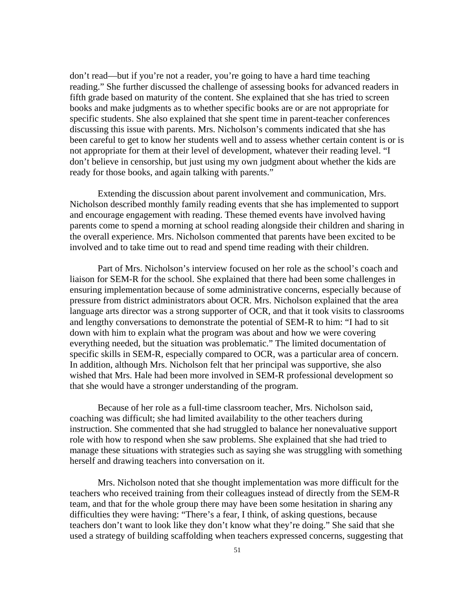don't read—but if you're not a reader, you're going to have a hard time teaching reading." She further discussed the challenge of assessing books for advanced readers in fifth grade based on maturity of the content. She explained that she has tried to screen books and make judgments as to whether specific books are or are not appropriate for specific students. She also explained that she spent time in parent-teacher conferences discussing this issue with parents. Mrs. Nicholson's comments indicated that she has been careful to get to know her students well and to assess whether certain content is or is not appropriate for them at their level of development, whatever their reading level. "I don't believe in censorship, but just using my own judgment about whether the kids are ready for those books, and again talking with parents."

Extending the discussion about parent involvement and communication, Mrs. Nicholson described monthly family reading events that she has implemented to support and encourage engagement with reading. These themed events have involved having parents come to spend a morning at school reading alongside their children and sharing in the overall experience. Mrs. Nicholson commented that parents have been excited to be involved and to take time out to read and spend time reading with their children.

Part of Mrs. Nicholson's interview focused on her role as the school's coach and liaison for SEM-R for the school. She explained that there had been some challenges in ensuring implementation because of some administrative concerns, especially because of pressure from district administrators about OCR. Mrs. Nicholson explained that the area language arts director was a strong supporter of OCR, and that it took visits to classrooms and lengthy conversations to demonstrate the potential of SEM-R to him: "I had to sit down with him to explain what the program was about and how we were covering everything needed, but the situation was problematic." The limited documentation of specific skills in SEM-R, especially compared to OCR, was a particular area of concern. In addition, although Mrs. Nicholson felt that her principal was supportive, she also wished that Mrs. Hale had been more involved in SEM-R professional development so that she would have a stronger understanding of the program.

Because of her role as a full-time classroom teacher, Mrs. Nicholson said, coaching was difficult; she had limited availability to the other teachers during instruction. She commented that she had struggled to balance her nonevaluative support role with how to respond when she saw problems. She explained that she had tried to manage these situations with strategies such as saying she was struggling with something herself and drawing teachers into conversation on it.

Mrs. Nicholson noted that she thought implementation was more difficult for the teachers who received training from their colleagues instead of directly from the SEM-R team, and that for the whole group there may have been some hesitation in sharing any difficulties they were having: "There's a fear, I think, of asking questions, because teachers don't want to look like they don't know what they're doing." She said that she used a strategy of building scaffolding when teachers expressed concerns, suggesting that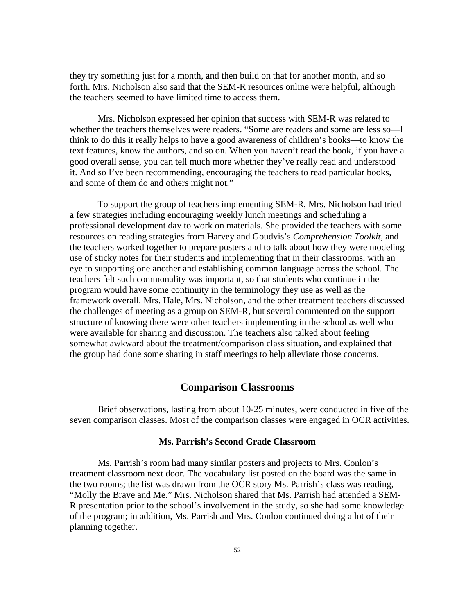they try something just for a month, and then build on that for another month, and so forth. Mrs. Nicholson also said that the SEM-R resources online were helpful, although the teachers seemed to have limited time to access them.

Mrs. Nicholson expressed her opinion that success with SEM-R was related to whether the teachers themselves were readers. "Some are readers and some are less so—I think to do this it really helps to have a good awareness of children's books—to know the text features, know the authors, and so on. When you haven't read the book, if you have a good overall sense, you can tell much more whether they've really read and understood it. And so I've been recommending, encouraging the teachers to read particular books, and some of them do and others might not."

To support the group of teachers implementing SEM-R, Mrs. Nicholson had tried a few strategies including encouraging weekly lunch meetings and scheduling a professional development day to work on materials. She provided the teachers with some resources on reading strategies from Harvey and Goudvis's *Comprehension Toolkit*, and the teachers worked together to prepare posters and to talk about how they were modeling use of sticky notes for their students and implementing that in their classrooms, with an eye to supporting one another and establishing common language across the school. The teachers felt such commonality was important, so that students who continue in the program would have some continuity in the terminology they use as well as the framework overall. Mrs. Hale, Mrs. Nicholson, and the other treatment teachers discussed the challenges of meeting as a group on SEM-R, but several commented on the support structure of knowing there were other teachers implementing in the school as well who were available for sharing and discussion. The teachers also talked about feeling somewhat awkward about the treatment/comparison class situation, and explained that the group had done some sharing in staff meetings to help alleviate those concerns.

#### **Comparison Classrooms**

Brief observations, lasting from about 10-25 minutes, were conducted in five of the seven comparison classes. Most of the comparison classes were engaged in OCR activities.

#### **Ms. Parrish's Second Grade Classroom**

Ms. Parrish's room had many similar posters and projects to Mrs. Conlon's treatment classroom next door. The vocabulary list posted on the board was the same in the two rooms; the list was drawn from the OCR story Ms. Parrish's class was reading, "Molly the Brave and Me." Mrs. Nicholson shared that Ms. Parrish had attended a SEM-R presentation prior to the school's involvement in the study, so she had some knowledge of the program; in addition, Ms. Parrish and Mrs. Conlon continued doing a lot of their planning together.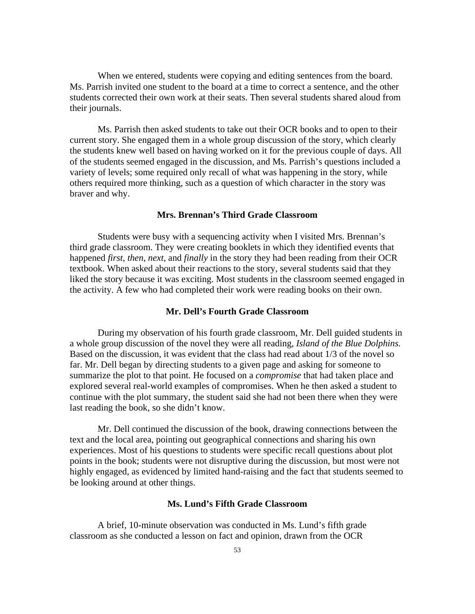When we entered, students were copying and editing sentences from the board. Ms. Parrish invited one student to the board at a time to correct a sentence, and the other students corrected their own work at their seats. Then several students shared aloud from their journals.

Ms. Parrish then asked students to take out their OCR books and to open to their current story. She engaged them in a whole group discussion of the story, which clearly the students knew well based on having worked on it for the previous couple of days. All of the students seemed engaged in the discussion, and Ms. Parrish's questions included a variety of levels; some required only recall of what was happening in the story, while others required more thinking, such as a question of which character in the story was braver and why.

#### **Mrs. Brennan's Third Grade Classroom**

Students were busy with a sequencing activity when I visited Mrs. Brennan's third grade classroom. They were creating booklets in which they identified events that happened *first, then, next,* and *finally* in the story they had been reading from their OCR textbook. When asked about their reactions to the story, several students said that they liked the story because it was exciting. Most students in the classroom seemed engaged in the activity. A few who had completed their work were reading books on their own.

### **Mr. Dell's Fourth Grade Classroom**

During my observation of his fourth grade classroom, Mr. Dell guided students in a whole group discussion of the novel they were all reading, *Island of the Blue Dolphins.* Based on the discussion, it was evident that the class had read about 1/3 of the novel so far. Mr. Dell began by directing students to a given page and asking for someone to summarize the plot to that point. He focused on a *compromise* that had taken place and explored several real-world examples of compromises. When he then asked a student to continue with the plot summary, the student said she had not been there when they were last reading the book, so she didn't know.

Mr. Dell continued the discussion of the book, drawing connections between the text and the local area, pointing out geographical connections and sharing his own experiences. Most of his questions to students were specific recall questions about plot points in the book; students were not disruptive during the discussion, but most were not highly engaged, as evidenced by limited hand-raising and the fact that students seemed to be looking around at other things.

### **Ms. Lund's Fifth Grade Classroom**

A brief, 10-minute observation was conducted in Ms. Lund's fifth grade classroom as she conducted a lesson on fact and opinion, drawn from the OCR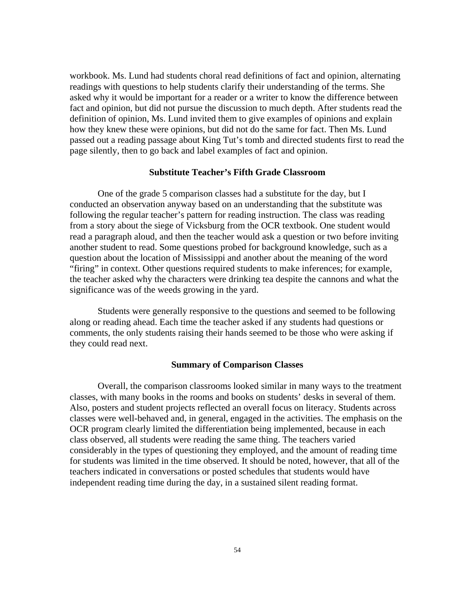workbook. Ms. Lund had students choral read definitions of fact and opinion, alternating readings with questions to help students clarify their understanding of the terms. She asked why it would be important for a reader or a writer to know the difference between fact and opinion, but did not pursue the discussion to much depth. After students read the definition of opinion, Ms. Lund invited them to give examples of opinions and explain how they knew these were opinions, but did not do the same for fact. Then Ms. Lund passed out a reading passage about King Tut's tomb and directed students first to read the page silently, then to go back and label examples of fact and opinion.

#### **Substitute Teacher's Fifth Grade Classroom**

One of the grade 5 comparison classes had a substitute for the day, but I conducted an observation anyway based on an understanding that the substitute was following the regular teacher's pattern for reading instruction. The class was reading from a story about the siege of Vicksburg from the OCR textbook. One student would read a paragraph aloud, and then the teacher would ask a question or two before inviting another student to read. Some questions probed for background knowledge, such as a question about the location of Mississippi and another about the meaning of the word "firing" in context. Other questions required students to make inferences; for example, the teacher asked why the characters were drinking tea despite the cannons and what the significance was of the weeds growing in the yard.

Students were generally responsive to the questions and seemed to be following along or reading ahead. Each time the teacher asked if any students had questions or comments, the only students raising their hands seemed to be those who were asking if they could read next.

#### **Summary of Comparison Classes**

Overall, the comparison classrooms looked similar in many ways to the treatment classes, with many books in the rooms and books on students' desks in several of them. Also, posters and student projects reflected an overall focus on literacy. Students across classes were well-behaved and, in general, engaged in the activities. The emphasis on the OCR program clearly limited the differentiation being implemented, because in each class observed, all students were reading the same thing. The teachers varied considerably in the types of questioning they employed, and the amount of reading time for students was limited in the time observed. It should be noted, however, that all of the teachers indicated in conversations or posted schedules that students would have independent reading time during the day, in a sustained silent reading format.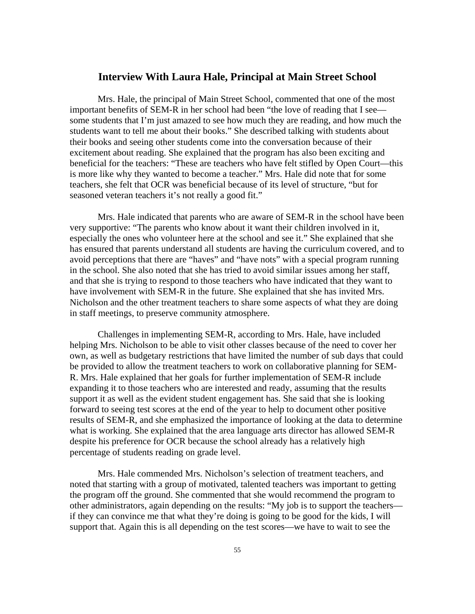#### **Interview With Laura Hale, Principal at Main Street School**

Mrs. Hale, the principal of Main Street School, commented that one of the most important benefits of SEM-R in her school had been "the love of reading that I see some students that I'm just amazed to see how much they are reading, and how much the students want to tell me about their books." She described talking with students about their books and seeing other students come into the conversation because of their excitement about reading. She explained that the program has also been exciting and beneficial for the teachers: "These are teachers who have felt stifled by Open Court—this is more like why they wanted to become a teacher." Mrs. Hale did note that for some teachers, she felt that OCR was beneficial because of its level of structure, "but for seasoned veteran teachers it's not really a good fit."

Mrs. Hale indicated that parents who are aware of SEM-R in the school have been very supportive: "The parents who know about it want their children involved in it, especially the ones who volunteer here at the school and see it." She explained that she has ensured that parents understand all students are having the curriculum covered, and to avoid perceptions that there are "haves" and "have nots" with a special program running in the school. She also noted that she has tried to avoid similar issues among her staff, and that she is trying to respond to those teachers who have indicated that they want to have involvement with SEM-R in the future. She explained that she has invited Mrs. Nicholson and the other treatment teachers to share some aspects of what they are doing in staff meetings, to preserve community atmosphere.

Challenges in implementing SEM-R, according to Mrs. Hale, have included helping Mrs. Nicholson to be able to visit other classes because of the need to cover her own, as well as budgetary restrictions that have limited the number of sub days that could be provided to allow the treatment teachers to work on collaborative planning for SEM-R. Mrs. Hale explained that her goals for further implementation of SEM-R include expanding it to those teachers who are interested and ready, assuming that the results support it as well as the evident student engagement has. She said that she is looking forward to seeing test scores at the end of the year to help to document other positive results of SEM-R, and she emphasized the importance of looking at the data to determine what is working. She explained that the area language arts director has allowed SEM-R despite his preference for OCR because the school already has a relatively high percentage of students reading on grade level.

Mrs. Hale commended Mrs. Nicholson's selection of treatment teachers, and noted that starting with a group of motivated, talented teachers was important to getting the program off the ground. She commented that she would recommend the program to other administrators, again depending on the results: "My job is to support the teachers if they can convince me that what they're doing is going to be good for the kids, I will support that. Again this is all depending on the test scores—we have to wait to see the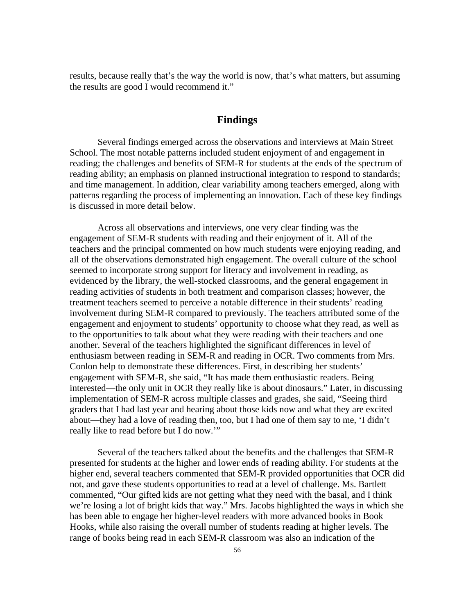results, because really that's the way the world is now, that's what matters, but assuming the results are good I would recommend it."

## **Findings**

Several findings emerged across the observations and interviews at Main Street School. The most notable patterns included student enjoyment of and engagement in reading; the challenges and benefits of SEM-R for students at the ends of the spectrum of reading ability; an emphasis on planned instructional integration to respond to standards; and time management. In addition, clear variability among teachers emerged, along with patterns regarding the process of implementing an innovation. Each of these key findings is discussed in more detail below.

Across all observations and interviews, one very clear finding was the engagement of SEM-R students with reading and their enjoyment of it. All of the teachers and the principal commented on how much students were enjoying reading, and all of the observations demonstrated high engagement. The overall culture of the school seemed to incorporate strong support for literacy and involvement in reading, as evidenced by the library, the well-stocked classrooms, and the general engagement in reading activities of students in both treatment and comparison classes; however, the treatment teachers seemed to perceive a notable difference in their students' reading involvement during SEM-R compared to previously. The teachers attributed some of the engagement and enjoyment to students' opportunity to choose what they read, as well as to the opportunities to talk about what they were reading with their teachers and one another. Several of the teachers highlighted the significant differences in level of enthusiasm between reading in SEM-R and reading in OCR. Two comments from Mrs. Conlon help to demonstrate these differences. First, in describing her students' engagement with SEM-R, she said, "It has made them enthusiastic readers. Being interested—the only unit in OCR they really like is about dinosaurs." Later, in discussing implementation of SEM-R across multiple classes and grades, she said, "Seeing third graders that I had last year and hearing about those kids now and what they are excited about—they had a love of reading then, too, but I had one of them say to me, 'I didn't really like to read before but I do now.'"

Several of the teachers talked about the benefits and the challenges that SEM-R presented for students at the higher and lower ends of reading ability. For students at the higher end, several teachers commented that SEM-R provided opportunities that OCR did not, and gave these students opportunities to read at a level of challenge. Ms. Bartlett commented, "Our gifted kids are not getting what they need with the basal, and I think we're losing a lot of bright kids that way." Mrs. Jacobs highlighted the ways in which she has been able to engage her higher-level readers with more advanced books in Book Hooks, while also raising the overall number of students reading at higher levels. The range of books being read in each SEM-R classroom was also an indication of the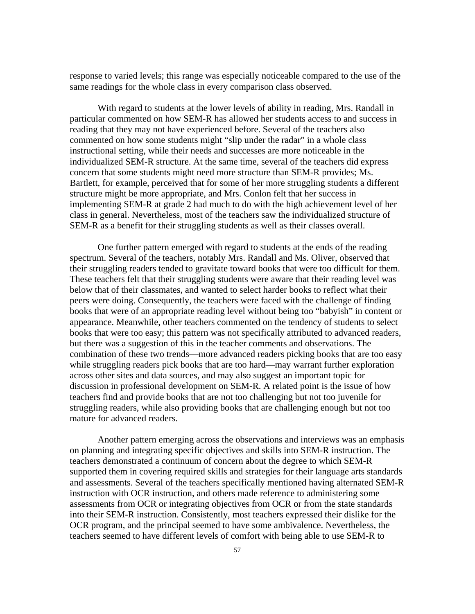response to varied levels; this range was especially noticeable compared to the use of the same readings for the whole class in every comparison class observed.

With regard to students at the lower levels of ability in reading, Mrs. Randall in particular commented on how SEM-R has allowed her students access to and success in reading that they may not have experienced before. Several of the teachers also commented on how some students might "slip under the radar" in a whole class instructional setting, while their needs and successes are more noticeable in the individualized SEM-R structure. At the same time, several of the teachers did express concern that some students might need more structure than SEM-R provides; Ms. Bartlett, for example, perceived that for some of her more struggling students a different structure might be more appropriate, and Mrs. Conlon felt that her success in implementing SEM-R at grade 2 had much to do with the high achievement level of her class in general. Nevertheless, most of the teachers saw the individualized structure of SEM-R as a benefit for their struggling students as well as their classes overall.

One further pattern emerged with regard to students at the ends of the reading spectrum. Several of the teachers, notably Mrs. Randall and Ms. Oliver, observed that their struggling readers tended to gravitate toward books that were too difficult for them. These teachers felt that their struggling students were aware that their reading level was below that of their classmates, and wanted to select harder books to reflect what their peers were doing. Consequently, the teachers were faced with the challenge of finding books that were of an appropriate reading level without being too "babyish" in content or appearance. Meanwhile, other teachers commented on the tendency of students to select books that were too easy; this pattern was not specifically attributed to advanced readers, but there was a suggestion of this in the teacher comments and observations. The combination of these two trends—more advanced readers picking books that are too easy while struggling readers pick books that are too hard—may warrant further exploration across other sites and data sources, and may also suggest an important topic for discussion in professional development on SEM-R. A related point is the issue of how teachers find and provide books that are not too challenging but not too juvenile for struggling readers, while also providing books that are challenging enough but not too mature for advanced readers.

Another pattern emerging across the observations and interviews was an emphasis on planning and integrating specific objectives and skills into SEM-R instruction. The teachers demonstrated a continuum of concern about the degree to which SEM-R supported them in covering required skills and strategies for their language arts standards and assessments. Several of the teachers specifically mentioned having alternated SEM-R instruction with OCR instruction, and others made reference to administering some assessments from OCR or integrating objectives from OCR or from the state standards into their SEM-R instruction. Consistently, most teachers expressed their dislike for the OCR program, and the principal seemed to have some ambivalence. Nevertheless, the teachers seemed to have different levels of comfort with being able to use SEM-R to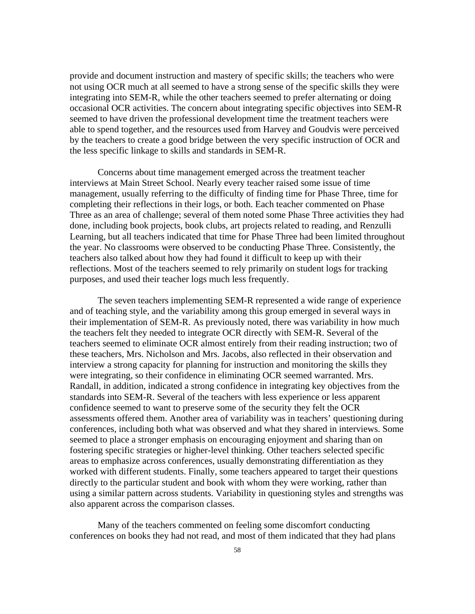provide and document instruction and mastery of specific skills; the teachers who were not using OCR much at all seemed to have a strong sense of the specific skills they were integrating into SEM-R, while the other teachers seemed to prefer alternating or doing occasional OCR activities. The concern about integrating specific objectives into SEM-R seemed to have driven the professional development time the treatment teachers were able to spend together, and the resources used from Harvey and Goudvis were perceived by the teachers to create a good bridge between the very specific instruction of OCR and the less specific linkage to skills and standards in SEM-R.

Concerns about time management emerged across the treatment teacher interviews at Main Street School. Nearly every teacher raised some issue of time management, usually referring to the difficulty of finding time for Phase Three, time for completing their reflections in their logs, or both. Each teacher commented on Phase Three as an area of challenge; several of them noted some Phase Three activities they had done, including book projects, book clubs, art projects related to reading, and Renzulli Learning, but all teachers indicated that time for Phase Three had been limited throughout the year. No classrooms were observed to be conducting Phase Three. Consistently, the teachers also talked about how they had found it difficult to keep up with their reflections. Most of the teachers seemed to rely primarily on student logs for tracking purposes, and used their teacher logs much less frequently.

The seven teachers implementing SEM-R represented a wide range of experience and of teaching style, and the variability among this group emerged in several ways in their implementation of SEM-R. As previously noted, there was variability in how much the teachers felt they needed to integrate OCR directly with SEM-R. Several of the teachers seemed to eliminate OCR almost entirely from their reading instruction; two of these teachers, Mrs. Nicholson and Mrs. Jacobs, also reflected in their observation and interview a strong capacity for planning for instruction and monitoring the skills they were integrating, so their confidence in eliminating OCR seemed warranted. Mrs. Randall, in addition, indicated a strong confidence in integrating key objectives from the standards into SEM-R. Several of the teachers with less experience or less apparent confidence seemed to want to preserve some of the security they felt the OCR assessments offered them. Another area of variability was in teachers' questioning during conferences, including both what was observed and what they shared in interviews. Some seemed to place a stronger emphasis on encouraging enjoyment and sharing than on fostering specific strategies or higher-level thinking. Other teachers selected specific areas to emphasize across conferences, usually demonstrating differentiation as they worked with different students. Finally, some teachers appeared to target their questions directly to the particular student and book with whom they were working, rather than using a similar pattern across students. Variability in questioning styles and strengths was also apparent across the comparison classes.

Many of the teachers commented on feeling some discomfort conducting conferences on books they had not read, and most of them indicated that they had plans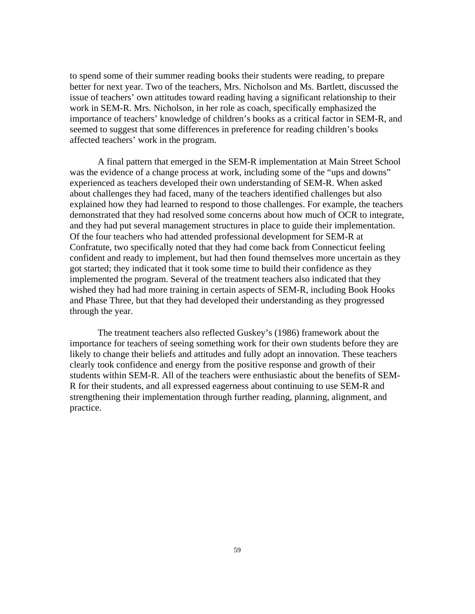to spend some of their summer reading books their students were reading, to prepare better for next year. Two of the teachers, Mrs. Nicholson and Ms. Bartlett, discussed the issue of teachers' own attitudes toward reading having a significant relationship to their work in SEM-R. Mrs. Nicholson, in her role as coach, specifically emphasized the importance of teachers' knowledge of children's books as a critical factor in SEM-R, and seemed to suggest that some differences in preference for reading children's books affected teachers' work in the program.

A final pattern that emerged in the SEM-R implementation at Main Street School was the evidence of a change process at work, including some of the "ups and downs" experienced as teachers developed their own understanding of SEM-R. When asked about challenges they had faced, many of the teachers identified challenges but also explained how they had learned to respond to those challenges. For example, the teachers demonstrated that they had resolved some concerns about how much of OCR to integrate, and they had put several management structures in place to guide their implementation. Of the four teachers who had attended professional development for SEM-R at Confratute, two specifically noted that they had come back from Connecticut feeling confident and ready to implement, but had then found themselves more uncertain as they got started; they indicated that it took some time to build their confidence as they implemented the program. Several of the treatment teachers also indicated that they wished they had had more training in certain aspects of SEM-R, including Book Hooks and Phase Three, but that they had developed their understanding as they progressed through the year.

The treatment teachers also reflected Guskey's (1986) framework about the importance for teachers of seeing something work for their own students before they are likely to change their beliefs and attitudes and fully adopt an innovation. These teachers clearly took confidence and energy from the positive response and growth of their students within SEM-R. All of the teachers were enthusiastic about the benefits of SEM-R for their students, and all expressed eagerness about continuing to use SEM-R and strengthening their implementation through further reading, planning, alignment, and practice.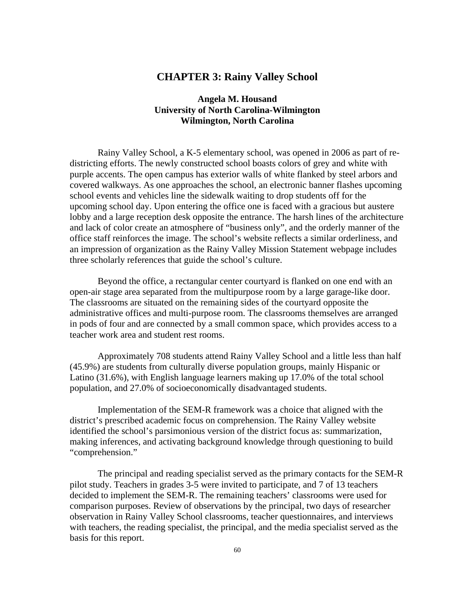# **CHAPTER 3: Rainy Valley School**

## **Angela M. Housand University of North Carolina-Wilmington Wilmington, North Carolina**

Rainy Valley School, a K-5 elementary school, was opened in 2006 as part of redistricting efforts. The newly constructed school boasts colors of grey and white with purple accents. The open campus has exterior walls of white flanked by steel arbors and covered walkways. As one approaches the school, an electronic banner flashes upcoming school events and vehicles line the sidewalk waiting to drop students off for the upcoming school day. Upon entering the office one is faced with a gracious but austere lobby and a large reception desk opposite the entrance. The harsh lines of the architecture and lack of color create an atmosphere of "business only", and the orderly manner of the office staff reinforces the image. The school's website reflects a similar orderliness, and an impression of organization as the Rainy Valley Mission Statement webpage includes three scholarly references that guide the school's culture.

Beyond the office, a rectangular center courtyard is flanked on one end with an open-air stage area separated from the multipurpose room by a large garage-like door. The classrooms are situated on the remaining sides of the courtyard opposite the administrative offices and multi-purpose room. The classrooms themselves are arranged in pods of four and are connected by a small common space, which provides access to a teacher work area and student rest rooms.

Approximately 708 students attend Rainy Valley School and a little less than half (45.9%) are students from culturally diverse population groups, mainly Hispanic or Latino (31.6%), with English language learners making up 17.0% of the total school population, and 27.0% of socioeconomically disadvantaged students.

Implementation of the SEM-R framework was a choice that aligned with the district's prescribed academic focus on comprehension. The Rainy Valley website identified the school's parsimonious version of the district focus as: summarization, making inferences, and activating background knowledge through questioning to build "comprehension."

The principal and reading specialist served as the primary contacts for the SEM-R pilot study. Teachers in grades 3-5 were invited to participate, and 7 of 13 teachers decided to implement the SEM-R. The remaining teachers' classrooms were used for comparison purposes. Review of observations by the principal, two days of researcher observation in Rainy Valley School classrooms, teacher questionnaires, and interviews with teachers, the reading specialist, the principal, and the media specialist served as the basis for this report.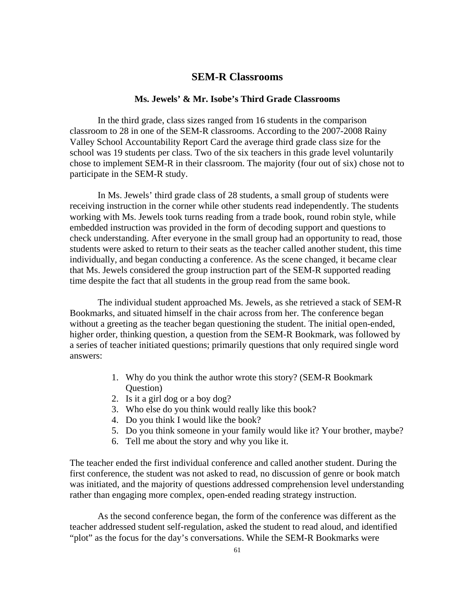## **SEM-R Classrooms**

### **Ms. Jewels' & Mr. Isobe's Third Grade Classrooms**

In the third grade, class sizes ranged from 16 students in the comparison classroom to 28 in one of the SEM-R classrooms. According to the 2007-2008 Rainy Valley School Accountability Report Card the average third grade class size for the school was 19 students per class. Two of the six teachers in this grade level voluntarily chose to implement SEM-R in their classroom. The majority (four out of six) chose not to participate in the SEM-R study.

In Ms. Jewels' third grade class of 28 students, a small group of students were receiving instruction in the corner while other students read independently. The students working with Ms. Jewels took turns reading from a trade book, round robin style, while embedded instruction was provided in the form of decoding support and questions to check understanding. After everyone in the small group had an opportunity to read, those students were asked to return to their seats as the teacher called another student, this time individually, and began conducting a conference. As the scene changed, it became clear that Ms. Jewels considered the group instruction part of the SEM-R supported reading time despite the fact that all students in the group read from the same book.

The individual student approached Ms. Jewels, as she retrieved a stack of SEM-R Bookmarks, and situated himself in the chair across from her. The conference began without a greeting as the teacher began questioning the student. The initial open-ended, higher order, thinking question, a question from the SEM-R Bookmark, was followed by a series of teacher initiated questions; primarily questions that only required single word answers:

- 1. Why do you think the author wrote this story? (SEM-R Bookmark Question)
- 2. Is it a girl dog or a boy dog?
- 3. Who else do you think would really like this book?
- 4. Do you think I would like the book?
- 5. Do you think someone in your family would like it? Your brother, maybe?
- 6. Tell me about the story and why you like it.

The teacher ended the first individual conference and called another student. During the first conference, the student was not asked to read, no discussion of genre or book match was initiated, and the majority of questions addressed comprehension level understanding rather than engaging more complex, open-ended reading strategy instruction.

As the second conference began, the form of the conference was different as the teacher addressed student self-regulation, asked the student to read aloud, and identified "plot" as the focus for the day's conversations. While the SEM-R Bookmarks were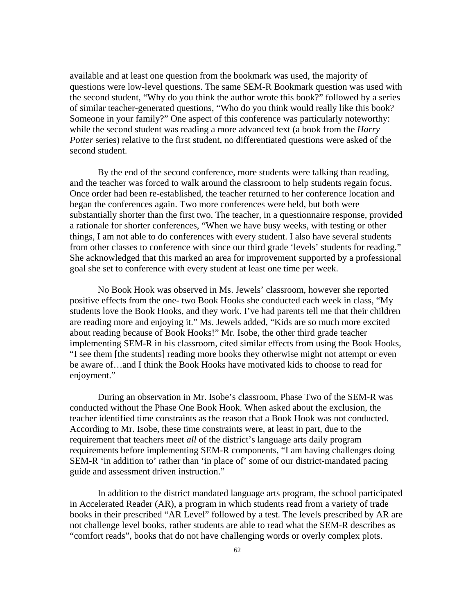available and at least one question from the bookmark was used, the majority of questions were low-level questions. The same SEM-R Bookmark question was used with the second student, "Why do you think the author wrote this book?" followed by a series of similar teacher-generated questions, "Who do you think would really like this book? Someone in your family?" One aspect of this conference was particularly noteworthy: while the second student was reading a more advanced text (a book from the *Harry Potter* series) relative to the first student, no differentiated questions were asked of the second student.

By the end of the second conference, more students were talking than reading, and the teacher was forced to walk around the classroom to help students regain focus. Once order had been re-established, the teacher returned to her conference location and began the conferences again. Two more conferences were held, but both were substantially shorter than the first two. The teacher, in a questionnaire response, provided a rationale for shorter conferences, "When we have busy weeks, with testing or other things, I am not able to do conferences with every student. I also have several students from other classes to conference with since our third grade 'levels' students for reading." She acknowledged that this marked an area for improvement supported by a professional goal she set to conference with every student at least one time per week.

No Book Hook was observed in Ms. Jewels' classroom, however she reported positive effects from the one- two Book Hooks she conducted each week in class, "My students love the Book Hooks, and they work. I've had parents tell me that their children are reading more and enjoying it." Ms. Jewels added, "Kids are so much more excited about reading because of Book Hooks!" Mr. Isobe, the other third grade teacher implementing SEM-R in his classroom, cited similar effects from using the Book Hooks, "I see them [the students] reading more books they otherwise might not attempt or even be aware of…and I think the Book Hooks have motivated kids to choose to read for enjoyment."

During an observation in Mr. Isobe's classroom, Phase Two of the SEM-R was conducted without the Phase One Book Hook. When asked about the exclusion, the teacher identified time constraints as the reason that a Book Hook was not conducted. According to Mr. Isobe, these time constraints were, at least in part, due to the requirement that teachers meet *all* of the district's language arts daily program requirements before implementing SEM-R components, "I am having challenges doing SEM-R 'in addition to' rather than 'in place of' some of our district-mandated pacing guide and assessment driven instruction."

In addition to the district mandated language arts program, the school participated in Accelerated Reader (AR), a program in which students read from a variety of trade books in their prescribed "AR Level" followed by a test. The levels prescribed by AR are not challenge level books, rather students are able to read what the SEM-R describes as "comfort reads", books that do not have challenging words or overly complex plots.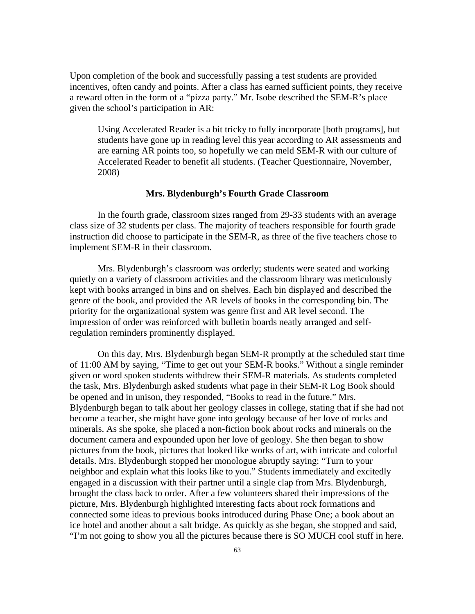Upon completion of the book and successfully passing a test students are provided incentives, often candy and points. After a class has earned sufficient points, they receive a reward often in the form of a "pizza party." Mr. Isobe described the SEM-R's place given the school's participation in AR:

Using Accelerated Reader is a bit tricky to fully incorporate [both programs], but students have gone up in reading level this year according to AR assessments and are earning AR points too, so hopefully we can meld SEM-R with our culture of Accelerated Reader to benefit all students. (Teacher Questionnaire, November, 2008)

#### **Mrs. Blydenburgh's Fourth Grade Classroom**

In the fourth grade, classroom sizes ranged from 29-33 students with an average class size of 32 students per class. The majority of teachers responsible for fourth grade instruction did choose to participate in the SEM-R, as three of the five teachers chose to implement SEM-R in their classroom.

Mrs. Blydenburgh's classroom was orderly; students were seated and working quietly on a variety of classroom activities and the classroom library was meticulously kept with books arranged in bins and on shelves. Each bin displayed and described the genre of the book, and provided the AR levels of books in the corresponding bin. The priority for the organizational system was genre first and AR level second. The impression of order was reinforced with bulletin boards neatly arranged and selfregulation reminders prominently displayed.

On this day, Mrs. Blydenburgh began SEM-R promptly at the scheduled start time of 11:00 AM by saying, "Time to get out your SEM-R books." Without a single reminder given or word spoken students withdrew their SEM-R materials. As students completed the task, Mrs. Blydenburgh asked students what page in their SEM-R Log Book should be opened and in unison, they responded, "Books to read in the future." Mrs. Blydenburgh began to talk about her geology classes in college, stating that if she had not become a teacher, she might have gone into geology because of her love of rocks and minerals. As she spoke, she placed a non-fiction book about rocks and minerals on the document camera and expounded upon her love of geology. She then began to show pictures from the book, pictures that looked like works of art, with intricate and colorful details. Mrs. Blydenburgh stopped her monologue abruptly saying: "Turn to your neighbor and explain what this looks like to you." Students immediately and excitedly engaged in a discussion with their partner until a single clap from Mrs. Blydenburgh, brought the class back to order. After a few volunteers shared their impressions of the picture, Mrs. Blydenburgh highlighted interesting facts about rock formations and connected some ideas to previous books introduced during Phase One; a book about an ice hotel and another about a salt bridge. As quickly as she began, she stopped and said, "I'm not going to show you all the pictures because there is SO MUCH cool stuff in here.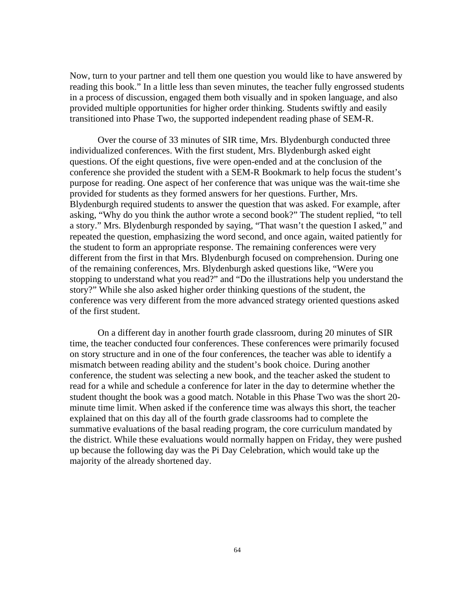Now, turn to your partner and tell them one question you would like to have answered by reading this book." In a little less than seven minutes, the teacher fully engrossed students in a process of discussion, engaged them both visually and in spoken language, and also provided multiple opportunities for higher order thinking. Students swiftly and easily transitioned into Phase Two, the supported independent reading phase of SEM-R.

Over the course of 33 minutes of SIR time, Mrs. Blydenburgh conducted three individualized conferences. With the first student, Mrs. Blydenburgh asked eight questions. Of the eight questions, five were open-ended and at the conclusion of the conference she provided the student with a SEM-R Bookmark to help focus the student's purpose for reading. One aspect of her conference that was unique was the wait-time she provided for students as they formed answers for her questions. Further, Mrs. Blydenburgh required students to answer the question that was asked. For example, after asking, "Why do you think the author wrote a second book?" The student replied, "to tell a story." Mrs. Blydenburgh responded by saying, "That wasn't the question I asked," and repeated the question, emphasizing the word second, and once again, waited patiently for the student to form an appropriate response. The remaining conferences were very different from the first in that Mrs. Blydenburgh focused on comprehension. During one of the remaining conferences, Mrs. Blydenburgh asked questions like, "Were you stopping to understand what you read?" and "Do the illustrations help you understand the story?" While she also asked higher order thinking questions of the student, the conference was very different from the more advanced strategy oriented questions asked of the first student.

On a different day in another fourth grade classroom, during 20 minutes of SIR time, the teacher conducted four conferences. These conferences were primarily focused on story structure and in one of the four conferences, the teacher was able to identify a mismatch between reading ability and the student's book choice. During another conference, the student was selecting a new book, and the teacher asked the student to read for a while and schedule a conference for later in the day to determine whether the student thought the book was a good match. Notable in this Phase Two was the short 20 minute time limit. When asked if the conference time was always this short, the teacher explained that on this day all of the fourth grade classrooms had to complete the summative evaluations of the basal reading program, the core curriculum mandated by the district. While these evaluations would normally happen on Friday, they were pushed up because the following day was the Pi Day Celebration, which would take up the majority of the already shortened day.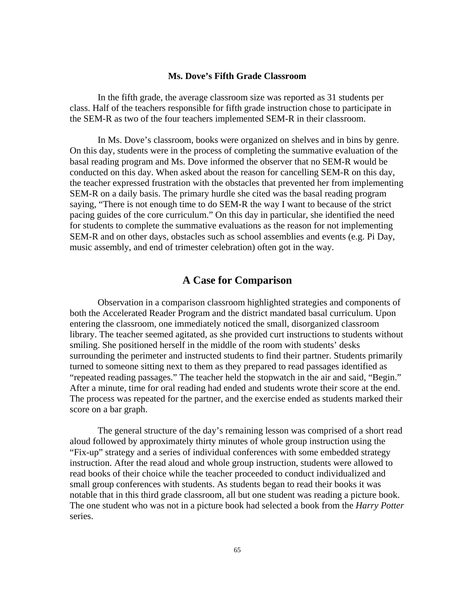#### **Ms. Dove's Fifth Grade Classroom**

In the fifth grade, the average classroom size was reported as 31 students per class. Half of the teachers responsible for fifth grade instruction chose to participate in the SEM-R as two of the four teachers implemented SEM-R in their classroom.

In Ms. Dove's classroom, books were organized on shelves and in bins by genre. On this day, students were in the process of completing the summative evaluation of the basal reading program and Ms. Dove informed the observer that no SEM-R would be conducted on this day. When asked about the reason for cancelling SEM-R on this day, the teacher expressed frustration with the obstacles that prevented her from implementing SEM-R on a daily basis. The primary hurdle she cited was the basal reading program saying, "There is not enough time to do SEM-R the way I want to because of the strict pacing guides of the core curriculum." On this day in particular, she identified the need for students to complete the summative evaluations as the reason for not implementing SEM-R and on other days, obstacles such as school assemblies and events (e.g. Pi Day, music assembly, and end of trimester celebration) often got in the way.

# **A Case for Comparison**

Observation in a comparison classroom highlighted strategies and components of both the Accelerated Reader Program and the district mandated basal curriculum. Upon entering the classroom, one immediately noticed the small, disorganized classroom library. The teacher seemed agitated, as she provided curt instructions to students without smiling. She positioned herself in the middle of the room with students' desks surrounding the perimeter and instructed students to find their partner. Students primarily turned to someone sitting next to them as they prepared to read passages identified as "repeated reading passages." The teacher held the stopwatch in the air and said, "Begin." After a minute, time for oral reading had ended and students wrote their score at the end. The process was repeated for the partner, and the exercise ended as students marked their score on a bar graph.

The general structure of the day's remaining lesson was comprised of a short read aloud followed by approximately thirty minutes of whole group instruction using the "Fix-up" strategy and a series of individual conferences with some embedded strategy instruction. After the read aloud and whole group instruction, students were allowed to read books of their choice while the teacher proceeded to conduct individualized and small group conferences with students. As students began to read their books it was notable that in this third grade classroom, all but one student was reading a picture book. The one student who was not in a picture book had selected a book from the *Harry Potter* series.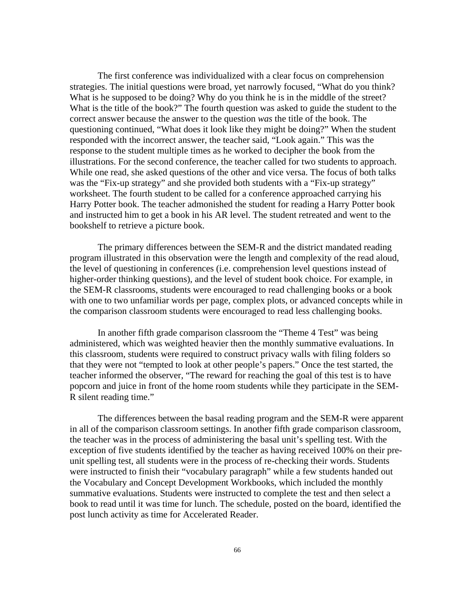The first conference was individualized with a clear focus on comprehension strategies. The initial questions were broad, yet narrowly focused, "What do you think? What is he supposed to be doing? Why do you think he is in the middle of the street? What is the title of the book?" The fourth question was asked to guide the student to the correct answer because the answer to the question *was* the title of the book. The questioning continued, "What does it look like they might be doing?" When the student responded with the incorrect answer, the teacher said, "Look again." This was the response to the student multiple times as he worked to decipher the book from the illustrations. For the second conference, the teacher called for two students to approach. While one read, she asked questions of the other and vice versa. The focus of both talks was the "Fix-up strategy" and she provided both students with a "Fix-up strategy" worksheet. The fourth student to be called for a conference approached carrying his Harry Potter book. The teacher admonished the student for reading a Harry Potter book and instructed him to get a book in his AR level. The student retreated and went to the bookshelf to retrieve a picture book.

The primary differences between the SEM-R and the district mandated reading program illustrated in this observation were the length and complexity of the read aloud, the level of questioning in conferences (i.e. comprehension level questions instead of higher-order thinking questions), and the level of student book choice. For example, in the SEM-R classrooms, students were encouraged to read challenging books or a book with one to two unfamiliar words per page, complex plots, or advanced concepts while in the comparison classroom students were encouraged to read less challenging books.

In another fifth grade comparison classroom the "Theme 4 Test" was being administered, which was weighted heavier then the monthly summative evaluations. In this classroom, students were required to construct privacy walls with filing folders so that they were not "tempted to look at other people's papers." Once the test started, the teacher informed the observer, "The reward for reaching the goal of this test is to have popcorn and juice in front of the home room students while they participate in the SEM-R silent reading time."

The differences between the basal reading program and the SEM-R were apparent in all of the comparison classroom settings. In another fifth grade comparison classroom, the teacher was in the process of administering the basal unit's spelling test. With the exception of five students identified by the teacher as having received 100% on their preunit spelling test, all students were in the process of re-checking their words. Students were instructed to finish their "vocabulary paragraph" while a few students handed out the Vocabulary and Concept Development Workbooks, which included the monthly summative evaluations. Students were instructed to complete the test and then select a book to read until it was time for lunch. The schedule, posted on the board, identified the post lunch activity as time for Accelerated Reader.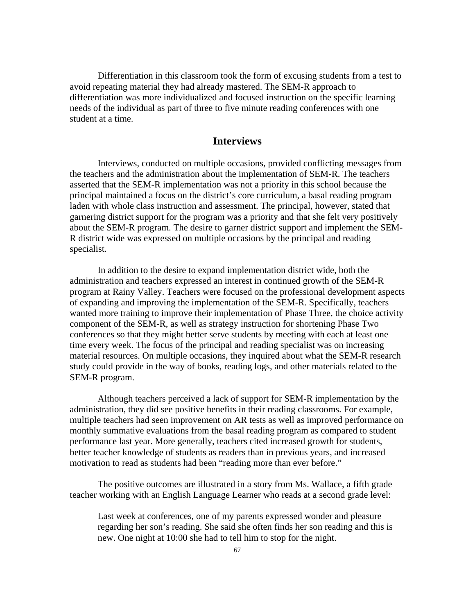Differentiation in this classroom took the form of excusing students from a test to avoid repeating material they had already mastered. The SEM-R approach to differentiation was more individualized and focused instruction on the specific learning needs of the individual as part of three to five minute reading conferences with one student at a time.

# **Interviews**

Interviews, conducted on multiple occasions, provided conflicting messages from the teachers and the administration about the implementation of SEM-R. The teachers asserted that the SEM-R implementation was not a priority in this school because the principal maintained a focus on the district's core curriculum, a basal reading program laden with whole class instruction and assessment. The principal, however, stated that garnering district support for the program was a priority and that she felt very positively about the SEM-R program. The desire to garner district support and implement the SEM-R district wide was expressed on multiple occasions by the principal and reading specialist.

In addition to the desire to expand implementation district wide, both the administration and teachers expressed an interest in continued growth of the SEM-R program at Rainy Valley. Teachers were focused on the professional development aspects of expanding and improving the implementation of the SEM-R. Specifically, teachers wanted more training to improve their implementation of Phase Three, the choice activity component of the SEM-R, as well as strategy instruction for shortening Phase Two conferences so that they might better serve students by meeting with each at least one time every week. The focus of the principal and reading specialist was on increasing material resources. On multiple occasions, they inquired about what the SEM-R research study could provide in the way of books, reading logs, and other materials related to the SEM-R program.

Although teachers perceived a lack of support for SEM-R implementation by the administration, they did see positive benefits in their reading classrooms. For example, multiple teachers had seen improvement on AR tests as well as improved performance on monthly summative evaluations from the basal reading program as compared to student performance last year. More generally, teachers cited increased growth for students, better teacher knowledge of students as readers than in previous years, and increased motivation to read as students had been "reading more than ever before."

The positive outcomes are illustrated in a story from Ms. Wallace, a fifth grade teacher working with an English Language Learner who reads at a second grade level:

Last week at conferences, one of my parents expressed wonder and pleasure regarding her son's reading. She said she often finds her son reading and this is new. One night at 10:00 she had to tell him to stop for the night.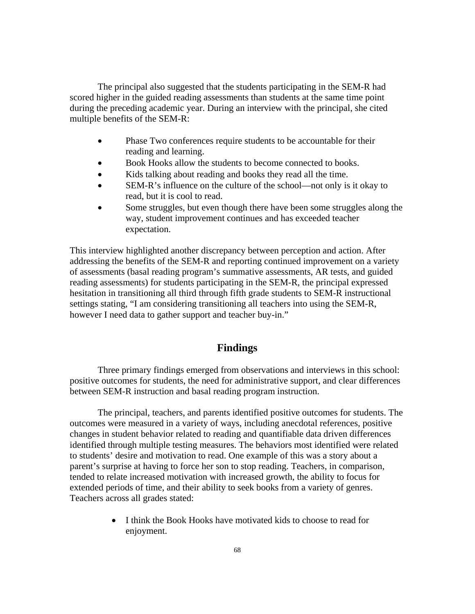The principal also suggested that the students participating in the SEM-R had scored higher in the guided reading assessments than students at the same time point during the preceding academic year. During an interview with the principal, she cited multiple benefits of the SEM-R:

- Phase Two conferences require students to be accountable for their reading and learning.
- Book Hooks allow the students to become connected to books.
- Kids talking about reading and books they read all the time.
- SEM-R's influence on the culture of the school—not only is it okay to read, but it is cool to read.
- Some struggles, but even though there have been some struggles along the way, student improvement continues and has exceeded teacher expectation.

This interview highlighted another discrepancy between perception and action. After addressing the benefits of the SEM-R and reporting continued improvement on a variety of assessments (basal reading program's summative assessments, AR tests, and guided reading assessments) for students participating in the SEM-R, the principal expressed hesitation in transitioning all third through fifth grade students to SEM-R instructional settings stating, "I am considering transitioning all teachers into using the SEM-R, however I need data to gather support and teacher buy-in."

# **Findings**

Three primary findings emerged from observations and interviews in this school: positive outcomes for students, the need for administrative support, and clear differences between SEM-R instruction and basal reading program instruction.

The principal, teachers, and parents identified positive outcomes for students. The outcomes were measured in a variety of ways, including anecdotal references, positive changes in student behavior related to reading and quantifiable data driven differences identified through multiple testing measures. The behaviors most identified were related to students' desire and motivation to read. One example of this was a story about a parent's surprise at having to force her son to stop reading. Teachers, in comparison, tended to relate increased motivation with increased growth, the ability to focus for extended periods of time, and their ability to seek books from a variety of genres. Teachers across all grades stated:

> • I think the Book Hooks have motivated kids to choose to read for enjoyment.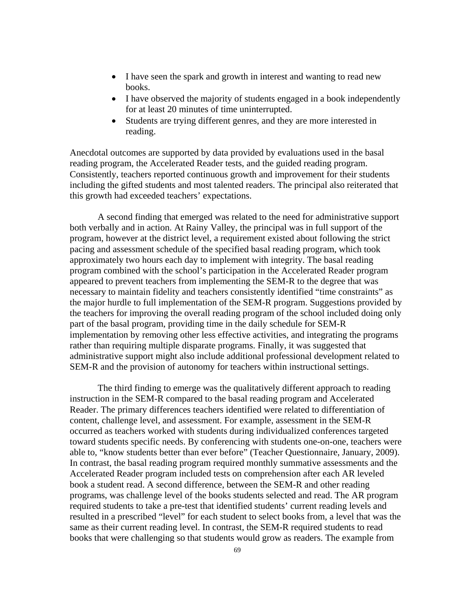- I have seen the spark and growth in interest and wanting to read new books.
- I have observed the majority of students engaged in a book independently for at least 20 minutes of time uninterrupted.
- Students are trying different genres, and they are more interested in reading.

Anecdotal outcomes are supported by data provided by evaluations used in the basal reading program, the Accelerated Reader tests, and the guided reading program. Consistently, teachers reported continuous growth and improvement for their students including the gifted students and most talented readers. The principal also reiterated that this growth had exceeded teachers' expectations.

A second finding that emerged was related to the need for administrative support both verbally and in action. At Rainy Valley, the principal was in full support of the program, however at the district level, a requirement existed about following the strict pacing and assessment schedule of the specified basal reading program, which took approximately two hours each day to implement with integrity. The basal reading program combined with the school's participation in the Accelerated Reader program appeared to prevent teachers from implementing the SEM-R to the degree that was necessary to maintain fidelity and teachers consistently identified "time constraints" as the major hurdle to full implementation of the SEM-R program. Suggestions provided by the teachers for improving the overall reading program of the school included doing only part of the basal program, providing time in the daily schedule for SEM-R implementation by removing other less effective activities, and integrating the programs rather than requiring multiple disparate programs. Finally, it was suggested that administrative support might also include additional professional development related to SEM-R and the provision of autonomy for teachers within instructional settings.

The third finding to emerge was the qualitatively different approach to reading instruction in the SEM-R compared to the basal reading program and Accelerated Reader. The primary differences teachers identified were related to differentiation of content, challenge level, and assessment. For example, assessment in the SEM-R occurred as teachers worked with students during individualized conferences targeted toward students specific needs. By conferencing with students one-on-one, teachers were able to, "know students better than ever before" (Teacher Questionnaire, January, 2009). In contrast, the basal reading program required monthly summative assessments and the Accelerated Reader program included tests on comprehension after each AR leveled book a student read. A second difference, between the SEM-R and other reading programs, was challenge level of the books students selected and read. The AR program required students to take a pre-test that identified students' current reading levels and resulted in a prescribed "level" for each student to select books from, a level that was the same as their current reading level. In contrast, the SEM-R required students to read books that were challenging so that students would grow as readers. The example from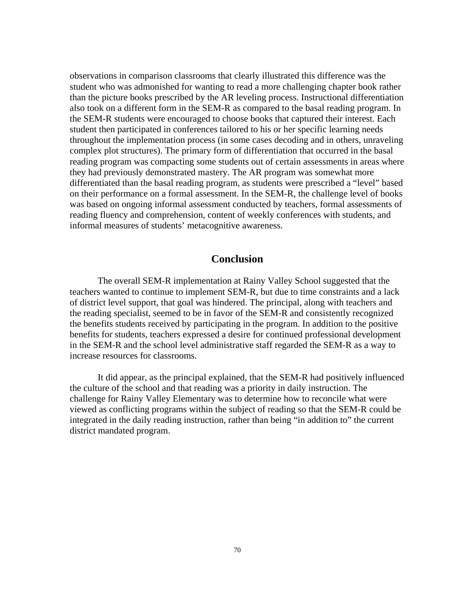observations in comparison classrooms that clearly illustrated this difference was the student who was admonished for wanting to read a more challenging chapter book rather than the picture books prescribed by the AR leveling process. Instructional differentiation also took on a different form in the SEM-R as compared to the basal reading program. In the SEM-R students were encouraged to choose books that captured their interest. Each student then participated in conferences tailored to his or her specific learning needs throughout the implementation process (in some cases decoding and in others, unraveling complex plot structures). The primary form of differentiation that occurred in the basal reading program was compacting some students out of certain assessments in areas where they had previously demonstrated mastery. The AR program was somewhat more differentiated than the basal reading program, as students were prescribed a "level" based on their performance on a formal assessment. In the SEM-R, the challenge level of books was based on ongoing informal assessment conducted by teachers, formal assessments of reading fluency and comprehension, content of weekly conferences with students, and informal measures of students' metacognitive awareness.

# **Conclusion**

The overall SEM-R implementation at Rainy Valley School suggested that the teachers wanted to continue to implement SEM-R, but due to time constraints and a lack of district level support, that goal was hindered. The principal, along with teachers and the reading specialist, seemed to be in favor of the SEM-R and consistently recognized the benefits students received by participating in the program. In addition to the positive benefits for students, teachers expressed a desire for continued professional development in the SEM-R and the school level administrative staff regarded the SEM-R as a way to increase resources for classrooms.

It did appear, as the principal explained, that the SEM-R had positively influenced the culture of the school and that reading was a priority in daily instruction. The challenge for Rainy Valley Elementary was to determine how to reconcile what were viewed as conflicting programs within the subject of reading so that the SEM-R could be integrated in the daily reading instruction, rather than being "in addition to" the current district mandated program.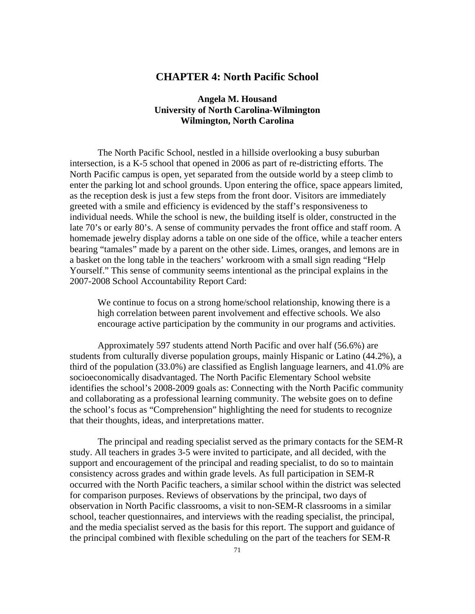# **CHAPTER 4: North Pacific School**

# **Angela M. Housand University of North Carolina-Wilmington Wilmington, North Carolina**

The North Pacific School, nestled in a hillside overlooking a busy suburban intersection, is a K-5 school that opened in 2006 as part of re-districting efforts. The North Pacific campus is open, yet separated from the outside world by a steep climb to enter the parking lot and school grounds. Upon entering the office, space appears limited, as the reception desk is just a few steps from the front door. Visitors are immediately greeted with a smile and efficiency is evidenced by the staff's responsiveness to individual needs. While the school is new, the building itself is older, constructed in the late 70's or early 80's. A sense of community pervades the front office and staff room. A homemade jewelry display adorns a table on one side of the office, while a teacher enters bearing "tamales" made by a parent on the other side. Limes, oranges, and lemons are in a basket on the long table in the teachers' workroom with a small sign reading "Help Yourself." This sense of community seems intentional as the principal explains in the 2007-2008 School Accountability Report Card:

We continue to focus on a strong home/school relationship, knowing there is a high correlation between parent involvement and effective schools. We also encourage active participation by the community in our programs and activities.

Approximately 597 students attend North Pacific and over half (56.6%) are students from culturally diverse population groups, mainly Hispanic or Latino (44.2%), a third of the population (33.0%) are classified as English language learners, and 41.0% are socioeconomically disadvantaged. The North Pacific Elementary School website identifies the school's 2008-2009 goals as: Connecting with the North Pacific community and collaborating as a professional learning community. The website goes on to define the school's focus as "Comprehension" highlighting the need for students to recognize that their thoughts, ideas, and interpretations matter.

The principal and reading specialist served as the primary contacts for the SEM-R study. All teachers in grades 3-5 were invited to participate, and all decided, with the support and encouragement of the principal and reading specialist, to do so to maintain consistency across grades and within grade levels. As full participation in SEM-R occurred with the North Pacific teachers, a similar school within the district was selected for comparison purposes. Reviews of observations by the principal, two days of observation in North Pacific classrooms, a visit to non-SEM-R classrooms in a similar school, teacher questionnaires, and interviews with the reading specialist, the principal, and the media specialist served as the basis for this report. The support and guidance of the principal combined with flexible scheduling on the part of the teachers for SEM-R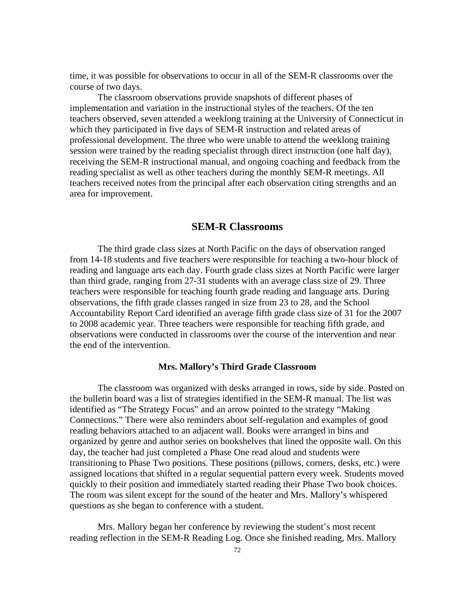time, it was possible for observations to occur in all of the SEM-R classrooms over the course of two days.

The classroom observations provide snapshots of different phases of implementation and variation in the instructional styles of the teachers. Of the ten teachers observed, seven attended a weeklong training at the University of Connecticut in which they participated in five days of SEM-R instruction and related areas of professional development. The three who were unable to attend the weeklong training session were trained by the reading specialist through direct instruction (one half day), receiving the SEM-R instructional manual, and ongoing coaching and feedback from the reading specialist as well as other teachers during the monthly SEM-R meetings. All teachers received notes from the principal after each observation citing strengths and an area for improvement.

# **SEM-R Classrooms**

The third grade class sizes at North Pacific on the days of observation ranged from 14-18 students and five teachers were responsible for teaching a two-hour block of reading and language arts each day. Fourth grade class sizes at North Pacific were larger than third grade, ranging from 27-31 students with an average class size of 29. Three teachers were responsible for teaching fourth grade reading and language arts. During observations, the fifth grade classes ranged in size from 23 to 28, and the School Accountability Report Card identified an average fifth grade class size of 31 for the 2007 to 2008 academic year. Three teachers were responsible for teaching fifth grade, and observations were conducted in classrooms over the course of the intervention and near the end of the intervention.

#### **Mrs. Mallory's Third Grade Classroom**

The classroom was organized with desks arranged in rows, side by side. Posted on the bulletin board was a list of strategies identified in the SEM-R manual. The list was identified as "The Strategy Focus" and an arrow pointed to the strategy "Making Connections." There were also reminders about self-regulation and examples of good reading behaviors attached to an adjacent wall. Books were arranged in bins and organized by genre and author series on bookshelves that lined the opposite wall. On this day, the teacher had just completed a Phase One read aloud and students were transitioning to Phase Two positions. These positions (pillows, corners, desks, etc.) were assigned locations that shifted in a regular sequential pattern every week. Students moved quickly to their position and immediately started reading their Phase Two book choices. The room was silent except for the sound of the heater and Mrs. Mallory's whispered questions as she began to conference with a student.

Mrs. Mallory began her conference by reviewing the student's most recent reading reflection in the SEM-R Reading Log. Once she finished reading, Mrs. Mallory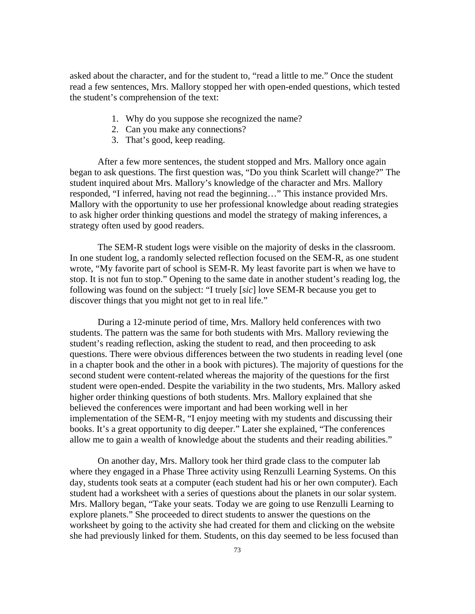asked about the character, and for the student to, "read a little to me." Once the student read a few sentences, Mrs. Mallory stopped her with open-ended questions, which tested the student's comprehension of the text:

- 1. Why do you suppose she recognized the name?
- 2. Can you make any connections?
- 3. That's good, keep reading.

After a few more sentences, the student stopped and Mrs. Mallory once again began to ask questions. The first question was, "Do you think Scarlett will change?" The student inquired about Mrs. Mallory's knowledge of the character and Mrs. Mallory responded, "I inferred, having not read the beginning…" This instance provided Mrs. Mallory with the opportunity to use her professional knowledge about reading strategies to ask higher order thinking questions and model the strategy of making inferences, a strategy often used by good readers.

The SEM-R student logs were visible on the majority of desks in the classroom. In one student log, a randomly selected reflection focused on the SEM-R, as one student wrote, "My favorite part of school is SEM-R. My least favorite part is when we have to stop. It is not fun to stop." Opening to the same date in another student's reading log, the following was found on the subject: "I truely [*sic*] love SEM-R because you get to discover things that you might not get to in real life."

During a 12-minute period of time, Mrs. Mallory held conferences with two students. The pattern was the same for both students with Mrs. Mallory reviewing the student's reading reflection, asking the student to read, and then proceeding to ask questions. There were obvious differences between the two students in reading level (one in a chapter book and the other in a book with pictures). The majority of questions for the second student were content-related whereas the majority of the questions for the first student were open-ended. Despite the variability in the two students, Mrs. Mallory asked higher order thinking questions of both students. Mrs. Mallory explained that she believed the conferences were important and had been working well in her implementation of the SEM-R, "I enjoy meeting with my students and discussing their books. It's a great opportunity to dig deeper." Later she explained, "The conferences allow me to gain a wealth of knowledge about the students and their reading abilities."

On another day, Mrs. Mallory took her third grade class to the computer lab where they engaged in a Phase Three activity using Renzulli Learning Systems. On this day, students took seats at a computer (each student had his or her own computer). Each student had a worksheet with a series of questions about the planets in our solar system. Mrs. Mallory began, "Take your seats. Today we are going to use Renzulli Learning to explore planets." She proceeded to direct students to answer the questions on the worksheet by going to the activity she had created for them and clicking on the website she had previously linked for them. Students, on this day seemed to be less focused than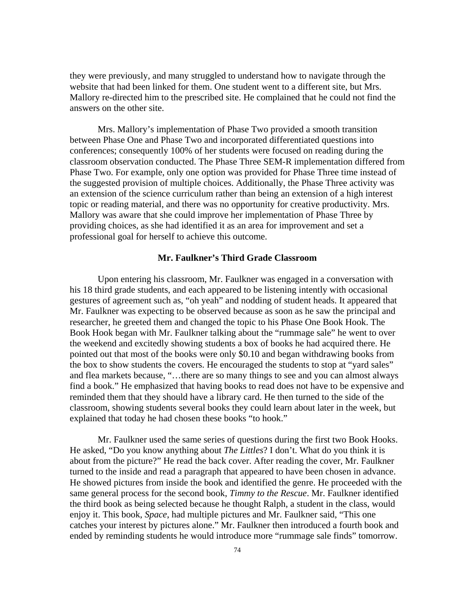they were previously, and many struggled to understand how to navigate through the website that had been linked for them. One student went to a different site, but Mrs. Mallory re-directed him to the prescribed site. He complained that he could not find the answers on the other site.

Mrs. Mallory's implementation of Phase Two provided a smooth transition between Phase One and Phase Two and incorporated differentiated questions into conferences; consequently 100% of her students were focused on reading during the classroom observation conducted. The Phase Three SEM-R implementation differed from Phase Two. For example, only one option was provided for Phase Three time instead of the suggested provision of multiple choices. Additionally, the Phase Three activity was an extension of the science curriculum rather than being an extension of a high interest topic or reading material, and there was no opportunity for creative productivity. Mrs. Mallory was aware that she could improve her implementation of Phase Three by providing choices, as she had identified it as an area for improvement and set a professional goal for herself to achieve this outcome.

#### **Mr. Faulkner's Third Grade Classroom**

Upon entering his classroom, Mr. Faulkner was engaged in a conversation with his 18 third grade students, and each appeared to be listening intently with occasional gestures of agreement such as, "oh yeah" and nodding of student heads. It appeared that Mr. Faulkner was expecting to be observed because as soon as he saw the principal and researcher, he greeted them and changed the topic to his Phase One Book Hook. The Book Hook began with Mr. Faulkner talking about the "rummage sale" he went to over the weekend and excitedly showing students a box of books he had acquired there. He pointed out that most of the books were only \$0.10 and began withdrawing books from the box to show students the covers. He encouraged the students to stop at "yard sales" and flea markets because, "…there are so many things to see and you can almost always find a book." He emphasized that having books to read does not have to be expensive and reminded them that they should have a library card. He then turned to the side of the classroom, showing students several books they could learn about later in the week, but explained that today he had chosen these books "to hook."

Mr. Faulkner used the same series of questions during the first two Book Hooks. He asked, "Do you know anything about *The Littles*? I don't. What do you think it is about from the picture?" He read the back cover. After reading the cover, Mr. Faulkner turned to the inside and read a paragraph that appeared to have been chosen in advance. He showed pictures from inside the book and identified the genre. He proceeded with the same general process for the second book, *Timmy to the Rescue*. Mr. Faulkner identified the third book as being selected because he thought Ralph, a student in the class, would enjoy it. This book, *Space*, had multiple pictures and Mr. Faulkner said, "This one catches your interest by pictures alone." Mr. Faulkner then introduced a fourth book and ended by reminding students he would introduce more "rummage sale finds" tomorrow.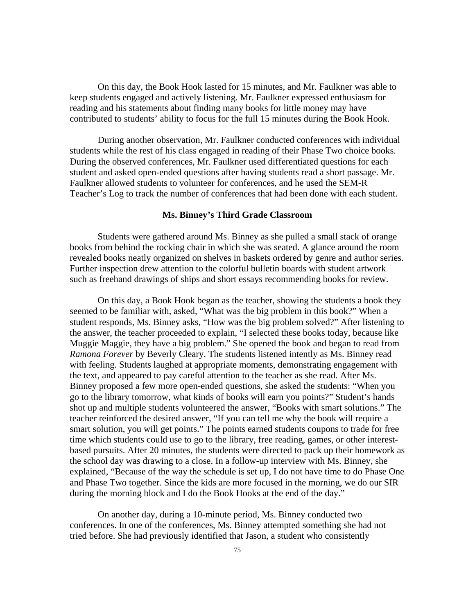On this day, the Book Hook lasted for 15 minutes, and Mr. Faulkner was able to keep students engaged and actively listening. Mr. Faulkner expressed enthusiasm for reading and his statements about finding many books for little money may have contributed to students' ability to focus for the full 15 minutes during the Book Hook.

During another observation, Mr. Faulkner conducted conferences with individual students while the rest of his class engaged in reading of their Phase Two choice books. During the observed conferences, Mr. Faulkner used differentiated questions for each student and asked open-ended questions after having students read a short passage. Mr. Faulkner allowed students to volunteer for conferences, and he used the SEM-R Teacher's Log to track the number of conferences that had been done with each student.

### **Ms. Binney's Third Grade Classroom**

Students were gathered around Ms. Binney as she pulled a small stack of orange books from behind the rocking chair in which she was seated. A glance around the room revealed books neatly organized on shelves in baskets ordered by genre and author series. Further inspection drew attention to the colorful bulletin boards with student artwork such as freehand drawings of ships and short essays recommending books for review.

On this day, a Book Hook began as the teacher, showing the students a book they seemed to be familiar with, asked, "What was the big problem in this book?" When a student responds, Ms. Binney asks, "How was the big problem solved?" After listening to the answer, the teacher proceeded to explain, "I selected these books today, because like Muggie Maggie, they have a big problem." She opened the book and began to read from *Ramona Forever* by Beverly Cleary. The students listened intently as Ms. Binney read with feeling. Students laughed at appropriate moments, demonstrating engagement with the text, and appeared to pay careful attention to the teacher as she read. After Ms. Binney proposed a few more open-ended questions, she asked the students: "When you go to the library tomorrow, what kinds of books will earn you points?" Student's hands shot up and multiple students volunteered the answer, "Books with smart solutions." The teacher reinforced the desired answer, "If you can tell me why the book will require a smart solution, you will get points." The points earned students coupons to trade for free time which students could use to go to the library, free reading, games, or other interestbased pursuits. After 20 minutes, the students were directed to pack up their homework as the school day was drawing to a close. In a follow-up interview with Ms. Binney, she explained, "Because of the way the schedule is set up, I do not have time to do Phase One and Phase Two together. Since the kids are more focused in the morning, we do our SIR during the morning block and I do the Book Hooks at the end of the day."

On another day, during a 10-minute period, Ms. Binney conducted two conferences. In one of the conferences, Ms. Binney attempted something she had not tried before. She had previously identified that Jason, a student who consistently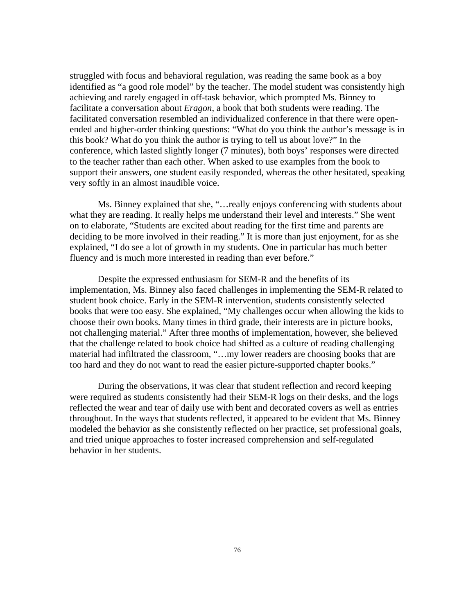struggled with focus and behavioral regulation, was reading the same book as a boy identified as "a good role model" by the teacher. The model student was consistently high achieving and rarely engaged in off-task behavior, which prompted Ms. Binney to facilitate a conversation about *Eragon*, a book that both students were reading. The facilitated conversation resembled an individualized conference in that there were openended and higher-order thinking questions: "What do you think the author's message is in this book? What do you think the author is trying to tell us about love?" In the conference, which lasted slightly longer (7 minutes), both boys' responses were directed to the teacher rather than each other. When asked to use examples from the book to support their answers, one student easily responded, whereas the other hesitated, speaking very softly in an almost inaudible voice.

Ms. Binney explained that she, "…really enjoys conferencing with students about what they are reading. It really helps me understand their level and interests." She went on to elaborate, "Students are excited about reading for the first time and parents are deciding to be more involved in their reading." It is more than just enjoyment, for as she explained, "I do see a lot of growth in my students. One in particular has much better fluency and is much more interested in reading than ever before."

Despite the expressed enthusiasm for SEM-R and the benefits of its implementation, Ms. Binney also faced challenges in implementing the SEM-R related to student book choice. Early in the SEM-R intervention, students consistently selected books that were too easy. She explained, "My challenges occur when allowing the kids to choose their own books. Many times in third grade, their interests are in picture books, not challenging material." After three months of implementation, however, she believed that the challenge related to book choice had shifted as a culture of reading challenging material had infiltrated the classroom, "…my lower readers are choosing books that are too hard and they do not want to read the easier picture-supported chapter books."

During the observations, it was clear that student reflection and record keeping were required as students consistently had their SEM-R logs on their desks, and the logs reflected the wear and tear of daily use with bent and decorated covers as well as entries throughout. In the ways that students reflected, it appeared to be evident that Ms. Binney modeled the behavior as she consistently reflected on her practice, set professional goals, and tried unique approaches to foster increased comprehension and self-regulated behavior in her students.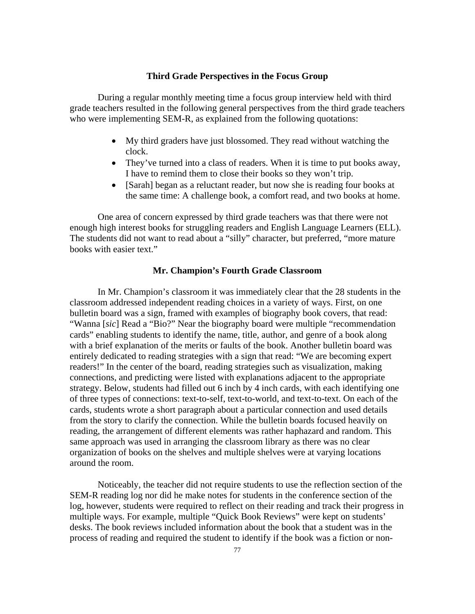### **Third Grade Perspectives in the Focus Group**

During a regular monthly meeting time a focus group interview held with third grade teachers resulted in the following general perspectives from the third grade teachers who were implementing SEM-R, as explained from the following quotations:

- My third graders have just blossomed. They read without watching the clock.
- They've turned into a class of readers. When it is time to put books away, I have to remind them to close their books so they won't trip.
- [Sarah] began as a reluctant reader, but now she is reading four books at the same time: A challenge book, a comfort read, and two books at home.

One area of concern expressed by third grade teachers was that there were not enough high interest books for struggling readers and English Language Learners (ELL). The students did not want to read about a "silly" character, but preferred, "more mature books with easier text."

## **Mr. Champion's Fourth Grade Classroom**

In Mr. Champion's classroom it was immediately clear that the 28 students in the classroom addressed independent reading choices in a variety of ways. First, on one bulletin board was a sign, framed with examples of biography book covers, that read: "Wanna [*sic*] Read a "Bio?" Near the biography board were multiple "recommendation cards" enabling students to identify the name, title, author, and genre of a book along with a brief explanation of the merits or faults of the book. Another bulletin board was entirely dedicated to reading strategies with a sign that read: "We are becoming expert readers!" In the center of the board, reading strategies such as visualization, making connections, and predicting were listed with explanations adjacent to the appropriate strategy. Below, students had filled out 6 inch by 4 inch cards, with each identifying one of three types of connections: text-to-self, text-to-world, and text-to-text. On each of the cards, students wrote a short paragraph about a particular connection and used details from the story to clarify the connection. While the bulletin boards focused heavily on reading, the arrangement of different elements was rather haphazard and random. This same approach was used in arranging the classroom library as there was no clear organization of books on the shelves and multiple shelves were at varying locations around the room.

Noticeably, the teacher did not require students to use the reflection section of the SEM-R reading log nor did he make notes for students in the conference section of the log, however, students were required to reflect on their reading and track their progress in multiple ways. For example, multiple "Quick Book Reviews" were kept on students' desks. The book reviews included information about the book that a student was in the process of reading and required the student to identify if the book was a fiction or non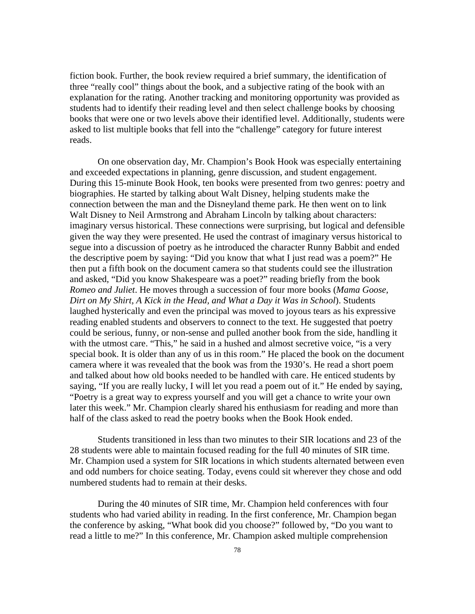fiction book. Further, the book review required a brief summary, the identification of three "really cool" things about the book, and a subjective rating of the book with an explanation for the rating. Another tracking and monitoring opportunity was provided as students had to identify their reading level and then select challenge books by choosing books that were one or two levels above their identified level. Additionally, students were asked to list multiple books that fell into the "challenge" category for future interest reads.

On one observation day, Mr. Champion's Book Hook was especially entertaining and exceeded expectations in planning, genre discussion, and student engagement. During this 15-minute Book Hook, ten books were presented from two genres: poetry and biographies. He started by talking about Walt Disney, helping students make the connection between the man and the Disneyland theme park. He then went on to link Walt Disney to Neil Armstrong and Abraham Lincoln by talking about characters: imaginary versus historical. These connections were surprising, but logical and defensible given the way they were presented. He used the contrast of imaginary versus historical to segue into a discussion of poetry as he introduced the character Runny Babbit and ended the descriptive poem by saying: "Did you know that what I just read was a poem?" He then put a fifth book on the document camera so that students could see the illustration and asked, "Did you know Shakespeare was a poet?" reading briefly from the book *Romeo and Juliet*. He moves through a succession of four more books (*Mama Goose, Dirt on My Shirt, A Kick in the Head, and What a Day it Was in School*). Students laughed hysterically and even the principal was moved to joyous tears as his expressive reading enabled students and observers to connect to the text. He suggested that poetry could be serious, funny, or non-sense and pulled another book from the side, handling it with the utmost care. "This," he said in a hushed and almost secretive voice, "is a very special book. It is older than any of us in this room." He placed the book on the document camera where it was revealed that the book was from the 1930's. He read a short poem and talked about how old books needed to be handled with care. He enticed students by saying, "If you are really lucky, I will let you read a poem out of it." He ended by saying, "Poetry is a great way to express yourself and you will get a chance to write your own later this week." Mr. Champion clearly shared his enthusiasm for reading and more than half of the class asked to read the poetry books when the Book Hook ended.

Students transitioned in less than two minutes to their SIR locations and 23 of the 28 students were able to maintain focused reading for the full 40 minutes of SIR time. Mr. Champion used a system for SIR locations in which students alternated between even and odd numbers for choice seating. Today, evens could sit wherever they chose and odd numbered students had to remain at their desks.

During the 40 minutes of SIR time, Mr. Champion held conferences with four students who had varied ability in reading. In the first conference, Mr. Champion began the conference by asking, "What book did you choose?" followed by, "Do you want to read a little to me?" In this conference, Mr. Champion asked multiple comprehension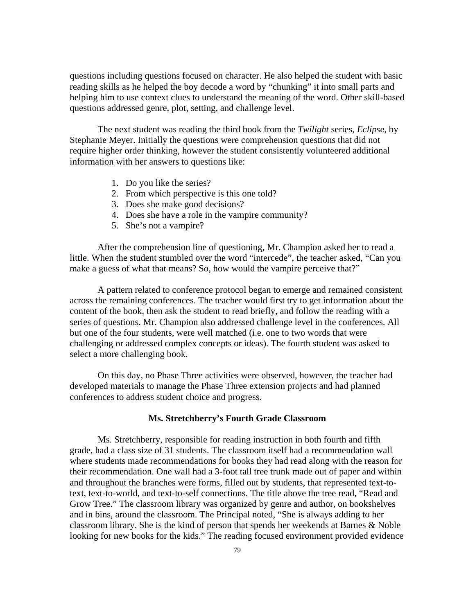questions including questions focused on character. He also helped the student with basic reading skills as he helped the boy decode a word by "chunking" it into small parts and helping him to use context clues to understand the meaning of the word. Other skill-based questions addressed genre, plot, setting, and challenge level.

The next student was reading the third book from the *Twilight* series, *Eclipse,* by Stephanie Meyer. Initially the questions were comprehension questions that did not require higher order thinking, however the student consistently volunteered additional information with her answers to questions like:

- 1. Do you like the series?
- 2. From which perspective is this one told?
- 3. Does she make good decisions?
- 4. Does she have a role in the vampire community?
- 5. She's not a vampire?

After the comprehension line of questioning, Mr. Champion asked her to read a little. When the student stumbled over the word "intercede", the teacher asked, "Can you make a guess of what that means? So, how would the vampire perceive that?"

A pattern related to conference protocol began to emerge and remained consistent across the remaining conferences. The teacher would first try to get information about the content of the book, then ask the student to read briefly, and follow the reading with a series of questions. Mr. Champion also addressed challenge level in the conferences. All but one of the four students, were well matched (i.e. one to two words that were challenging or addressed complex concepts or ideas). The fourth student was asked to select a more challenging book.

On this day, no Phase Three activities were observed, however, the teacher had developed materials to manage the Phase Three extension projects and had planned conferences to address student choice and progress.

### **Ms. Stretchberry's Fourth Grade Classroom**

Ms. Stretchberry, responsible for reading instruction in both fourth and fifth grade, had a class size of 31 students. The classroom itself had a recommendation wall where students made recommendations for books they had read along with the reason for their recommendation. One wall had a 3-foot tall tree trunk made out of paper and within and throughout the branches were forms, filled out by students, that represented text-totext, text-to-world, and text-to-self connections. The title above the tree read, "Read and Grow Tree." The classroom library was organized by genre and author, on bookshelves and in bins, around the classroom. The Principal noted, "She is always adding to her classroom library. She is the kind of person that spends her weekends at Barnes & Noble looking for new books for the kids." The reading focused environment provided evidence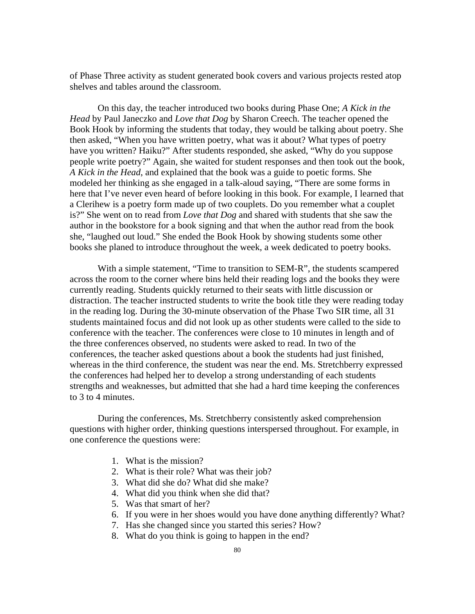of Phase Three activity as student generated book covers and various projects rested atop shelves and tables around the classroom.

On this day, the teacher introduced two books during Phase One; *A Kick in the Head* by Paul Janeczko and *Love that Dog* by Sharon Creech. The teacher opened the Book Hook by informing the students that today, they would be talking about poetry. She then asked, "When you have written poetry, what was it about? What types of poetry have you written? Haiku?" After students responded, she asked, "Why do you suppose people write poetry?" Again, she waited for student responses and then took out the book, *A Kick in the Head*, and explained that the book was a guide to poetic forms. She modeled her thinking as she engaged in a talk-aloud saying, "There are some forms in here that I've never even heard of before looking in this book. For example, I learned that a Clerihew is a poetry form made up of two couplets. Do you remember what a couplet is?" She went on to read from *Love that Dog* and shared with students that she saw the author in the bookstore for a book signing and that when the author read from the book she, "laughed out loud." She ended the Book Hook by showing students some other books she planed to introduce throughout the week, a week dedicated to poetry books.

With a simple statement, "Time to transition to SEM-R", the students scampered across the room to the corner where bins held their reading logs and the books they were currently reading. Students quickly returned to their seats with little discussion or distraction. The teacher instructed students to write the book title they were reading today in the reading log. During the 30-minute observation of the Phase Two SIR time, all 31 students maintained focus and did not look up as other students were called to the side to conference with the teacher. The conferences were close to 10 minutes in length and of the three conferences observed, no students were asked to read. In two of the conferences, the teacher asked questions about a book the students had just finished, whereas in the third conference, the student was near the end. Ms. Stretchberry expressed the conferences had helped her to develop a strong understanding of each students strengths and weaknesses, but admitted that she had a hard time keeping the conferences to 3 to 4 minutes.

During the conferences, Ms. Stretchberry consistently asked comprehension questions with higher order, thinking questions interspersed throughout. For example, in one conference the questions were:

- 1. What is the mission?
- 2. What is their role? What was their job?
- 3. What did she do? What did she make?
- 4. What did you think when she did that?
- 5. Was that smart of her?
- 6. If you were in her shoes would you have done anything differently? What?
- 7. Has she changed since you started this series? How?
- 8. What do you think is going to happen in the end?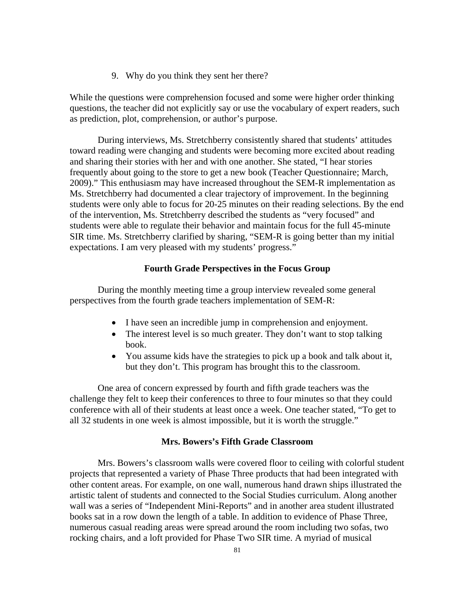9. Why do you think they sent her there?

While the questions were comprehension focused and some were higher order thinking questions, the teacher did not explicitly say or use the vocabulary of expert readers, such as prediction, plot, comprehension, or author's purpose.

During interviews, Ms. Stretchberry consistently shared that students' attitudes toward reading were changing and students were becoming more excited about reading and sharing their stories with her and with one another. She stated, "I hear stories frequently about going to the store to get a new book (Teacher Questionnaire; March, 2009)." This enthusiasm may have increased throughout the SEM-R implementation as Ms. Stretchberry had documented a clear trajectory of improvement. In the beginning students were only able to focus for 20-25 minutes on their reading selections. By the end of the intervention, Ms. Stretchberry described the students as "very focused" and students were able to regulate their behavior and maintain focus for the full 45-minute SIR time. Ms. Stretchberry clarified by sharing, "SEM-R is going better than my initial expectations. I am very pleased with my students' progress."

## **Fourth Grade Perspectives in the Focus Group**

During the monthly meeting time a group interview revealed some general perspectives from the fourth grade teachers implementation of SEM-R:

- I have seen an incredible jump in comprehension and enjoyment.
- The interest level is so much greater. They don't want to stop talking book.
- You assume kids have the strategies to pick up a book and talk about it, but they don't. This program has brought this to the classroom.

One area of concern expressed by fourth and fifth grade teachers was the challenge they felt to keep their conferences to three to four minutes so that they could conference with all of their students at least once a week. One teacher stated, "To get to all 32 students in one week is almost impossible, but it is worth the struggle."

## **Mrs. Bowers's Fifth Grade Classroom**

Mrs. Bowers's classroom walls were covered floor to ceiling with colorful student projects that represented a variety of Phase Three products that had been integrated with other content areas. For example, on one wall, numerous hand drawn ships illustrated the artistic talent of students and connected to the Social Studies curriculum. Along another wall was a series of "Independent Mini-Reports" and in another area student illustrated books sat in a row down the length of a table. In addition to evidence of Phase Three, numerous casual reading areas were spread around the room including two sofas, two rocking chairs, and a loft provided for Phase Two SIR time. A myriad of musical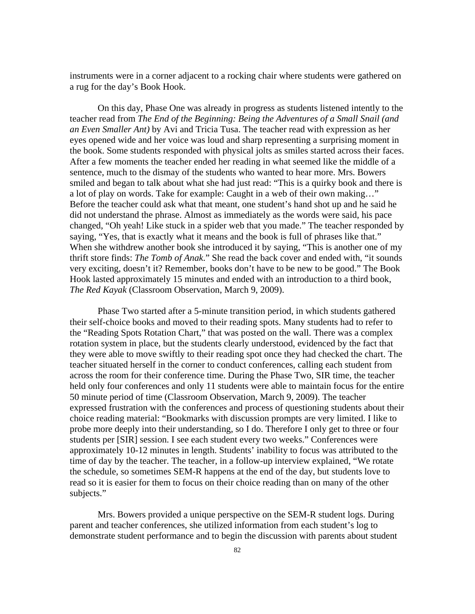instruments were in a corner adjacent to a rocking chair where students were gathered on a rug for the day's Book Hook.

On this day, Phase One was already in progress as students listened intently to the teacher read from *The End of the Beginning: Being the Adventures of a Small Snail (and an Even Smaller Ant)* by Avi and Tricia Tusa. The teacher read with expression as her eyes opened wide and her voice was loud and sharp representing a surprising moment in the book. Some students responded with physical jolts as smiles started across their faces. After a few moments the teacher ended her reading in what seemed like the middle of a sentence, much to the dismay of the students who wanted to hear more. Mrs. Bowers smiled and began to talk about what she had just read: "This is a quirky book and there is a lot of play on words. Take for example: Caught in a web of their own making…" Before the teacher could ask what that meant, one student's hand shot up and he said he did not understand the phrase. Almost as immediately as the words were said, his pace changed, "Oh yeah! Like stuck in a spider web that you made." The teacher responded by saying, "Yes, that is exactly what it means and the book is full of phrases like that." When she withdrew another book she introduced it by saying, "This is another one of my thrift store finds: *The Tomb of Anak*." She read the back cover and ended with, "it sounds very exciting, doesn't it? Remember, books don't have to be new to be good." The Book Hook lasted approximately 15 minutes and ended with an introduction to a third book, *The Red Kayak* (Classroom Observation, March 9, 2009).

Phase Two started after a 5-minute transition period, in which students gathered their self-choice books and moved to their reading spots. Many students had to refer to the "Reading Spots Rotation Chart," that was posted on the wall. There was a complex rotation system in place, but the students clearly understood, evidenced by the fact that they were able to move swiftly to their reading spot once they had checked the chart. The teacher situated herself in the corner to conduct conferences, calling each student from across the room for their conference time. During the Phase Two, SIR time, the teacher held only four conferences and only 11 students were able to maintain focus for the entire 50 minute period of time (Classroom Observation, March 9, 2009). The teacher expressed frustration with the conferences and process of questioning students about their choice reading material: "Bookmarks with discussion prompts are very limited. I like to probe more deeply into their understanding, so I do. Therefore I only get to three or four students per [SIR] session. I see each student every two weeks." Conferences were approximately 10-12 minutes in length. Students' inability to focus was attributed to the time of day by the teacher. The teacher, in a follow-up interview explained, "We rotate the schedule, so sometimes SEM-R happens at the end of the day, but students love to read so it is easier for them to focus on their choice reading than on many of the other subjects."

Mrs. Bowers provided a unique perspective on the SEM-R student logs. During parent and teacher conferences, she utilized information from each student's log to demonstrate student performance and to begin the discussion with parents about student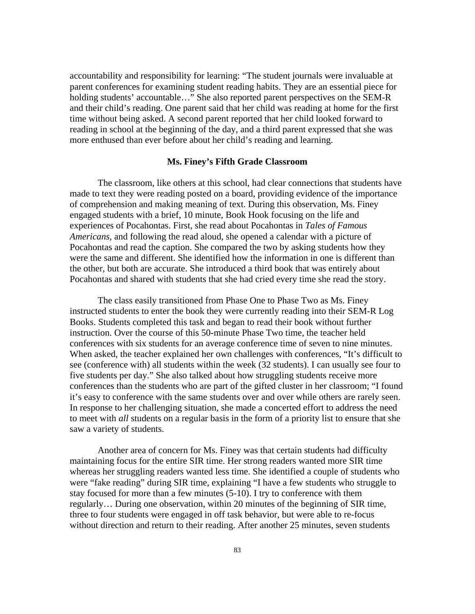accountability and responsibility for learning: "The student journals were invaluable at parent conferences for examining student reading habits. They are an essential piece for holding students' accountable…" She also reported parent perspectives on the SEM-R and their child's reading. One parent said that her child was reading at home for the first time without being asked. A second parent reported that her child looked forward to reading in school at the beginning of the day, and a third parent expressed that she was more enthused than ever before about her child's reading and learning.

### **Ms. Finey's Fifth Grade Classroom**

The classroom, like others at this school, had clear connections that students have made to text they were reading posted on a board, providing evidence of the importance of comprehension and making meaning of text. During this observation, Ms. Finey engaged students with a brief, 10 minute, Book Hook focusing on the life and experiences of Pocahontas. First, she read about Pocahontas in *Tales of Famous Americans*, and following the read aloud, she opened a calendar with a picture of Pocahontas and read the caption. She compared the two by asking students how they were the same and different. She identified how the information in one is different than the other, but both are accurate. She introduced a third book that was entirely about Pocahontas and shared with students that she had cried every time she read the story.

The class easily transitioned from Phase One to Phase Two as Ms. Finey instructed students to enter the book they were currently reading into their SEM-R Log Books. Students completed this task and began to read their book without further instruction. Over the course of this 50-minute Phase Two time, the teacher held conferences with six students for an average conference time of seven to nine minutes. When asked, the teacher explained her own challenges with conferences, "It's difficult to see (conference with) all students within the week (32 students). I can usually see four to five students per day." She also talked about how struggling students receive more conferences than the students who are part of the gifted cluster in her classroom; "I found it's easy to conference with the same students over and over while others are rarely seen. In response to her challenging situation, she made a concerted effort to address the need to meet with *all* students on a regular basis in the form of a priority list to ensure that she saw a variety of students.

Another area of concern for Ms. Finey was that certain students had difficulty maintaining focus for the entire SIR time. Her strong readers wanted more SIR time whereas her struggling readers wanted less time. She identified a couple of students who were "fake reading" during SIR time, explaining "I have a few students who struggle to stay focused for more than a few minutes (5-10). I try to conference with them regularly… During one observation, within 20 minutes of the beginning of SIR time, three to four students were engaged in off task behavior, but were able to re-focus without direction and return to their reading. After another 25 minutes, seven students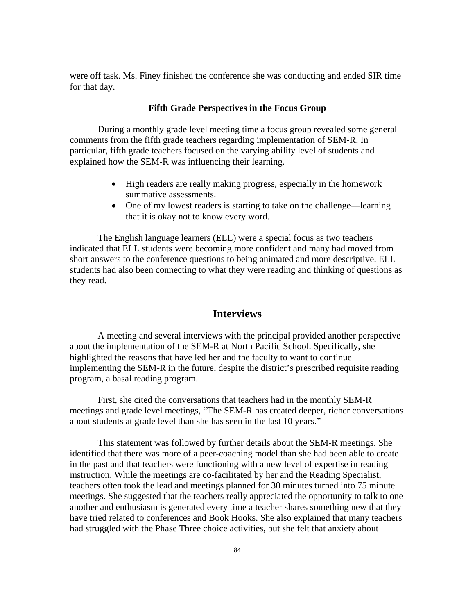were off task. Ms. Finey finished the conference she was conducting and ended SIR time for that day.

## **Fifth Grade Perspectives in the Focus Group**

During a monthly grade level meeting time a focus group revealed some general comments from the fifth grade teachers regarding implementation of SEM-R. In particular, fifth grade teachers focused on the varying ability level of students and explained how the SEM-R was influencing their learning.

- High readers are really making progress, especially in the homework summative assessments.
- One of my lowest readers is starting to take on the challenge—learning that it is okay not to know every word.

The English language learners (ELL) were a special focus as two teachers indicated that ELL students were becoming more confident and many had moved from short answers to the conference questions to being animated and more descriptive. ELL students had also been connecting to what they were reading and thinking of questions as they read.

# **Interviews**

A meeting and several interviews with the principal provided another perspective about the implementation of the SEM-R at North Pacific School. Specifically, she highlighted the reasons that have led her and the faculty to want to continue implementing the SEM-R in the future, despite the district's prescribed requisite reading program, a basal reading program.

First, she cited the conversations that teachers had in the monthly SEM-R meetings and grade level meetings, "The SEM-R has created deeper, richer conversations about students at grade level than she has seen in the last 10 years."

This statement was followed by further details about the SEM-R meetings. She identified that there was more of a peer-coaching model than she had been able to create in the past and that teachers were functioning with a new level of expertise in reading instruction. While the meetings are co-facilitated by her and the Reading Specialist, teachers often took the lead and meetings planned for 30 minutes turned into 75 minute meetings. She suggested that the teachers really appreciated the opportunity to talk to one another and enthusiasm is generated every time a teacher shares something new that they have tried related to conferences and Book Hooks. She also explained that many teachers had struggled with the Phase Three choice activities, but she felt that anxiety about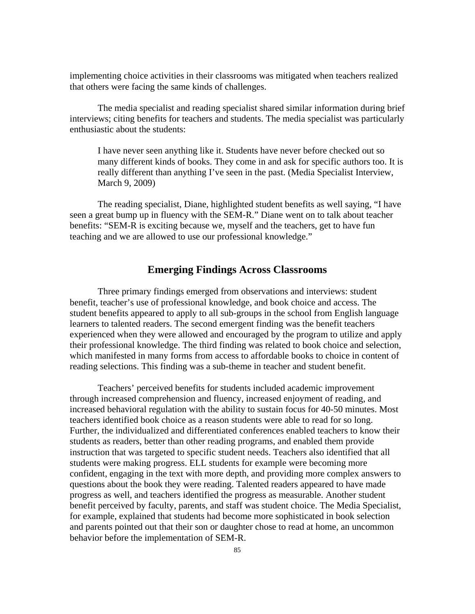implementing choice activities in their classrooms was mitigated when teachers realized that others were facing the same kinds of challenges.

The media specialist and reading specialist shared similar information during brief interviews; citing benefits for teachers and students. The media specialist was particularly enthusiastic about the students:

I have never seen anything like it. Students have never before checked out so many different kinds of books. They come in and ask for specific authors too. It is really different than anything I've seen in the past. (Media Specialist Interview, March 9, 2009)

The reading specialist, Diane, highlighted student benefits as well saying, "I have seen a great bump up in fluency with the SEM-R." Diane went on to talk about teacher benefits: "SEM-R is exciting because we, myself and the teachers, get to have fun teaching and we are allowed to use our professional knowledge."

# **Emerging Findings Across Classrooms**

Three primary findings emerged from observations and interviews: student benefit, teacher's use of professional knowledge, and book choice and access. The student benefits appeared to apply to all sub-groups in the school from English language learners to talented readers. The second emergent finding was the benefit teachers experienced when they were allowed and encouraged by the program to utilize and apply their professional knowledge. The third finding was related to book choice and selection, which manifested in many forms from access to affordable books to choice in content of reading selections. This finding was a sub-theme in teacher and student benefit.

Teachers' perceived benefits for students included academic improvement through increased comprehension and fluency, increased enjoyment of reading, and increased behavioral regulation with the ability to sustain focus for 40-50 minutes. Most teachers identified book choice as a reason students were able to read for so long. Further, the individualized and differentiated conferences enabled teachers to know their students as readers, better than other reading programs, and enabled them provide instruction that was targeted to specific student needs. Teachers also identified that all students were making progress. ELL students for example were becoming more confident, engaging in the text with more depth, and providing more complex answers to questions about the book they were reading. Talented readers appeared to have made progress as well, and teachers identified the progress as measurable. Another student benefit perceived by faculty, parents, and staff was student choice. The Media Specialist, for example, explained that students had become more sophisticated in book selection and parents pointed out that their son or daughter chose to read at home, an uncommon behavior before the implementation of SEM-R.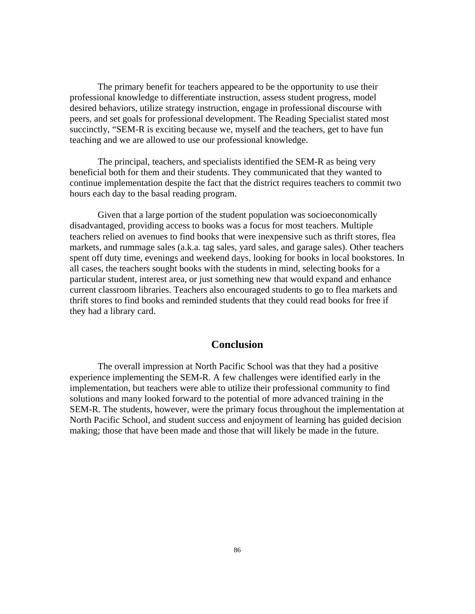The primary benefit for teachers appeared to be the opportunity to use their professional knowledge to differentiate instruction, assess student progress, model desired behaviors, utilize strategy instruction, engage in professional discourse with peers, and set goals for professional development. The Reading Specialist stated most succinctly, "SEM-R is exciting because we, myself and the teachers, get to have fun teaching and we are allowed to use our professional knowledge.

The principal, teachers, and specialists identified the SEM-R as being very beneficial both for them and their students. They communicated that they wanted to continue implementation despite the fact that the district requires teachers to commit two hours each day to the basal reading program.

Given that a large portion of the student population was socioeconomically disadvantaged, providing access to books was a focus for most teachers. Multiple teachers relied on avenues to find books that were inexpensive such as thrift stores, flea markets, and rummage sales (a.k.a. tag sales, yard sales, and garage sales). Other teachers spent off duty time, evenings and weekend days, looking for books in local bookstores. In all cases, the teachers sought books with the students in mind, selecting books for a particular student, interest area, or just something new that would expand and enhance current classroom libraries. Teachers also encouraged students to go to flea markets and thrift stores to find books and reminded students that they could read books for free if they had a library card.

# **Conclusion**

The overall impression at North Pacific School was that they had a positive experience implementing the SEM-R. A few challenges were identified early in the implementation, but teachers were able to utilize their professional community to find solutions and many looked forward to the potential of more advanced training in the SEM-R. The students, however, were the primary focus throughout the implementation at North Pacific School, and student success and enjoyment of learning has guided decision making; those that have been made and those that will likely be made in the future.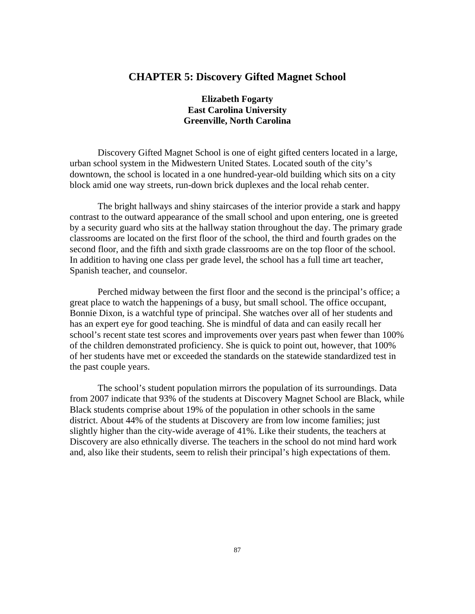# **CHAPTER 5: Discovery Gifted Magnet School**

# **Elizabeth Fogarty East Carolina University Greenville, North Carolina**

Discovery Gifted Magnet School is one of eight gifted centers located in a large, urban school system in the Midwestern United States. Located south of the city's downtown, the school is located in a one hundred-year-old building which sits on a city block amid one way streets, run-down brick duplexes and the local rehab center.

The bright hallways and shiny staircases of the interior provide a stark and happy contrast to the outward appearance of the small school and upon entering, one is greeted by a security guard who sits at the hallway station throughout the day. The primary grade classrooms are located on the first floor of the school, the third and fourth grades on the second floor, and the fifth and sixth grade classrooms are on the top floor of the school. In addition to having one class per grade level, the school has a full time art teacher, Spanish teacher, and counselor.

Perched midway between the first floor and the second is the principal's office; a great place to watch the happenings of a busy, but small school. The office occupant, Bonnie Dixon, is a watchful type of principal. She watches over all of her students and has an expert eye for good teaching. She is mindful of data and can easily recall her school's recent state test scores and improvements over years past when fewer than 100% of the children demonstrated proficiency. She is quick to point out, however, that 100% of her students have met or exceeded the standards on the statewide standardized test in the past couple years.

The school's student population mirrors the population of its surroundings. Data from 2007 indicate that 93% of the students at Discovery Magnet School are Black, while Black students comprise about 19% of the population in other schools in the same district. About 44% of the students at Discovery are from low income families; just slightly higher than the city-wide average of 41%. Like their students, the teachers at Discovery are also ethnically diverse. The teachers in the school do not mind hard work and, also like their students, seem to relish their principal's high expectations of them.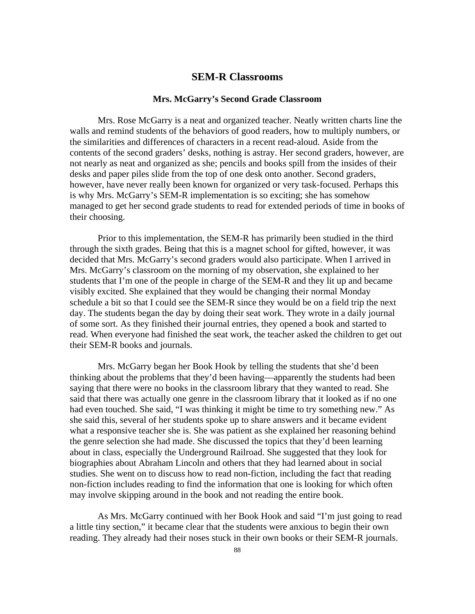# **SEM-R Classrooms**

#### **Mrs. McGarry's Second Grade Classroom**

Mrs. Rose McGarry is a neat and organized teacher. Neatly written charts line the walls and remind students of the behaviors of good readers, how to multiply numbers, or the similarities and differences of characters in a recent read-aloud. Aside from the contents of the second graders' desks, nothing is astray. Her second graders, however, are not nearly as neat and organized as she; pencils and books spill from the insides of their desks and paper piles slide from the top of one desk onto another. Second graders, however, have never really been known for organized or very task-focused. Perhaps this is why Mrs. McGarry's SEM-R implementation is so exciting; she has somehow managed to get her second grade students to read for extended periods of time in books of their choosing.

Prior to this implementation, the SEM-R has primarily been studied in the third through the sixth grades. Being that this is a magnet school for gifted, however, it was decided that Mrs. McGarry's second graders would also participate. When I arrived in Mrs. McGarry's classroom on the morning of my observation, she explained to her students that I'm one of the people in charge of the SEM-R and they lit up and became visibly excited. She explained that they would be changing their normal Monday schedule a bit so that I could see the SEM-R since they would be on a field trip the next day. The students began the day by doing their seat work. They wrote in a daily journal of some sort. As they finished their journal entries, they opened a book and started to read. When everyone had finished the seat work, the teacher asked the children to get out their SEM-R books and journals.

Mrs. McGarry began her Book Hook by telling the students that she'd been thinking about the problems that they'd been having—apparently the students had been saying that there were no books in the classroom library that they wanted to read. She said that there was actually one genre in the classroom library that it looked as if no one had even touched. She said, "I was thinking it might be time to try something new." As she said this, several of her students spoke up to share answers and it became evident what a responsive teacher she is. She was patient as she explained her reasoning behind the genre selection she had made. She discussed the topics that they'd been learning about in class, especially the Underground Railroad. She suggested that they look for biographies about Abraham Lincoln and others that they had learned about in social studies. She went on to discuss how to read non-fiction, including the fact that reading non-fiction includes reading to find the information that one is looking for which often may involve skipping around in the book and not reading the entire book.

As Mrs. McGarry continued with her Book Hook and said "I'm just going to read a little tiny section," it became clear that the students were anxious to begin their own reading. They already had their noses stuck in their own books or their SEM-R journals.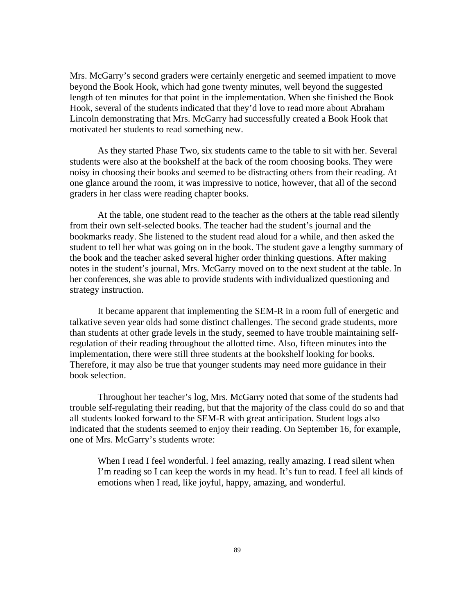Mrs. McGarry's second graders were certainly energetic and seemed impatient to move beyond the Book Hook, which had gone twenty minutes, well beyond the suggested length of ten minutes for that point in the implementation. When she finished the Book Hook, several of the students indicated that they'd love to read more about Abraham Lincoln demonstrating that Mrs. McGarry had successfully created a Book Hook that motivated her students to read something new.

As they started Phase Two, six students came to the table to sit with her. Several students were also at the bookshelf at the back of the room choosing books. They were noisy in choosing their books and seemed to be distracting others from their reading. At one glance around the room, it was impressive to notice, however, that all of the second graders in her class were reading chapter books.

At the table, one student read to the teacher as the others at the table read silently from their own self-selected books. The teacher had the student's journal and the bookmarks ready. She listened to the student read aloud for a while, and then asked the student to tell her what was going on in the book. The student gave a lengthy summary of the book and the teacher asked several higher order thinking questions. After making notes in the student's journal, Mrs. McGarry moved on to the next student at the table. In her conferences, she was able to provide students with individualized questioning and strategy instruction.

It became apparent that implementing the SEM-R in a room full of energetic and talkative seven year olds had some distinct challenges. The second grade students, more than students at other grade levels in the study, seemed to have trouble maintaining selfregulation of their reading throughout the allotted time. Also, fifteen minutes into the implementation, there were still three students at the bookshelf looking for books. Therefore, it may also be true that younger students may need more guidance in their book selection.

Throughout her teacher's log, Mrs. McGarry noted that some of the students had trouble self-regulating their reading, but that the majority of the class could do so and that all students looked forward to the SEM-R with great anticipation. Student logs also indicated that the students seemed to enjoy their reading. On September 16, for example, one of Mrs. McGarry's students wrote:

When I read I feel wonderful. I feel amazing, really amazing. I read silent when I'm reading so I can keep the words in my head. It's fun to read. I feel all kinds of emotions when I read, like joyful, happy, amazing, and wonderful.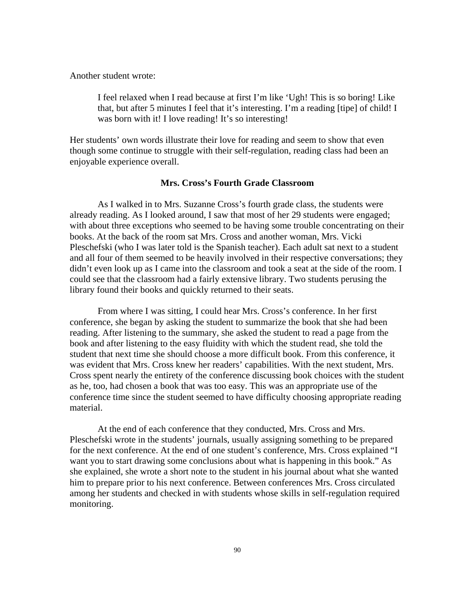Another student wrote:

I feel relaxed when I read because at first I'm like 'Ugh! This is so boring! Like that, but after 5 minutes I feel that it's interesting. I'm a reading [tipe] of child! I was born with it! I love reading! It's so interesting!

Her students' own words illustrate their love for reading and seem to show that even though some continue to struggle with their self-regulation, reading class had been an enjoyable experience overall.

### **Mrs. Cross's Fourth Grade Classroom**

As I walked in to Mrs. Suzanne Cross's fourth grade class, the students were already reading. As I looked around, I saw that most of her 29 students were engaged; with about three exceptions who seemed to be having some trouble concentrating on their books. At the back of the room sat Mrs. Cross and another woman, Mrs. Vicki Pleschefski (who I was later told is the Spanish teacher). Each adult sat next to a student and all four of them seemed to be heavily involved in their respective conversations; they didn't even look up as I came into the classroom and took a seat at the side of the room. I could see that the classroom had a fairly extensive library. Two students perusing the library found their books and quickly returned to their seats.

From where I was sitting, I could hear Mrs. Cross's conference. In her first conference, she began by asking the student to summarize the book that she had been reading. After listening to the summary, she asked the student to read a page from the book and after listening to the easy fluidity with which the student read, she told the student that next time she should choose a more difficult book. From this conference, it was evident that Mrs. Cross knew her readers' capabilities. With the next student, Mrs. Cross spent nearly the entirety of the conference discussing book choices with the student as he, too, had chosen a book that was too easy. This was an appropriate use of the conference time since the student seemed to have difficulty choosing appropriate reading material.

At the end of each conference that they conducted, Mrs. Cross and Mrs. Pleschefski wrote in the students' journals, usually assigning something to be prepared for the next conference. At the end of one student's conference, Mrs. Cross explained "I want you to start drawing some conclusions about what is happening in this book." As she explained, she wrote a short note to the student in his journal about what she wanted him to prepare prior to his next conference. Between conferences Mrs. Cross circulated among her students and checked in with students whose skills in self-regulation required monitoring.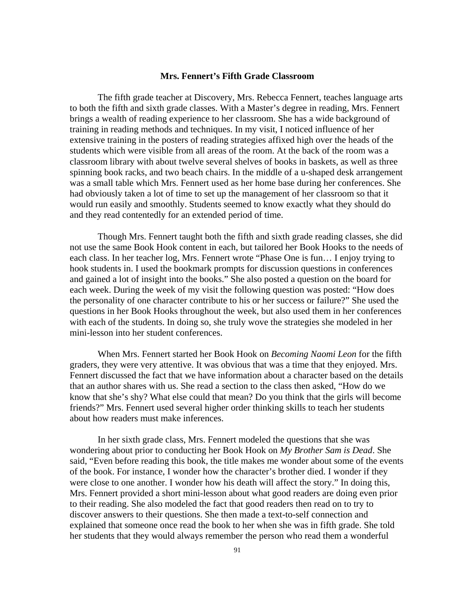#### **Mrs. Fennert's Fifth Grade Classroom**

The fifth grade teacher at Discovery, Mrs. Rebecca Fennert, teaches language arts to both the fifth and sixth grade classes. With a Master's degree in reading, Mrs. Fennert brings a wealth of reading experience to her classroom. She has a wide background of training in reading methods and techniques. In my visit, I noticed influence of her extensive training in the posters of reading strategies affixed high over the heads of the students which were visible from all areas of the room. At the back of the room was a classroom library with about twelve several shelves of books in baskets, as well as three spinning book racks, and two beach chairs. In the middle of a u-shaped desk arrangement was a small table which Mrs. Fennert used as her home base during her conferences. She had obviously taken a lot of time to set up the management of her classroom so that it would run easily and smoothly. Students seemed to know exactly what they should do and they read contentedly for an extended period of time.

Though Mrs. Fennert taught both the fifth and sixth grade reading classes, she did not use the same Book Hook content in each, but tailored her Book Hooks to the needs of each class. In her teacher log, Mrs. Fennert wrote "Phase One is fun… I enjoy trying to hook students in. I used the bookmark prompts for discussion questions in conferences and gained a lot of insight into the books." She also posted a question on the board for each week. During the week of my visit the following question was posted: "How does the personality of one character contribute to his or her success or failure?" She used the questions in her Book Hooks throughout the week, but also used them in her conferences with each of the students. In doing so, she truly wove the strategies she modeled in her mini-lesson into her student conferences.

When Mrs. Fennert started her Book Hook on *Becoming Naomi Leon* for the fifth graders, they were very attentive. It was obvious that was a time that they enjoyed. Mrs. Fennert discussed the fact that we have information about a character based on the details that an author shares with us. She read a section to the class then asked, "How do we know that she's shy? What else could that mean? Do you think that the girls will become friends?" Mrs. Fennert used several higher order thinking skills to teach her students about how readers must make inferences.

In her sixth grade class, Mrs. Fennert modeled the questions that she was wondering about prior to conducting her Book Hook on *My Brother Sam is Dead*. She said, "Even before reading this book, the title makes me wonder about some of the events of the book. For instance, I wonder how the character's brother died. I wonder if they were close to one another. I wonder how his death will affect the story." In doing this, Mrs. Fennert provided a short mini-lesson about what good readers are doing even prior to their reading. She also modeled the fact that good readers then read on to try to discover answers to their questions. She then made a text-to-self connection and explained that someone once read the book to her when she was in fifth grade. She told her students that they would always remember the person who read them a wonderful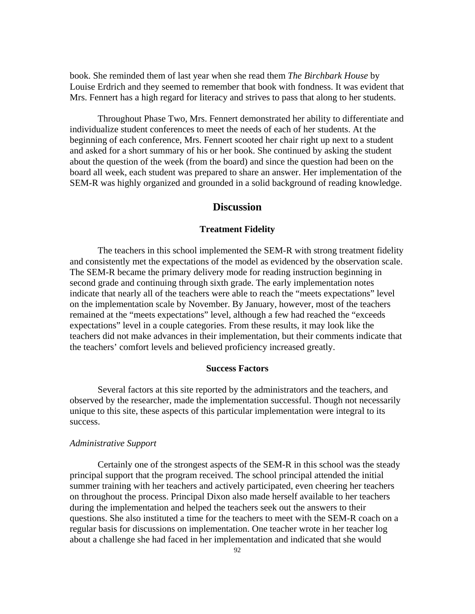book. She reminded them of last year when she read them *The Birchbark House* by Louise Erdrich and they seemed to remember that book with fondness. It was evident that Mrs. Fennert has a high regard for literacy and strives to pass that along to her students.

Throughout Phase Two, Mrs. Fennert demonstrated her ability to differentiate and individualize student conferences to meet the needs of each of her students. At the beginning of each conference, Mrs. Fennert scooted her chair right up next to a student and asked for a short summary of his or her book. She continued by asking the student about the question of the week (from the board) and since the question had been on the board all week, each student was prepared to share an answer. Her implementation of the SEM-R was highly organized and grounded in a solid background of reading knowledge.

## **Discussion**

#### **Treatment Fidelity**

The teachers in this school implemented the SEM-R with strong treatment fidelity and consistently met the expectations of the model as evidenced by the observation scale. The SEM-R became the primary delivery mode for reading instruction beginning in second grade and continuing through sixth grade. The early implementation notes indicate that nearly all of the teachers were able to reach the "meets expectations" level on the implementation scale by November. By January, however, most of the teachers remained at the "meets expectations" level, although a few had reached the "exceeds expectations" level in a couple categories. From these results, it may look like the teachers did not make advances in their implementation, but their comments indicate that the teachers' comfort levels and believed proficiency increased greatly.

### **Success Factors**

Several factors at this site reported by the administrators and the teachers, and observed by the researcher, made the implementation successful. Though not necessarily unique to this site, these aspects of this particular implementation were integral to its success.

## *Administrative Support*

Certainly one of the strongest aspects of the SEM-R in this school was the steady principal support that the program received. The school principal attended the initial summer training with her teachers and actively participated, even cheering her teachers on throughout the process. Principal Dixon also made herself available to her teachers during the implementation and helped the teachers seek out the answers to their questions. She also instituted a time for the teachers to meet with the SEM-R coach on a regular basis for discussions on implementation. One teacher wrote in her teacher log about a challenge she had faced in her implementation and indicated that she would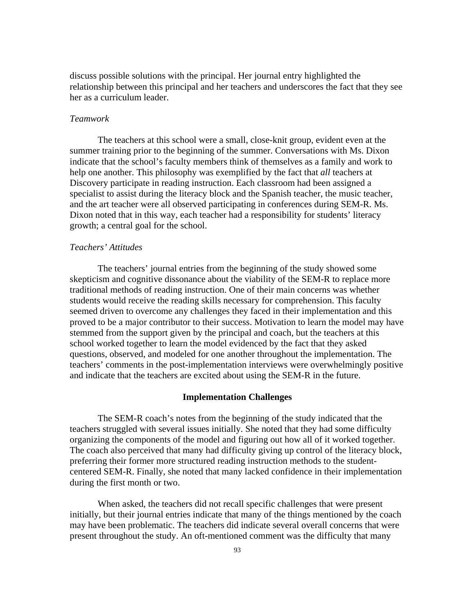discuss possible solutions with the principal. Her journal entry highlighted the relationship between this principal and her teachers and underscores the fact that they see her as a curriculum leader.

#### *Teamwork*

The teachers at this school were a small, close-knit group, evident even at the summer training prior to the beginning of the summer. Conversations with Ms. Dixon indicate that the school's faculty members think of themselves as a family and work to help one another. This philosophy was exemplified by the fact that *all* teachers at Discovery participate in reading instruction. Each classroom had been assigned a specialist to assist during the literacy block and the Spanish teacher, the music teacher, and the art teacher were all observed participating in conferences during SEM-R. Ms. Dixon noted that in this way, each teacher had a responsibility for students' literacy growth; a central goal for the school.

### *Teachers' Attitudes*

The teachers' journal entries from the beginning of the study showed some skepticism and cognitive dissonance about the viability of the SEM-R to replace more traditional methods of reading instruction. One of their main concerns was whether students would receive the reading skills necessary for comprehension. This faculty seemed driven to overcome any challenges they faced in their implementation and this proved to be a major contributor to their success. Motivation to learn the model may have stemmed from the support given by the principal and coach, but the teachers at this school worked together to learn the model evidenced by the fact that they asked questions, observed, and modeled for one another throughout the implementation. The teachers' comments in the post-implementation interviews were overwhelmingly positive and indicate that the teachers are excited about using the SEM-R in the future.

### **Implementation Challenges**

The SEM-R coach's notes from the beginning of the study indicated that the teachers struggled with several issues initially. She noted that they had some difficulty organizing the components of the model and figuring out how all of it worked together. The coach also perceived that many had difficulty giving up control of the literacy block, preferring their former more structured reading instruction methods to the studentcentered SEM-R. Finally, she noted that many lacked confidence in their implementation during the first month or two.

When asked, the teachers did not recall specific challenges that were present initially, but their journal entries indicate that many of the things mentioned by the coach may have been problematic. The teachers did indicate several overall concerns that were present throughout the study. An oft-mentioned comment was the difficulty that many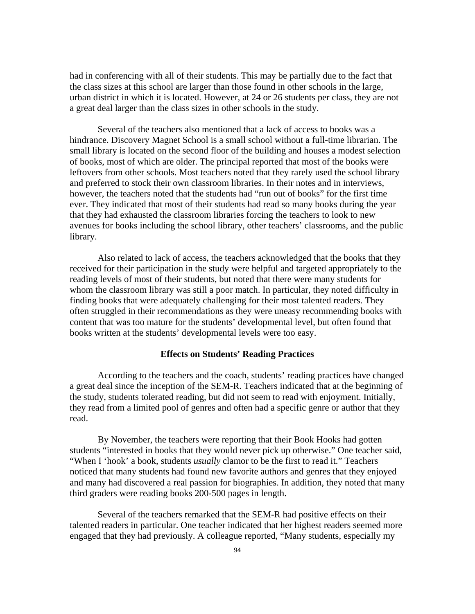had in conferencing with all of their students. This may be partially due to the fact that the class sizes at this school are larger than those found in other schools in the large, urban district in which it is located. However, at 24 or 26 students per class, they are not a great deal larger than the class sizes in other schools in the study.

Several of the teachers also mentioned that a lack of access to books was a hindrance. Discovery Magnet School is a small school without a full-time librarian. The small library is located on the second floor of the building and houses a modest selection of books, most of which are older. The principal reported that most of the books were leftovers from other schools. Most teachers noted that they rarely used the school library and preferred to stock their own classroom libraries. In their notes and in interviews, however, the teachers noted that the students had "run out of books" for the first time ever. They indicated that most of their students had read so many books during the year that they had exhausted the classroom libraries forcing the teachers to look to new avenues for books including the school library, other teachers' classrooms, and the public library.

Also related to lack of access, the teachers acknowledged that the books that they received for their participation in the study were helpful and targeted appropriately to the reading levels of most of their students, but noted that there were many students for whom the classroom library was still a poor match. In particular, they noted difficulty in finding books that were adequately challenging for their most talented readers. They often struggled in their recommendations as they were uneasy recommending books with content that was too mature for the students' developmental level, but often found that books written at the students' developmental levels were too easy.

### **Effects on Students' Reading Practices**

According to the teachers and the coach, students' reading practices have changed a great deal since the inception of the SEM-R. Teachers indicated that at the beginning of the study, students tolerated reading, but did not seem to read with enjoyment. Initially, they read from a limited pool of genres and often had a specific genre or author that they read.

By November, the teachers were reporting that their Book Hooks had gotten students "interested in books that they would never pick up otherwise." One teacher said, "When I 'hook' a book, students *usually* clamor to be the first to read it." Teachers noticed that many students had found new favorite authors and genres that they enjoyed and many had discovered a real passion for biographies. In addition, they noted that many third graders were reading books 200-500 pages in length.

Several of the teachers remarked that the SEM-R had positive effects on their talented readers in particular. One teacher indicated that her highest readers seemed more engaged that they had previously. A colleague reported, "Many students, especially my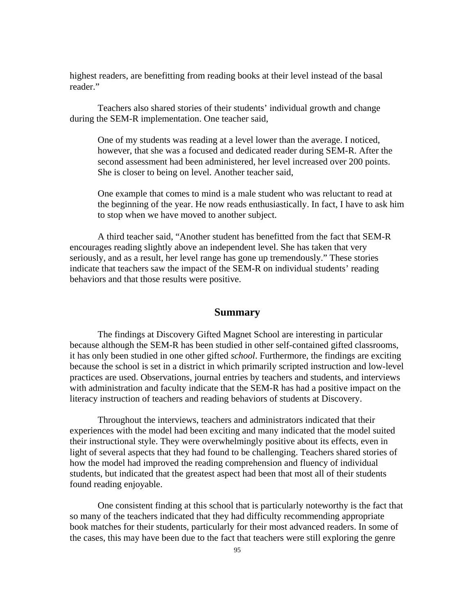highest readers, are benefitting from reading books at their level instead of the basal reader."

Teachers also shared stories of their students' individual growth and change during the SEM-R implementation. One teacher said,

One of my students was reading at a level lower than the average. I noticed, however, that she was a focused and dedicated reader during SEM-R. After the second assessment had been administered, her level increased over 200 points. She is closer to being on level. Another teacher said,

One example that comes to mind is a male student who was reluctant to read at the beginning of the year. He now reads enthusiastically. In fact, I have to ask him to stop when we have moved to another subject.

A third teacher said, "Another student has benefitted from the fact that SEM-R encourages reading slightly above an independent level. She has taken that very seriously, and as a result, her level range has gone up tremendously." These stories indicate that teachers saw the impact of the SEM-R on individual students' reading behaviors and that those results were positive.

# **Summary**

The findings at Discovery Gifted Magnet School are interesting in particular because although the SEM-R has been studied in other self-contained gifted classrooms, it has only been studied in one other gifted *school*. Furthermore, the findings are exciting because the school is set in a district in which primarily scripted instruction and low-level practices are used. Observations, journal entries by teachers and students, and interviews with administration and faculty indicate that the SEM-R has had a positive impact on the literacy instruction of teachers and reading behaviors of students at Discovery.

Throughout the interviews, teachers and administrators indicated that their experiences with the model had been exciting and many indicated that the model suited their instructional style. They were overwhelmingly positive about its effects, even in light of several aspects that they had found to be challenging. Teachers shared stories of how the model had improved the reading comprehension and fluency of individual students, but indicated that the greatest aspect had been that most all of their students found reading enjoyable.

One consistent finding at this school that is particularly noteworthy is the fact that so many of the teachers indicated that they had difficulty recommending appropriate book matches for their students, particularly for their most advanced readers. In some of the cases, this may have been due to the fact that teachers were still exploring the genre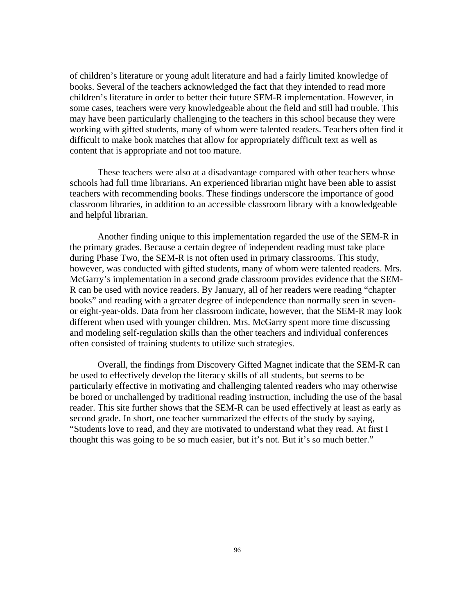of children's literature or young adult literature and had a fairly limited knowledge of books. Several of the teachers acknowledged the fact that they intended to read more children's literature in order to better their future SEM-R implementation. However, in some cases, teachers were very knowledgeable about the field and still had trouble. This may have been particularly challenging to the teachers in this school because they were working with gifted students, many of whom were talented readers. Teachers often find it difficult to make book matches that allow for appropriately difficult text as well as content that is appropriate and not too mature.

These teachers were also at a disadvantage compared with other teachers whose schools had full time librarians. An experienced librarian might have been able to assist teachers with recommending books. These findings underscore the importance of good classroom libraries, in addition to an accessible classroom library with a knowledgeable and helpful librarian.

Another finding unique to this implementation regarded the use of the SEM-R in the primary grades. Because a certain degree of independent reading must take place during Phase Two, the SEM-R is not often used in primary classrooms. This study, however, was conducted with gifted students, many of whom were talented readers. Mrs. McGarry's implementation in a second grade classroom provides evidence that the SEM-R can be used with novice readers. By January, all of her readers were reading "chapter books" and reading with a greater degree of independence than normally seen in sevenor eight-year-olds. Data from her classroom indicate, however, that the SEM-R may look different when used with younger children. Mrs. McGarry spent more time discussing and modeling self-regulation skills than the other teachers and individual conferences often consisted of training students to utilize such strategies.

Overall, the findings from Discovery Gifted Magnet indicate that the SEM-R can be used to effectively develop the literacy skills of all students, but seems to be particularly effective in motivating and challenging talented readers who may otherwise be bored or unchallenged by traditional reading instruction, including the use of the basal reader. This site further shows that the SEM-R can be used effectively at least as early as second grade. In short, one teacher summarized the effects of the study by saying, "Students love to read, and they are motivated to understand what they read. At first I thought this was going to be so much easier, but it's not. But it's so much better."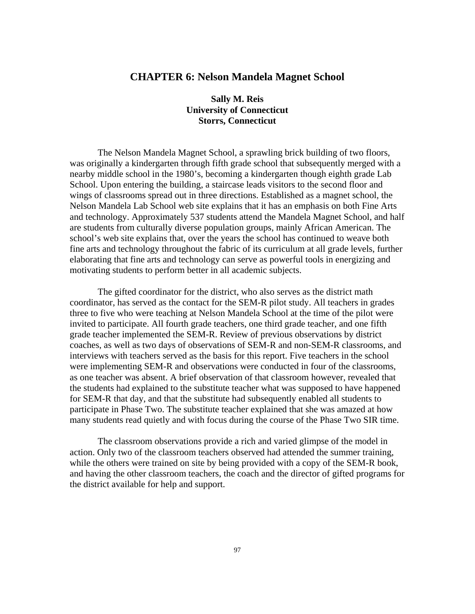# **CHAPTER 6: Nelson Mandela Magnet School**

# **Sally M. Reis University of Connecticut Storrs, Connecticut**

The Nelson Mandela Magnet School, a sprawling brick building of two floors, was originally a kindergarten through fifth grade school that subsequently merged with a nearby middle school in the 1980's, becoming a kindergarten though eighth grade Lab School. Upon entering the building, a staircase leads visitors to the second floor and wings of classrooms spread out in three directions. Established as a magnet school, the Nelson Mandela Lab School web site explains that it has an emphasis on both Fine Arts and technology. Approximately 537 students attend the Mandela Magnet School, and half are students from culturally diverse population groups, mainly African American. The school's web site explains that, over the years the school has continued to weave both fine arts and technology throughout the fabric of its curriculum at all grade levels, further elaborating that fine arts and technology can serve as powerful tools in energizing and motivating students to perform better in all academic subjects.

The gifted coordinator for the district, who also serves as the district math coordinator, has served as the contact for the SEM-R pilot study. All teachers in grades three to five who were teaching at Nelson Mandela School at the time of the pilot were invited to participate. All fourth grade teachers, one third grade teacher, and one fifth grade teacher implemented the SEM-R. Review of previous observations by district coaches, as well as two days of observations of SEM-R and non-SEM-R classrooms, and interviews with teachers served as the basis for this report. Five teachers in the school were implementing SEM-R and observations were conducted in four of the classrooms, as one teacher was absent. A brief observation of that classroom however, revealed that the students had explained to the substitute teacher what was supposed to have happened for SEM-R that day, and that the substitute had subsequently enabled all students to participate in Phase Two. The substitute teacher explained that she was amazed at how many students read quietly and with focus during the course of the Phase Two SIR time.

The classroom observations provide a rich and varied glimpse of the model in action. Only two of the classroom teachers observed had attended the summer training, while the others were trained on site by being provided with a copy of the SEM-R book, and having the other classroom teachers, the coach and the director of gifted programs for the district available for help and support.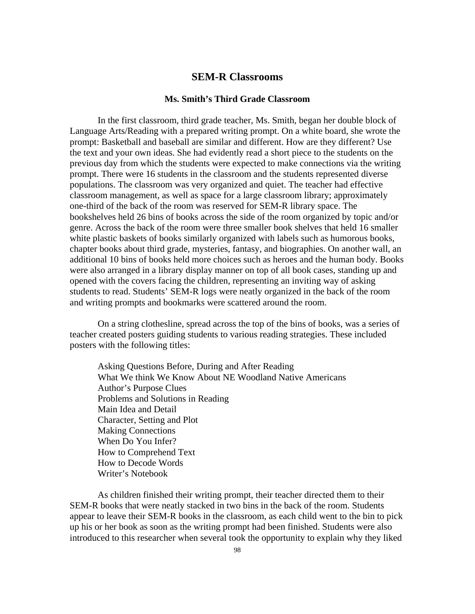# **SEM-R Classrooms**

## **Ms. Smith's Third Grade Classroom**

In the first classroom, third grade teacher, Ms. Smith, began her double block of Language Arts/Reading with a prepared writing prompt. On a white board, she wrote the prompt: Basketball and baseball are similar and different. How are they different? Use the text and your own ideas. She had evidently read a short piece to the students on the previous day from which the students were expected to make connections via the writing prompt. There were 16 students in the classroom and the students represented diverse populations. The classroom was very organized and quiet. The teacher had effective classroom management, as well as space for a large classroom library; approximately one-third of the back of the room was reserved for SEM-R library space. The bookshelves held 26 bins of books across the side of the room organized by topic and/or genre. Across the back of the room were three smaller book shelves that held 16 smaller white plastic baskets of books similarly organized with labels such as humorous books, chapter books about third grade, mysteries, fantasy, and biographies. On another wall, an additional 10 bins of books held more choices such as heroes and the human body. Books were also arranged in a library display manner on top of all book cases, standing up and opened with the covers facing the children, representing an inviting way of asking students to read. Students' SEM-R logs were neatly organized in the back of the room and writing prompts and bookmarks were scattered around the room.

On a string clothesline, spread across the top of the bins of books, was a series of teacher created posters guiding students to various reading strategies. These included posters with the following titles:

Asking Questions Before, During and After Reading What We think We Know About NE Woodland Native Americans Author's Purpose Clues Problems and Solutions in Reading Main Idea and Detail Character, Setting and Plot Making Connections When Do You Infer? How to Comprehend Text How to Decode Words Writer's Notebook

As children finished their writing prompt, their teacher directed them to their SEM-R books that were neatly stacked in two bins in the back of the room. Students appear to leave their SEM-R books in the classroom, as each child went to the bin to pick up his or her book as soon as the writing prompt had been finished. Students were also introduced to this researcher when several took the opportunity to explain why they liked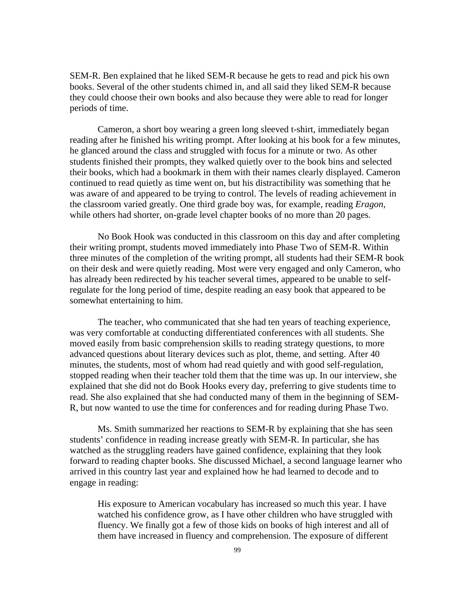SEM-R. Ben explained that he liked SEM-R because he gets to read and pick his own books. Several of the other students chimed in, and all said they liked SEM-R because they could choose their own books and also because they were able to read for longer periods of time.

Cameron, a short boy wearing a green long sleeved t-shirt, immediately began reading after he finished his writing prompt. After looking at his book for a few minutes, he glanced around the class and struggled with focus for a minute or two. As other students finished their prompts, they walked quietly over to the book bins and selected their books, which had a bookmark in them with their names clearly displayed. Cameron continued to read quietly as time went on, but his distractibility was something that he was aware of and appeared to be trying to control. The levels of reading achievement in the classroom varied greatly. One third grade boy was, for example, reading *Eragon,* while others had shorter, on-grade level chapter books of no more than 20 pages.

No Book Hook was conducted in this classroom on this day and after completing their writing prompt, students moved immediately into Phase Two of SEM-R. Within three minutes of the completion of the writing prompt, all students had their SEM-R book on their desk and were quietly reading. Most were very engaged and only Cameron, who has already been redirected by his teacher several times, appeared to be unable to selfregulate for the long period of time, despite reading an easy book that appeared to be somewhat entertaining to him.

The teacher, who communicated that she had ten years of teaching experience, was very comfortable at conducting differentiated conferences with all students. She moved easily from basic comprehension skills to reading strategy questions, to more advanced questions about literary devices such as plot, theme, and setting. After 40 minutes, the students, most of whom had read quietly and with good self-regulation, stopped reading when their teacher told them that the time was up. In our interview, she explained that she did not do Book Hooks every day, preferring to give students time to read. She also explained that she had conducted many of them in the beginning of SEM-R, but now wanted to use the time for conferences and for reading during Phase Two.

Ms. Smith summarized her reactions to SEM-R by explaining that she has seen students' confidence in reading increase greatly with SEM-R. In particular, she has watched as the struggling readers have gained confidence, explaining that they look forward to reading chapter books. She discussed Michael, a second language learner who arrived in this country last year and explained how he had learned to decode and to engage in reading:

His exposure to American vocabulary has increased so much this year. I have watched his confidence grow, as I have other children who have struggled with fluency. We finally got a few of those kids on books of high interest and all of them have increased in fluency and comprehension. The exposure of different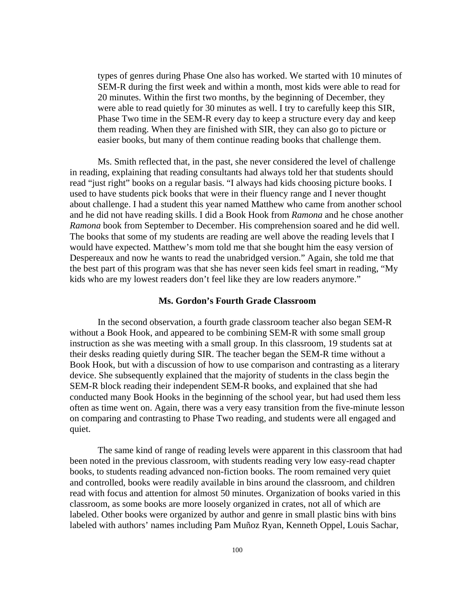types of genres during Phase One also has worked. We started with 10 minutes of SEM-R during the first week and within a month, most kids were able to read for 20 minutes. Within the first two months, by the beginning of December, they were able to read quietly for 30 minutes as well. I try to carefully keep this SIR, Phase Two time in the SEM-R every day to keep a structure every day and keep them reading. When they are finished with SIR, they can also go to picture or easier books, but many of them continue reading books that challenge them.

Ms. Smith reflected that, in the past, she never considered the level of challenge in reading, explaining that reading consultants had always told her that students should read "just right" books on a regular basis. "I always had kids choosing picture books. I used to have students pick books that were in their fluency range and I never thought about challenge. I had a student this year named Matthew who came from another school and he did not have reading skills. I did a Book Hook from *Ramona* and he chose another *Ramona* book from September to December. His comprehension soared and he did well. The books that some of my students are reading are well above the reading levels that I would have expected. Matthew's mom told me that she bought him the easy version of Despereaux and now he wants to read the unabridged version." Again, she told me that the best part of this program was that she has never seen kids feel smart in reading, "My kids who are my lowest readers don't feel like they are low readers anymore."

#### **Ms. Gordon's Fourth Grade Classroom**

In the second observation, a fourth grade classroom teacher also began SEM-R without a Book Hook, and appeared to be combining SEM-R with some small group instruction as she was meeting with a small group. In this classroom, 19 students sat at their desks reading quietly during SIR. The teacher began the SEM-R time without a Book Hook, but with a discussion of how to use comparison and contrasting as a literary device. She subsequently explained that the majority of students in the class begin the SEM-R block reading their independent SEM-R books, and explained that she had conducted many Book Hooks in the beginning of the school year, but had used them less often as time went on. Again, there was a very easy transition from the five-minute lesson on comparing and contrasting to Phase Two reading, and students were all engaged and quiet.

The same kind of range of reading levels were apparent in this classroom that had been noted in the previous classroom, with students reading very low easy-read chapter books, to students reading advanced non-fiction books. The room remained very quiet and controlled, books were readily available in bins around the classroom, and children read with focus and attention for almost 50 minutes. Organization of books varied in this classroom, as some books are more loosely organized in crates, not all of which are labeled. Other books were organized by author and genre in small plastic bins with bins labeled with authors' names including Pam Muñoz Ryan, Kenneth Oppel, Louis Sachar,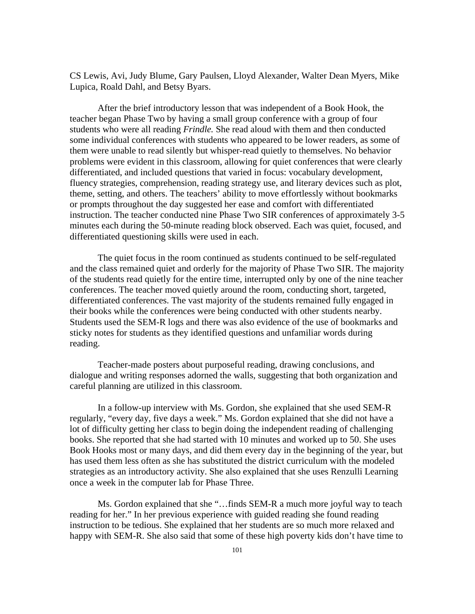CS Lewis, Avi, Judy Blume, Gary Paulsen, Lloyd Alexander, Walter Dean Myers, Mike Lupica, Roald Dahl, and Betsy Byars.

After the brief introductory lesson that was independent of a Book Hook, the teacher began Phase Two by having a small group conference with a group of four students who were all reading *Frindle.* She read aloud with them and then conducted some individual conferences with students who appeared to be lower readers, as some of them were unable to read silently but whisper-read quietly to themselves. No behavior problems were evident in this classroom, allowing for quiet conferences that were clearly differentiated, and included questions that varied in focus: vocabulary development, fluency strategies, comprehension, reading strategy use, and literary devices such as plot, theme, setting, and others. The teachers' ability to move effortlessly without bookmarks or prompts throughout the day suggested her ease and comfort with differentiated instruction. The teacher conducted nine Phase Two SIR conferences of approximately 3-5 minutes each during the 50-minute reading block observed. Each was quiet, focused, and differentiated questioning skills were used in each.

The quiet focus in the room continued as students continued to be self-regulated and the class remained quiet and orderly for the majority of Phase Two SIR. The majority of the students read quietly for the entire time, interrupted only by one of the nine teacher conferences. The teacher moved quietly around the room, conducting short, targeted, differentiated conferences. The vast majority of the students remained fully engaged in their books while the conferences were being conducted with other students nearby. Students used the SEM-R logs and there was also evidence of the use of bookmarks and sticky notes for students as they identified questions and unfamiliar words during reading.

Teacher-made posters about purposeful reading, drawing conclusions, and dialogue and writing responses adorned the walls, suggesting that both organization and careful planning are utilized in this classroom.

In a follow-up interview with Ms. Gordon, she explained that she used SEM-R regularly, "every day, five days a week." Ms. Gordon explained that she did not have a lot of difficulty getting her class to begin doing the independent reading of challenging books. She reported that she had started with 10 minutes and worked up to 50. She uses Book Hooks most or many days, and did them every day in the beginning of the year, but has used them less often as she has substituted the district curriculum with the modeled strategies as an introductory activity. She also explained that she uses Renzulli Learning once a week in the computer lab for Phase Three.

Ms. Gordon explained that she "…finds SEM-R a much more joyful way to teach reading for her." In her previous experience with guided reading she found reading instruction to be tedious. She explained that her students are so much more relaxed and happy with SEM-R. She also said that some of these high poverty kids don't have time to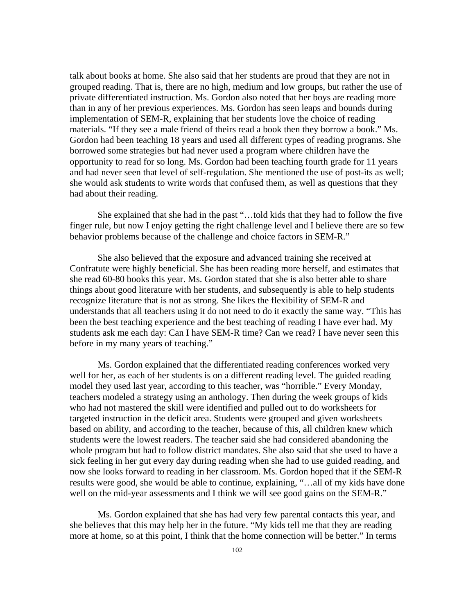talk about books at home. She also said that her students are proud that they are not in grouped reading. That is, there are no high, medium and low groups, but rather the use of private differentiated instruction. Ms. Gordon also noted that her boys are reading more than in any of her previous experiences. Ms. Gordon has seen leaps and bounds during implementation of SEM-R, explaining that her students love the choice of reading materials. "If they see a male friend of theirs read a book then they borrow a book." Ms. Gordon had been teaching 18 years and used all different types of reading programs. She borrowed some strategies but had never used a program where children have the opportunity to read for so long. Ms. Gordon had been teaching fourth grade for 11 years and had never seen that level of self-regulation. She mentioned the use of post-its as well; she would ask students to write words that confused them, as well as questions that they had about their reading.

She explained that she had in the past "…told kids that they had to follow the five finger rule, but now I enjoy getting the right challenge level and I believe there are so few behavior problems because of the challenge and choice factors in SEM-R."

She also believed that the exposure and advanced training she received at Confratute were highly beneficial. She has been reading more herself, and estimates that she read 60-80 books this year. Ms. Gordon stated that she is also better able to share things about good literature with her students, and subsequently is able to help students recognize literature that is not as strong. She likes the flexibility of SEM-R and understands that all teachers using it do not need to do it exactly the same way. "This has been the best teaching experience and the best teaching of reading I have ever had. My students ask me each day: Can I have SEM-R time? Can we read? I have never seen this before in my many years of teaching."

Ms. Gordon explained that the differentiated reading conferences worked very well for her, as each of her students is on a different reading level. The guided reading model they used last year, according to this teacher, was "horrible." Every Monday, teachers modeled a strategy using an anthology. Then during the week groups of kids who had not mastered the skill were identified and pulled out to do worksheets for targeted instruction in the deficit area. Students were grouped and given worksheets based on ability, and according to the teacher, because of this, all children knew which students were the lowest readers. The teacher said she had considered abandoning the whole program but had to follow district mandates. She also said that she used to have a sick feeling in her gut every day during reading when she had to use guided reading, and now she looks forward to reading in her classroom. Ms. Gordon hoped that if the SEM-R results were good, she would be able to continue, explaining, "…all of my kids have done well on the mid-year assessments and I think we will see good gains on the SEM-R."

Ms. Gordon explained that she has had very few parental contacts this year, and she believes that this may help her in the future. "My kids tell me that they are reading more at home, so at this point, I think that the home connection will be better." In terms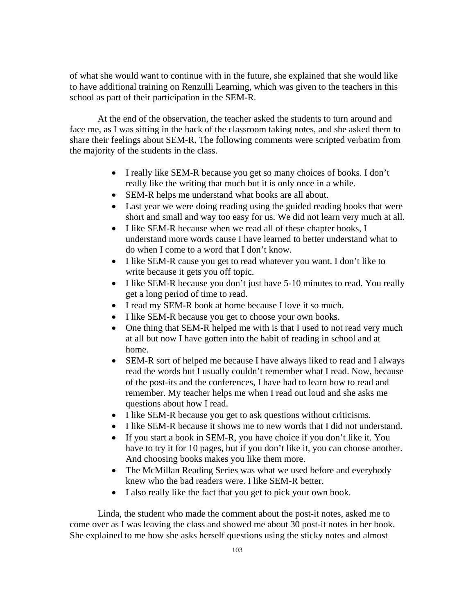of what she would want to continue with in the future, she explained that she would like to have additional training on Renzulli Learning, which was given to the teachers in this school as part of their participation in the SEM-R.

At the end of the observation, the teacher asked the students to turn around and face me, as I was sitting in the back of the classroom taking notes, and she asked them to share their feelings about SEM-R. The following comments were scripted verbatim from the majority of the students in the class.

- I really like SEM-R because you get so many choices of books. I don't really like the writing that much but it is only once in a while.
- SEM-R helps me understand what books are all about.
- Last year we were doing reading using the guided reading books that were short and small and way too easy for us. We did not learn very much at all.
- I like SEM-R because when we read all of these chapter books, I understand more words cause I have learned to better understand what to do when I come to a word that I don't know.
- I like SEM-R cause you get to read whatever you want. I don't like to write because it gets you off topic.
- I like SEM-R because you don't just have 5-10 minutes to read. You really get a long period of time to read.
- I read my SEM-R book at home because I love it so much.
- I like SEM-R because you get to choose your own books.
- One thing that SEM-R helped me with is that I used to not read very much at all but now I have gotten into the habit of reading in school and at home.
- SEM-R sort of helped me because I have always liked to read and I always read the words but I usually couldn't remember what I read. Now, because of the post-its and the conferences, I have had to learn how to read and remember. My teacher helps me when I read out loud and she asks me questions about how I read.
- I like SEM-R because you get to ask questions without criticisms.
- I like SEM-R because it shows me to new words that I did not understand.
- If you start a book in SEM-R, you have choice if you don't like it. You have to try it for 10 pages, but if you don't like it, you can choose another. And choosing books makes you like them more.
- The McMillan Reading Series was what we used before and everybody knew who the bad readers were. I like SEM-R better.
- I also really like the fact that you get to pick your own book.

Linda, the student who made the comment about the post-it notes, asked me to come over as I was leaving the class and showed me about 30 post-it notes in her book. She explained to me how she asks herself questions using the sticky notes and almost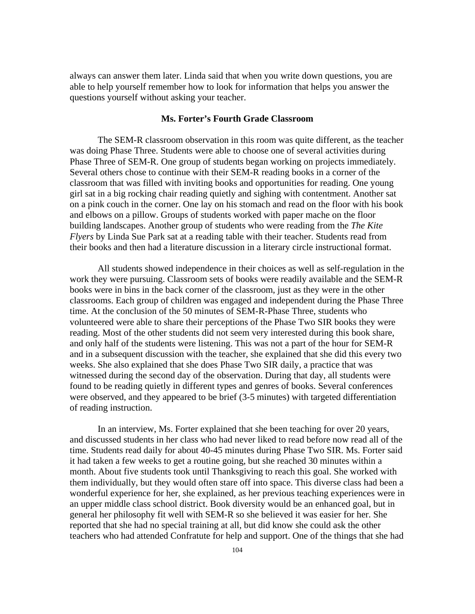always can answer them later. Linda said that when you write down questions, you are able to help yourself remember how to look for information that helps you answer the questions yourself without asking your teacher.

#### **Ms. Forter's Fourth Grade Classroom**

The SEM-R classroom observation in this room was quite different, as the teacher was doing Phase Three. Students were able to choose one of several activities during Phase Three of SEM-R. One group of students began working on projects immediately. Several others chose to continue with their SEM-R reading books in a corner of the classroom that was filled with inviting books and opportunities for reading. One young girl sat in a big rocking chair reading quietly and sighing with contentment. Another sat on a pink couch in the corner. One lay on his stomach and read on the floor with his book and elbows on a pillow. Groups of students worked with paper mache on the floor building landscapes. Another group of students who were reading from the *The Kite Flyers* by Linda Sue Park sat at a reading table with their teacher. Students read from their books and then had a literature discussion in a literary circle instructional format.

All students showed independence in their choices as well as self-regulation in the work they were pursuing. Classroom sets of books were readily available and the SEM-R books were in bins in the back corner of the classroom, just as they were in the other classrooms. Each group of children was engaged and independent during the Phase Three time. At the conclusion of the 50 minutes of SEM-R-Phase Three, students who volunteered were able to share their perceptions of the Phase Two SIR books they were reading. Most of the other students did not seem very interested during this book share, and only half of the students were listening. This was not a part of the hour for SEM-R and in a subsequent discussion with the teacher, she explained that she did this every two weeks. She also explained that she does Phase Two SIR daily, a practice that was witnessed during the second day of the observation. During that day, all students were found to be reading quietly in different types and genres of books. Several conferences were observed, and they appeared to be brief (3-5 minutes) with targeted differentiation of reading instruction.

In an interview, Ms. Forter explained that she been teaching for over 20 years, and discussed students in her class who had never liked to read before now read all of the time. Students read daily for about 40-45 minutes during Phase Two SIR. Ms. Forter said it had taken a few weeks to get a routine going, but she reached 30 minutes within a month. About five students took until Thanksgiving to reach this goal. She worked with them individually, but they would often stare off into space. This diverse class had been a wonderful experience for her, she explained, as her previous teaching experiences were in an upper middle class school district. Book diversity would be an enhanced goal, but in general her philosophy fit well with SEM-R so she believed it was easier for her. She reported that she had no special training at all, but did know she could ask the other teachers who had attended Confratute for help and support. One of the things that she had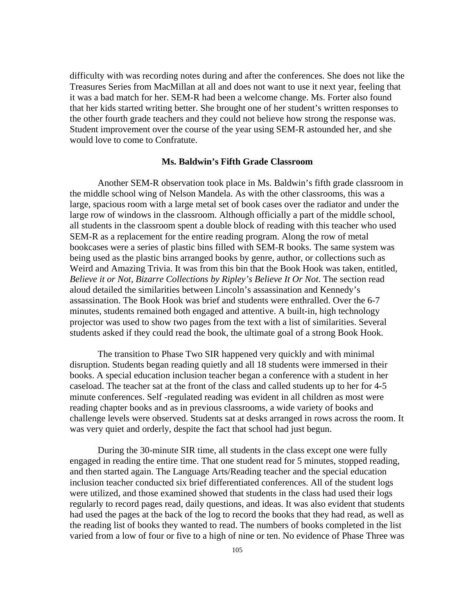difficulty with was recording notes during and after the conferences. She does not like the Treasures Series from MacMillan at all and does not want to use it next year, feeling that it was a bad match for her. SEM-R had been a welcome change. Ms. Forter also found that her kids started writing better. She brought one of her student's written responses to the other fourth grade teachers and they could not believe how strong the response was. Student improvement over the course of the year using SEM-R astounded her, and she would love to come to Confratute.

### **Ms. Baldwin's Fifth Grade Classroom**

Another SEM-R observation took place in Ms. Baldwin's fifth grade classroom in the middle school wing of Nelson Mandela. As with the other classrooms, this was a large, spacious room with a large metal set of book cases over the radiator and under the large row of windows in the classroom. Although officially a part of the middle school, all students in the classroom spent a double block of reading with this teacher who used SEM-R as a replacement for the entire reading program. Along the row of metal bookcases were a series of plastic bins filled with SEM-R books. The same system was being used as the plastic bins arranged books by genre, author, or collections such as Weird and Amazing Trivia. It was from this bin that the Book Hook was taken, entitled, *Believe it or Not, Bizarre Collections by Ripley's Believe It Or Not*. The section read aloud detailed the similarities between Lincoln's assassination and Kennedy's assassination. The Book Hook was brief and students were enthralled. Over the 6-7 minutes, students remained both engaged and attentive. A built-in, high technology projector was used to show two pages from the text with a list of similarities. Several students asked if they could read the book, the ultimate goal of a strong Book Hook.

The transition to Phase Two SIR happened very quickly and with minimal disruption. Students began reading quietly and all 18 students were immersed in their books. A special education inclusion teacher began a conference with a student in her caseload. The teacher sat at the front of the class and called students up to her for 4-5 minute conferences. Self -regulated reading was evident in all children as most were reading chapter books and as in previous classrooms, a wide variety of books and challenge levels were observed. Students sat at desks arranged in rows across the room. It was very quiet and orderly, despite the fact that school had just begun.

During the 30-minute SIR time, all students in the class except one were fully engaged in reading the entire time. That one student read for 5 minutes, stopped reading, and then started again. The Language Arts/Reading teacher and the special education inclusion teacher conducted six brief differentiated conferences. All of the student logs were utilized, and those examined showed that students in the class had used their logs regularly to record pages read, daily questions, and ideas. It was also evident that students had used the pages at the back of the log to record the books that they had read, as well as the reading list of books they wanted to read. The numbers of books completed in the list varied from a low of four or five to a high of nine or ten. No evidence of Phase Three was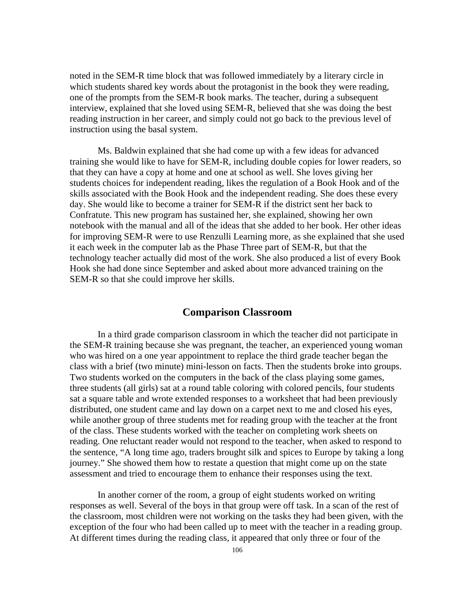noted in the SEM-R time block that was followed immediately by a literary circle in which students shared key words about the protagonist in the book they were reading, one of the prompts from the SEM-R book marks. The teacher, during a subsequent interview, explained that she loved using SEM-R, believed that she was doing the best reading instruction in her career, and simply could not go back to the previous level of instruction using the basal system.

Ms. Baldwin explained that she had come up with a few ideas for advanced training she would like to have for SEM-R, including double copies for lower readers, so that they can have a copy at home and one at school as well. She loves giving her students choices for independent reading, likes the regulation of a Book Hook and of the skills associated with the Book Hook and the independent reading. She does these every day. She would like to become a trainer for SEM-R if the district sent her back to Confratute. This new program has sustained her, she explained, showing her own notebook with the manual and all of the ideas that she added to her book. Her other ideas for improving SEM-R were to use Renzulli Learning more, as she explained that she used it each week in the computer lab as the Phase Three part of SEM-R, but that the technology teacher actually did most of the work. She also produced a list of every Book Hook she had done since September and asked about more advanced training on the SEM-R so that she could improve her skills.

# **Comparison Classroom**

In a third grade comparison classroom in which the teacher did not participate in the SEM-R training because she was pregnant, the teacher, an experienced young woman who was hired on a one year appointment to replace the third grade teacher began the class with a brief (two minute) mini-lesson on facts. Then the students broke into groups. Two students worked on the computers in the back of the class playing some games, three students (all girls) sat at a round table coloring with colored pencils, four students sat a square table and wrote extended responses to a worksheet that had been previously distributed, one student came and lay down on a carpet next to me and closed his eyes, while another group of three students met for reading group with the teacher at the front of the class. These students worked with the teacher on completing work sheets on reading. One reluctant reader would not respond to the teacher, when asked to respond to the sentence, "A long time ago, traders brought silk and spices to Europe by taking a long journey." She showed them how to restate a question that might come up on the state assessment and tried to encourage them to enhance their responses using the text.

In another corner of the room, a group of eight students worked on writing responses as well. Several of the boys in that group were off task. In a scan of the rest of the classroom, most children were not working on the tasks they had been given, with the exception of the four who had been called up to meet with the teacher in a reading group. At different times during the reading class, it appeared that only three or four of the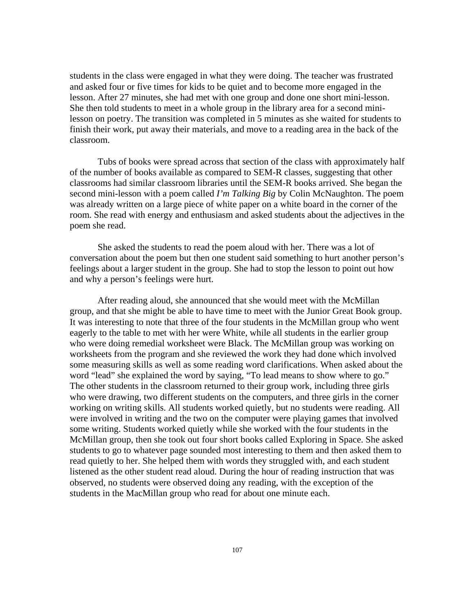students in the class were engaged in what they were doing. The teacher was frustrated and asked four or five times for kids to be quiet and to become more engaged in the lesson. After 27 minutes, she had met with one group and done one short mini-lesson. She then told students to meet in a whole group in the library area for a second minilesson on poetry. The transition was completed in 5 minutes as she waited for students to finish their work, put away their materials, and move to a reading area in the back of the classroom.

Tubs of books were spread across that section of the class with approximately half of the number of books available as compared to SEM-R classes, suggesting that other classrooms had similar classroom libraries until the SEM-R books arrived. She began the second mini-lesson with a poem called *I'm Talking Big* by Colin McNaughton. The poem was already written on a large piece of white paper on a white board in the corner of the room. She read with energy and enthusiasm and asked students about the adjectives in the poem she read.

She asked the students to read the poem aloud with her. There was a lot of conversation about the poem but then one student said something to hurt another person's feelings about a larger student in the group. She had to stop the lesson to point out how and why a person's feelings were hurt.

After reading aloud, she announced that she would meet with the McMillan group, and that she might be able to have time to meet with the Junior Great Book group. It was interesting to note that three of the four students in the McMillan group who went eagerly to the table to met with her were White, while all students in the earlier group who were doing remedial worksheet were Black. The McMillan group was working on worksheets from the program and she reviewed the work they had done which involved some measuring skills as well as some reading word clarifications. When asked about the word "lead" she explained the word by saying, "To lead means to show where to go." The other students in the classroom returned to their group work, including three girls who were drawing, two different students on the computers, and three girls in the corner working on writing skills. All students worked quietly, but no students were reading. All were involved in writing and the two on the computer were playing games that involved some writing. Students worked quietly while she worked with the four students in the McMillan group, then she took out four short books called Exploring in Space. She asked students to go to whatever page sounded most interesting to them and then asked them to read quietly to her. She helped them with words they struggled with, and each student listened as the other student read aloud. During the hour of reading instruction that was observed, no students were observed doing any reading, with the exception of the students in the MacMillan group who read for about one minute each.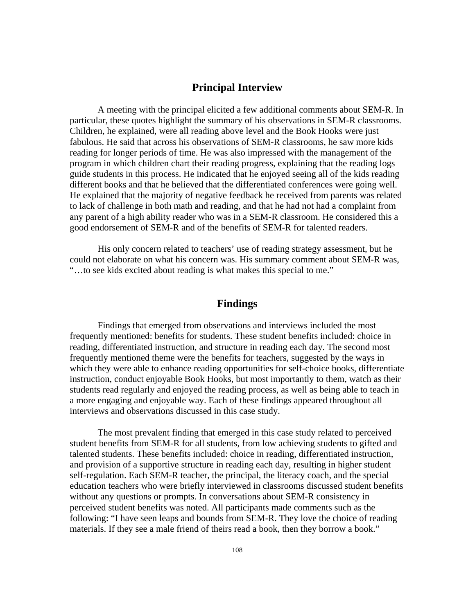## **Principal Interview**

A meeting with the principal elicited a few additional comments about SEM-R. In particular, these quotes highlight the summary of his observations in SEM-R classrooms. Children, he explained, were all reading above level and the Book Hooks were just fabulous. He said that across his observations of SEM-R classrooms, he saw more kids reading for longer periods of time. He was also impressed with the management of the program in which children chart their reading progress, explaining that the reading logs guide students in this process. He indicated that he enjoyed seeing all of the kids reading different books and that he believed that the differentiated conferences were going well. He explained that the majority of negative feedback he received from parents was related to lack of challenge in both math and reading, and that he had not had a complaint from any parent of a high ability reader who was in a SEM-R classroom. He considered this a good endorsement of SEM-R and of the benefits of SEM-R for talented readers.

His only concern related to teachers' use of reading strategy assessment, but he could not elaborate on what his concern was. His summary comment about SEM-R was, "…to see kids excited about reading is what makes this special to me."

# **Findings**

Findings that emerged from observations and interviews included the most frequently mentioned: benefits for students. These student benefits included: choice in reading, differentiated instruction, and structure in reading each day. The second most frequently mentioned theme were the benefits for teachers, suggested by the ways in which they were able to enhance reading opportunities for self-choice books, differentiate instruction, conduct enjoyable Book Hooks, but most importantly to them, watch as their students read regularly and enjoyed the reading process, as well as being able to teach in a more engaging and enjoyable way. Each of these findings appeared throughout all interviews and observations discussed in this case study.

The most prevalent finding that emerged in this case study related to perceived student benefits from SEM-R for all students, from low achieving students to gifted and talented students. These benefits included: choice in reading, differentiated instruction, and provision of a supportive structure in reading each day, resulting in higher student self-regulation. Each SEM-R teacher, the principal, the literacy coach, and the special education teachers who were briefly interviewed in classrooms discussed student benefits without any questions or prompts. In conversations about SEM-R consistency in perceived student benefits was noted. All participants made comments such as the following: "I have seen leaps and bounds from SEM-R. They love the choice of reading materials. If they see a male friend of theirs read a book, then they borrow a book."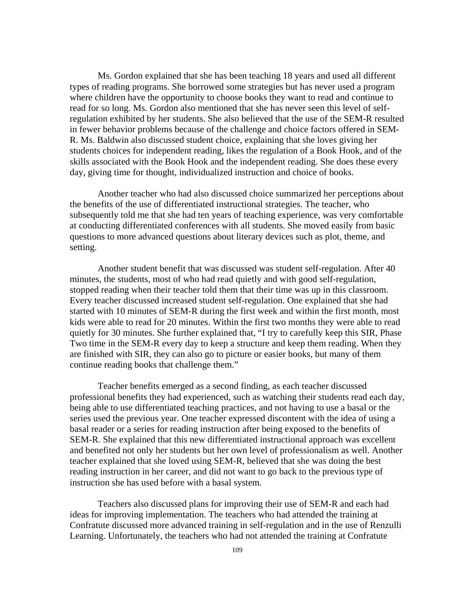Ms. Gordon explained that she has been teaching 18 years and used all different types of reading programs. She borrowed some strategies but has never used a program where children have the opportunity to choose books they want to read and continue to read for so long. Ms. Gordon also mentioned that she has never seen this level of selfregulation exhibited by her students. She also believed that the use of the SEM-R resulted in fewer behavior problems because of the challenge and choice factors offered in SEM-R. Ms. Baldwin also discussed student choice, explaining that she loves giving her students choices for independent reading, likes the regulation of a Book Hook, and of the skills associated with the Book Hook and the independent reading. She does these every day, giving time for thought, individualized instruction and choice of books.

Another teacher who had also discussed choice summarized her perceptions about the benefits of the use of differentiated instructional strategies. The teacher, who subsequently told me that she had ten years of teaching experience, was very comfortable at conducting differentiated conferences with all students. She moved easily from basic questions to more advanced questions about literary devices such as plot, theme, and setting.

Another student benefit that was discussed was student self-regulation. After 40 minutes, the students, most of who had read quietly and with good self-regulation, stopped reading when their teacher told them that their time was up in this classroom. Every teacher discussed increased student self-regulation. One explained that she had started with 10 minutes of SEM-R during the first week and within the first month, most kids were able to read for 20 minutes. Within the first two months they were able to read quietly for 30 minutes. She further explained that, "I try to carefully keep this SIR, Phase Two time in the SEM-R every day to keep a structure and keep them reading. When they are finished with SIR, they can also go to picture or easier books, but many of them continue reading books that challenge them."

Teacher benefits emerged as a second finding, as each teacher discussed professional benefits they had experienced, such as watching their students read each day, being able to use differentiated teaching practices, and not having to use a basal or the series used the previous year. One teacher expressed discontent with the idea of using a basal reader or a series for reading instruction after being exposed to the benefits of SEM-R. She explained that this new differentiated instructional approach was excellent and benefited not only her students but her own level of professionalism as well. Another teacher explained that she loved using SEM-R, believed that she was doing the best reading instruction in her career, and did not want to go back to the previous type of instruction she has used before with a basal system.

Teachers also discussed plans for improving their use of SEM-R and each had ideas for improving implementation. The teachers who had attended the training at Confratute discussed more advanced training in self-regulation and in the use of Renzulli Learning. Unfortunately, the teachers who had not attended the training at Confratute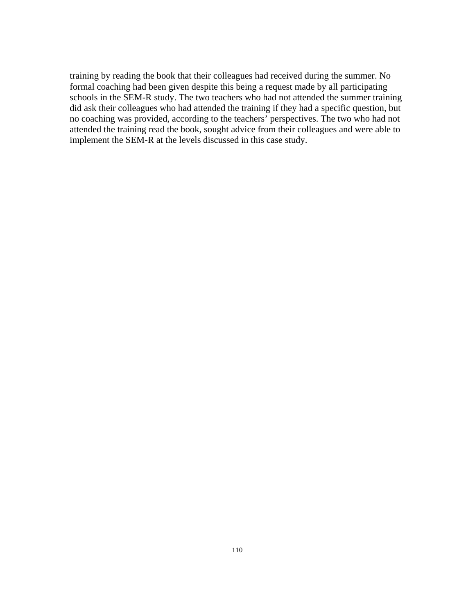training by reading the book that their colleagues had received during the summer. No formal coaching had been given despite this being a request made by all participating schools in the SEM-R study. The two teachers who had not attended the summer training did ask their colleagues who had attended the training if they had a specific question, but no coaching was provided, according to the teachers' perspectives. The two who had not attended the training read the book, sought advice from their colleagues and were able to implement the SEM-R at the levels discussed in this case study.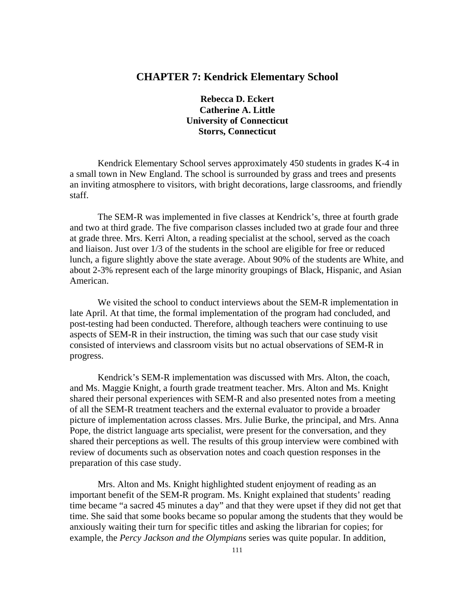# **CHAPTER 7: Kendrick Elementary School**

**Rebecca D. Eckert Catherine A. Little University of Connecticut Storrs, Connecticut** 

Kendrick Elementary School serves approximately 450 students in grades K-4 in a small town in New England. The school is surrounded by grass and trees and presents an inviting atmosphere to visitors, with bright decorations, large classrooms, and friendly staff.

The SEM-R was implemented in five classes at Kendrick's, three at fourth grade and two at third grade. The five comparison classes included two at grade four and three at grade three. Mrs. Kerri Alton, a reading specialist at the school, served as the coach and liaison. Just over 1/3 of the students in the school are eligible for free or reduced lunch, a figure slightly above the state average. About 90% of the students are White, and about 2-3% represent each of the large minority groupings of Black, Hispanic, and Asian American.

We visited the school to conduct interviews about the SEM-R implementation in late April. At that time, the formal implementation of the program had concluded, and post-testing had been conducted. Therefore, although teachers were continuing to use aspects of SEM-R in their instruction, the timing was such that our case study visit consisted of interviews and classroom visits but no actual observations of SEM-R in progress.

Kendrick's SEM-R implementation was discussed with Mrs. Alton, the coach, and Ms. Maggie Knight, a fourth grade treatment teacher. Mrs. Alton and Ms. Knight shared their personal experiences with SEM-R and also presented notes from a meeting of all the SEM-R treatment teachers and the external evaluator to provide a broader picture of implementation across classes. Mrs. Julie Burke, the principal, and Mrs. Anna Pope, the district language arts specialist, were present for the conversation, and they shared their perceptions as well. The results of this group interview were combined with review of documents such as observation notes and coach question responses in the preparation of this case study.

Mrs. Alton and Ms. Knight highlighted student enjoyment of reading as an important benefit of the SEM-R program. Ms. Knight explained that students' reading time became "a sacred 45 minutes a day" and that they were upset if they did not get that time. She said that some books became so popular among the students that they would be anxiously waiting their turn for specific titles and asking the librarian for copies; for example, the *Percy Jackson and the Olympians* series was quite popular. In addition,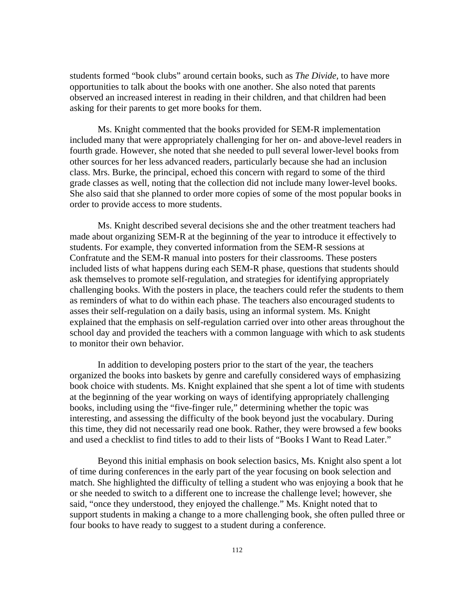students formed "book clubs" around certain books, such as *The Divide,* to have more opportunities to talk about the books with one another. She also noted that parents observed an increased interest in reading in their children, and that children had been asking for their parents to get more books for them.

Ms. Knight commented that the books provided for SEM-R implementation included many that were appropriately challenging for her on- and above-level readers in fourth grade. However, she noted that she needed to pull several lower-level books from other sources for her less advanced readers, particularly because she had an inclusion class. Mrs. Burke, the principal, echoed this concern with regard to some of the third grade classes as well, noting that the collection did not include many lower-level books. She also said that she planned to order more copies of some of the most popular books in order to provide access to more students.

Ms. Knight described several decisions she and the other treatment teachers had made about organizing SEM-R at the beginning of the year to introduce it effectively to students. For example, they converted information from the SEM-R sessions at Confratute and the SEM-R manual into posters for their classrooms. These posters included lists of what happens during each SEM-R phase, questions that students should ask themselves to promote self-regulation, and strategies for identifying appropriately challenging books. With the posters in place, the teachers could refer the students to them as reminders of what to do within each phase. The teachers also encouraged students to asses their self-regulation on a daily basis, using an informal system. Ms. Knight explained that the emphasis on self-regulation carried over into other areas throughout the school day and provided the teachers with a common language with which to ask students to monitor their own behavior.

In addition to developing posters prior to the start of the year, the teachers organized the books into baskets by genre and carefully considered ways of emphasizing book choice with students. Ms. Knight explained that she spent a lot of time with students at the beginning of the year working on ways of identifying appropriately challenging books, including using the "five-finger rule," determining whether the topic was interesting, and assessing the difficulty of the book beyond just the vocabulary. During this time, they did not necessarily read one book. Rather, they were browsed a few books and used a checklist to find titles to add to their lists of "Books I Want to Read Later."

Beyond this initial emphasis on book selection basics, Ms. Knight also spent a lot of time during conferences in the early part of the year focusing on book selection and match. She highlighted the difficulty of telling a student who was enjoying a book that he or she needed to switch to a different one to increase the challenge level; however, she said, "once they understood, they enjoyed the challenge." Ms. Knight noted that to support students in making a change to a more challenging book, she often pulled three or four books to have ready to suggest to a student during a conference.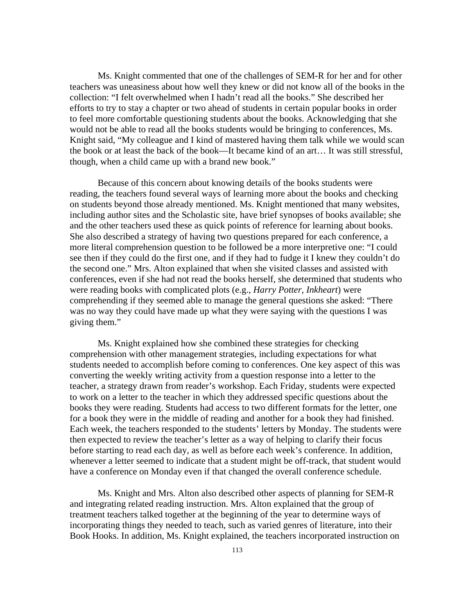Ms. Knight commented that one of the challenges of SEM-R for her and for other teachers was uneasiness about how well they knew or did not know all of the books in the collection: "I felt overwhelmed when I hadn't read all the books." She described her efforts to try to stay a chapter or two ahead of students in certain popular books in order to feel more comfortable questioning students about the books. Acknowledging that she would not be able to read all the books students would be bringing to conferences, Ms. Knight said, "My colleague and I kind of mastered having them talk while we would scan the book or at least the back of the book—It became kind of an art… It was still stressful, though, when a child came up with a brand new book."

Because of this concern about knowing details of the books students were reading, the teachers found several ways of learning more about the books and checking on students beyond those already mentioned. Ms. Knight mentioned that many websites, including author sites and the Scholastic site, have brief synopses of books available; she and the other teachers used these as quick points of reference for learning about books. She also described a strategy of having two questions prepared for each conference, a more literal comprehension question to be followed be a more interpretive one: "I could see then if they could do the first one, and if they had to fudge it I knew they couldn't do the second one." Mrs. Alton explained that when she visited classes and assisted with conferences, even if she had not read the books herself, she determined that students who were reading books with complicated plots (e.g., *Harry Potter, Inkheart*) were comprehending if they seemed able to manage the general questions she asked: "There was no way they could have made up what they were saying with the questions I was giving them."

Ms. Knight explained how she combined these strategies for checking comprehension with other management strategies, including expectations for what students needed to accomplish before coming to conferences. One key aspect of this was converting the weekly writing activity from a question response into a letter to the teacher, a strategy drawn from reader's workshop. Each Friday, students were expected to work on a letter to the teacher in which they addressed specific questions about the books they were reading. Students had access to two different formats for the letter, one for a book they were in the middle of reading and another for a book they had finished. Each week, the teachers responded to the students' letters by Monday. The students were then expected to review the teacher's letter as a way of helping to clarify their focus before starting to read each day, as well as before each week's conference. In addition, whenever a letter seemed to indicate that a student might be off-track, that student would have a conference on Monday even if that changed the overall conference schedule.

Ms. Knight and Mrs. Alton also described other aspects of planning for SEM-R and integrating related reading instruction. Mrs. Alton explained that the group of treatment teachers talked together at the beginning of the year to determine ways of incorporating things they needed to teach, such as varied genres of literature, into their Book Hooks. In addition, Ms. Knight explained, the teachers incorporated instruction on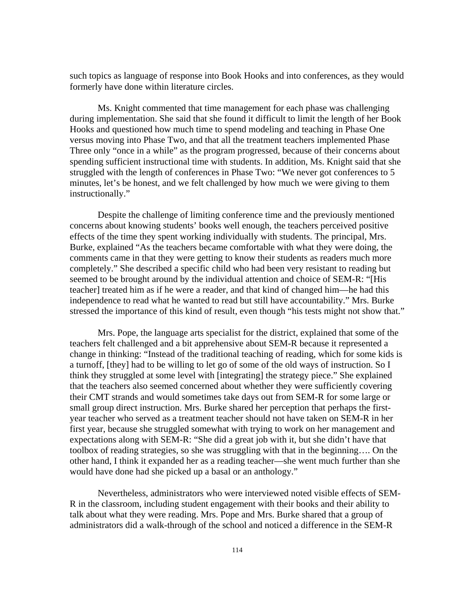such topics as language of response into Book Hooks and into conferences, as they would formerly have done within literature circles.

Ms. Knight commented that time management for each phase was challenging during implementation. She said that she found it difficult to limit the length of her Book Hooks and questioned how much time to spend modeling and teaching in Phase One versus moving into Phase Two, and that all the treatment teachers implemented Phase Three only "once in a while" as the program progressed, because of their concerns about spending sufficient instructional time with students. In addition, Ms. Knight said that she struggled with the length of conferences in Phase Two: "We never got conferences to 5 minutes, let's be honest, and we felt challenged by how much we were giving to them instructionally."

Despite the challenge of limiting conference time and the previously mentioned concerns about knowing students' books well enough, the teachers perceived positive effects of the time they spent working individually with students. The principal, Mrs. Burke, explained "As the teachers became comfortable with what they were doing, the comments came in that they were getting to know their students as readers much more completely." She described a specific child who had been very resistant to reading but seemed to be brought around by the individual attention and choice of SEM-R: "[His teacher] treated him as if he were a reader, and that kind of changed him—he had this independence to read what he wanted to read but still have accountability." Mrs. Burke stressed the importance of this kind of result, even though "his tests might not show that."

Mrs. Pope, the language arts specialist for the district, explained that some of the teachers felt challenged and a bit apprehensive about SEM-R because it represented a change in thinking: "Instead of the traditional teaching of reading, which for some kids is a turnoff, [they] had to be willing to let go of some of the old ways of instruction. So I think they struggled at some level with [integrating] the strategy piece." She explained that the teachers also seemed concerned about whether they were sufficiently covering their CMT strands and would sometimes take days out from SEM-R for some large or small group direct instruction. Mrs. Burke shared her perception that perhaps the firstyear teacher who served as a treatment teacher should not have taken on SEM-R in her first year, because she struggled somewhat with trying to work on her management and expectations along with SEM-R: "She did a great job with it, but she didn't have that toolbox of reading strategies, so she was struggling with that in the beginning…. On the other hand, I think it expanded her as a reading teacher—she went much further than she would have done had she picked up a basal or an anthology."

Nevertheless, administrators who were interviewed noted visible effects of SEM-R in the classroom, including student engagement with their books and their ability to talk about what they were reading. Mrs. Pope and Mrs. Burke shared that a group of administrators did a walk-through of the school and noticed a difference in the SEM-R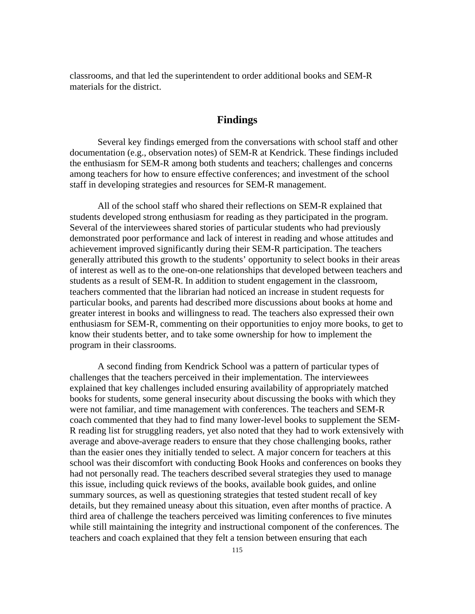classrooms, and that led the superintendent to order additional books and SEM-R materials for the district.

# **Findings**

Several key findings emerged from the conversations with school staff and other documentation (e.g., observation notes) of SEM-R at Kendrick. These findings included the enthusiasm for SEM-R among both students and teachers; challenges and concerns among teachers for how to ensure effective conferences; and investment of the school staff in developing strategies and resources for SEM-R management.

All of the school staff who shared their reflections on SEM-R explained that students developed strong enthusiasm for reading as they participated in the program. Several of the interviewees shared stories of particular students who had previously demonstrated poor performance and lack of interest in reading and whose attitudes and achievement improved significantly during their SEM-R participation. The teachers generally attributed this growth to the students' opportunity to select books in their areas of interest as well as to the one-on-one relationships that developed between teachers and students as a result of SEM-R. In addition to student engagement in the classroom, teachers commented that the librarian had noticed an increase in student requests for particular books, and parents had described more discussions about books at home and greater interest in books and willingness to read. The teachers also expressed their own enthusiasm for SEM-R, commenting on their opportunities to enjoy more books, to get to know their students better, and to take some ownership for how to implement the program in their classrooms.

A second finding from Kendrick School was a pattern of particular types of challenges that the teachers perceived in their implementation. The interviewees explained that key challenges included ensuring availability of appropriately matched books for students, some general insecurity about discussing the books with which they were not familiar, and time management with conferences. The teachers and SEM-R coach commented that they had to find many lower-level books to supplement the SEM-R reading list for struggling readers, yet also noted that they had to work extensively with average and above-average readers to ensure that they chose challenging books, rather than the easier ones they initially tended to select. A major concern for teachers at this school was their discomfort with conducting Book Hooks and conferences on books they had not personally read. The teachers described several strategies they used to manage this issue, including quick reviews of the books, available book guides, and online summary sources, as well as questioning strategies that tested student recall of key details, but they remained uneasy about this situation, even after months of practice. A third area of challenge the teachers perceived was limiting conferences to five minutes while still maintaining the integrity and instructional component of the conferences. The teachers and coach explained that they felt a tension between ensuring that each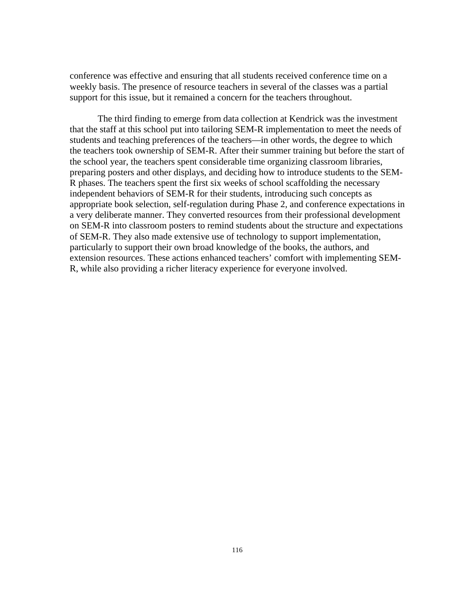conference was effective and ensuring that all students received conference time on a weekly basis. The presence of resource teachers in several of the classes was a partial support for this issue, but it remained a concern for the teachers throughout.

The third finding to emerge from data collection at Kendrick was the investment that the staff at this school put into tailoring SEM-R implementation to meet the needs of students and teaching preferences of the teachers—in other words, the degree to which the teachers took ownership of SEM-R. After their summer training but before the start of the school year, the teachers spent considerable time organizing classroom libraries, preparing posters and other displays, and deciding how to introduce students to the SEM-R phases. The teachers spent the first six weeks of school scaffolding the necessary independent behaviors of SEM-R for their students, introducing such concepts as appropriate book selection, self-regulation during Phase 2, and conference expectations in a very deliberate manner. They converted resources from their professional development on SEM-R into classroom posters to remind students about the structure and expectations of SEM-R. They also made extensive use of technology to support implementation, particularly to support their own broad knowledge of the books, the authors, and extension resources. These actions enhanced teachers' comfort with implementing SEM-R, while also providing a richer literacy experience for everyone involved.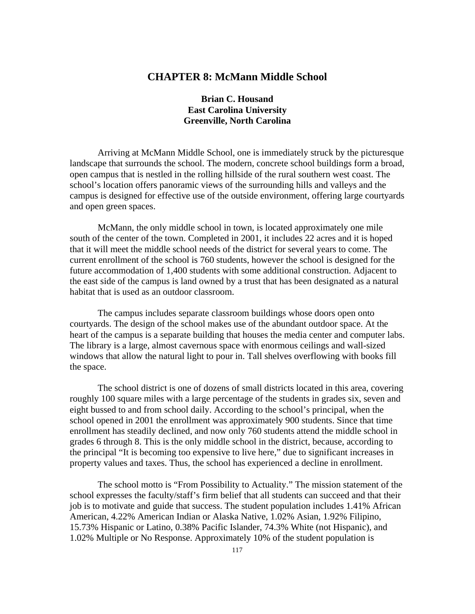# **CHAPTER 8: McMann Middle School**

# **Brian C. Housand East Carolina University Greenville, North Carolina**

Arriving at McMann Middle School, one is immediately struck by the picturesque landscape that surrounds the school. The modern, concrete school buildings form a broad, open campus that is nestled in the rolling hillside of the rural southern west coast. The school's location offers panoramic views of the surrounding hills and valleys and the campus is designed for effective use of the outside environment, offering large courtyards and open green spaces.

McMann, the only middle school in town, is located approximately one mile south of the center of the town. Completed in 2001, it includes 22 acres and it is hoped that it will meet the middle school needs of the district for several years to come. The current enrollment of the school is 760 students, however the school is designed for the future accommodation of 1,400 students with some additional construction. Adjacent to the east side of the campus is land owned by a trust that has been designated as a natural habitat that is used as an outdoor classroom.

The campus includes separate classroom buildings whose doors open onto courtyards. The design of the school makes use of the abundant outdoor space. At the heart of the campus is a separate building that houses the media center and computer labs. The library is a large, almost cavernous space with enormous ceilings and wall-sized windows that allow the natural light to pour in. Tall shelves overflowing with books fill the space.

The school district is one of dozens of small districts located in this area, covering roughly 100 square miles with a large percentage of the students in grades six, seven and eight bussed to and from school daily. According to the school's principal, when the school opened in 2001 the enrollment was approximately 900 students. Since that time enrollment has steadily declined, and now only 760 students attend the middle school in grades 6 through 8. This is the only middle school in the district, because, according to the principal "It is becoming too expensive to live here," due to significant increases in property values and taxes. Thus, the school has experienced a decline in enrollment.

The school motto is "From Possibility to Actuality." The mission statement of the school expresses the faculty/staff's firm belief that all students can succeed and that their job is to motivate and guide that success. The student population includes 1.41% African American, 4.22% American Indian or Alaska Native, 1.02% Asian, 1.92% Filipino, 15.73% Hispanic or Latino, 0.38% Pacific Islander, 74.3% White (not Hispanic), and 1.02% Multiple or No Response. Approximately 10% of the student population is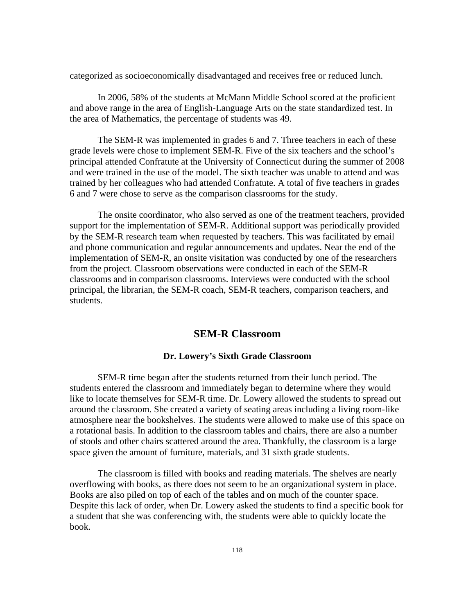categorized as socioeconomically disadvantaged and receives free or reduced lunch.

In 2006, 58% of the students at McMann Middle School scored at the proficient and above range in the area of English-Language Arts on the state standardized test. In the area of Mathematics, the percentage of students was 49.

The SEM-R was implemented in grades 6 and 7. Three teachers in each of these grade levels were chose to implement SEM-R. Five of the six teachers and the school's principal attended Confratute at the University of Connecticut during the summer of 2008 and were trained in the use of the model. The sixth teacher was unable to attend and was trained by her colleagues who had attended Confratute. A total of five teachers in grades 6 and 7 were chose to serve as the comparison classrooms for the study.

The onsite coordinator, who also served as one of the treatment teachers, provided support for the implementation of SEM-R. Additional support was periodically provided by the SEM-R research team when requested by teachers. This was facilitated by email and phone communication and regular announcements and updates. Near the end of the implementation of SEM-R, an onsite visitation was conducted by one of the researchers from the project. Classroom observations were conducted in each of the SEM-R classrooms and in comparison classrooms. Interviews were conducted with the school principal, the librarian, the SEM-R coach, SEM-R teachers, comparison teachers, and students.

# **SEM-R Classroom**

### **Dr. Lowery's Sixth Grade Classroom**

SEM-R time began after the students returned from their lunch period. The students entered the classroom and immediately began to determine where they would like to locate themselves for SEM-R time. Dr. Lowery allowed the students to spread out around the classroom. She created a variety of seating areas including a living room-like atmosphere near the bookshelves. The students were allowed to make use of this space on a rotational basis. In addition to the classroom tables and chairs, there are also a number of stools and other chairs scattered around the area. Thankfully, the classroom is a large space given the amount of furniture, materials, and 31 sixth grade students.

The classroom is filled with books and reading materials. The shelves are nearly overflowing with books, as there does not seem to be an organizational system in place. Books are also piled on top of each of the tables and on much of the counter space. Despite this lack of order, when Dr. Lowery asked the students to find a specific book for a student that she was conferencing with, the students were able to quickly locate the book.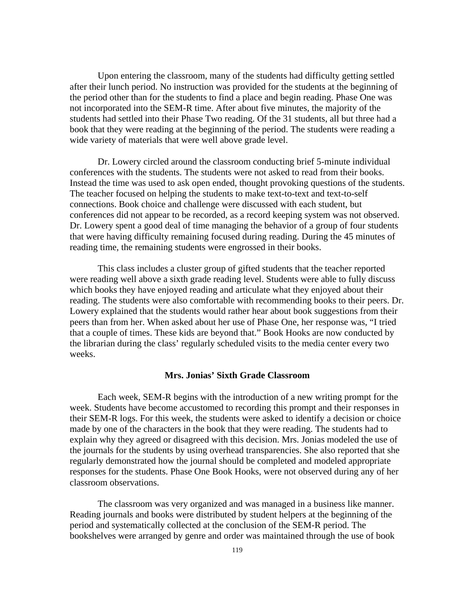Upon entering the classroom, many of the students had difficulty getting settled after their lunch period. No instruction was provided for the students at the beginning of the period other than for the students to find a place and begin reading. Phase One was not incorporated into the SEM-R time. After about five minutes, the majority of the students had settled into their Phase Two reading. Of the 31 students, all but three had a book that they were reading at the beginning of the period. The students were reading a wide variety of materials that were well above grade level.

Dr. Lowery circled around the classroom conducting brief 5-minute individual conferences with the students. The students were not asked to read from their books. Instead the time was used to ask open ended, thought provoking questions of the students. The teacher focused on helping the students to make text-to-text and text-to-self connections. Book choice and challenge were discussed with each student, but conferences did not appear to be recorded, as a record keeping system was not observed. Dr. Lowery spent a good deal of time managing the behavior of a group of four students that were having difficulty remaining focused during reading. During the 45 minutes of reading time, the remaining students were engrossed in their books.

This class includes a cluster group of gifted students that the teacher reported were reading well above a sixth grade reading level. Students were able to fully discuss which books they have enjoyed reading and articulate what they enjoyed about their reading. The students were also comfortable with recommending books to their peers. Dr. Lowery explained that the students would rather hear about book suggestions from their peers than from her. When asked about her use of Phase One, her response was, "I tried that a couple of times. These kids are beyond that." Book Hooks are now conducted by the librarian during the class' regularly scheduled visits to the media center every two weeks.

## **Mrs. Jonias' Sixth Grade Classroom**

Each week, SEM-R begins with the introduction of a new writing prompt for the week. Students have become accustomed to recording this prompt and their responses in their SEM-R logs. For this week, the students were asked to identify a decision or choice made by one of the characters in the book that they were reading. The students had to explain why they agreed or disagreed with this decision. Mrs. Jonias modeled the use of the journals for the students by using overhead transparencies. She also reported that she regularly demonstrated how the journal should be completed and modeled appropriate responses for the students. Phase One Book Hooks, were not observed during any of her classroom observations.

The classroom was very organized and was managed in a business like manner. Reading journals and books were distributed by student helpers at the beginning of the period and systematically collected at the conclusion of the SEM-R period. The bookshelves were arranged by genre and order was maintained through the use of book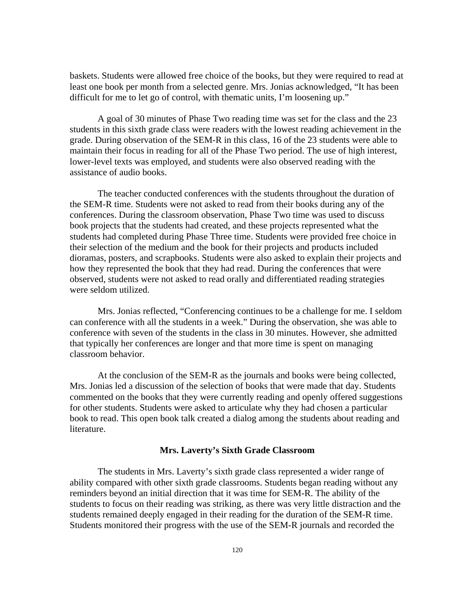baskets. Students were allowed free choice of the books, but they were required to read at least one book per month from a selected genre. Mrs. Jonias acknowledged, "It has been difficult for me to let go of control, with thematic units, I'm loosening up."

A goal of 30 minutes of Phase Two reading time was set for the class and the 23 students in this sixth grade class were readers with the lowest reading achievement in the grade. During observation of the SEM-R in this class, 16 of the 23 students were able to maintain their focus in reading for all of the Phase Two period. The use of high interest, lower-level texts was employed, and students were also observed reading with the assistance of audio books.

The teacher conducted conferences with the students throughout the duration of the SEM-R time. Students were not asked to read from their books during any of the conferences. During the classroom observation, Phase Two time was used to discuss book projects that the students had created, and these projects represented what the students had completed during Phase Three time. Students were provided free choice in their selection of the medium and the book for their projects and products included dioramas, posters, and scrapbooks. Students were also asked to explain their projects and how they represented the book that they had read. During the conferences that were observed, students were not asked to read orally and differentiated reading strategies were seldom utilized.

Mrs. Jonias reflected, "Conferencing continues to be a challenge for me. I seldom can conference with all the students in a week." During the observation, she was able to conference with seven of the students in the class in 30 minutes. However, she admitted that typically her conferences are longer and that more time is spent on managing classroom behavior.

At the conclusion of the SEM-R as the journals and books were being collected, Mrs. Jonias led a discussion of the selection of books that were made that day. Students commented on the books that they were currently reading and openly offered suggestions for other students. Students were asked to articulate why they had chosen a particular book to read. This open book talk created a dialog among the students about reading and literature.

#### **Mrs. Laverty's Sixth Grade Classroom**

The students in Mrs. Laverty's sixth grade class represented a wider range of ability compared with other sixth grade classrooms. Students began reading without any reminders beyond an initial direction that it was time for SEM-R. The ability of the students to focus on their reading was striking, as there was very little distraction and the students remained deeply engaged in their reading for the duration of the SEM-R time. Students monitored their progress with the use of the SEM-R journals and recorded the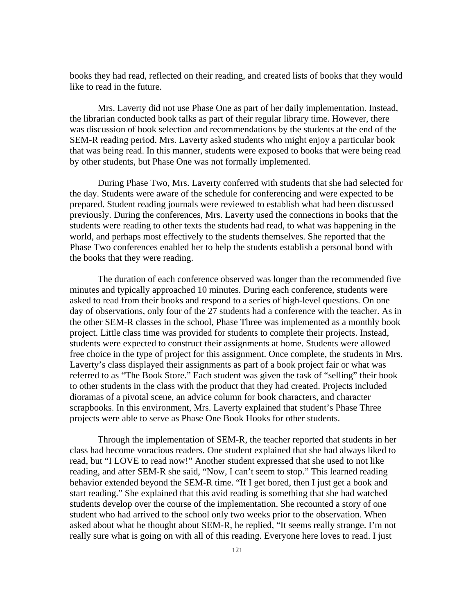books they had read, reflected on their reading, and created lists of books that they would like to read in the future.

Mrs. Laverty did not use Phase One as part of her daily implementation. Instead, the librarian conducted book talks as part of their regular library time. However, there was discussion of book selection and recommendations by the students at the end of the SEM-R reading period. Mrs. Laverty asked students who might enjoy a particular book that was being read. In this manner, students were exposed to books that were being read by other students, but Phase One was not formally implemented.

During Phase Two, Mrs. Laverty conferred with students that she had selected for the day. Students were aware of the schedule for conferencing and were expected to be prepared. Student reading journals were reviewed to establish what had been discussed previously. During the conferences, Mrs. Laverty used the connections in books that the students were reading to other texts the students had read, to what was happening in the world, and perhaps most effectively to the students themselves. She reported that the Phase Two conferences enabled her to help the students establish a personal bond with the books that they were reading.

The duration of each conference observed was longer than the recommended five minutes and typically approached 10 minutes. During each conference, students were asked to read from their books and respond to a series of high-level questions. On one day of observations, only four of the 27 students had a conference with the teacher. As in the other SEM-R classes in the school, Phase Three was implemented as a monthly book project. Little class time was provided for students to complete their projects. Instead, students were expected to construct their assignments at home. Students were allowed free choice in the type of project for this assignment. Once complete, the students in Mrs. Laverty's class displayed their assignments as part of a book project fair or what was referred to as "The Book Store." Each student was given the task of "selling" their book to other students in the class with the product that they had created. Projects included dioramas of a pivotal scene, an advice column for book characters, and character scrapbooks. In this environment, Mrs. Laverty explained that student's Phase Three projects were able to serve as Phase One Book Hooks for other students.

Through the implementation of SEM-R, the teacher reported that students in her class had become voracious readers. One student explained that she had always liked to read, but "I LOVE to read now!" Another student expressed that she used to not like reading, and after SEM-R she said, "Now, I can't seem to stop." This learned reading behavior extended beyond the SEM-R time. "If I get bored, then I just get a book and start reading." She explained that this avid reading is something that she had watched students develop over the course of the implementation. She recounted a story of one student who had arrived to the school only two weeks prior to the observation. When asked about what he thought about SEM-R, he replied, "It seems really strange. I'm not really sure what is going on with all of this reading. Everyone here loves to read. I just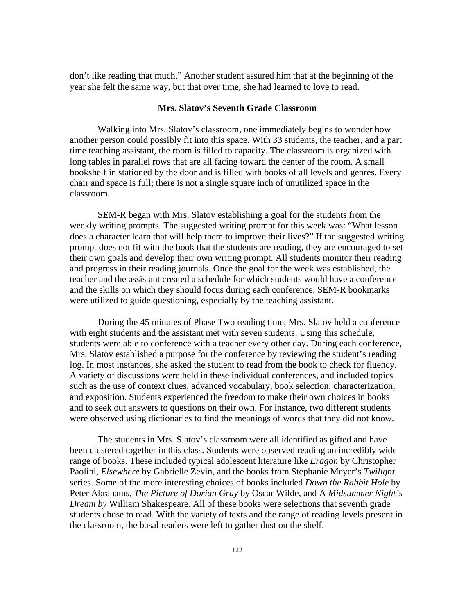don't like reading that much." Another student assured him that at the beginning of the year she felt the same way, but that over time, she had learned to love to read.

## **Mrs. Slatov's Seventh Grade Classroom**

Walking into Mrs. Slatov's classroom, one immediately begins to wonder how another person could possibly fit into this space. With 33 students, the teacher, and a part time teaching assistant, the room is filled to capacity. The classroom is organized with long tables in parallel rows that are all facing toward the center of the room. A small bookshelf in stationed by the door and is filled with books of all levels and genres. Every chair and space is full; there is not a single square inch of unutilized space in the classroom.

SEM-R began with Mrs. Slatov establishing a goal for the students from the weekly writing prompts. The suggested writing prompt for this week was: "What lesson does a character learn that will help them to improve their lives?" If the suggested writing prompt does not fit with the book that the students are reading, they are encouraged to set their own goals and develop their own writing prompt. All students monitor their reading and progress in their reading journals. Once the goal for the week was established, the teacher and the assistant created a schedule for which students would have a conference and the skills on which they should focus during each conference. SEM-R bookmarks were utilized to guide questioning, especially by the teaching assistant.

During the 45 minutes of Phase Two reading time, Mrs. Slatov held a conference with eight students and the assistant met with seven students. Using this schedule, students were able to conference with a teacher every other day. During each conference, Mrs. Slatov established a purpose for the conference by reviewing the student's reading log. In most instances, she asked the student to read from the book to check for fluency. A variety of discussions were held in these individual conferences, and included topics such as the use of context clues, advanced vocabulary, book selection, characterization, and exposition. Students experienced the freedom to make their own choices in books and to seek out answers to questions on their own. For instance, two different students were observed using dictionaries to find the meanings of words that they did not know.

The students in Mrs. Slatov's classroom were all identified as gifted and have been clustered together in this class. Students were observed reading an incredibly wide range of books. These included typical adolescent literature like *Eragon* by Christopher Paolini, *Elsewhere* by Gabrielle Zevin, and the books from Stephanie Meyer's *Twilight*  series. Some of the more interesting choices of books included *Down the Rabbit Hole* by Peter Abrahams, *The Picture of Dorian Gray* by Oscar Wilde, and A *Midsummer Night's Dream by* William Shakespeare. All of these books were selections that seventh grade students chose to read. With the variety of texts and the range of reading levels present in the classroom, the basal readers were left to gather dust on the shelf.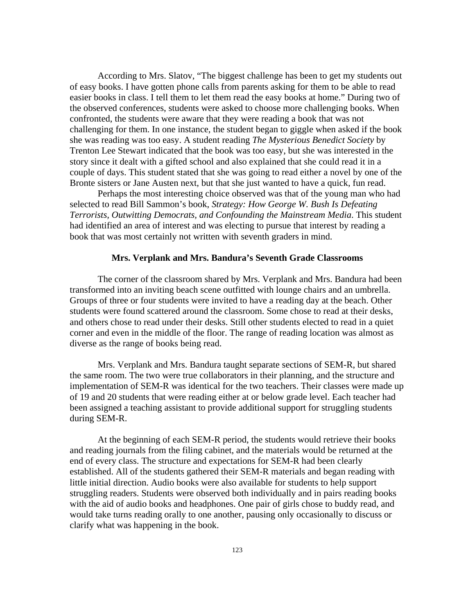According to Mrs. Slatov, "The biggest challenge has been to get my students out of easy books. I have gotten phone calls from parents asking for them to be able to read easier books in class. I tell them to let them read the easy books at home." During two of the observed conferences, students were asked to choose more challenging books. When confronted, the students were aware that they were reading a book that was not challenging for them. In one instance, the student began to giggle when asked if the book she was reading was too easy. A student reading *The Mysterious Benedict Society* by Trenton Lee Stewart indicated that the book was too easy, but she was interested in the story since it dealt with a gifted school and also explained that she could read it in a couple of days. This student stated that she was going to read either a novel by one of the Bronte sisters or Jane Austen next, but that she just wanted to have a quick, fun read.

Perhaps the most interesting choice observed was that of the young man who had selected to read Bill Sammon's book, *Strategy: How George W. Bush Is Defeating Terrorists, Outwitting Democrats, and Confounding the Mainstream Media*. This student had identified an area of interest and was electing to pursue that interest by reading a book that was most certainly not written with seventh graders in mind.

#### **Mrs. Verplank and Mrs. Bandura's Seventh Grade Classrooms**

The corner of the classroom shared by Mrs. Verplank and Mrs. Bandura had been transformed into an inviting beach scene outfitted with lounge chairs and an umbrella. Groups of three or four students were invited to have a reading day at the beach. Other students were found scattered around the classroom. Some chose to read at their desks, and others chose to read under their desks. Still other students elected to read in a quiet corner and even in the middle of the floor. The range of reading location was almost as diverse as the range of books being read.

Mrs. Verplank and Mrs. Bandura taught separate sections of SEM-R, but shared the same room. The two were true collaborators in their planning, and the structure and implementation of SEM-R was identical for the two teachers. Their classes were made up of 19 and 20 students that were reading either at or below grade level. Each teacher had been assigned a teaching assistant to provide additional support for struggling students during SEM-R.

At the beginning of each SEM-R period, the students would retrieve their books and reading journals from the filing cabinet, and the materials would be returned at the end of every class. The structure and expectations for SEM-R had been clearly established. All of the students gathered their SEM-R materials and began reading with little initial direction. Audio books were also available for students to help support struggling readers. Students were observed both individually and in pairs reading books with the aid of audio books and headphones. One pair of girls chose to buddy read, and would take turns reading orally to one another, pausing only occasionally to discuss or clarify what was happening in the book.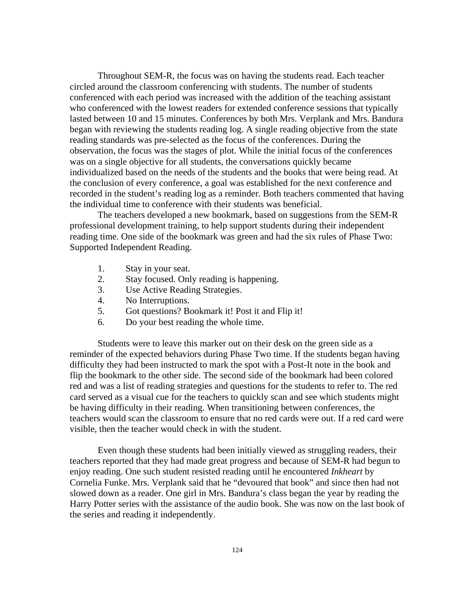Throughout SEM-R, the focus was on having the students read. Each teacher circled around the classroom conferencing with students. The number of students conferenced with each period was increased with the addition of the teaching assistant who conferenced with the lowest readers for extended conference sessions that typically lasted between 10 and 15 minutes. Conferences by both Mrs. Verplank and Mrs. Bandura began with reviewing the students reading log. A single reading objective from the state reading standards was pre-selected as the focus of the conferences. During the observation, the focus was the stages of plot. While the initial focus of the conferences was on a single objective for all students, the conversations quickly became individualized based on the needs of the students and the books that were being read. At the conclusion of every conference, a goal was established for the next conference and recorded in the student's reading log as a reminder. Both teachers commented that having the individual time to conference with their students was beneficial.

The teachers developed a new bookmark, based on suggestions from the SEM-R professional development training, to help support students during their independent reading time. One side of the bookmark was green and had the six rules of Phase Two: Supported Independent Reading.

- 1. Stay in your seat.
- 2. Stay focused. Only reading is happening.
- 3. Use Active Reading Strategies.
- 4. No Interruptions.
- 5. Got questions? Bookmark it! Post it and Flip it!
- 6. Do your best reading the whole time.

Students were to leave this marker out on their desk on the green side as a reminder of the expected behaviors during Phase Two time. If the students began having difficulty they had been instructed to mark the spot with a Post-It note in the book and flip the bookmark to the other side. The second side of the bookmark had been colored red and was a list of reading strategies and questions for the students to refer to. The red card served as a visual cue for the teachers to quickly scan and see which students might be having difficulty in their reading. When transitioning between conferences, the teachers would scan the classroom to ensure that no red cards were out. If a red card were visible, then the teacher would check in with the student.

Even though these students had been initially viewed as struggling readers, their teachers reported that they had made great progress and because of SEM-R had begun to enjoy reading. One such student resisted reading until he encountered *Inkheart* by Cornelia Funke. Mrs. Verplank said that he "devoured that book" and since then had not slowed down as a reader. One girl in Mrs. Bandura's class began the year by reading the Harry Potter series with the assistance of the audio book. She was now on the last book of the series and reading it independently.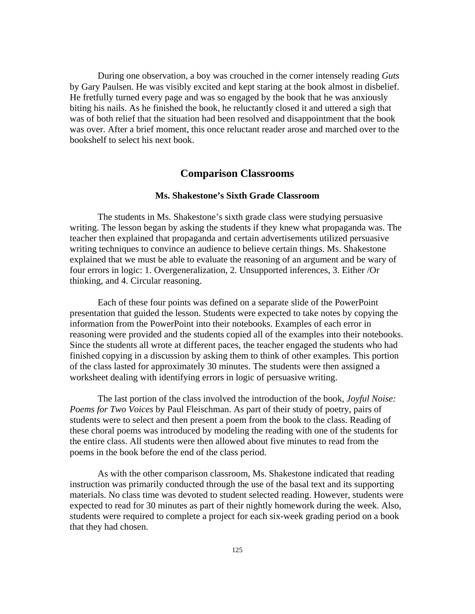During one observation, a boy was crouched in the corner intensely reading *Guts* by Gary Paulsen. He was visibly excited and kept staring at the book almost in disbelief. He fretfully turned every page and was so engaged by the book that he was anxiously biting his nails. As he finished the book, he reluctantly closed it and uttered a sigh that was of both relief that the situation had been resolved and disappointment that the book was over. After a brief moment, this once reluctant reader arose and marched over to the bookshelf to select his next book.

## **Comparison Classrooms**

### **Ms. Shakestone's Sixth Grade Classroom**

The students in Ms. Shakestone's sixth grade class were studying persuasive writing. The lesson began by asking the students if they knew what propaganda was. The teacher then explained that propaganda and certain advertisements utilized persuasive writing techniques to convince an audience to believe certain things. Ms. Shakestone explained that we must be able to evaluate the reasoning of an argument and be wary of four errors in logic: 1. Overgeneralization, 2. Unsupported inferences, 3. Either /Or thinking, and 4. Circular reasoning.

Each of these four points was defined on a separate slide of the PowerPoint presentation that guided the lesson. Students were expected to take notes by copying the information from the PowerPoint into their notebooks. Examples of each error in reasoning were provided and the students copied all of the examples into their notebooks. Since the students all wrote at different paces, the teacher engaged the students who had finished copying in a discussion by asking them to think of other examples. This portion of the class lasted for approximately 30 minutes. The students were then assigned a worksheet dealing with identifying errors in logic of persuasive writing.

The last portion of the class involved the introduction of the book, *Joyful Noise: Poems for Two Voices* by Paul Fleischman. As part of their study of poetry, pairs of students were to select and then present a poem from the book to the class. Reading of these choral poems was introduced by modeling the reading with one of the students for the entire class. All students were then allowed about five minutes to read from the poems in the book before the end of the class period.

As with the other comparison classroom, Ms. Shakestone indicated that reading instruction was primarily conducted through the use of the basal text and its supporting materials. No class time was devoted to student selected reading. However, students were expected to read for 30 minutes as part of their nightly homework during the week. Also, students were required to complete a project for each six-week grading period on a book that they had chosen.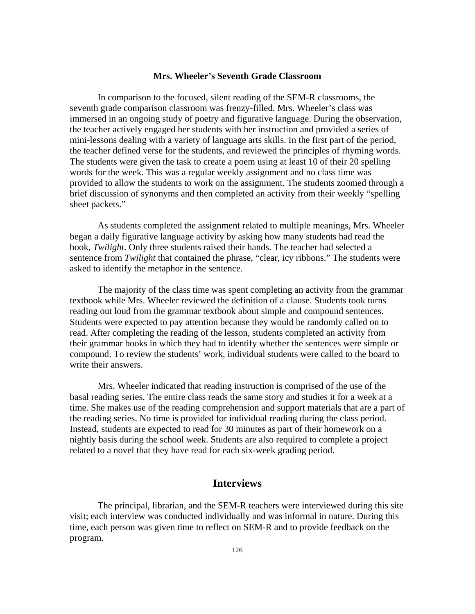#### **Mrs. Wheeler's Seventh Grade Classroom**

In comparison to the focused, silent reading of the SEM-R classrooms, the seventh grade comparison classroom was frenzy-filled. Mrs. Wheeler's class was immersed in an ongoing study of poetry and figurative language. During the observation, the teacher actively engaged her students with her instruction and provided a series of mini-lessons dealing with a variety of language arts skills. In the first part of the period, the teacher defined verse for the students, and reviewed the principles of rhyming words. The students were given the task to create a poem using at least 10 of their 20 spelling words for the week. This was a regular weekly assignment and no class time was provided to allow the students to work on the assignment. The students zoomed through a brief discussion of synonyms and then completed an activity from their weekly "spelling sheet packets."

As students completed the assignment related to multiple meanings, Mrs. Wheeler began a daily figurative language activity by asking how many students had read the book, *Twilight*. Only three students raised their hands. The teacher had selected a sentence from *Twilight* that contained the phrase, "clear, icy ribbons." The students were asked to identify the metaphor in the sentence.

The majority of the class time was spent completing an activity from the grammar textbook while Mrs. Wheeler reviewed the definition of a clause. Students took turns reading out loud from the grammar textbook about simple and compound sentences. Students were expected to pay attention because they would be randomly called on to read. After completing the reading of the lesson, students completed an activity from their grammar books in which they had to identify whether the sentences were simple or compound. To review the students' work, individual students were called to the board to write their answers.

Mrs. Wheeler indicated that reading instruction is comprised of the use of the basal reading series. The entire class reads the same story and studies it for a week at a time. She makes use of the reading comprehension and support materials that are a part of the reading series. No time is provided for individual reading during the class period. Instead, students are expected to read for 30 minutes as part of their homework on a nightly basis during the school week. Students are also required to complete a project related to a novel that they have read for each six-week grading period.

## **Interviews**

The principal, librarian, and the SEM-R teachers were interviewed during this site visit; each interview was conducted individually and was informal in nature. During this time, each person was given time to reflect on SEM-R and to provide feedback on the program.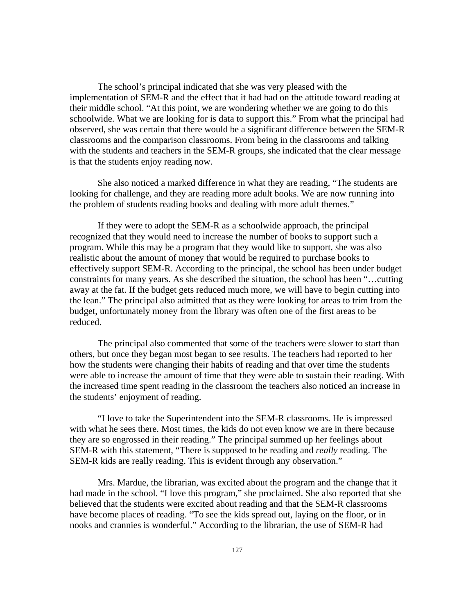The school's principal indicated that she was very pleased with the implementation of SEM-R and the effect that it had had on the attitude toward reading at their middle school. "At this point, we are wondering whether we are going to do this schoolwide. What we are looking for is data to support this." From what the principal had observed, she was certain that there would be a significant difference between the SEM-R classrooms and the comparison classrooms. From being in the classrooms and talking with the students and teachers in the SEM-R groups, she indicated that the clear message is that the students enjoy reading now.

She also noticed a marked difference in what they are reading, "The students are looking for challenge, and they are reading more adult books. We are now running into the problem of students reading books and dealing with more adult themes."

If they were to adopt the SEM-R as a schoolwide approach, the principal recognized that they would need to increase the number of books to support such a program. While this may be a program that they would like to support, she was also realistic about the amount of money that would be required to purchase books to effectively support SEM-R. According to the principal, the school has been under budget constraints for many years. As she described the situation, the school has been "…cutting away at the fat. If the budget gets reduced much more, we will have to begin cutting into the lean." The principal also admitted that as they were looking for areas to trim from the budget, unfortunately money from the library was often one of the first areas to be reduced.

The principal also commented that some of the teachers were slower to start than others, but once they began most began to see results. The teachers had reported to her how the students were changing their habits of reading and that over time the students were able to increase the amount of time that they were able to sustain their reading. With the increased time spent reading in the classroom the teachers also noticed an increase in the students' enjoyment of reading.

"I love to take the Superintendent into the SEM-R classrooms. He is impressed with what he sees there. Most times, the kids do not even know we are in there because they are so engrossed in their reading." The principal summed up her feelings about SEM-R with this statement, "There is supposed to be reading and *really* reading. The SEM-R kids are really reading. This is evident through any observation."

Mrs. Mardue, the librarian, was excited about the program and the change that it had made in the school. "I love this program," she proclaimed. She also reported that she believed that the students were excited about reading and that the SEM-R classrooms have become places of reading. "To see the kids spread out, laying on the floor, or in nooks and crannies is wonderful." According to the librarian, the use of SEM-R had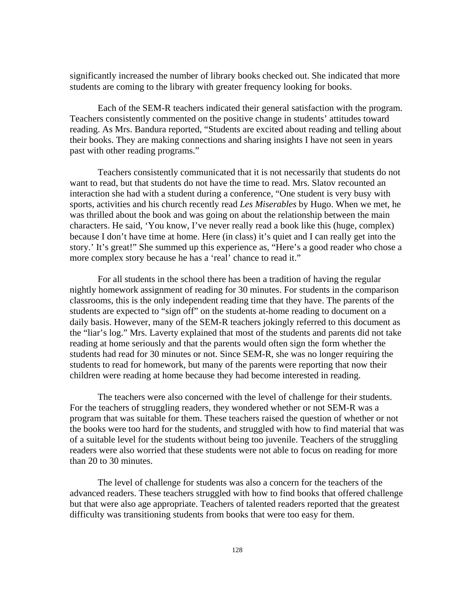significantly increased the number of library books checked out. She indicated that more students are coming to the library with greater frequency looking for books.

Each of the SEM-R teachers indicated their general satisfaction with the program. Teachers consistently commented on the positive change in students' attitudes toward reading. As Mrs. Bandura reported, "Students are excited about reading and telling about their books. They are making connections and sharing insights I have not seen in years past with other reading programs."

Teachers consistently communicated that it is not necessarily that students do not want to read, but that students do not have the time to read. Mrs. Slatov recounted an interaction she had with a student during a conference, "One student is very busy with sports, activities and his church recently read *Les Miserables* by Hugo. When we met, he was thrilled about the book and was going on about the relationship between the main characters. He said, 'You know, I've never really read a book like this (huge, complex) because I don't have time at home. Here (in class) it's quiet and I can really get into the story.' It's great!" She summed up this experience as, "Here's a good reader who chose a more complex story because he has a 'real' chance to read it."

For all students in the school there has been a tradition of having the regular nightly homework assignment of reading for 30 minutes. For students in the comparison classrooms, this is the only independent reading time that they have. The parents of the students are expected to "sign off" on the students at-home reading to document on a daily basis. However, many of the SEM-R teachers jokingly referred to this document as the "liar's log." Mrs. Laverty explained that most of the students and parents did not take reading at home seriously and that the parents would often sign the form whether the students had read for 30 minutes or not. Since SEM-R, she was no longer requiring the students to read for homework, but many of the parents were reporting that now their children were reading at home because they had become interested in reading.

The teachers were also concerned with the level of challenge for their students. For the teachers of struggling readers, they wondered whether or not SEM-R was a program that was suitable for them. These teachers raised the question of whether or not the books were too hard for the students, and struggled with how to find material that was of a suitable level for the students without being too juvenile. Teachers of the struggling readers were also worried that these students were not able to focus on reading for more than 20 to 30 minutes.

The level of challenge for students was also a concern for the teachers of the advanced readers. These teachers struggled with how to find books that offered challenge but that were also age appropriate. Teachers of talented readers reported that the greatest difficulty was transitioning students from books that were too easy for them.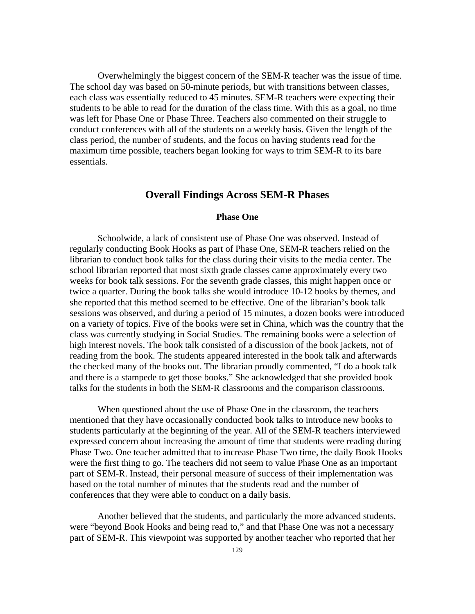Overwhelmingly the biggest concern of the SEM-R teacher was the issue of time. The school day was based on 50-minute periods, but with transitions between classes, each class was essentially reduced to 45 minutes. SEM-R teachers were expecting their students to be able to read for the duration of the class time. With this as a goal, no time was left for Phase One or Phase Three. Teachers also commented on their struggle to conduct conferences with all of the students on a weekly basis. Given the length of the class period, the number of students, and the focus on having students read for the maximum time possible, teachers began looking for ways to trim SEM-R to its bare essentials.

## **Overall Findings Across SEM-R Phases**

#### **Phase One**

Schoolwide, a lack of consistent use of Phase One was observed. Instead of regularly conducting Book Hooks as part of Phase One, SEM-R teachers relied on the librarian to conduct book talks for the class during their visits to the media center. The school librarian reported that most sixth grade classes came approximately every two weeks for book talk sessions. For the seventh grade classes, this might happen once or twice a quarter. During the book talks she would introduce 10-12 books by themes, and she reported that this method seemed to be effective. One of the librarian's book talk sessions was observed, and during a period of 15 minutes, a dozen books were introduced on a variety of topics. Five of the books were set in China, which was the country that the class was currently studying in Social Studies. The remaining books were a selection of high interest novels. The book talk consisted of a discussion of the book jackets, not of reading from the book. The students appeared interested in the book talk and afterwards the checked many of the books out. The librarian proudly commented, "I do a book talk and there is a stampede to get those books." She acknowledged that she provided book talks for the students in both the SEM-R classrooms and the comparison classrooms.

When questioned about the use of Phase One in the classroom, the teachers mentioned that they have occasionally conducted book talks to introduce new books to students particularly at the beginning of the year. All of the SEM-R teachers interviewed expressed concern about increasing the amount of time that students were reading during Phase Two. One teacher admitted that to increase Phase Two time, the daily Book Hooks were the first thing to go. The teachers did not seem to value Phase One as an important part of SEM-R. Instead, their personal measure of success of their implementation was based on the total number of minutes that the students read and the number of conferences that they were able to conduct on a daily basis.

Another believed that the students, and particularly the more advanced students, were "beyond Book Hooks and being read to," and that Phase One was not a necessary part of SEM-R. This viewpoint was supported by another teacher who reported that her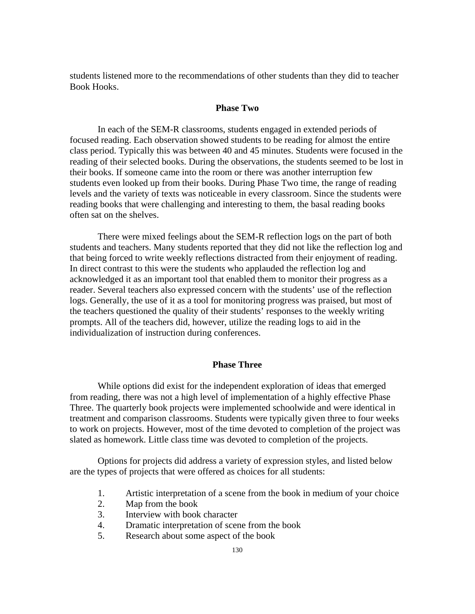students listened more to the recommendations of other students than they did to teacher Book Hooks.

## **Phase Two**

In each of the SEM-R classrooms, students engaged in extended periods of focused reading. Each observation showed students to be reading for almost the entire class period. Typically this was between 40 and 45 minutes. Students were focused in the reading of their selected books. During the observations, the students seemed to be lost in their books. If someone came into the room or there was another interruption few students even looked up from their books. During Phase Two time, the range of reading levels and the variety of texts was noticeable in every classroom. Since the students were reading books that were challenging and interesting to them, the basal reading books often sat on the shelves.

There were mixed feelings about the SEM-R reflection logs on the part of both students and teachers. Many students reported that they did not like the reflection log and that being forced to write weekly reflections distracted from their enjoyment of reading. In direct contrast to this were the students who applauded the reflection log and acknowledged it as an important tool that enabled them to monitor their progress as a reader. Several teachers also expressed concern with the students' use of the reflection logs. Generally, the use of it as a tool for monitoring progress was praised, but most of the teachers questioned the quality of their students' responses to the weekly writing prompts. All of the teachers did, however, utilize the reading logs to aid in the individualization of instruction during conferences.

#### **Phase Three**

While options did exist for the independent exploration of ideas that emerged from reading, there was not a high level of implementation of a highly effective Phase Three. The quarterly book projects were implemented schoolwide and were identical in treatment and comparison classrooms. Students were typically given three to four weeks to work on projects. However, most of the time devoted to completion of the project was slated as homework. Little class time was devoted to completion of the projects.

Options for projects did address a variety of expression styles, and listed below are the types of projects that were offered as choices for all students:

- 1. Artistic interpretation of a scene from the book in medium of your choice
- 2. Map from the book
- 3. Interview with book character
- 4. Dramatic interpretation of scene from the book
- 5. Research about some aspect of the book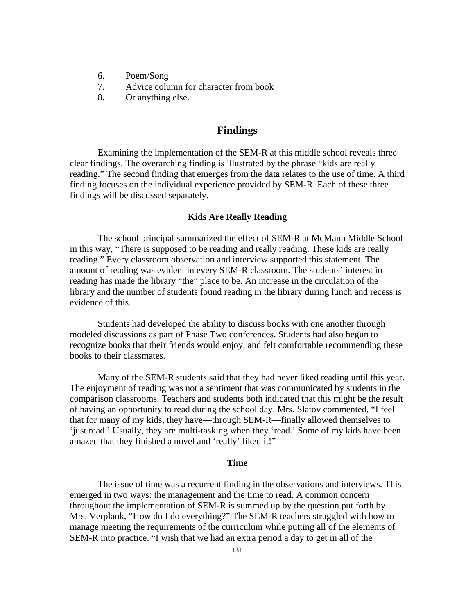- 6. Poem/Song
- 7. Advice column for character from book
- 8. Or anything else.

## **Findings**

Examining the implementation of the SEM-R at this middle school reveals three clear findings. The overarching finding is illustrated by the phrase "kids are really reading." The second finding that emerges from the data relates to the use of time. A third finding focuses on the individual experience provided by SEM-R. Each of these three findings will be discussed separately.

### **Kids Are Really Reading**

The school principal summarized the effect of SEM-R at McMann Middle School in this way, "There is supposed to be reading and really reading. These kids are really reading." Every classroom observation and interview supported this statement. The amount of reading was evident in every SEM-R classroom. The students' interest in reading has made the library "the" place to be. An increase in the circulation of the library and the number of students found reading in the library during lunch and recess is evidence of this.

Students had developed the ability to discuss books with one another through modeled discussions as part of Phase Two conferences. Students had also begun to recognize books that their friends would enjoy, and felt comfortable recommending these books to their classmates.

Many of the SEM-R students said that they had never liked reading until this year. The enjoyment of reading was not a sentiment that was communicated by students in the comparison classrooms. Teachers and students both indicated that this might be the result of having an opportunity to read during the school day. Mrs. Slatov commented, "I feel that for many of my kids, they have—through SEM-R—finally allowed themselves to 'just read.' Usually, they are multi-tasking when they 'read.' Some of my kids have been amazed that they finished a novel and 'really' liked it!"

#### **Time**

The issue of time was a recurrent finding in the observations and interviews. This emerged in two ways: the management and the time to read. A common concern throughout the implementation of SEM-R is summed up by the question put forth by Mrs. Verplank, "How do I do everything?" The SEM-R teachers struggled with how to manage meeting the requirements of the curriculum while putting all of the elements of SEM-R into practice. "I wish that we had an extra period a day to get in all of the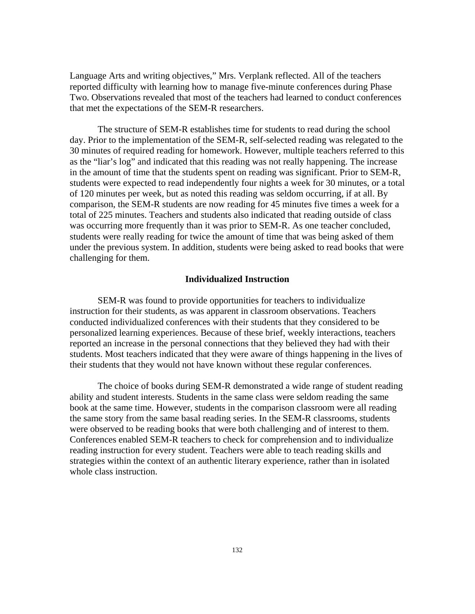Language Arts and writing objectives," Mrs. Verplank reflected. All of the teachers reported difficulty with learning how to manage five-minute conferences during Phase Two. Observations revealed that most of the teachers had learned to conduct conferences that met the expectations of the SEM-R researchers.

The structure of SEM-R establishes time for students to read during the school day. Prior to the implementation of the SEM-R, self-selected reading was relegated to the 30 minutes of required reading for homework. However, multiple teachers referred to this as the "liar's log" and indicated that this reading was not really happening. The increase in the amount of time that the students spent on reading was significant. Prior to SEM-R, students were expected to read independently four nights a week for 30 minutes, or a total of 120 minutes per week, but as noted this reading was seldom occurring, if at all. By comparison, the SEM-R students are now reading for 45 minutes five times a week for a total of 225 minutes. Teachers and students also indicated that reading outside of class was occurring more frequently than it was prior to SEM-R. As one teacher concluded, students were really reading for twice the amount of time that was being asked of them under the previous system. In addition, students were being asked to read books that were challenging for them.

#### **Individualized Instruction**

SEM-R was found to provide opportunities for teachers to individualize instruction for their students, as was apparent in classroom observations. Teachers conducted individualized conferences with their students that they considered to be personalized learning experiences. Because of these brief, weekly interactions, teachers reported an increase in the personal connections that they believed they had with their students. Most teachers indicated that they were aware of things happening in the lives of their students that they would not have known without these regular conferences.

The choice of books during SEM-R demonstrated a wide range of student reading ability and student interests. Students in the same class were seldom reading the same book at the same time. However, students in the comparison classroom were all reading the same story from the same basal reading series. In the SEM-R classrooms, students were observed to be reading books that were both challenging and of interest to them. Conferences enabled SEM-R teachers to check for comprehension and to individualize reading instruction for every student. Teachers were able to teach reading skills and strategies within the context of an authentic literary experience, rather than in isolated whole class instruction.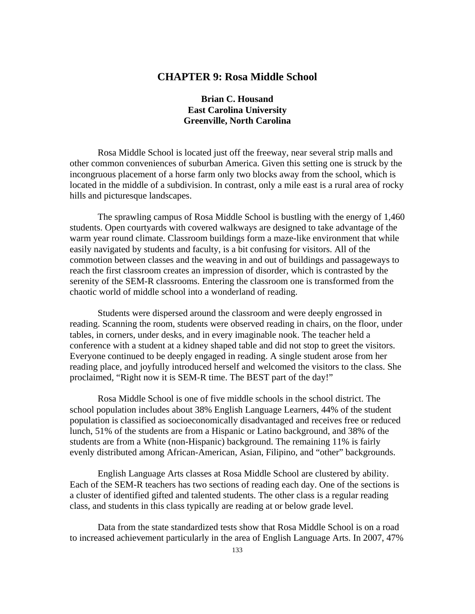# **CHAPTER 9: Rosa Middle School**

# **Brian C. Housand East Carolina University Greenville, North Carolina**

Rosa Middle School is located just off the freeway, near several strip malls and other common conveniences of suburban America. Given this setting one is struck by the incongruous placement of a horse farm only two blocks away from the school, which is located in the middle of a subdivision. In contrast, only a mile east is a rural area of rocky hills and picturesque landscapes.

The sprawling campus of Rosa Middle School is bustling with the energy of 1,460 students. Open courtyards with covered walkways are designed to take advantage of the warm year round climate. Classroom buildings form a maze-like environment that while easily navigated by students and faculty, is a bit confusing for visitors. All of the commotion between classes and the weaving in and out of buildings and passageways to reach the first classroom creates an impression of disorder, which is contrasted by the serenity of the SEM-R classrooms. Entering the classroom one is transformed from the chaotic world of middle school into a wonderland of reading.

Students were dispersed around the classroom and were deeply engrossed in reading. Scanning the room, students were observed reading in chairs, on the floor, under tables, in corners, under desks, and in every imaginable nook. The teacher held a conference with a student at a kidney shaped table and did not stop to greet the visitors. Everyone continued to be deeply engaged in reading. A single student arose from her reading place, and joyfully introduced herself and welcomed the visitors to the class. She proclaimed, "Right now it is SEM-R time. The BEST part of the day!"

Rosa Middle School is one of five middle schools in the school district. The school population includes about 38% English Language Learners, 44% of the student population is classified as socioeconomically disadvantaged and receives free or reduced lunch, 51% of the students are from a Hispanic or Latino background, and 38% of the students are from a White (non-Hispanic) background. The remaining 11% is fairly evenly distributed among African-American, Asian, Filipino, and "other" backgrounds.

English Language Arts classes at Rosa Middle School are clustered by ability. Each of the SEM-R teachers has two sections of reading each day. One of the sections is a cluster of identified gifted and talented students. The other class is a regular reading class, and students in this class typically are reading at or below grade level.

Data from the state standardized tests show that Rosa Middle School is on a road to increased achievement particularly in the area of English Language Arts. In 2007, 47%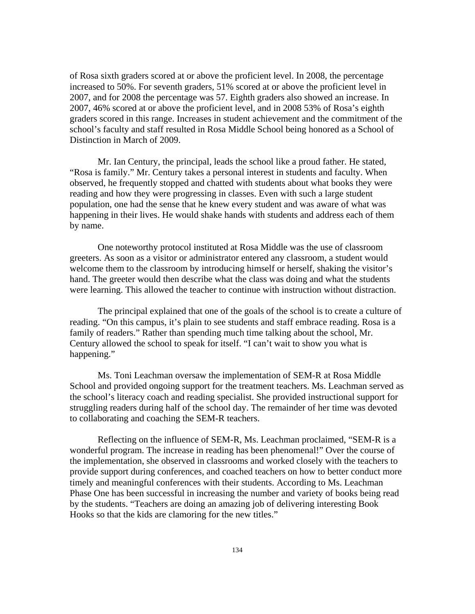of Rosa sixth graders scored at or above the proficient level. In 2008, the percentage increased to 50%. For seventh graders, 51% scored at or above the proficient level in 2007, and for 2008 the percentage was 57. Eighth graders also showed an increase. In 2007, 46% scored at or above the proficient level, and in 2008 53% of Rosa's eighth graders scored in this range. Increases in student achievement and the commitment of the school's faculty and staff resulted in Rosa Middle School being honored as a School of Distinction in March of 2009.

Mr. Ian Century, the principal, leads the school like a proud father. He stated, "Rosa is family." Mr. Century takes a personal interest in students and faculty. When observed, he frequently stopped and chatted with students about what books they were reading and how they were progressing in classes. Even with such a large student population, one had the sense that he knew every student and was aware of what was happening in their lives. He would shake hands with students and address each of them by name.

One noteworthy protocol instituted at Rosa Middle was the use of classroom greeters. As soon as a visitor or administrator entered any classroom, a student would welcome them to the classroom by introducing himself or herself, shaking the visitor's hand. The greeter would then describe what the class was doing and what the students were learning. This allowed the teacher to continue with instruction without distraction.

The principal explained that one of the goals of the school is to create a culture of reading. "On this campus, it's plain to see students and staff embrace reading. Rosa is a family of readers." Rather than spending much time talking about the school, Mr. Century allowed the school to speak for itself. "I can't wait to show you what is happening."

Ms. Toni Leachman oversaw the implementation of SEM-R at Rosa Middle School and provided ongoing support for the treatment teachers. Ms. Leachman served as the school's literacy coach and reading specialist. She provided instructional support for struggling readers during half of the school day. The remainder of her time was devoted to collaborating and coaching the SEM-R teachers.

Reflecting on the influence of SEM-R, Ms. Leachman proclaimed, "SEM-R is a wonderful program. The increase in reading has been phenomenal!" Over the course of the implementation, she observed in classrooms and worked closely with the teachers to provide support during conferences, and coached teachers on how to better conduct more timely and meaningful conferences with their students. According to Ms. Leachman Phase One has been successful in increasing the number and variety of books being read by the students. "Teachers are doing an amazing job of delivering interesting Book Hooks so that the kids are clamoring for the new titles."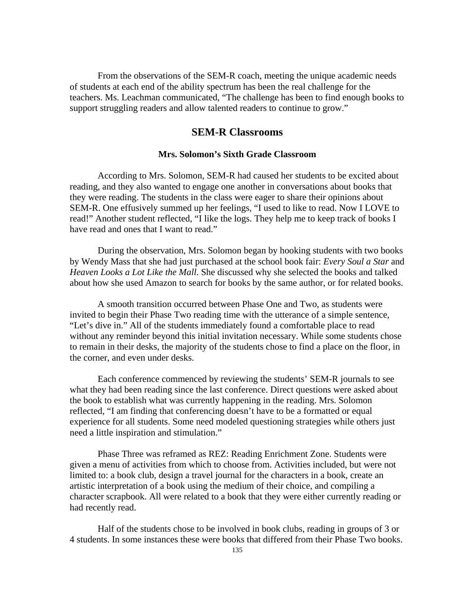From the observations of the SEM-R coach, meeting the unique academic needs of students at each end of the ability spectrum has been the real challenge for the teachers. Ms. Leachman communicated, "The challenge has been to find enough books to support struggling readers and allow talented readers to continue to grow."

# **SEM-R Classrooms**

## **Mrs. Solomon's Sixth Grade Classroom**

According to Mrs. Solomon, SEM-R had caused her students to be excited about reading, and they also wanted to engage one another in conversations about books that they were reading. The students in the class were eager to share their opinions about SEM-R. One effusively summed up her feelings, "I used to like to read. Now I LOVE to read!" Another student reflected, "I like the logs. They help me to keep track of books I have read and ones that I want to read."

During the observation, Mrs. Solomon began by hooking students with two books by Wendy Mass that she had just purchased at the school book fair: *Every Soul a Star* and *Heaven Looks a Lot Like the Mall*. She discussed why she selected the books and talked about how she used Amazon to search for books by the same author, or for related books.

A smooth transition occurred between Phase One and Two, as students were invited to begin their Phase Two reading time with the utterance of a simple sentence, "Let's dive in." All of the students immediately found a comfortable place to read without any reminder beyond this initial invitation necessary. While some students chose to remain in their desks, the majority of the students chose to find a place on the floor, in the corner, and even under desks.

Each conference commenced by reviewing the students' SEM-R journals to see what they had been reading since the last conference. Direct questions were asked about the book to establish what was currently happening in the reading. Mrs. Solomon reflected, "I am finding that conferencing doesn't have to be a formatted or equal experience for all students. Some need modeled questioning strategies while others just need a little inspiration and stimulation."

Phase Three was reframed as REZ: Reading Enrichment Zone. Students were given a menu of activities from which to choose from. Activities included, but were not limited to: a book club, design a travel journal for the characters in a book, create an artistic interpretation of a book using the medium of their choice, and compiling a character scrapbook. All were related to a book that they were either currently reading or had recently read.

Half of the students chose to be involved in book clubs, reading in groups of 3 or 4 students. In some instances these were books that differed from their Phase Two books.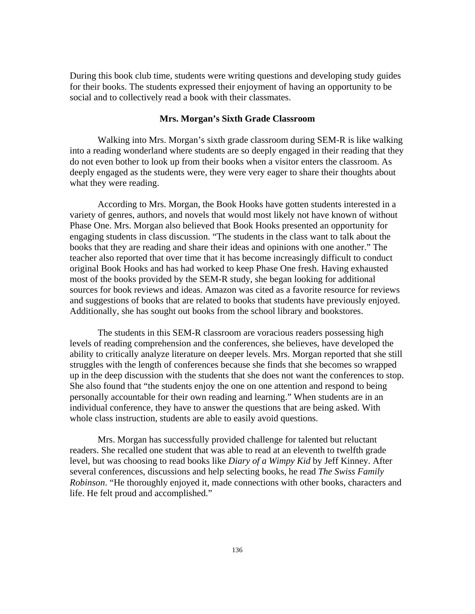During this book club time, students were writing questions and developing study guides for their books. The students expressed their enjoyment of having an opportunity to be social and to collectively read a book with their classmates.

## **Mrs. Morgan's Sixth Grade Classroom**

Walking into Mrs. Morgan's sixth grade classroom during SEM-R is like walking into a reading wonderland where students are so deeply engaged in their reading that they do not even bother to look up from their books when a visitor enters the classroom. As deeply engaged as the students were, they were very eager to share their thoughts about what they were reading.

According to Mrs. Morgan, the Book Hooks have gotten students interested in a variety of genres, authors, and novels that would most likely not have known of without Phase One. Mrs. Morgan also believed that Book Hooks presented an opportunity for engaging students in class discussion. "The students in the class want to talk about the books that they are reading and share their ideas and opinions with one another." The teacher also reported that over time that it has become increasingly difficult to conduct original Book Hooks and has had worked to keep Phase One fresh. Having exhausted most of the books provided by the SEM-R study, she began looking for additional sources for book reviews and ideas. Amazon was cited as a favorite resource for reviews and suggestions of books that are related to books that students have previously enjoyed. Additionally, she has sought out books from the school library and bookstores.

The students in this SEM-R classroom are voracious readers possessing high levels of reading comprehension and the conferences, she believes, have developed the ability to critically analyze literature on deeper levels. Mrs. Morgan reported that she still struggles with the length of conferences because she finds that she becomes so wrapped up in the deep discussion with the students that she does not want the conferences to stop. She also found that "the students enjoy the one on one attention and respond to being personally accountable for their own reading and learning." When students are in an individual conference, they have to answer the questions that are being asked. With whole class instruction, students are able to easily avoid questions.

Mrs. Morgan has successfully provided challenge for talented but reluctant readers. She recalled one student that was able to read at an eleventh to twelfth grade level, but was choosing to read books like *Diary of a Wimpy Kid* by Jeff Kinney. After several conferences, discussions and help selecting books, he read *The Swiss Family Robinson*. "He thoroughly enjoyed it, made connections with other books, characters and life. He felt proud and accomplished."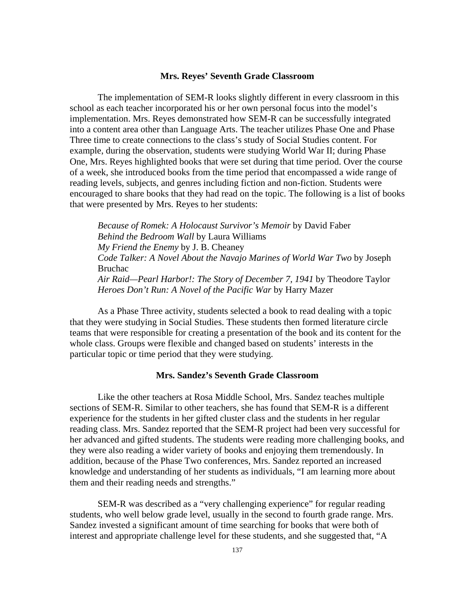## **Mrs. Reyes' Seventh Grade Classroom**

The implementation of SEM-R looks slightly different in every classroom in this school as each teacher incorporated his or her own personal focus into the model's implementation. Mrs. Reyes demonstrated how SEM-R can be successfully integrated into a content area other than Language Arts. The teacher utilizes Phase One and Phase Three time to create connections to the class's study of Social Studies content. For example, during the observation, students were studying World War II; during Phase One, Mrs. Reyes highlighted books that were set during that time period. Over the course of a week, she introduced books from the time period that encompassed a wide range of reading levels, subjects, and genres including fiction and non-fiction. Students were encouraged to share books that they had read on the topic. The following is a list of books that were presented by Mrs. Reyes to her students:

*Because of Romek: A Holocaust Survivor's Memoir* by David Faber *Behind the Bedroom Wall* by Laura Williams *My Friend the Enemy* by J. B. Cheaney *Code Talker: A Novel About the Navajo Marines of World War Two* by Joseph Bruchac *Air Raid—Pearl Harbor!: The Story of December 7, 1941* by Theodore Taylor *Heroes Don't Run: A Novel of the Pacific War* by Harry Mazer

As a Phase Three activity, students selected a book to read dealing with a topic that they were studying in Social Studies. These students then formed literature circle teams that were responsible for creating a presentation of the book and its content for the whole class. Groups were flexible and changed based on students' interests in the particular topic or time period that they were studying.

### **Mrs. Sandez's Seventh Grade Classroom**

Like the other teachers at Rosa Middle School, Mrs. Sandez teaches multiple sections of SEM-R. Similar to other teachers, she has found that SEM-R is a different experience for the students in her gifted cluster class and the students in her regular reading class. Mrs. Sandez reported that the SEM-R project had been very successful for her advanced and gifted students. The students were reading more challenging books, and they were also reading a wider variety of books and enjoying them tremendously. In addition, because of the Phase Two conferences, Mrs. Sandez reported an increased knowledge and understanding of her students as individuals, "I am learning more about them and their reading needs and strengths."

SEM-R was described as a "very challenging experience" for regular reading students, who well below grade level, usually in the second to fourth grade range. Mrs. Sandez invested a significant amount of time searching for books that were both of interest and appropriate challenge level for these students, and she suggested that, "A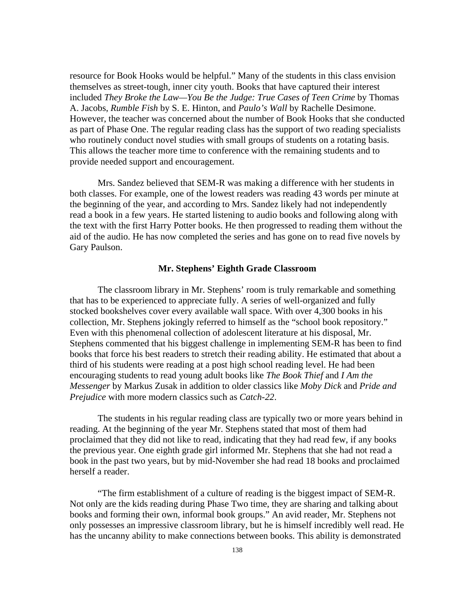resource for Book Hooks would be helpful." Many of the students in this class envision themselves as street-tough, inner city youth. Books that have captured their interest included *They Broke the Law—You Be the Judge: True Cases of Teen Crime* by Thomas A. Jacobs, *Rumble Fish* by S. E. Hinton, and *Paulo's Wall* by Rachelle Desimone. However, the teacher was concerned about the number of Book Hooks that she conducted as part of Phase One. The regular reading class has the support of two reading specialists who routinely conduct novel studies with small groups of students on a rotating basis. This allows the teacher more time to conference with the remaining students and to provide needed support and encouragement.

Mrs. Sandez believed that SEM-R was making a difference with her students in both classes. For example, one of the lowest readers was reading 43 words per minute at the beginning of the year, and according to Mrs. Sandez likely had not independently read a book in a few years. He started listening to audio books and following along with the text with the first Harry Potter books. He then progressed to reading them without the aid of the audio. He has now completed the series and has gone on to read five novels by Gary Paulson.

## **Mr. Stephens' Eighth Grade Classroom**

The classroom library in Mr. Stephens' room is truly remarkable and something that has to be experienced to appreciate fully. A series of well-organized and fully stocked bookshelves cover every available wall space. With over 4,300 books in his collection, Mr. Stephens jokingly referred to himself as the "school book repository." Even with this phenomenal collection of adolescent literature at his disposal, Mr. Stephens commented that his biggest challenge in implementing SEM-R has been to find books that force his best readers to stretch their reading ability. He estimated that about a third of his students were reading at a post high school reading level. He had been encouraging students to read young adult books like *The Book Thief* and *I Am the Messenger* by Markus Zusak in addition to older classics like *Moby Dick* and *Pride and Prejudice* with more modern classics such as *Catch-22*.

The students in his regular reading class are typically two or more years behind in reading. At the beginning of the year Mr. Stephens stated that most of them had proclaimed that they did not like to read, indicating that they had read few, if any books the previous year. One eighth grade girl informed Mr. Stephens that she had not read a book in the past two years, but by mid-November she had read 18 books and proclaimed herself a reader.

"The firm establishment of a culture of reading is the biggest impact of SEM-R. Not only are the kids reading during Phase Two time, they are sharing and talking about books and forming their own, informal book groups." An avid reader, Mr. Stephens not only possesses an impressive classroom library, but he is himself incredibly well read. He has the uncanny ability to make connections between books. This ability is demonstrated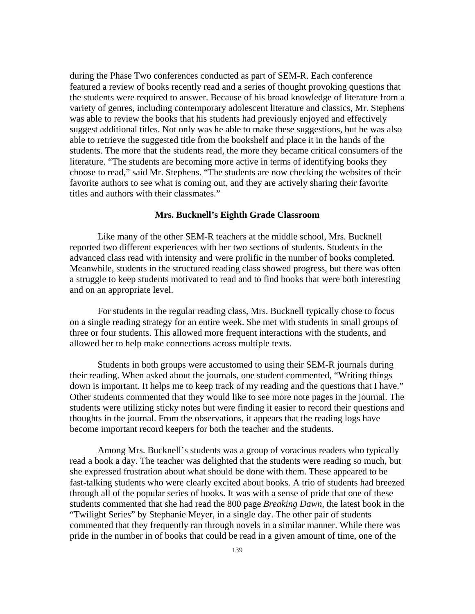during the Phase Two conferences conducted as part of SEM-R. Each conference featured a review of books recently read and a series of thought provoking questions that the students were required to answer. Because of his broad knowledge of literature from a variety of genres, including contemporary adolescent literature and classics, Mr. Stephens was able to review the books that his students had previously enjoyed and effectively suggest additional titles. Not only was he able to make these suggestions, but he was also able to retrieve the suggested title from the bookshelf and place it in the hands of the students. The more that the students read, the more they became critical consumers of the literature. "The students are becoming more active in terms of identifying books they choose to read," said Mr. Stephens. "The students are now checking the websites of their favorite authors to see what is coming out, and they are actively sharing their favorite titles and authors with their classmates."

## **Mrs. Bucknell's Eighth Grade Classroom**

Like many of the other SEM-R teachers at the middle school, Mrs. Bucknell reported two different experiences with her two sections of students. Students in the advanced class read with intensity and were prolific in the number of books completed. Meanwhile, students in the structured reading class showed progress, but there was often a struggle to keep students motivated to read and to find books that were both interesting and on an appropriate level.

For students in the regular reading class, Mrs. Bucknell typically chose to focus on a single reading strategy for an entire week. She met with students in small groups of three or four students. This allowed more frequent interactions with the students, and allowed her to help make connections across multiple texts.

Students in both groups were accustomed to using their SEM-R journals during their reading. When asked about the journals, one student commented, "Writing things down is important. It helps me to keep track of my reading and the questions that I have." Other students commented that they would like to see more note pages in the journal. The students were utilizing sticky notes but were finding it easier to record their questions and thoughts in the journal. From the observations, it appears that the reading logs have become important record keepers for both the teacher and the students.

Among Mrs. Bucknell's students was a group of voracious readers who typically read a book a day. The teacher was delighted that the students were reading so much, but she expressed frustration about what should be done with them. These appeared to be fast-talking students who were clearly excited about books. A trio of students had breezed through all of the popular series of books. It was with a sense of pride that one of these students commented that she had read the 800 page *Breaking Dawn,* the latest book in the "Twilight Series" by Stephanie Meyer, in a single day. The other pair of students commented that they frequently ran through novels in a similar manner. While there was pride in the number in of books that could be read in a given amount of time, one of the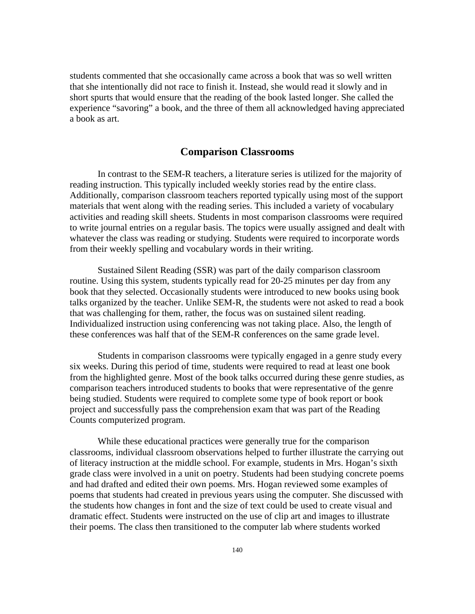students commented that she occasionally came across a book that was so well written that she intentionally did not race to finish it. Instead, she would read it slowly and in short spurts that would ensure that the reading of the book lasted longer. She called the experience "savoring" a book, and the three of them all acknowledged having appreciated a book as art.

## **Comparison Classrooms**

In contrast to the SEM-R teachers, a literature series is utilized for the majority of reading instruction. This typically included weekly stories read by the entire class. Additionally, comparison classroom teachers reported typically using most of the support materials that went along with the reading series. This included a variety of vocabulary activities and reading skill sheets. Students in most comparison classrooms were required to write journal entries on a regular basis. The topics were usually assigned and dealt with whatever the class was reading or studying. Students were required to incorporate words from their weekly spelling and vocabulary words in their writing.

Sustained Silent Reading (SSR) was part of the daily comparison classroom routine. Using this system, students typically read for 20-25 minutes per day from any book that they selected. Occasionally students were introduced to new books using book talks organized by the teacher. Unlike SEM-R, the students were not asked to read a book that was challenging for them, rather, the focus was on sustained silent reading. Individualized instruction using conferencing was not taking place. Also, the length of these conferences was half that of the SEM-R conferences on the same grade level.

Students in comparison classrooms were typically engaged in a genre study every six weeks. During this period of time, students were required to read at least one book from the highlighted genre. Most of the book talks occurred during these genre studies, as comparison teachers introduced students to books that were representative of the genre being studied. Students were required to complete some type of book report or book project and successfully pass the comprehension exam that was part of the Reading Counts computerized program.

While these educational practices were generally true for the comparison classrooms, individual classroom observations helped to further illustrate the carrying out of literacy instruction at the middle school. For example, students in Mrs. Hogan's sixth grade class were involved in a unit on poetry. Students had been studying concrete poems and had drafted and edited their own poems. Mrs. Hogan reviewed some examples of poems that students had created in previous years using the computer. She discussed with the students how changes in font and the size of text could be used to create visual and dramatic effect. Students were instructed on the use of clip art and images to illustrate their poems. The class then transitioned to the computer lab where students worked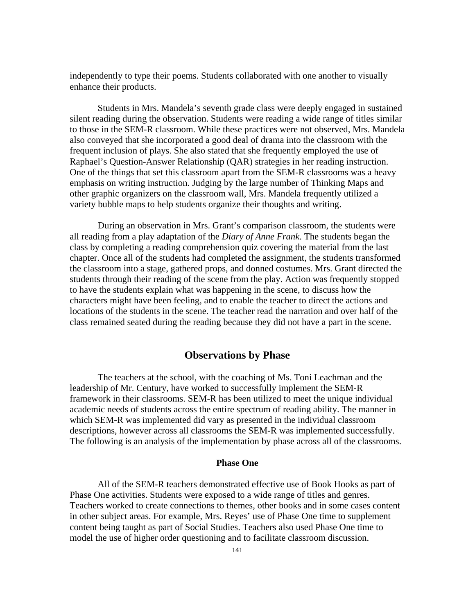independently to type their poems. Students collaborated with one another to visually enhance their products.

Students in Mrs. Mandela's seventh grade class were deeply engaged in sustained silent reading during the observation. Students were reading a wide range of titles similar to those in the SEM-R classroom. While these practices were not observed, Mrs. Mandela also conveyed that she incorporated a good deal of drama into the classroom with the frequent inclusion of plays. She also stated that she frequently employed the use of Raphael's Question-Answer Relationship (QAR) strategies in her reading instruction. One of the things that set this classroom apart from the SEM-R classrooms was a heavy emphasis on writing instruction. Judging by the large number of Thinking Maps and other graphic organizers on the classroom wall, Mrs. Mandela frequently utilized a variety bubble maps to help students organize their thoughts and writing.

During an observation in Mrs. Grant's comparison classroom, the students were all reading from a play adaptation of the *Diary of Anne Frank*. The students began the class by completing a reading comprehension quiz covering the material from the last chapter. Once all of the students had completed the assignment, the students transformed the classroom into a stage, gathered props, and donned costumes. Mrs. Grant directed the students through their reading of the scene from the play. Action was frequently stopped to have the students explain what was happening in the scene, to discuss how the characters might have been feeling, and to enable the teacher to direct the actions and locations of the students in the scene. The teacher read the narration and over half of the class remained seated during the reading because they did not have a part in the scene.

# **Observations by Phase**

The teachers at the school, with the coaching of Ms. Toni Leachman and the leadership of Mr. Century, have worked to successfully implement the SEM-R framework in their classrooms. SEM-R has been utilized to meet the unique individual academic needs of students across the entire spectrum of reading ability. The manner in which SEM-R was implemented did vary as presented in the individual classroom descriptions, however across all classrooms the SEM-R was implemented successfully. The following is an analysis of the implementation by phase across all of the classrooms.

## **Phase One**

All of the SEM-R teachers demonstrated effective use of Book Hooks as part of Phase One activities. Students were exposed to a wide range of titles and genres. Teachers worked to create connections to themes, other books and in some cases content in other subject areas. For example, Mrs. Reyes' use of Phase One time to supplement content being taught as part of Social Studies. Teachers also used Phase One time to model the use of higher order questioning and to facilitate classroom discussion.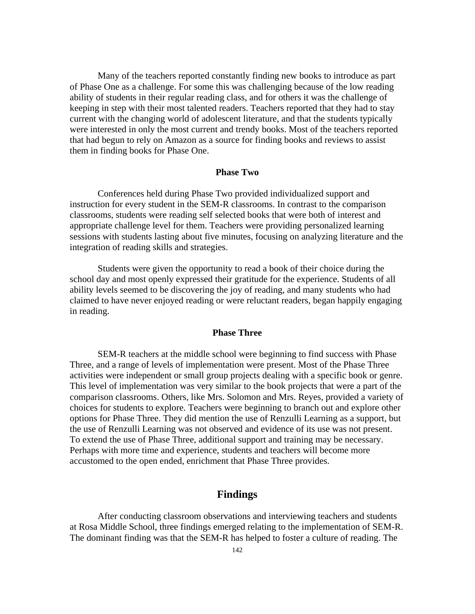Many of the teachers reported constantly finding new books to introduce as part of Phase One as a challenge. For some this was challenging because of the low reading ability of students in their regular reading class, and for others it was the challenge of keeping in step with their most talented readers. Teachers reported that they had to stay current with the changing world of adolescent literature, and that the students typically were interested in only the most current and trendy books. Most of the teachers reported that had begun to rely on Amazon as a source for finding books and reviews to assist them in finding books for Phase One.

### **Phase Two**

Conferences held during Phase Two provided individualized support and instruction for every student in the SEM-R classrooms. In contrast to the comparison classrooms, students were reading self selected books that were both of interest and appropriate challenge level for them. Teachers were providing personalized learning sessions with students lasting about five minutes, focusing on analyzing literature and the integration of reading skills and strategies.

Students were given the opportunity to read a book of their choice during the school day and most openly expressed their gratitude for the experience. Students of all ability levels seemed to be discovering the joy of reading, and many students who had claimed to have never enjoyed reading or were reluctant readers, began happily engaging in reading.

## **Phase Three**

SEM-R teachers at the middle school were beginning to find success with Phase Three, and a range of levels of implementation were present. Most of the Phase Three activities were independent or small group projects dealing with a specific book or genre. This level of implementation was very similar to the book projects that were a part of the comparison classrooms. Others, like Mrs. Solomon and Mrs. Reyes, provided a variety of choices for students to explore. Teachers were beginning to branch out and explore other options for Phase Three. They did mention the use of Renzulli Learning as a support, but the use of Renzulli Learning was not observed and evidence of its use was not present. To extend the use of Phase Three, additional support and training may be necessary. Perhaps with more time and experience, students and teachers will become more accustomed to the open ended, enrichment that Phase Three provides.

# **Findings**

After conducting classroom observations and interviewing teachers and students at Rosa Middle School, three findings emerged relating to the implementation of SEM-R. The dominant finding was that the SEM-R has helped to foster a culture of reading. The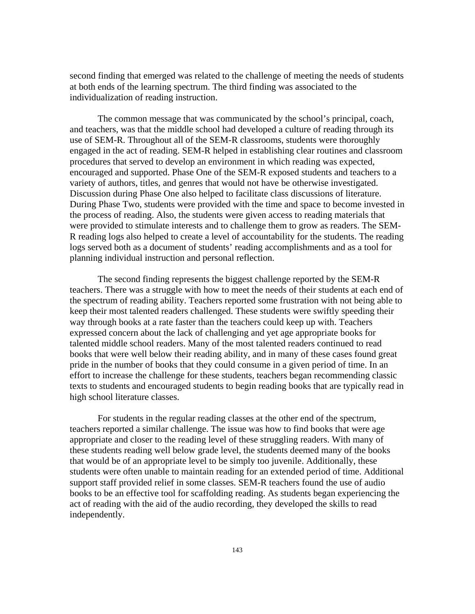second finding that emerged was related to the challenge of meeting the needs of students at both ends of the learning spectrum. The third finding was associated to the individualization of reading instruction.

The common message that was communicated by the school's principal, coach, and teachers, was that the middle school had developed a culture of reading through its use of SEM-R. Throughout all of the SEM-R classrooms, students were thoroughly engaged in the act of reading. SEM-R helped in establishing clear routines and classroom procedures that served to develop an environment in which reading was expected, encouraged and supported. Phase One of the SEM-R exposed students and teachers to a variety of authors, titles, and genres that would not have be otherwise investigated. Discussion during Phase One also helped to facilitate class discussions of literature. During Phase Two, students were provided with the time and space to become invested in the process of reading. Also, the students were given access to reading materials that were provided to stimulate interests and to challenge them to grow as readers. The SEM-R reading logs also helped to create a level of accountability for the students. The reading logs served both as a document of students' reading accomplishments and as a tool for planning individual instruction and personal reflection.

The second finding represents the biggest challenge reported by the SEM-R teachers. There was a struggle with how to meet the needs of their students at each end of the spectrum of reading ability. Teachers reported some frustration with not being able to keep their most talented readers challenged. These students were swiftly speeding their way through books at a rate faster than the teachers could keep up with. Teachers expressed concern about the lack of challenging and yet age appropriate books for talented middle school readers. Many of the most talented readers continued to read books that were well below their reading ability, and in many of these cases found great pride in the number of books that they could consume in a given period of time. In an effort to increase the challenge for these students, teachers began recommending classic texts to students and encouraged students to begin reading books that are typically read in high school literature classes.

For students in the regular reading classes at the other end of the spectrum, teachers reported a similar challenge. The issue was how to find books that were age appropriate and closer to the reading level of these struggling readers. With many of these students reading well below grade level, the students deemed many of the books that would be of an appropriate level to be simply too juvenile. Additionally, these students were often unable to maintain reading for an extended period of time. Additional support staff provided relief in some classes. SEM-R teachers found the use of audio books to be an effective tool for scaffolding reading. As students began experiencing the act of reading with the aid of the audio recording, they developed the skills to read independently.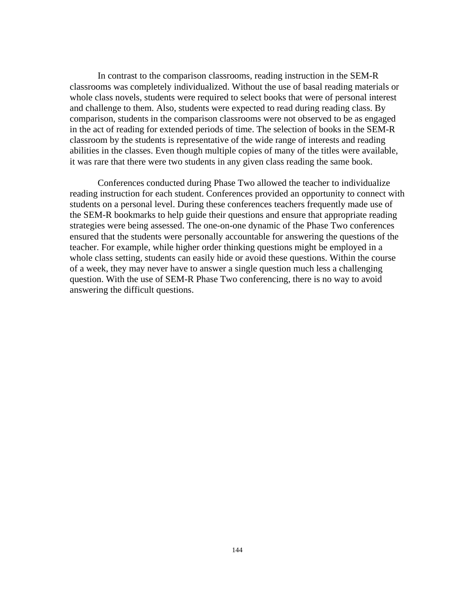In contrast to the comparison classrooms, reading instruction in the SEM-R classrooms was completely individualized. Without the use of basal reading materials or whole class novels, students were required to select books that were of personal interest and challenge to them. Also, students were expected to read during reading class. By comparison, students in the comparison classrooms were not observed to be as engaged in the act of reading for extended periods of time. The selection of books in the SEM-R classroom by the students is representative of the wide range of interests and reading abilities in the classes. Even though multiple copies of many of the titles were available, it was rare that there were two students in any given class reading the same book.

Conferences conducted during Phase Two allowed the teacher to individualize reading instruction for each student. Conferences provided an opportunity to connect with students on a personal level. During these conferences teachers frequently made use of the SEM-R bookmarks to help guide their questions and ensure that appropriate reading strategies were being assessed. The one-on-one dynamic of the Phase Two conferences ensured that the students were personally accountable for answering the questions of the teacher. For example, while higher order thinking questions might be employed in a whole class setting, students can easily hide or avoid these questions. Within the course of a week, they may never have to answer a single question much less a challenging question. With the use of SEM-R Phase Two conferencing, there is no way to avoid answering the difficult questions.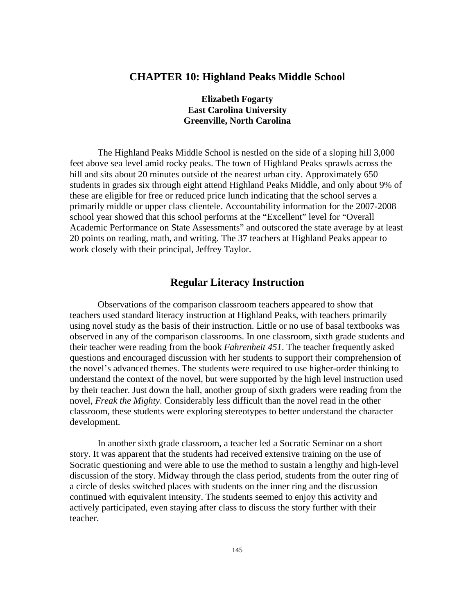# **CHAPTER 10: Highland Peaks Middle School**

**Elizabeth Fogarty East Carolina University Greenville, North Carolina**

The Highland Peaks Middle School is nestled on the side of a sloping hill 3,000 feet above sea level amid rocky peaks. The town of Highland Peaks sprawls across the hill and sits about 20 minutes outside of the nearest urban city. Approximately 650 students in grades six through eight attend Highland Peaks Middle, and only about 9% of these are eligible for free or reduced price lunch indicating that the school serves a primarily middle or upper class clientele. Accountability information for the 2007-2008 school year showed that this school performs at the "Excellent" level for "Overall Academic Performance on State Assessments" and outscored the state average by at least 20 points on reading, math, and writing. The 37 teachers at Highland Peaks appear to work closely with their principal, Jeffrey Taylor.

# **Regular Literacy Instruction**

Observations of the comparison classroom teachers appeared to show that teachers used standard literacy instruction at Highland Peaks, with teachers primarily using novel study as the basis of their instruction. Little or no use of basal textbooks was observed in any of the comparison classrooms. In one classroom, sixth grade students and their teacher were reading from the book *Fahrenheit 451*. The teacher frequently asked questions and encouraged discussion with her students to support their comprehension of the novel's advanced themes. The students were required to use higher-order thinking to understand the context of the novel, but were supported by the high level instruction used by their teacher. Just down the hall, another group of sixth graders were reading from the novel, *Freak the Mighty*. Considerably less difficult than the novel read in the other classroom, these students were exploring stereotypes to better understand the character development.

In another sixth grade classroom, a teacher led a Socratic Seminar on a short story. It was apparent that the students had received extensive training on the use of Socratic questioning and were able to use the method to sustain a lengthy and high-level discussion of the story. Midway through the class period, students from the outer ring of a circle of desks switched places with students on the inner ring and the discussion continued with equivalent intensity. The students seemed to enjoy this activity and actively participated, even staying after class to discuss the story further with their teacher.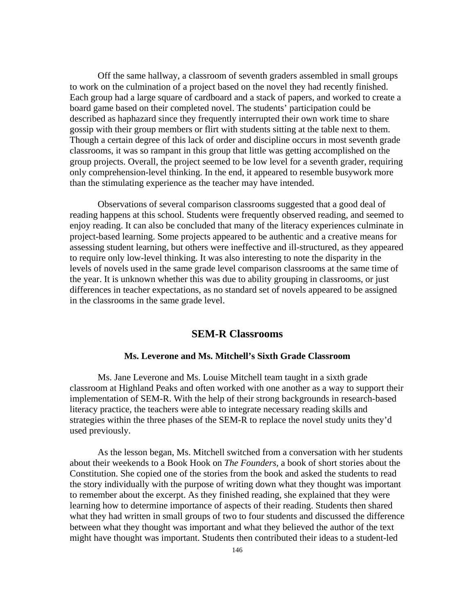Off the same hallway, a classroom of seventh graders assembled in small groups to work on the culmination of a project based on the novel they had recently finished. Each group had a large square of cardboard and a stack of papers, and worked to create a board game based on their completed novel. The students' participation could be described as haphazard since they frequently interrupted their own work time to share gossip with their group members or flirt with students sitting at the table next to them. Though a certain degree of this lack of order and discipline occurs in most seventh grade classrooms, it was so rampant in this group that little was getting accomplished on the group projects. Overall, the project seemed to be low level for a seventh grader, requiring only comprehension-level thinking. In the end, it appeared to resemble busywork more than the stimulating experience as the teacher may have intended.

Observations of several comparison classrooms suggested that a good deal of reading happens at this school. Students were frequently observed reading, and seemed to enjoy reading. It can also be concluded that many of the literacy experiences culminate in project-based learning. Some projects appeared to be authentic and a creative means for assessing student learning, but others were ineffective and ill-structured, as they appeared to require only low-level thinking. It was also interesting to note the disparity in the levels of novels used in the same grade level comparison classrooms at the same time of the year. It is unknown whether this was due to ability grouping in classrooms, or just differences in teacher expectations, as no standard set of novels appeared to be assigned in the classrooms in the same grade level.

# **SEM-R Classrooms**

## **Ms. Leverone and Ms. Mitchell's Sixth Grade Classroom**

Ms. Jane Leverone and Ms. Louise Mitchell team taught in a sixth grade classroom at Highland Peaks and often worked with one another as a way to support their implementation of SEM-R. With the help of their strong backgrounds in research-based literacy practice, the teachers were able to integrate necessary reading skills and strategies within the three phases of the SEM-R to replace the novel study units they'd used previously.

As the lesson began, Ms. Mitchell switched from a conversation with her students about their weekends to a Book Hook on *The Founders,* a book of short stories about the Constitution. She copied one of the stories from the book and asked the students to read the story individually with the purpose of writing down what they thought was important to remember about the excerpt. As they finished reading, she explained that they were learning how to determine importance of aspects of their reading. Students then shared what they had written in small groups of two to four students and discussed the difference between what they thought was important and what they believed the author of the text might have thought was important. Students then contributed their ideas to a student-led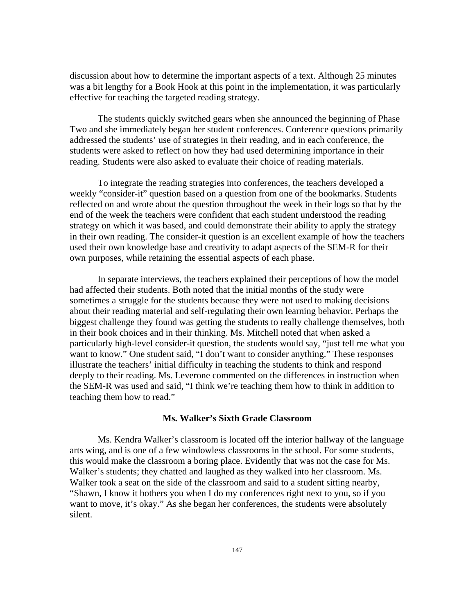discussion about how to determine the important aspects of a text. Although 25 minutes was a bit lengthy for a Book Hook at this point in the implementation, it was particularly effective for teaching the targeted reading strategy.

The students quickly switched gears when she announced the beginning of Phase Two and she immediately began her student conferences. Conference questions primarily addressed the students' use of strategies in their reading, and in each conference, the students were asked to reflect on how they had used determining importance in their reading. Students were also asked to evaluate their choice of reading materials.

To integrate the reading strategies into conferences, the teachers developed a weekly "consider-it" question based on a question from one of the bookmarks. Students reflected on and wrote about the question throughout the week in their logs so that by the end of the week the teachers were confident that each student understood the reading strategy on which it was based, and could demonstrate their ability to apply the strategy in their own reading. The consider-it question is an excellent example of how the teachers used their own knowledge base and creativity to adapt aspects of the SEM-R for their own purposes, while retaining the essential aspects of each phase.

In separate interviews, the teachers explained their perceptions of how the model had affected their students. Both noted that the initial months of the study were sometimes a struggle for the students because they were not used to making decisions about their reading material and self-regulating their own learning behavior. Perhaps the biggest challenge they found was getting the students to really challenge themselves, both in their book choices and in their thinking. Ms. Mitchell noted that when asked a particularly high-level consider-it question, the students would say, "just tell me what you want to know." One student said, "I don't want to consider anything." These responses illustrate the teachers' initial difficulty in teaching the students to think and respond deeply to their reading. Ms. Leverone commented on the differences in instruction when the SEM-R was used and said, "I think we're teaching them how to think in addition to teaching them how to read."

## **Ms. Walker's Sixth Grade Classroom**

Ms. Kendra Walker's classroom is located off the interior hallway of the language arts wing, and is one of a few windowless classrooms in the school. For some students, this would make the classroom a boring place. Evidently that was not the case for Ms. Walker's students; they chatted and laughed as they walked into her classroom. Ms. Walker took a seat on the side of the classroom and said to a student sitting nearby, "Shawn, I know it bothers you when I do my conferences right next to you, so if you want to move, it's okay." As she began her conferences, the students were absolutely silent.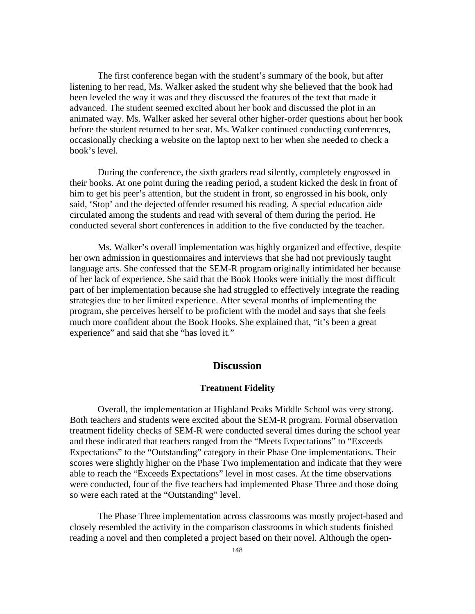The first conference began with the student's summary of the book, but after listening to her read, Ms. Walker asked the student why she believed that the book had been leveled the way it was and they discussed the features of the text that made it advanced. The student seemed excited about her book and discussed the plot in an animated way. Ms. Walker asked her several other higher-order questions about her book before the student returned to her seat. Ms. Walker continued conducting conferences, occasionally checking a website on the laptop next to her when she needed to check a book's level.

During the conference, the sixth graders read silently, completely engrossed in their books. At one point during the reading period, a student kicked the desk in front of him to get his peer's attention, but the student in front, so engrossed in his book, only said, 'Stop' and the dejected offender resumed his reading. A special education aide circulated among the students and read with several of them during the period. He conducted several short conferences in addition to the five conducted by the teacher.

Ms. Walker's overall implementation was highly organized and effective, despite her own admission in questionnaires and interviews that she had not previously taught language arts. She confessed that the SEM-R program originally intimidated her because of her lack of experience. She said that the Book Hooks were initially the most difficult part of her implementation because she had struggled to effectively integrate the reading strategies due to her limited experience. After several months of implementing the program, she perceives herself to be proficient with the model and says that she feels much more confident about the Book Hooks. She explained that, "it's been a great experience" and said that she "has loved it."

# **Discussion**

## **Treatment Fidelity**

Overall, the implementation at Highland Peaks Middle School was very strong. Both teachers and students were excited about the SEM-R program. Formal observation treatment fidelity checks of SEM-R were conducted several times during the school year and these indicated that teachers ranged from the "Meets Expectations" to "Exceeds Expectations" to the "Outstanding" category in their Phase One implementations. Their scores were slightly higher on the Phase Two implementation and indicate that they were able to reach the "Exceeds Expectations" level in most cases. At the time observations were conducted, four of the five teachers had implemented Phase Three and those doing so were each rated at the "Outstanding" level.

The Phase Three implementation across classrooms was mostly project-based and closely resembled the activity in the comparison classrooms in which students finished reading a novel and then completed a project based on their novel. Although the open-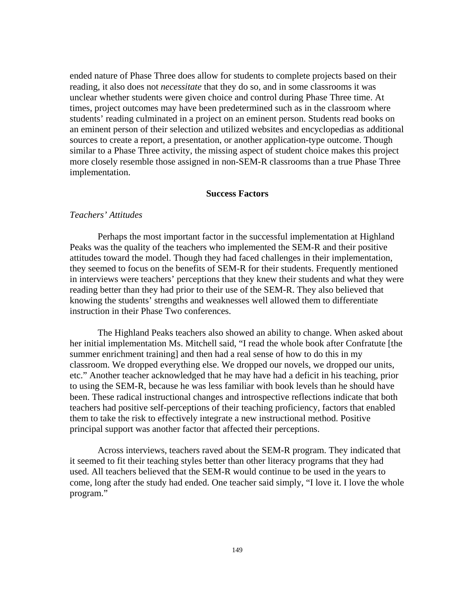ended nature of Phase Three does allow for students to complete projects based on their reading, it also does not *necessitate* that they do so, and in some classrooms it was unclear whether students were given choice and control during Phase Three time. At times, project outcomes may have been predetermined such as in the classroom where students' reading culminated in a project on an eminent person. Students read books on an eminent person of their selection and utilized websites and encyclopedias as additional sources to create a report, a presentation, or another application-type outcome. Though similar to a Phase Three activity, the missing aspect of student choice makes this project more closely resemble those assigned in non-SEM-R classrooms than a true Phase Three implementation.

## **Success Factors**

## *Teachers' Attitudes*

Perhaps the most important factor in the successful implementation at Highland Peaks was the quality of the teachers who implemented the SEM-R and their positive attitudes toward the model. Though they had faced challenges in their implementation, they seemed to focus on the benefits of SEM-R for their students. Frequently mentioned in interviews were teachers' perceptions that they knew their students and what they were reading better than they had prior to their use of the SEM-R. They also believed that knowing the students' strengths and weaknesses well allowed them to differentiate instruction in their Phase Two conferences.

The Highland Peaks teachers also showed an ability to change. When asked about her initial implementation Ms. Mitchell said, "I read the whole book after Confratute [the summer enrichment training] and then had a real sense of how to do this in my classroom. We dropped everything else. We dropped our novels, we dropped our units, etc." Another teacher acknowledged that he may have had a deficit in his teaching, prior to using the SEM-R, because he was less familiar with book levels than he should have been. These radical instructional changes and introspective reflections indicate that both teachers had positive self-perceptions of their teaching proficiency, factors that enabled them to take the risk to effectively integrate a new instructional method. Positive principal support was another factor that affected their perceptions.

Across interviews, teachers raved about the SEM-R program. They indicated that it seemed to fit their teaching styles better than other literacy programs that they had used. All teachers believed that the SEM-R would continue to be used in the years to come, long after the study had ended. One teacher said simply, "I love it. I love the whole program."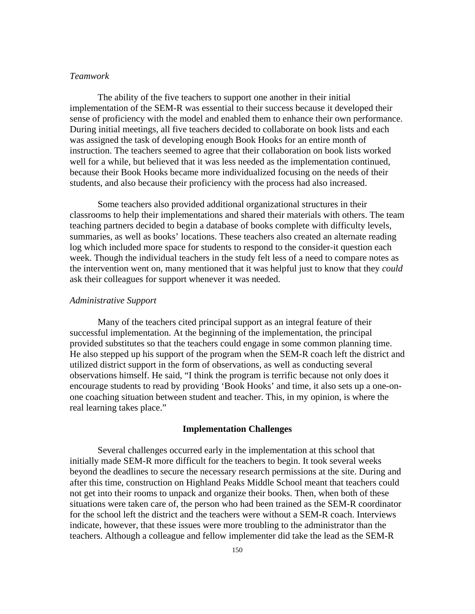## *Teamwork*

The ability of the five teachers to support one another in their initial implementation of the SEM-R was essential to their success because it developed their sense of proficiency with the model and enabled them to enhance their own performance. During initial meetings, all five teachers decided to collaborate on book lists and each was assigned the task of developing enough Book Hooks for an entire month of instruction. The teachers seemed to agree that their collaboration on book lists worked well for a while, but believed that it was less needed as the implementation continued, because their Book Hooks became more individualized focusing on the needs of their students, and also because their proficiency with the process had also increased.

Some teachers also provided additional organizational structures in their classrooms to help their implementations and shared their materials with others. The team teaching partners decided to begin a database of books complete with difficulty levels, summaries, as well as books' locations. These teachers also created an alternate reading log which included more space for students to respond to the consider-it question each week. Though the individual teachers in the study felt less of a need to compare notes as the intervention went on, many mentioned that it was helpful just to know that they *could* ask their colleagues for support whenever it was needed.

#### *Administrative Support*

Many of the teachers cited principal support as an integral feature of their successful implementation. At the beginning of the implementation, the principal provided substitutes so that the teachers could engage in some common planning time. He also stepped up his support of the program when the SEM-R coach left the district and utilized district support in the form of observations, as well as conducting several observations himself. He said, "I think the program is terrific because not only does it encourage students to read by providing 'Book Hooks' and time, it also sets up a one-onone coaching situation between student and teacher. This, in my opinion, is where the real learning takes place."

#### **Implementation Challenges**

Several challenges occurred early in the implementation at this school that initially made SEM-R more difficult for the teachers to begin. It took several weeks beyond the deadlines to secure the necessary research permissions at the site. During and after this time, construction on Highland Peaks Middle School meant that teachers could not get into their rooms to unpack and organize their books. Then, when both of these situations were taken care of, the person who had been trained as the SEM-R coordinator for the school left the district and the teachers were without a SEM-R coach. Interviews indicate, however, that these issues were more troubling to the administrator than the teachers. Although a colleague and fellow implementer did take the lead as the SEM-R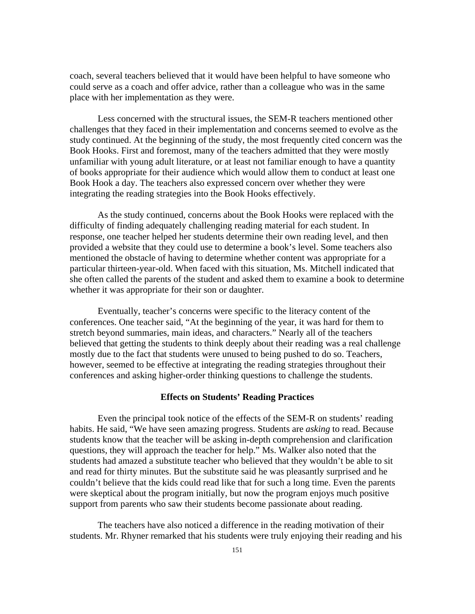coach, several teachers believed that it would have been helpful to have someone who could serve as a coach and offer advice, rather than a colleague who was in the same place with her implementation as they were.

Less concerned with the structural issues, the SEM-R teachers mentioned other challenges that they faced in their implementation and concerns seemed to evolve as the study continued. At the beginning of the study, the most frequently cited concern was the Book Hooks. First and foremost, many of the teachers admitted that they were mostly unfamiliar with young adult literature, or at least not familiar enough to have a quantity of books appropriate for their audience which would allow them to conduct at least one Book Hook a day. The teachers also expressed concern over whether they were integrating the reading strategies into the Book Hooks effectively.

As the study continued, concerns about the Book Hooks were replaced with the difficulty of finding adequately challenging reading material for each student. In response, one teacher helped her students determine their own reading level, and then provided a website that they could use to determine a book's level. Some teachers also mentioned the obstacle of having to determine whether content was appropriate for a particular thirteen-year-old. When faced with this situation, Ms. Mitchell indicated that she often called the parents of the student and asked them to examine a book to determine whether it was appropriate for their son or daughter.

Eventually, teacher's concerns were specific to the literacy content of the conferences. One teacher said, "At the beginning of the year, it was hard for them to stretch beyond summaries, main ideas, and characters." Nearly all of the teachers believed that getting the students to think deeply about their reading was a real challenge mostly due to the fact that students were unused to being pushed to do so. Teachers, however, seemed to be effective at integrating the reading strategies throughout their conferences and asking higher-order thinking questions to challenge the students.

#### **Effects on Students' Reading Practices**

Even the principal took notice of the effects of the SEM-R on students' reading habits. He said, "We have seen amazing progress. Students are *asking* to read. Because students know that the teacher will be asking in-depth comprehension and clarification questions, they will approach the teacher for help." Ms. Walker also noted that the students had amazed a substitute teacher who believed that they wouldn't be able to sit and read for thirty minutes. But the substitute said he was pleasantly surprised and he couldn't believe that the kids could read like that for such a long time. Even the parents were skeptical about the program initially, but now the program enjoys much positive support from parents who saw their students become passionate about reading.

The teachers have also noticed a difference in the reading motivation of their students. Mr. Rhyner remarked that his students were truly enjoying their reading and his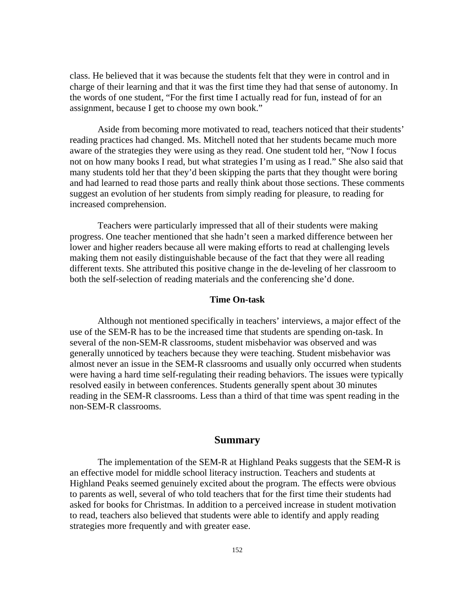class. He believed that it was because the students felt that they were in control and in charge of their learning and that it was the first time they had that sense of autonomy. In the words of one student, "For the first time I actually read for fun, instead of for an assignment, because I get to choose my own book."

Aside from becoming more motivated to read, teachers noticed that their students' reading practices had changed. Ms. Mitchell noted that her students became much more aware of the strategies they were using as they read. One student told her, "Now I focus not on how many books I read, but what strategies I'm using as I read." She also said that many students told her that they'd been skipping the parts that they thought were boring and had learned to read those parts and really think about those sections. These comments suggest an evolution of her students from simply reading for pleasure, to reading for increased comprehension.

Teachers were particularly impressed that all of their students were making progress. One teacher mentioned that she hadn't seen a marked difference between her lower and higher readers because all were making efforts to read at challenging levels making them not easily distinguishable because of the fact that they were all reading different texts. She attributed this positive change in the de-leveling of her classroom to both the self-selection of reading materials and the conferencing she'd done.

## **Time On-task**

Although not mentioned specifically in teachers' interviews, a major effect of the use of the SEM-R has to be the increased time that students are spending on-task. In several of the non-SEM-R classrooms, student misbehavior was observed and was generally unnoticed by teachers because they were teaching. Student misbehavior was almost never an issue in the SEM-R classrooms and usually only occurred when students were having a hard time self-regulating their reading behaviors. The issues were typically resolved easily in between conferences. Students generally spent about 30 minutes reading in the SEM-R classrooms. Less than a third of that time was spent reading in the non-SEM-R classrooms.

## **Summary**

The implementation of the SEM-R at Highland Peaks suggests that the SEM-R is an effective model for middle school literacy instruction. Teachers and students at Highland Peaks seemed genuinely excited about the program. The effects were obvious to parents as well, several of who told teachers that for the first time their students had asked for books for Christmas. In addition to a perceived increase in student motivation to read, teachers also believed that students were able to identify and apply reading strategies more frequently and with greater ease.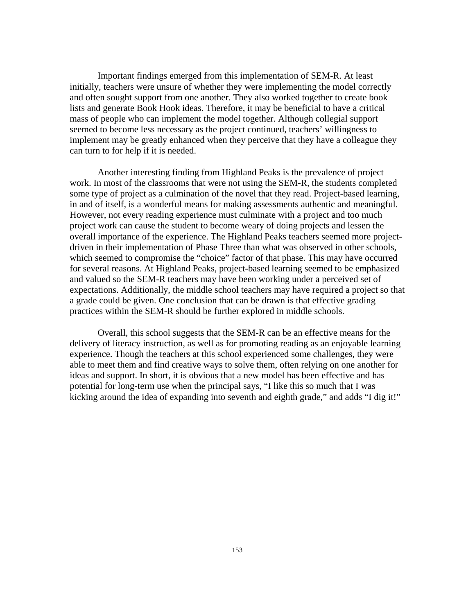Important findings emerged from this implementation of SEM-R. At least initially, teachers were unsure of whether they were implementing the model correctly and often sought support from one another. They also worked together to create book lists and generate Book Hook ideas. Therefore, it may be beneficial to have a critical mass of people who can implement the model together. Although collegial support seemed to become less necessary as the project continued, teachers' willingness to implement may be greatly enhanced when they perceive that they have a colleague they can turn to for help if it is needed.

Another interesting finding from Highland Peaks is the prevalence of project work. In most of the classrooms that were not using the SEM-R, the students completed some type of project as a culmination of the novel that they read. Project-based learning, in and of itself, is a wonderful means for making assessments authentic and meaningful. However, not every reading experience must culminate with a project and too much project work can cause the student to become weary of doing projects and lessen the overall importance of the experience. The Highland Peaks teachers seemed more projectdriven in their implementation of Phase Three than what was observed in other schools, which seemed to compromise the "choice" factor of that phase. This may have occurred for several reasons. At Highland Peaks, project-based learning seemed to be emphasized and valued so the SEM-R teachers may have been working under a perceived set of expectations. Additionally, the middle school teachers may have required a project so that a grade could be given. One conclusion that can be drawn is that effective grading practices within the SEM-R should be further explored in middle schools.

Overall, this school suggests that the SEM-R can be an effective means for the delivery of literacy instruction, as well as for promoting reading as an enjoyable learning experience. Though the teachers at this school experienced some challenges, they were able to meet them and find creative ways to solve them, often relying on one another for ideas and support. In short, it is obvious that a new model has been effective and has potential for long-term use when the principal says, "I like this so much that I was kicking around the idea of expanding into seventh and eighth grade," and adds "I dig it!"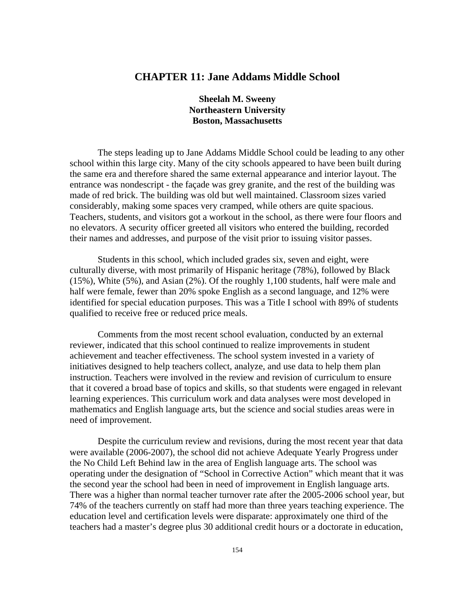# **CHAPTER 11: Jane Addams Middle School**

**Sheelah M. Sweeny Northeastern University Boston, Massachusetts** 

The steps leading up to Jane Addams Middle School could be leading to any other school within this large city. Many of the city schools appeared to have been built during the same era and therefore shared the same external appearance and interior layout. The entrance was nondescript - the façade was grey granite, and the rest of the building was made of red brick. The building was old but well maintained. Classroom sizes varied considerably, making some spaces very cramped, while others are quite spacious. Teachers, students, and visitors got a workout in the school, as there were four floors and no elevators. A security officer greeted all visitors who entered the building, recorded their names and addresses, and purpose of the visit prior to issuing visitor passes.

Students in this school, which included grades six, seven and eight, were culturally diverse, with most primarily of Hispanic heritage (78%), followed by Black (15%), White (5%), and Asian (2%). Of the roughly 1,100 students, half were male and half were female, fewer than 20% spoke English as a second language, and 12% were identified for special education purposes. This was a Title I school with 89% of students qualified to receive free or reduced price meals.

Comments from the most recent school evaluation, conducted by an external reviewer, indicated that this school continued to realize improvements in student achievement and teacher effectiveness. The school system invested in a variety of initiatives designed to help teachers collect, analyze, and use data to help them plan instruction. Teachers were involved in the review and revision of curriculum to ensure that it covered a broad base of topics and skills, so that students were engaged in relevant learning experiences. This curriculum work and data analyses were most developed in mathematics and English language arts, but the science and social studies areas were in need of improvement.

Despite the curriculum review and revisions, during the most recent year that data were available (2006-2007), the school did not achieve Adequate Yearly Progress under the No Child Left Behind law in the area of English language arts. The school was operating under the designation of "School in Corrective Action" which meant that it was the second year the school had been in need of improvement in English language arts. There was a higher than normal teacher turnover rate after the 2005-2006 school year, but 74% of the teachers currently on staff had more than three years teaching experience. The education level and certification levels were disparate: approximately one third of the teachers had a master's degree plus 30 additional credit hours or a doctorate in education,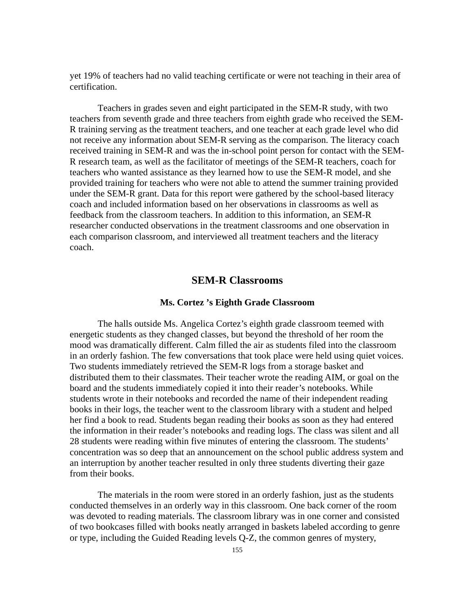yet 19% of teachers had no valid teaching certificate or were not teaching in their area of certification.

Teachers in grades seven and eight participated in the SEM-R study, with two teachers from seventh grade and three teachers from eighth grade who received the SEM-R training serving as the treatment teachers, and one teacher at each grade level who did not receive any information about SEM-R serving as the comparison. The literacy coach received training in SEM-R and was the in-school point person for contact with the SEM-R research team, as well as the facilitator of meetings of the SEM-R teachers, coach for teachers who wanted assistance as they learned how to use the SEM-R model, and she provided training for teachers who were not able to attend the summer training provided under the SEM-R grant. Data for this report were gathered by the school-based literacy coach and included information based on her observations in classrooms as well as feedback from the classroom teachers. In addition to this information, an SEM-R researcher conducted observations in the treatment classrooms and one observation in each comparison classroom, and interviewed all treatment teachers and the literacy coach.

## **SEM-R Classrooms**

## **Ms. Cortez 's Eighth Grade Classroom**

The halls outside Ms. Angelica Cortez's eighth grade classroom teemed with energetic students as they changed classes, but beyond the threshold of her room the mood was dramatically different. Calm filled the air as students filed into the classroom in an orderly fashion. The few conversations that took place were held using quiet voices. Two students immediately retrieved the SEM-R logs from a storage basket and distributed them to their classmates. Their teacher wrote the reading AIM, or goal on the board and the students immediately copied it into their reader's notebooks. While students wrote in their notebooks and recorded the name of their independent reading books in their logs, the teacher went to the classroom library with a student and helped her find a book to read. Students began reading their books as soon as they had entered the information in their reader's notebooks and reading logs. The class was silent and all 28 students were reading within five minutes of entering the classroom. The students' concentration was so deep that an announcement on the school public address system and an interruption by another teacher resulted in only three students diverting their gaze from their books.

The materials in the room were stored in an orderly fashion, just as the students conducted themselves in an orderly way in this classroom. One back corner of the room was devoted to reading materials. The classroom library was in one corner and consisted of two bookcases filled with books neatly arranged in baskets labeled according to genre or type, including the Guided Reading levels Q-Z, the common genres of mystery,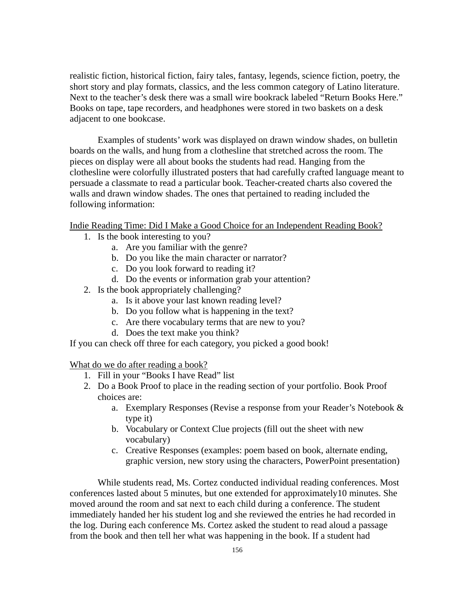realistic fiction, historical fiction, fairy tales, fantasy, legends, science fiction, poetry, the short story and play formats, classics, and the less common category of Latino literature. Next to the teacher's desk there was a small wire bookrack labeled "Return Books Here." Books on tape, tape recorders, and headphones were stored in two baskets on a desk adjacent to one bookcase.

Examples of students' work was displayed on drawn window shades, on bulletin boards on the walls, and hung from a clothesline that stretched across the room. The pieces on display were all about books the students had read. Hanging from the clothesline were colorfully illustrated posters that had carefully crafted language meant to persuade a classmate to read a particular book. Teacher-created charts also covered the walls and drawn window shades. The ones that pertained to reading included the following information:

Indie Reading Time: Did I Make a Good Choice for an Independent Reading Book?

- 1. Is the book interesting to you?
	- a. Are you familiar with the genre?
	- b. Do you like the main character or narrator?
	- c. Do you look forward to reading it?
	- d. Do the events or information grab your attention?
- 2. Is the book appropriately challenging?
	- a. Is it above your last known reading level?
	- b. Do you follow what is happening in the text?
	- c. Are there vocabulary terms that are new to you?
	- d. Does the text make you think?

If you can check off three for each category, you picked a good book!

What do we do after reading a book?

- 1. Fill in your "Books I have Read" list
- 2. Do a Book Proof to place in the reading section of your portfolio. Book Proof choices are:
	- a. Exemplary Responses (Revise a response from your Reader's Notebook & type it)
	- b. Vocabulary or Context Clue projects (fill out the sheet with new vocabulary)
	- c. Creative Responses (examples: poem based on book, alternate ending, graphic version, new story using the characters, PowerPoint presentation)

While students read, Ms. Cortez conducted individual reading conferences. Most conferences lasted about 5 minutes, but one extended for approximately10 minutes. She moved around the room and sat next to each child during a conference. The student immediately handed her his student log and she reviewed the entries he had recorded in the log. During each conference Ms. Cortez asked the student to read aloud a passage from the book and then tell her what was happening in the book. If a student had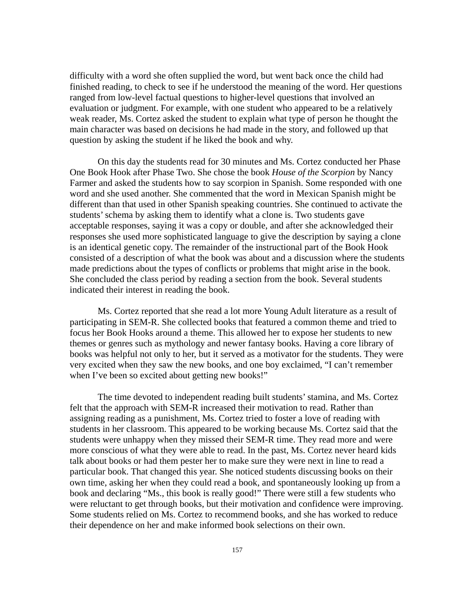difficulty with a word she often supplied the word, but went back once the child had finished reading, to check to see if he understood the meaning of the word. Her questions ranged from low-level factual questions to higher-level questions that involved an evaluation or judgment. For example, with one student who appeared to be a relatively weak reader, Ms. Cortez asked the student to explain what type of person he thought the main character was based on decisions he had made in the story, and followed up that question by asking the student if he liked the book and why.

On this day the students read for 30 minutes and Ms. Cortez conducted her Phase One Book Hook after Phase Two. She chose the book *House of the Scorpion* by Nancy Farmer and asked the students how to say scorpion in Spanish. Some responded with one word and she used another. She commented that the word in Mexican Spanish might be different than that used in other Spanish speaking countries. She continued to activate the students' schema by asking them to identify what a clone is. Two students gave acceptable responses, saying it was a copy or double, and after she acknowledged their responses she used more sophisticated language to give the description by saying a clone is an identical genetic copy. The remainder of the instructional part of the Book Hook consisted of a description of what the book was about and a discussion where the students made predictions about the types of conflicts or problems that might arise in the book. She concluded the class period by reading a section from the book. Several students indicated their interest in reading the book.

Ms. Cortez reported that she read a lot more Young Adult literature as a result of participating in SEM-R. She collected books that featured a common theme and tried to focus her Book Hooks around a theme. This allowed her to expose her students to new themes or genres such as mythology and newer fantasy books. Having a core library of books was helpful not only to her, but it served as a motivator for the students. They were very excited when they saw the new books, and one boy exclaimed, "I can't remember when I've been so excited about getting new books!"

The time devoted to independent reading built students' stamina, and Ms. Cortez felt that the approach with SEM-R increased their motivation to read. Rather than assigning reading as a punishment, Ms. Cortez tried to foster a love of reading with students in her classroom. This appeared to be working because Ms. Cortez said that the students were unhappy when they missed their SEM-R time. They read more and were more conscious of what they were able to read. In the past, Ms. Cortez never heard kids talk about books or had them pester her to make sure they were next in line to read a particular book. That changed this year. She noticed students discussing books on their own time, asking her when they could read a book, and spontaneously looking up from a book and declaring "Ms., this book is really good!" There were still a few students who were reluctant to get through books, but their motivation and confidence were improving. Some students relied on Ms. Cortez to recommend books, and she has worked to reduce their dependence on her and make informed book selections on their own.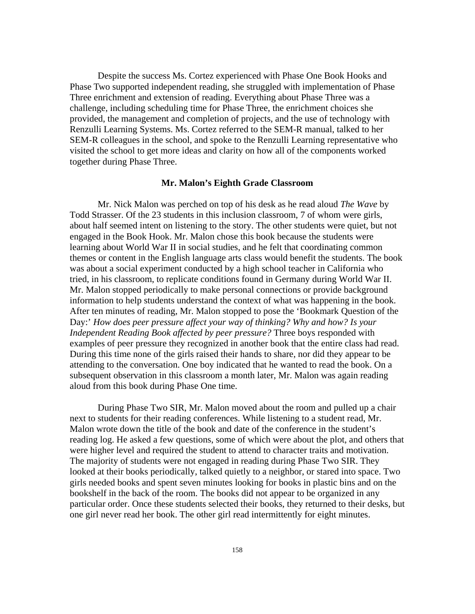Despite the success Ms. Cortez experienced with Phase One Book Hooks and Phase Two supported independent reading, she struggled with implementation of Phase Three enrichment and extension of reading. Everything about Phase Three was a challenge, including scheduling time for Phase Three, the enrichment choices she provided, the management and completion of projects, and the use of technology with Renzulli Learning Systems. Ms. Cortez referred to the SEM-R manual, talked to her SEM-R colleagues in the school, and spoke to the Renzulli Learning representative who visited the school to get more ideas and clarity on how all of the components worked together during Phase Three.

### **Mr. Malon's Eighth Grade Classroom**

Mr. Nick Malon was perched on top of his desk as he read aloud *The Wave* by Todd Strasser. Of the 23 students in this inclusion classroom, 7 of whom were girls, about half seemed intent on listening to the story. The other students were quiet, but not engaged in the Book Hook. Mr. Malon chose this book because the students were learning about World War II in social studies, and he felt that coordinating common themes or content in the English language arts class would benefit the students. The book was about a social experiment conducted by a high school teacher in California who tried, in his classroom, to replicate conditions found in Germany during World War II. Mr. Malon stopped periodically to make personal connections or provide background information to help students understand the context of what was happening in the book. After ten minutes of reading, Mr. Malon stopped to pose the 'Bookmark Question of the Day:' *How does peer pressure affect your way of thinking? Why and how? Is your Independent Reading Book affected by peer pressure?* Three boys responded with examples of peer pressure they recognized in another book that the entire class had read. During this time none of the girls raised their hands to share, nor did they appear to be attending to the conversation. One boy indicated that he wanted to read the book. On a subsequent observation in this classroom a month later, Mr. Malon was again reading aloud from this book during Phase One time.

During Phase Two SIR, Mr. Malon moved about the room and pulled up a chair next to students for their reading conferences. While listening to a student read, Mr. Malon wrote down the title of the book and date of the conference in the student's reading log. He asked a few questions, some of which were about the plot, and others that were higher level and required the student to attend to character traits and motivation. The majority of students were not engaged in reading during Phase Two SIR. They looked at their books periodically, talked quietly to a neighbor, or stared into space. Two girls needed books and spent seven minutes looking for books in plastic bins and on the bookshelf in the back of the room. The books did not appear to be organized in any particular order. Once these students selected their books, they returned to their desks, but one girl never read her book. The other girl read intermittently for eight minutes.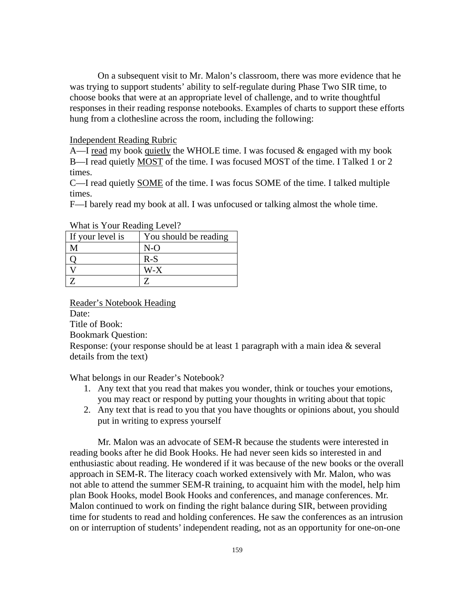On a subsequent visit to Mr. Malon's classroom, there was more evidence that he was trying to support students' ability to self-regulate during Phase Two SIR time, to choose books that were at an appropriate level of challenge, and to write thoughtful responses in their reading response notebooks. Examples of charts to support these efforts hung from a clothesline across the room, including the following:

## Independent Reading Rubric

A—I read my book quietly the WHOLE time. I was focused  $\&$  engaged with my book B—I read quietly MOST of the time. I was focused MOST of the time. I Talked 1 or 2 times.

C—I read quietly SOME of the time. I was focus SOME of the time. I talked multiple times.

F—I barely read my book at all. I was unfocused or talking almost the whole time.

| If your level is | You should be reading |
|------------------|-----------------------|
|                  | $N-\Omega$            |
|                  | $R-S$                 |
|                  | W-X                   |
|                  |                       |

What is Your Reading Level?

Reader's Notebook Heading

Date:

Title of Book:

Bookmark Question:

Response: (your response should be at least 1 paragraph with a main idea & several details from the text)

What belongs in our Reader's Notebook?

- 1. Any text that you read that makes you wonder, think or touches your emotions, you may react or respond by putting your thoughts in writing about that topic
- 2. Any text that is read to you that you have thoughts or opinions about, you should put in writing to express yourself

Mr. Malon was an advocate of SEM-R because the students were interested in reading books after he did Book Hooks. He had never seen kids so interested in and enthusiastic about reading. He wondered if it was because of the new books or the overall approach in SEM-R. The literacy coach worked extensively with Mr. Malon, who was not able to attend the summer SEM-R training, to acquaint him with the model, help him plan Book Hooks, model Book Hooks and conferences, and manage conferences. Mr. Malon continued to work on finding the right balance during SIR, between providing time for students to read and holding conferences. He saw the conferences as an intrusion on or interruption of students' independent reading, not as an opportunity for one-on-one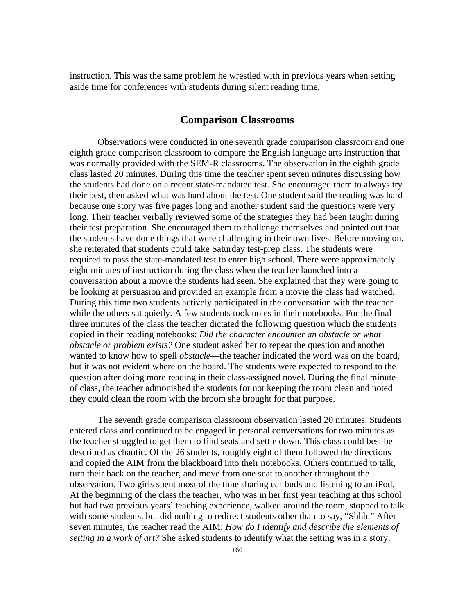instruction. This was the same problem he wrestled with in previous years when setting aside time for conferences with students during silent reading time.

# **Comparison Classrooms**

Observations were conducted in one seventh grade comparison classroom and one eighth grade comparison classroom to compare the English language arts instruction that was normally provided with the SEM-R classrooms. The observation in the eighth grade class lasted 20 minutes. During this time the teacher spent seven minutes discussing how the students had done on a recent state-mandated test. She encouraged them to always try their best, then asked what was hard about the test. One student said the reading was hard because one story was five pages long and another student said the questions were very long. Their teacher verbally reviewed some of the strategies they had been taught during their test preparation. She encouraged them to challenge themselves and pointed out that the students have done things that were challenging in their own lives. Before moving on, she reiterated that students could take Saturday test-prep class. The students were required to pass the state-mandated test to enter high school. There were approximately eight minutes of instruction during the class when the teacher launched into a conversation about a movie the students had seen. She explained that they were going to be looking at persuasion and provided an example from a movie the class had watched. During this time two students actively participated in the conversation with the teacher while the others sat quietly. A few students took notes in their notebooks. For the final three minutes of the class the teacher dictated the following question which the students copied in their reading notebooks: *Did the character encounter an obstacle or what obstacle or problem exists?* One student asked her to repeat the question and another wanted to know how to spell *obstacle*—the teacher indicated the word was on the board, but it was not evident where on the board. The students were expected to respond to the question after doing more reading in their class-assigned novel. During the final minute of class, the teacher admonished the students for not keeping the room clean and noted they could clean the room with the broom she brought for that purpose.

The seventh grade comparison classroom observation lasted 20 minutes. Students entered class and continued to be engaged in personal conversations for two minutes as the teacher struggled to get them to find seats and settle down. This class could best be described as chaotic. Of the 26 students, roughly eight of them followed the directions and copied the AIM from the blackboard into their notebooks. Others continued to talk, turn their back on the teacher, and move from one seat to another throughout the observation. Two girls spent most of the time sharing ear buds and listening to an iPod. At the beginning of the class the teacher, who was in her first year teaching at this school but had two previous years' teaching experience, walked around the room, stopped to talk with some students, but did nothing to redirect students other than to say, "Shhh." After seven minutes, the teacher read the AIM: *How do I identify and describe the elements of setting in a work of art?* She asked students to identify what the setting was in a story.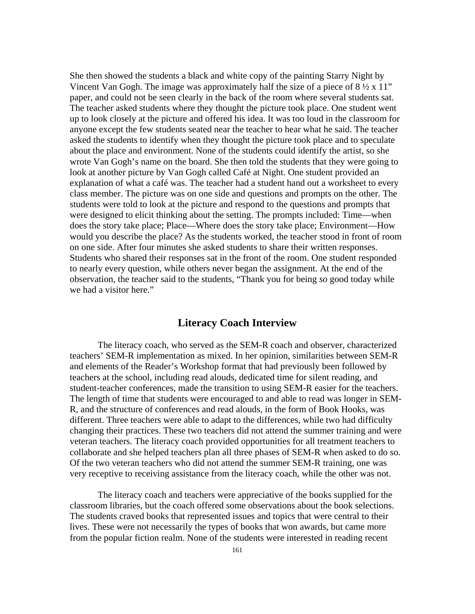She then showed the students a black and white copy of the painting Starry Night by Vincent Van Gogh. The image was approximately half the size of a piece of  $8\frac{1}{2} \times 11"$ paper, and could not be seen clearly in the back of the room where several students sat. The teacher asked students where they thought the picture took place. One student went up to look closely at the picture and offered his idea. It was too loud in the classroom for anyone except the few students seated near the teacher to hear what he said. The teacher asked the students to identify when they thought the picture took place and to speculate about the place and environment. None of the students could identify the artist, so she wrote Van Gogh's name on the board. She then told the students that they were going to look at another picture by Van Gogh called Café at Night. One student provided an explanation of what a café was. The teacher had a student hand out a worksheet to every class member. The picture was on one side and questions and prompts on the other. The students were told to look at the picture and respond to the questions and prompts that were designed to elicit thinking about the setting. The prompts included: Time—when does the story take place; Place—Where does the story take place; Environment—How would you describe the place? As the students worked, the teacher stood in front of room on one side. After four minutes she asked students to share their written responses. Students who shared their responses sat in the front of the room. One student responded to nearly every question, while others never began the assignment. At the end of the observation, the teacher said to the students, "Thank you for being *so* good today while we had a visitor here."

# **Literacy Coach Interview**

The literacy coach, who served as the SEM-R coach and observer, characterized teachers' SEM-R implementation as mixed. In her opinion, similarities between SEM-R and elements of the Reader's Workshop format that had previously been followed by teachers at the school, including read alouds, dedicated time for silent reading, and student-teacher conferences, made the transition to using SEM-R easier for the teachers. The length of time that students were encouraged to and able to read was longer in SEM-R, and the structure of conferences and read alouds, in the form of Book Hooks, was different. Three teachers were able to adapt to the differences, while two had difficulty changing their practices. These two teachers did not attend the summer training and were veteran teachers. The literacy coach provided opportunities for all treatment teachers to collaborate and she helped teachers plan all three phases of SEM-R when asked to do so. Of the two veteran teachers who did not attend the summer SEM-R training, one was very receptive to receiving assistance from the literacy coach, while the other was not.

The literacy coach and teachers were appreciative of the books supplied for the classroom libraries, but the coach offered some observations about the book selections. The students craved books that represented issues and topics that were central to their lives. These were not necessarily the types of books that won awards, but came more from the popular fiction realm. None of the students were interested in reading recent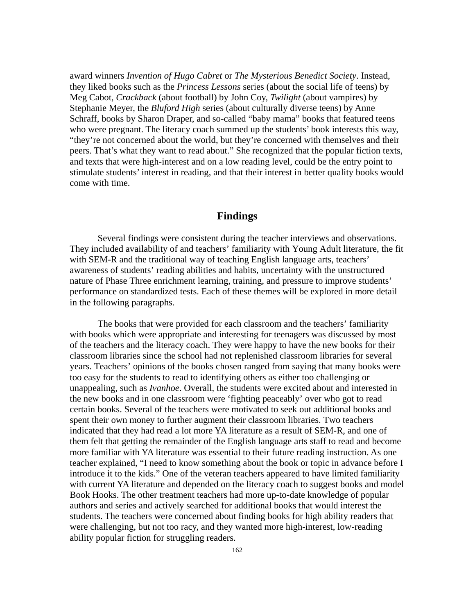award winners *Invention of Hugo Cabret* or *The Mysterious Benedict Society*. Instead, they liked books such as the *Princess Lessons* series (about the social life of teens) by Meg Cabot, *Crackback* (about football) by John Coy, *Twilight* (about vampires) by Stephanie Meyer, the *Bluford High* series (about culturally diverse teens) by Anne Schraff, books by Sharon Draper, and so-called "baby mama" books that featured teens who were pregnant. The literacy coach summed up the students' book interests this way, "they're not concerned about the world, but they're concerned with themselves and their peers. That's what they want to read about." She recognized that the popular fiction texts, and texts that were high-interest and on a low reading level, could be the entry point to stimulate students' interest in reading, and that their interest in better quality books would come with time.

# **Findings**

Several findings were consistent during the teacher interviews and observations. They included availability of and teachers' familiarity with Young Adult literature, the fit with SEM-R and the traditional way of teaching English language arts, teachers' awareness of students' reading abilities and habits, uncertainty with the unstructured nature of Phase Three enrichment learning, training, and pressure to improve students' performance on standardized tests. Each of these themes will be explored in more detail in the following paragraphs.

The books that were provided for each classroom and the teachers' familiarity with books which were appropriate and interesting for teenagers was discussed by most of the teachers and the literacy coach. They were happy to have the new books for their classroom libraries since the school had not replenished classroom libraries for several years. Teachers' opinions of the books chosen ranged from saying that many books were too easy for the students to read to identifying others as either too challenging or unappealing, such as *Ivanhoe*. Overall, the students were excited about and interested in the new books and in one classroom were 'fighting peaceably' over who got to read certain books. Several of the teachers were motivated to seek out additional books and spent their own money to further augment their classroom libraries. Two teachers indicated that they had read a lot more YA literature as a result of SEM-R, and one of them felt that getting the remainder of the English language arts staff to read and become more familiar with YA literature was essential to their future reading instruction. As one teacher explained, "I need to know something about the book or topic in advance before I introduce it to the kids." One of the veteran teachers appeared to have limited familiarity with current YA literature and depended on the literacy coach to suggest books and model Book Hooks. The other treatment teachers had more up-to-date knowledge of popular authors and series and actively searched for additional books that would interest the students. The teachers were concerned about finding books for high ability readers that were challenging, but not too racy, and they wanted more high-interest, low-reading ability popular fiction for struggling readers.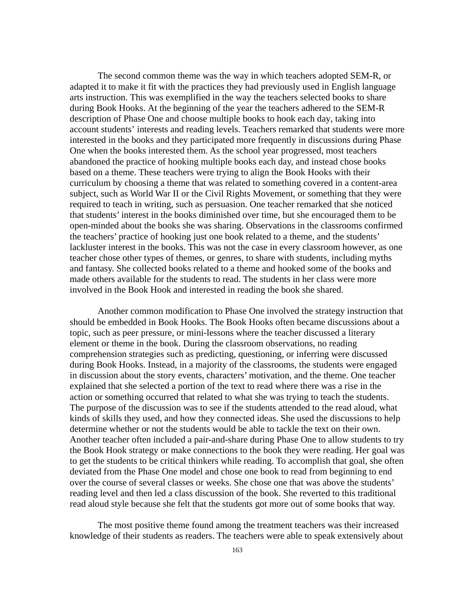The second common theme was the way in which teachers adopted SEM-R, or adapted it to make it fit with the practices they had previously used in English language arts instruction. This was exemplified in the way the teachers selected books to share during Book Hooks. At the beginning of the year the teachers adhered to the SEM-R description of Phase One and choose multiple books to hook each day, taking into account students' interests and reading levels. Teachers remarked that students were more interested in the books and they participated more frequently in discussions during Phase One when the books interested them. As the school year progressed, most teachers abandoned the practice of hooking multiple books each day, and instead chose books based on a theme. These teachers were trying to align the Book Hooks with their curriculum by choosing a theme that was related to something covered in a content-area subject, such as World War II or the Civil Rights Movement, or something that they were required to teach in writing, such as persuasion. One teacher remarked that she noticed that students' interest in the books diminished over time, but she encouraged them to be open-minded about the books she was sharing. Observations in the classrooms confirmed the teachers' practice of hooking just one book related to a theme, and the students' lackluster interest in the books. This was not the case in every classroom however, as one teacher chose other types of themes, or genres, to share with students, including myths and fantasy. She collected books related to a theme and hooked some of the books and made others available for the students to read. The students in her class were more involved in the Book Hook and interested in reading the book she shared.

Another common modification to Phase One involved the strategy instruction that should be embedded in Book Hooks. The Book Hooks often became discussions about a topic, such as peer pressure, or mini-lessons where the teacher discussed a literary element or theme in the book. During the classroom observations, no reading comprehension strategies such as predicting, questioning, or inferring were discussed during Book Hooks. Instead, in a majority of the classrooms, the students were engaged in discussion about the story events, characters' motivation, and the theme. One teacher explained that she selected a portion of the text to read where there was a rise in the action or something occurred that related to what she was trying to teach the students. The purpose of the discussion was to see if the students attended to the read aloud, what kinds of skills they used, and how they connected ideas. She used the discussions to help determine whether or not the students would be able to tackle the text on their own. Another teacher often included a pair-and-share during Phase One to allow students to try the Book Hook strategy or make connections to the book they were reading. Her goal was to get the students to be critical thinkers while reading. To accomplish that goal, she often deviated from the Phase One model and chose one book to read from beginning to end over the course of several classes or weeks. She chose one that was above the students' reading level and then led a class discussion of the book. She reverted to this traditional read aloud style because she felt that the students got more out of some books that way.

The most positive theme found among the treatment teachers was their increased knowledge of their students as readers. The teachers were able to speak extensively about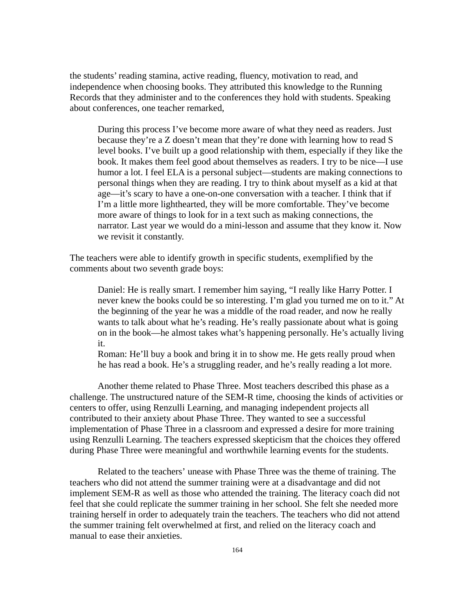the students' reading stamina, active reading, fluency, motivation to read, and independence when choosing books. They attributed this knowledge to the Running Records that they administer and to the conferences they hold with students. Speaking about conferences, one teacher remarked,

During this process I've become more aware of what they need as readers. Just because they're a Z doesn't mean that they're done with learning how to read S level books. I've built up a good relationship with them, especially if they like the book. It makes them feel good about themselves as readers. I try to be nice—I use humor a lot. I feel ELA is a personal subject—students are making connections to personal things when they are reading. I try to think about myself as a kid at that age—it's scary to have a one-on-one conversation with a teacher. I think that if I'm a little more lighthearted, they will be more comfortable. They've become more aware of things to look for in a text such as making connections, the narrator. Last year we would do a mini-lesson and assume that they know it. Now we revisit it constantly.

The teachers were able to identify growth in specific students, exemplified by the comments about two seventh grade boys:

Daniel: He is really smart. I remember him saying, "I really like Harry Potter. I never knew the books could be so interesting. I'm glad you turned me on to it." At the beginning of the year he was a middle of the road reader, and now he really wants to talk about what he's reading. He's really passionate about what is going on in the book—he almost takes what's happening personally. He's actually living it.

Roman: He'll buy a book and bring it in to show me. He gets really proud when he has read a book. He's a struggling reader, and he's really reading a lot more.

Another theme related to Phase Three. Most teachers described this phase as a challenge. The unstructured nature of the SEM-R time, choosing the kinds of activities or centers to offer, using Renzulli Learning, and managing independent projects all contributed to their anxiety about Phase Three. They wanted to see a successful implementation of Phase Three in a classroom and expressed a desire for more training using Renzulli Learning. The teachers expressed skepticism that the choices they offered during Phase Three were meaningful and worthwhile learning events for the students.

Related to the teachers' unease with Phase Three was the theme of training. The teachers who did not attend the summer training were at a disadvantage and did not implement SEM-R as well as those who attended the training. The literacy coach did not feel that she could replicate the summer training in her school. She felt she needed more training herself in order to adequately train the teachers. The teachers who did not attend the summer training felt overwhelmed at first, and relied on the literacy coach and manual to ease their anxieties.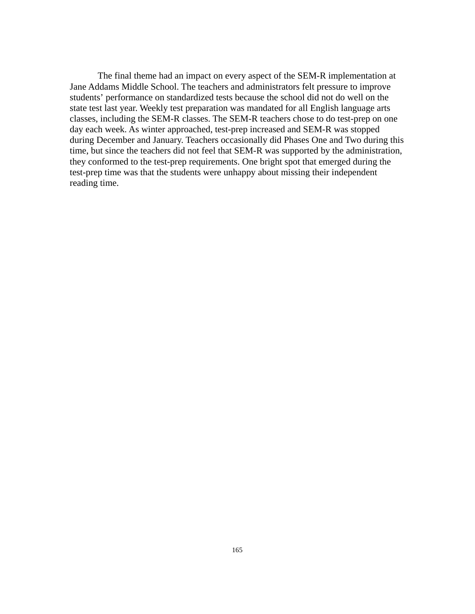The final theme had an impact on every aspect of the SEM-R implementation at Jane Addams Middle School. The teachers and administrators felt pressure to improve students' performance on standardized tests because the school did not do well on the state test last year. Weekly test preparation was mandated for all English language arts classes, including the SEM-R classes. The SEM-R teachers chose to do test-prep on one day each week. As winter approached, test-prep increased and SEM-R was stopped during December and January. Teachers occasionally did Phases One and Two during this time, but since the teachers did not feel that SEM-R was supported by the administration, they conformed to the test-prep requirements. One bright spot that emerged during the test-prep time was that the students were unhappy about missing their independent reading time.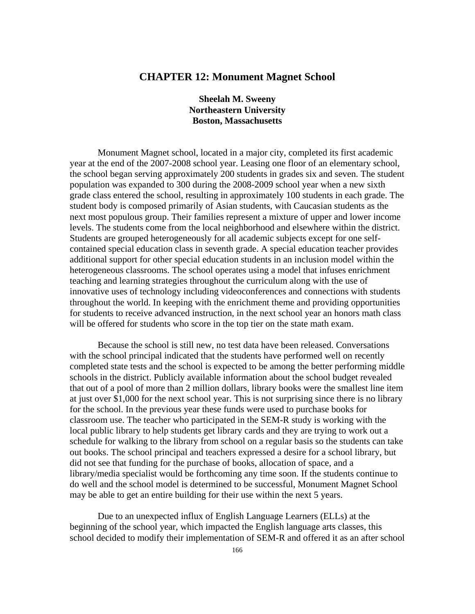# **CHAPTER 12: Monument Magnet School**

# **Sheelah M. Sweeny Northeastern University Boston, Massachusetts**

Monument Magnet school, located in a major city, completed its first academic year at the end of the 2007-2008 school year. Leasing one floor of an elementary school, the school began serving approximately 200 students in grades six and seven. The student population was expanded to 300 during the 2008-2009 school year when a new sixth grade class entered the school, resulting in approximately 100 students in each grade. The student body is composed primarily of Asian students, with Caucasian students as the next most populous group. Their families represent a mixture of upper and lower income levels. The students come from the local neighborhood and elsewhere within the district. Students are grouped heterogeneously for all academic subjects except for one selfcontained special education class in seventh grade. A special education teacher provides additional support for other special education students in an inclusion model within the heterogeneous classrooms. The school operates using a model that infuses enrichment teaching and learning strategies throughout the curriculum along with the use of innovative uses of technology including videoconferences and connections with students throughout the world. In keeping with the enrichment theme and providing opportunities for students to receive advanced instruction, in the next school year an honors math class will be offered for students who score in the top tier on the state math exam.

Because the school is still new, no test data have been released. Conversations with the school principal indicated that the students have performed well on recently completed state tests and the school is expected to be among the better performing middle schools in the district. Publicly available information about the school budget revealed that out of a pool of more than 2 million dollars, library books were the smallest line item at just over \$1,000 for the next school year. This is not surprising since there is no library for the school. In the previous year these funds were used to purchase books for classroom use. The teacher who participated in the SEM-R study is working with the local public library to help students get library cards and they are trying to work out a schedule for walking to the library from school on a regular basis so the students can take out books. The school principal and teachers expressed a desire for a school library, but did not see that funding for the purchase of books, allocation of space, and a library/media specialist would be forthcoming any time soon. If the students continue to do well and the school model is determined to be successful, Monument Magnet School may be able to get an entire building for their use within the next 5 years.

Due to an unexpected influx of English Language Learners (ELLs) at the beginning of the school year, which impacted the English language arts classes, this school decided to modify their implementation of SEM-R and offered it as an after school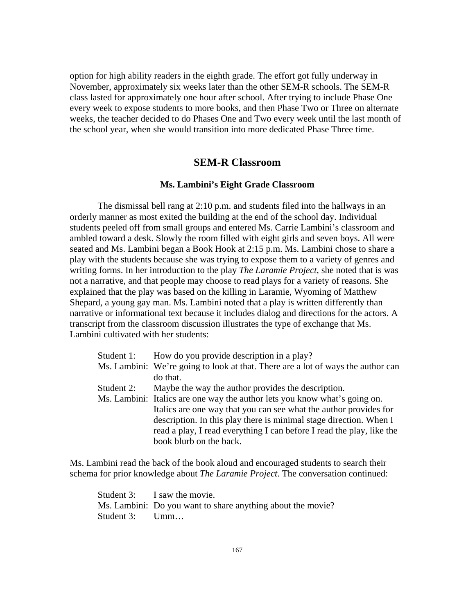option for high ability readers in the eighth grade. The effort got fully underway in November, approximately six weeks later than the other SEM-R schools. The SEM-R class lasted for approximately one hour after school. After trying to include Phase One every week to expose students to more books, and then Phase Two or Three on alternate weeks, the teacher decided to do Phases One and Two every week until the last month of the school year, when she would transition into more dedicated Phase Three time.

# **SEM-R Classroom**

## **Ms. Lambini's Eight Grade Classroom**

The dismissal bell rang at 2:10 p.m. and students filed into the hallways in an orderly manner as most exited the building at the end of the school day. Individual students peeled off from small groups and entered Ms. Carrie Lambini's classroom and ambled toward a desk. Slowly the room filled with eight girls and seven boys. All were seated and Ms. Lambini began a Book Hook at 2:15 p.m. Ms. Lambini chose to share a play with the students because she was trying to expose them to a variety of genres and writing forms. In her introduction to the play *The Laramie Project*, she noted that is was not a narrative, and that people may choose to read plays for a variety of reasons. She explained that the play was based on the killing in Laramie, Wyoming of Matthew Shepard, a young gay man. Ms. Lambini noted that a play is written differently than narrative or informational text because it includes dialog and directions for the actors. A transcript from the classroom discussion illustrates the type of exchange that Ms. Lambini cultivated with her students:

|            | Student 1: How do you provide description in a play?                             |
|------------|----------------------------------------------------------------------------------|
|            | Ms. Lambini: We're going to look at that. There are a lot of ways the author can |
|            | do that.                                                                         |
| Student 2: | Maybe the way the author provides the description.                               |
|            | Ms. Lambini: Italics are one way the author lets you know what's going on.       |
|            | Italics are one way that you can see what the author provides for                |
|            | description. In this play there is minimal stage direction. When I               |
|            | read a play, I read everything I can before I read the play, like the            |
|            | book blurb on the back.                                                          |

Ms. Lambini read the back of the book aloud and encouraged students to search their schema for prior knowledge about *The Laramie Project*. The conversation continued:

Student 3: I saw the movie. Ms. Lambini: Do you want to share anything about the movie? Student 3: Umm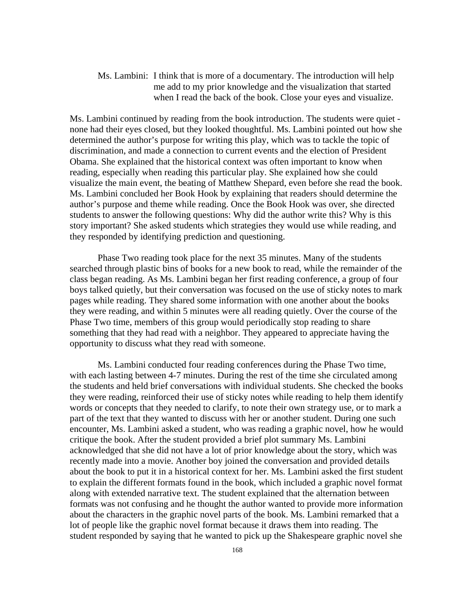Ms. Lambini: I think that is more of a documentary. The introduction will help me add to my prior knowledge and the visualization that started when I read the back of the book. Close your eyes and visualize.

Ms. Lambini continued by reading from the book introduction. The students were quiet none had their eyes closed, but they looked thoughtful. Ms. Lambini pointed out how she determined the author's purpose for writing this play, which was to tackle the topic of discrimination, and made a connection to current events and the election of President Obama. She explained that the historical context was often important to know when reading, especially when reading this particular play. She explained how she could visualize the main event, the beating of Matthew Shepard, even before she read the book. Ms. Lambini concluded her Book Hook by explaining that readers should determine the author's purpose and theme while reading. Once the Book Hook was over, she directed students to answer the following questions: Why did the author write this? Why is this story important? She asked students which strategies they would use while reading, and they responded by identifying prediction and questioning.

Phase Two reading took place for the next 35 minutes. Many of the students searched through plastic bins of books for a new book to read, while the remainder of the class began reading. As Ms. Lambini began her first reading conference, a group of four boys talked quietly, but their conversation was focused on the use of sticky notes to mark pages while reading. They shared some information with one another about the books they were reading, and within 5 minutes were all reading quietly. Over the course of the Phase Two time, members of this group would periodically stop reading to share something that they had read with a neighbor. They appeared to appreciate having the opportunity to discuss what they read with someone.

Ms. Lambini conducted four reading conferences during the Phase Two time, with each lasting between 4-7 minutes. During the rest of the time she circulated among the students and held brief conversations with individual students. She checked the books they were reading, reinforced their use of sticky notes while reading to help them identify words or concepts that they needed to clarify, to note their own strategy use, or to mark a part of the text that they wanted to discuss with her or another student. During one such encounter, Ms. Lambini asked a student, who was reading a graphic novel, how he would critique the book. After the student provided a brief plot summary Ms. Lambini acknowledged that she did not have a lot of prior knowledge about the story, which was recently made into a movie. Another boy joined the conversation and provided details about the book to put it in a historical context for her. Ms. Lambini asked the first student to explain the different formats found in the book, which included a graphic novel format along with extended narrative text. The student explained that the alternation between formats was not confusing and he thought the author wanted to provide more information about the characters in the graphic novel parts of the book. Ms. Lambini remarked that a lot of people like the graphic novel format because it draws them into reading. The student responded by saying that he wanted to pick up the Shakespeare graphic novel she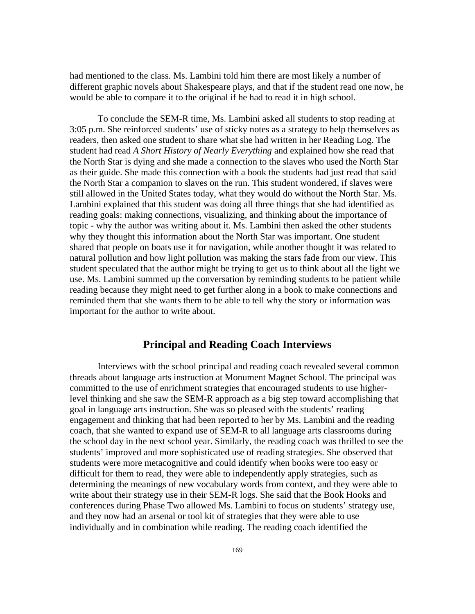had mentioned to the class. Ms. Lambini told him there are most likely a number of different graphic novels about Shakespeare plays, and that if the student read one now, he would be able to compare it to the original if he had to read it in high school.

To conclude the SEM-R time, Ms. Lambini asked all students to stop reading at 3:05 p.m. She reinforced students' use of sticky notes as a strategy to help themselves as readers, then asked one student to share what she had written in her Reading Log. The student had read *A Short History of Nearly Everything* and explained how she read that the North Star is dying and she made a connection to the slaves who used the North Star as their guide. She made this connection with a book the students had just read that said the North Star a companion to slaves on the run. This student wondered, if slaves were still allowed in the United States today, what they would do without the North Star. Ms. Lambini explained that this student was doing all three things that she had identified as reading goals: making connections, visualizing, and thinking about the importance of topic - why the author was writing about it. Ms. Lambini then asked the other students why they thought this information about the North Star was important. One student shared that people on boats use it for navigation, while another thought it was related to natural pollution and how light pollution was making the stars fade from our view. This student speculated that the author might be trying to get us to think about all the light we use. Ms. Lambini summed up the conversation by reminding students to be patient while reading because they might need to get further along in a book to make connections and reminded them that she wants them to be able to tell why the story or information was important for the author to write about.

# **Principal and Reading Coach Interviews**

Interviews with the school principal and reading coach revealed several common threads about language arts instruction at Monument Magnet School. The principal was committed to the use of enrichment strategies that encouraged students to use higherlevel thinking and she saw the SEM-R approach as a big step toward accomplishing that goal in language arts instruction. She was so pleased with the students' reading engagement and thinking that had been reported to her by Ms. Lambini and the reading coach, that she wanted to expand use of SEM-R to all language arts classrooms during the school day in the next school year. Similarly, the reading coach was thrilled to see the students' improved and more sophisticated use of reading strategies. She observed that students were more metacognitive and could identify when books were too easy or difficult for them to read, they were able to independently apply strategies, such as determining the meanings of new vocabulary words from context, and they were able to write about their strategy use in their SEM-R logs. She said that the Book Hooks and conferences during Phase Two allowed Ms. Lambini to focus on students' strategy use, and they now had an arsenal or tool kit of strategies that they were able to use individually and in combination while reading. The reading coach identified the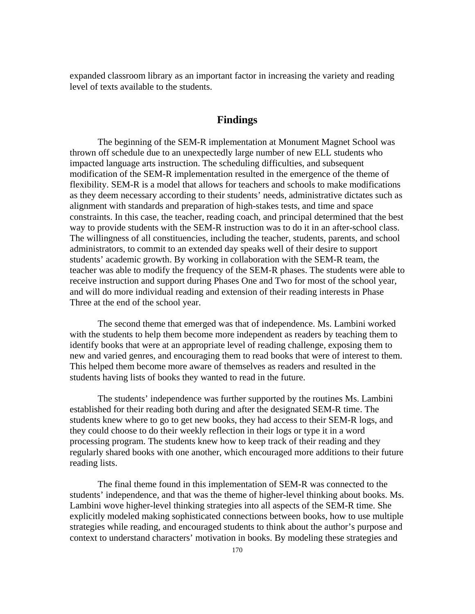expanded classroom library as an important factor in increasing the variety and reading level of texts available to the students.

# **Findings**

The beginning of the SEM-R implementation at Monument Magnet School was thrown off schedule due to an unexpectedly large number of new ELL students who impacted language arts instruction. The scheduling difficulties, and subsequent modification of the SEM-R implementation resulted in the emergence of the theme of flexibility. SEM-R is a model that allows for teachers and schools to make modifications as they deem necessary according to their students' needs, administrative dictates such as alignment with standards and preparation of high-stakes tests, and time and space constraints. In this case, the teacher, reading coach, and principal determined that the best way to provide students with the SEM-R instruction was to do it in an after-school class. The willingness of all constituencies, including the teacher, students, parents, and school administrators, to commit to an extended day speaks well of their desire to support students' academic growth. By working in collaboration with the SEM-R team, the teacher was able to modify the frequency of the SEM-R phases. The students were able to receive instruction and support during Phases One and Two for most of the school year, and will do more individual reading and extension of their reading interests in Phase Three at the end of the school year.

The second theme that emerged was that of independence. Ms. Lambini worked with the students to help them become more independent as readers by teaching them to identify books that were at an appropriate level of reading challenge, exposing them to new and varied genres, and encouraging them to read books that were of interest to them. This helped them become more aware of themselves as readers and resulted in the students having lists of books they wanted to read in the future.

The students' independence was further supported by the routines Ms. Lambini established for their reading both during and after the designated SEM-R time. The students knew where to go to get new books, they had access to their SEM-R logs, and they could choose to do their weekly reflection in their logs or type it in a word processing program. The students knew how to keep track of their reading and they regularly shared books with one another, which encouraged more additions to their future reading lists.

The final theme found in this implementation of SEM-R was connected to the students' independence, and that was the theme of higher-level thinking about books. Ms. Lambini wove higher-level thinking strategies into all aspects of the SEM-R time. She explicitly modeled making sophisticated connections between books, how to use multiple strategies while reading, and encouraged students to think about the author's purpose and context to understand characters' motivation in books. By modeling these strategies and